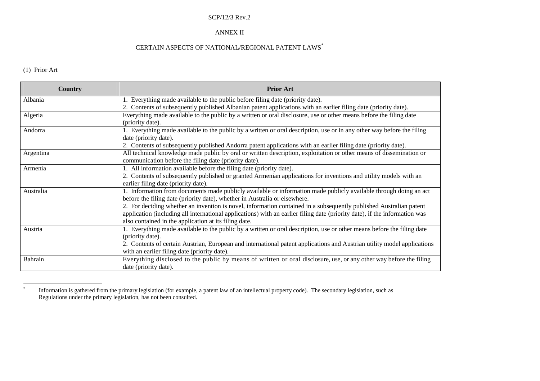#### SCP/12/3 Rev.2

#### ANNEX II

### CERTAIN ASPECTS OF NATIONAL/REGIONAL PATENT LAWS\*

# (1) Prior Art

| <b>Country</b> | <b>Prior Art</b>                                                                                                           |
|----------------|----------------------------------------------------------------------------------------------------------------------------|
| Albania        | 1. Everything made available to the public before filing date (priority date).                                             |
|                | 2. Contents of subsequently published Albanian patent applications with an earlier filing date (priority date).            |
| Algeria        | Everything made available to the public by a written or oral disclosure, use or other means before the filing date         |
|                | (priority date).                                                                                                           |
| Andorra        | 1. Everything made available to the public by a written or oral description, use or in any other way before the filing     |
|                | date (priority date).                                                                                                      |
|                | 2. Contents of subsequently published Andorra patent applications with an earlier filing date (priority date).             |
| Argentina      | All technical knowledge made public by oral or written description, exploitation or other means of dissemination or        |
|                | communication before the filing date (priority date).                                                                      |
| Armenia        | 1. All information available before the filing date (priority date).                                                       |
|                | 2. Contents of subsequently published or granted Armenian applications for inventions and utility models with an           |
|                | earlier filing date (priority date).                                                                                       |
| Australia      | 1. Information from documents made publicly available or information made publicly available through doing an act          |
|                | before the filing date (priority date), whether in Australia or elsewhere.                                                 |
|                | 2. For deciding whether an invention is novel, information contained in a subsequently published Australian patent         |
|                | application (including all international applications) with an earlier filing date (priority date), if the information was |
|                | also contained in the application at its filing date.                                                                      |
| Austria        | 1. Everything made available to the public by a written or oral description, use or other means before the filing date     |
|                | (priority date).                                                                                                           |
|                | 2. Contents of certain Austrian, European and international patent applications and Austrian utility model applications    |
|                | with an earlier filing date (priority date).                                                                               |
| Bahrain        | Everything disclosed to the public by means of written or oral disclosure, use, or any other way before the filing         |
|                | date (priority date).                                                                                                      |

 $\ast$  Information is gathered from the primary legislation (for example, <sup>a</sup> patent law of an intellectual property code). The secondary legislation, such as Regulations under the primary legislation, has not been consulted.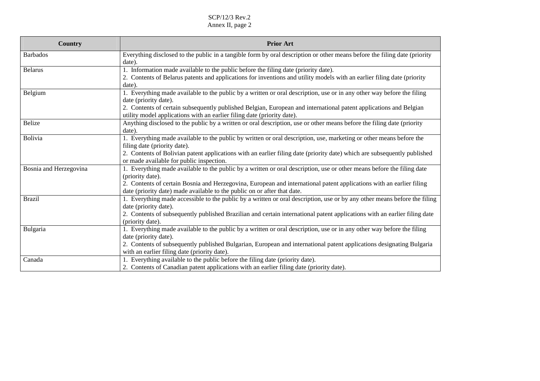| Country                | <b>Prior Art</b>                                                                                                          |
|------------------------|---------------------------------------------------------------------------------------------------------------------------|
| <b>Barbados</b>        | Everything disclosed to the public in a tangible form by oral description or other means before the filing date (priority |
|                        | date).                                                                                                                    |
| <b>Belarus</b>         | 1. Information made available to the public before the filing date (priority date).                                       |
|                        | 2. Contents of Belarus patents and applications for inventions and utility models with an earlier filing date (priority   |
|                        | date).                                                                                                                    |
| Belgium                | 1. Everything made available to the public by a written or oral description, use or in any other way before the filing    |
|                        | date (priority date).                                                                                                     |
|                        | 2. Contents of certain subsequently published Belgian, European and international patent applications and Belgian         |
|                        | utility model applications with an earlier filing date (priority date).                                                   |
| <b>Belize</b>          | Anything disclosed to the public by a written or oral description, use or other means before the filing date (priority    |
|                        | date).                                                                                                                    |
| <b>Bolivia</b>         | 1. Everything made available to the public by written or oral description, use, marketing or other means before the       |
|                        | filing date (priority date).                                                                                              |
|                        | 2. Contents of Bolivian patent applications with an earlier filing date (priority date) which are subsequently published  |
|                        | or made available for public inspection.                                                                                  |
| Bosnia and Herzegovina | 1. Everything made available to the public by a written or oral description, use or other means before the filing date    |
|                        | (priority date).                                                                                                          |
|                        | 2. Contents of certain Bosnia and Herzegovina, European and international patent applications with an earlier filing      |
|                        | date (priority date) made available to the public on or after that date.                                                  |
| <b>Brazil</b>          | 1. Everything made accessible to the public by a written or oral description, use or by any other means before the filing |
|                        | date (priority date).                                                                                                     |
|                        | 2. Contents of subsequently published Brazilian and certain international patent applications with an earlier filing date |
|                        | (priority date).                                                                                                          |
| Bulgaria               | 1. Everything made available to the public by a written or oral description, use or in any other way before the filing    |
|                        | date (priority date).                                                                                                     |
|                        | 2. Contents of subsequently published Bulgarian, European and international patent applications designating Bulgaria      |
|                        | with an earlier filing date (priority date).                                                                              |
| Canada                 | 1. Everything available to the public before the filing date (priority date).                                             |
|                        | 2. Contents of Canadian patent applications with an earlier filing date (priority date).                                  |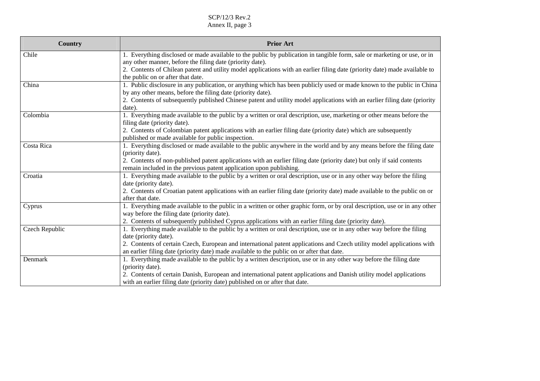| Country        | <b>Prior Art</b>                                                                                                                                |
|----------------|-------------------------------------------------------------------------------------------------------------------------------------------------|
| Chile          | 1. Everything disclosed or made available to the public by publication in tangible form, sale or marketing or use, or in                        |
|                | any other manner, before the filing date (priority date).                                                                                       |
|                | 2. Contents of Chilean patent and utility model applications with an earlier filing date (priority date) made available to                      |
|                | the public on or after that date.                                                                                                               |
| China          | 1. Public disclosure in any publication, or anything which has been publicly used or made known to the public in China                          |
|                | by any other means, before the filing date (priority date).                                                                                     |
|                | 2. Contents of subsequently published Chinese patent and utility model applications with an earlier filing date (priority                       |
|                | date).                                                                                                                                          |
| Colombia       | 1. Everything made available to the public by a written or oral description, use, marketing or other means before the                           |
|                | filing date (priority date).                                                                                                                    |
|                | 2. Contents of Colombian patent applications with an earlier filing date (priority date) which are subsequently                                 |
|                | published or made available for public inspection.                                                                                              |
| Costa Rica     | 1. Everything disclosed or made available to the public anywhere in the world and by any means before the filing date                           |
|                | (priority date).                                                                                                                                |
|                | 2. Contents of non-published patent applications with an earlier filing date (priority date) but only if said contents                          |
|                | remain included in the previous patent application upon publishing.                                                                             |
| Croatia        | 1. Everything made available to the public by a written or oral description, use or in any other way before the filing                          |
|                | date (priority date).                                                                                                                           |
|                | 2. Contents of Croatian patent applications with an earlier filing date (priority date) made available to the public on or                      |
|                | after that date.                                                                                                                                |
| Cyprus         | 1. Everything made available to the public in a written or other graphic form, or by oral description, use or in any other                      |
|                | way before the filing date (priority date).                                                                                                     |
|                | 2. Contents of subsequently published Cyprus applications with an earlier filing date (priority date).                                          |
| Czech Republic | 1. Everything made available to the public by a written or oral description, use or in any other way before the filing                          |
|                | date (priority date).<br>2. Contents of certain Czech, European and international patent applications and Czech utility model applications with |
|                | an earlier filing date (priority date) made available to the public on or after that date.                                                      |
| Denmark        | 1. Everything made available to the public by a written description, use or in any other way before the filing date                             |
|                | (priority date).                                                                                                                                |
|                | 2. Contents of certain Danish, European and international patent applications and Danish utility model applications                             |
|                | with an earlier filing date (priority date) published on or after that date.                                                                    |
|                |                                                                                                                                                 |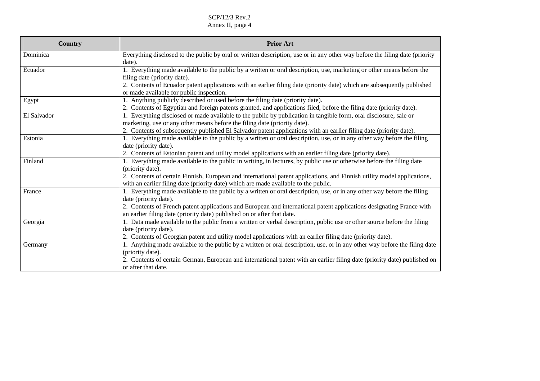| Country     | <b>Prior Art</b>                                                                                                                                                    |
|-------------|---------------------------------------------------------------------------------------------------------------------------------------------------------------------|
| Dominica    | Everything disclosed to the public by oral or written description, use or in any other way before the filing date (priority<br>date).                               |
| Ecuador     | 1. Everything made available to the public by a written or oral description, use, marketing or other means before the                                               |
|             | filing date (priority date).                                                                                                                                        |
|             | 2. Contents of Ecuador patent applications with an earlier filing date (priority date) which are subsequently published<br>or made available for public inspection. |
| Egypt       | 1. Anything publicly described or used before the filing date (priority date).                                                                                      |
|             | 2. Contents of Egyptian and foreign patents granted, and applications filed, before the filing date (priority date).                                                |
| El Salvador | 1. Everything disclosed or made available to the public by publication in tangible form, oral disclosure, sale or                                                   |
|             | marketing, use or any other means before the filing date (priority date).                                                                                           |
|             | 2. Contents of subsequently published El Salvador patent applications with an earlier filing date (priority date).                                                  |
| Estonia     | 1. Everything made available to the public by a written or oral description, use, or in any other way before the filing                                             |
|             | date (priority date).                                                                                                                                               |
|             | 2. Contents of Estonian patent and utility model applications with an earlier filing date (priority date).                                                          |
| Finland     | 1. Everything made available to the public in writing, in lectures, by public use or otherwise before the filing date                                               |
|             | (priority date).                                                                                                                                                    |
|             | 2. Contents of certain Finnish, European and international patent applications, and Finnish utility model applications,                                             |
|             | with an earlier filing date (priority date) which are made available to the public.                                                                                 |
| France      | 1. Everything made available to the public by a written or oral description, use, or in any other way before the filing                                             |
|             | date (priority date).                                                                                                                                               |
|             | 2. Contents of French patent applications and European and international patent applications designating France with                                                |
|             | an earlier filing date (priority date) published on or after that date.                                                                                             |
| Georgia     | 1. Data made available to the public from a written or verbal description, public use or other source before the filing                                             |
|             | date (priority date).                                                                                                                                               |
|             | 2. Contents of Georgian patent and utility model applications with an earlier filing date (priority date).                                                          |
| Germany     | 1. Anything made available to the public by a written or oral description, use, or in any other way before the filing date                                          |
|             | (priority date).                                                                                                                                                    |
|             | 2. Contents of certain German, European and international patent with an earlier filing date (priority date) published on                                           |
|             | or after that date.                                                                                                                                                 |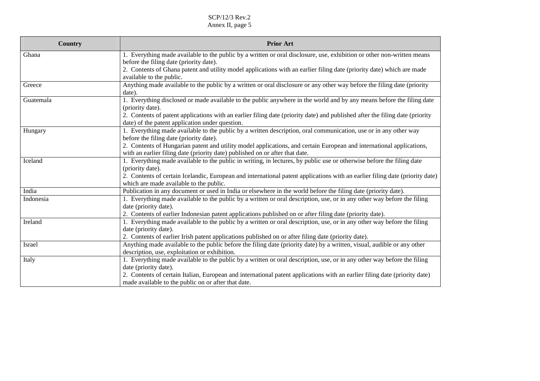| Country   | <b>Prior Art</b>                                                                                                                                                                |
|-----------|---------------------------------------------------------------------------------------------------------------------------------------------------------------------------------|
| Ghana     | 1. Everything made available to the public by a written or oral disclosure, use, exhibition or other non-written means                                                          |
|           | before the filing date (priority date).                                                                                                                                         |
|           | 2. Contents of Ghana patent and utility model applications with an earlier filing date (priority date) which are made                                                           |
|           | available to the public.                                                                                                                                                        |
| Greece    | Anything made available to the public by a written or oral disclosure or any other way before the filing date (priority                                                         |
|           | date).                                                                                                                                                                          |
| Guatemala | 1. Everything disclosed or made available to the public anywhere in the world and by any means before the filing date                                                           |
|           | (priority date).                                                                                                                                                                |
|           | 2. Contents of patent applications with an earlier filing date (priority date) and published after the filing date (priority<br>date) of the patent application under question. |
| Hungary   | 1. Everything made available to the public by a written description, oral communication, use or in any other way                                                                |
|           | before the filing date (priority date).                                                                                                                                         |
|           | 2. Contents of Hungarian patent and utility model applications, and certain European and international applications,                                                            |
|           | with an earlier filing date (priority date) published on or after that date.                                                                                                    |
| Iceland   | 1. Everything made available to the public in writing, in lectures, by public use or otherwise before the filing date                                                           |
|           | (priority date).                                                                                                                                                                |
|           | 2. Contents of certain Icelandic, European and international patent applications with an earlier filing date (priority date)                                                    |
|           | which are made available to the public.                                                                                                                                         |
| India     | Publication in any document or used in India or elsewhere in the world before the filing date (priority date).                                                                  |
| Indonesia | 1. Everything made available to the public by a written or oral description, use, or in any other way before the filing                                                         |
|           | date (priority date).                                                                                                                                                           |
|           | 2. Contents of earlier Indonesian patent applications published on or after filing date (priority date).                                                                        |
| Ireland   | 1. Everything made available to the public by a written or oral description, use, or in any other way before the filing                                                         |
|           | date (priority date).                                                                                                                                                           |
|           | 2. Contents of earlier Irish patent applications published on or after filing date (priority date).                                                                             |
| Israel    | Anything made available to the public before the filing date (priority date) by a written, visual, audible or any other                                                         |
|           | description, use, exploitation or exhibition.                                                                                                                                   |
| Italy     | 1. Everything made available to the public by a written or oral description, use, or in any other way before the filing                                                         |
|           | date (priority date).                                                                                                                                                           |
|           | 2. Contents of certain Italian, European and international patent applications with an earlier filing date (priority date)                                                      |
|           | made available to the public on or after that date.                                                                                                                             |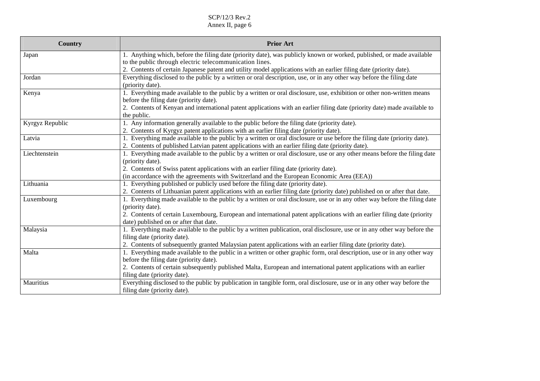| <b>Country</b>  | <b>Prior Art</b>                                                                                                           |
|-----------------|----------------------------------------------------------------------------------------------------------------------------|
| Japan           | 1. Anything which, before the filing date (priority date), was publicly known or worked, published, or made available      |
|                 | to the public through electric telecommunication lines.                                                                    |
|                 | 2. Contents of certain Japanese patent and utility model applications with an earlier filing date (priority date).         |
| Jordan          | Everything disclosed to the public by a written or oral description, use, or in any other way before the filing date       |
|                 | (priority date).                                                                                                           |
| Kenya           | 1. Everything made available to the public by a written or oral disclosure, use, exhibition or other non-written means     |
|                 | before the filing date (priority date).                                                                                    |
|                 | 2. Contents of Kenyan and international patent applications with an earlier filing date (priority date) made available to  |
|                 | the public.                                                                                                                |
| Kyrgyz Republic | 1. Any information generally available to the public before the filing date (priority date).                               |
|                 | 2. Contents of Kyrgyz patent applications with an earlier filing date (priority date).                                     |
| Latvia          | 1. Everything made available to the public by a written or oral disclosure or use before the filing date (priority date).  |
|                 | 2. Contents of published Latvian patent applications with an earlier filing date (priority date).                          |
| Liechtenstein   | 1. Everything made available to the public by a written or oral disclosure, use or any other means before the filing date  |
|                 | (priority date).                                                                                                           |
|                 | 2. Contents of Swiss patent applications with an earlier filing date (priority date).                                      |
|                 | (in accordance with the agreements with Switzerland and the European Economic Area (EEA))                                  |
| Lithuania       | 1. Everything published or publicly used before the filing date (priority date).                                           |
|                 | 2. Contents of Lithuanian patent applications with an earlier filing date (priority date) published on or after that date. |
| Luxembourg      | 1. Everything made available to the public by a written or oral disclosure, use or in any other way before the filing date |
|                 | (priority date).                                                                                                           |
|                 | 2. Contents of certain Luxembourg, European and international patent applications with an earlier filing date (priority    |
|                 | date) published on or after that date.                                                                                     |
| Malaysia        | 1. Everything made available to the public by a written publication, oral disclosure, use or in any other way before the   |
|                 | filing date (priority date).                                                                                               |
|                 | 2. Contents of subsequently granted Malaysian patent applications with an earlier filing date (priority date).             |
| Malta           | 1. Everything made available to the public in a written or other graphic form, oral description, use or in any other way   |
|                 | before the filing date (priority date).                                                                                    |
|                 | 2. Contents of certain subsequently published Malta, European and international patent applications with an earlier        |
|                 | filing date (priority date).                                                                                               |
| Mauritius       | Everything disclosed to the public by publication in tangible form, oral disclosure, use or in any other way before the    |
|                 | filing date (priority date).                                                                                               |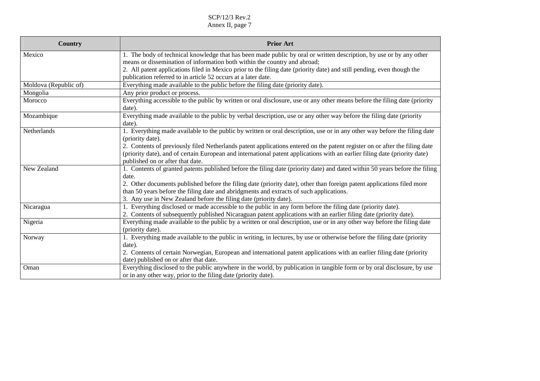| Country               | <b>Prior Art</b>                                                                                                            |
|-----------------------|-----------------------------------------------------------------------------------------------------------------------------|
| Mexico                | 1. The body of technical knowledge that has been made public by oral or written description, by use or by any other         |
|                       | means or dissemination of information both within the country and abroad;                                                   |
|                       | 2. All patent applications filed in Mexico prior to the filing date (priority date) and still pending, even though the      |
|                       | publication referred to in article 52 occurs at a later date.                                                               |
| Moldova (Republic of) | Everything made available to the public before the filing date (priority date).                                             |
| Mongolia              | Any prior product or process.                                                                                               |
| Morocco               | Everything accessible to the public by written or oral disclosure, use or any other means before the filing date (priority  |
|                       | date).                                                                                                                      |
| Mozambique            | Everything made available to the public by verbal description, use or any other way before the filing date (priority        |
|                       | date).                                                                                                                      |
| Netherlands           | 1. Everything made available to the public by written or oral description, use or in any other way before the filing date   |
|                       | (priority date).                                                                                                            |
|                       | 2. Contents of previously filed Netherlands patent applications entered on the patent register on or after the filing date  |
|                       | (priority date), and of certain European and international patent applications with an earlier filing date (priority date)  |
|                       | published on or after that date.                                                                                            |
| New Zealand           | 1. Contents of granted patents published before the filing date (priority date) and dated within 50 years before the filing |
|                       | date.                                                                                                                       |
|                       | 2. Other documents published before the filing date (priority date), other than foreign patent applications filed more      |
|                       | than 50 years before the filing date and abridgments and extracts of such applications.                                     |
|                       | 3. Any use in New Zealand before the filing date (priority date).                                                           |
| Nicaragua             | 1. Everything disclosed or made accessible to the public in any form before the filing date (priority date).                |
|                       | 2. Contents of subsequently published Nicaraguan patent applications with an earlier filing date (priority date).           |
| Nigeria               | Everything made available to the public by a written or oral description, use or in any other way before the filing date    |
|                       | (priority date).                                                                                                            |
| Norway                | 1. Everything made available to the public in writing, in lectures, by use or otherwise before the filing date (priority    |
|                       | date).                                                                                                                      |
|                       | 2. Contents of certain Norwegian, European and international patent applications with an earlier filing date (priority      |
|                       | date) published on or after that date.                                                                                      |
| Oman                  | Everything disclosed to the public anywhere in the world, by publication in tangible form or by oral disclosure, by use     |
|                       | or in any other way, prior to the filing date (priority date).                                                              |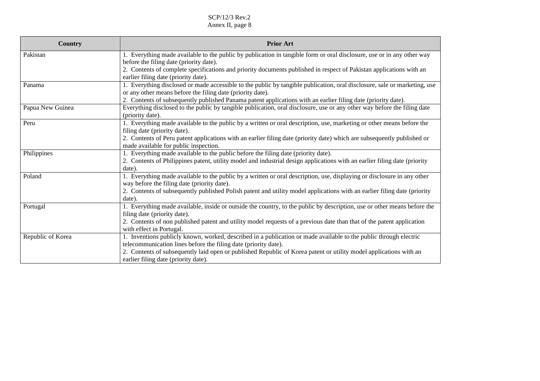| <b>Country</b>    | <b>Prior Art</b>                                                                                                                                            |
|-------------------|-------------------------------------------------------------------------------------------------------------------------------------------------------------|
| Pakistan          | 1. Everything made available to the public by publication in tangible form or oral disclosure, use or in any other way                                      |
|                   | before the filing date (priority date).                                                                                                                     |
|                   | 2. Contents of complete specifications and priority documents published in respect of Pakistan applications with an<br>earlier filing date (priority date). |
| Panama            | 1. Everything disclosed or made accessible to the public by tangible publication, oral disclosure, sale or marketing, use                                   |
|                   | or any other means before the filing date (priority date).                                                                                                  |
|                   | 2. Contents of subsequently published Panama patent applications with an earlier filing date (priority date).                                               |
| Papua New Guinea  | Everything disclosed to the public by tangible publication, oral disclosure, use or any other way before the filing date<br>(priority date).                |
| Peru              | 1. Everything made available to the public by a written or oral description, use, marketing or other means before the                                       |
|                   | filing date (priority date).                                                                                                                                |
|                   | 2. Contents of Peru patent applications with an earlier filing date (priority date) which are subsequently published or                                     |
|                   | made available for public inspection.                                                                                                                       |
| Philippines       | 1. Everything made available to the public before the filing date (priority date).                                                                          |
|                   | 2. Contents of Philippines patent, utility model and industrial design applications with an earlier filing date (priority                                   |
|                   | date).                                                                                                                                                      |
| Poland            | 1. Everything made available to the public by a written or oral description, use, displaying or disclosure in any other                                     |
|                   | way before the filing date (priority date).                                                                                                                 |
|                   | 2. Contents of subsequently published Polish patent and utility model applications with an earlier filing date (priority                                    |
|                   | date).                                                                                                                                                      |
| Portugal          | 1. Everything made available, inside or outside the country, to the public by description, use or other means before the                                    |
|                   | filing date (priority date).                                                                                                                                |
|                   | 2. Contents of non published patent and utility model requests of a previous date than that of the patent application                                       |
|                   | with effect in Portugal.                                                                                                                                    |
| Republic of Korea | 1. Inventions publicly known, worked, described in a publication or made available to the public through electric                                           |
|                   | telecommunication lines before the filing date (priority date).                                                                                             |
|                   | 2. Contents of subsequently laid open or published Republic of Korea patent or utility model applications with an                                           |
|                   | earlier filing date (priority date).                                                                                                                        |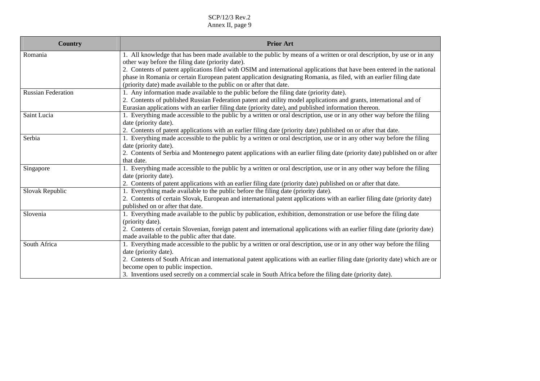| <b>Country</b>            | <b>Prior Art</b>                                                                                                            |
|---------------------------|-----------------------------------------------------------------------------------------------------------------------------|
| Romania                   | 1. All knowledge that has been made available to the public by means of a written or oral description, by use or in any     |
|                           | other way before the filing date (priority date).                                                                           |
|                           | 2. Contents of patent applications filed with OSIM and international applications that have been entered in the national    |
|                           | phase in Romania or certain European patent application designating Romania, as filed, with an earlier filing date          |
|                           | (priority date) made available to the public on or after that date.                                                         |
| <b>Russian Federation</b> | 1. Any information made available to the public before the filing date (priority date).                                     |
|                           | 2. Contents of published Russian Federation patent and utility model applications and grants, international and of          |
|                           | Eurasian applications with an earlier filing date (priority date), and published information thereon.                       |
| Saint Lucia               | 1. Everything made accessible to the public by a written or oral description, use or in any other way before the filing     |
|                           | date (priority date).                                                                                                       |
|                           | 2. Contents of patent applications with an earlier filing date (priority date) published on or after that date.             |
| Serbia                    | 1. Everything made accessible to the public by a written or oral description, use or in any other way before the filing     |
|                           | date (priority date).                                                                                                       |
|                           | 2. Contents of Serbia and Montenegro patent applications with an earlier filing date (priority date) published on or after  |
|                           | that date.                                                                                                                  |
| Singapore                 | 1. Everything made accessible to the public by a written or oral description, use or in any other way before the filing     |
|                           | date (priority date).                                                                                                       |
|                           | 2. Contents of patent applications with an earlier filing date (priority date) published on or after that date.             |
| Slovak Republic           | 1. Everything made available to the public before the filing date (priority date).                                          |
|                           | 2. Contents of certain Slovak, European and international patent applications with an earlier filing date (priority date)   |
|                           | published on or after that date.                                                                                            |
| Slovenia                  | 1. Everything made available to the public by publication, exhibition, demonstration or use before the filing date          |
|                           | (priority date).                                                                                                            |
|                           | 2. Contents of certain Slovenian, foreign patent and international applications with an earlier filing date (priority date) |
|                           | made available to the public after that date.                                                                               |
| South Africa              | 1. Everything made accessible to the public by a written or oral description, use or in any other way before the filing     |
|                           | date (priority date).                                                                                                       |
|                           | 2. Contents of South African and international patent applications with an earlier filing date (priority date) which are or |
|                           | become open to public inspection.                                                                                           |
|                           | 3. Inventions used secretly on a commercial scale in South Africa before the filing date (priority date).                   |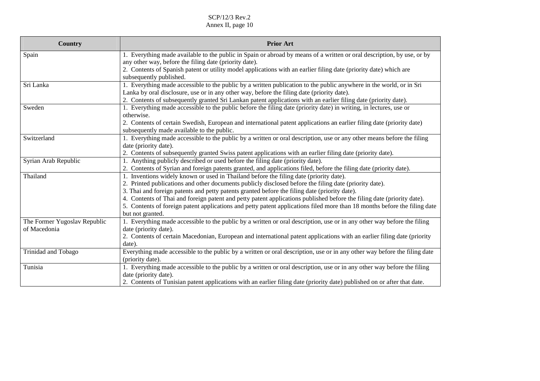| Country                      | <b>Prior Art</b>                                                                                                          |
|------------------------------|---------------------------------------------------------------------------------------------------------------------------|
| Spain                        | 1. Everything made available to the public in Spain or abroad by means of a written or oral description, by use, or by    |
|                              | any other way, before the filing date (priority date).                                                                    |
|                              | 2. Contents of Spanish patent or utility model applications with an earlier filing date (priority date) which are         |
|                              | subsequently published.                                                                                                   |
| Sri Lanka                    | 1. Everything made accessible to the public by a written publication to the public anywhere in the world, or in Sri       |
|                              | Lanka by oral disclosure, use or in any other way, before the filing date (priority date).                                |
|                              | 2. Contents of subsequently granted Sri Lankan patent applications with an earlier filing date (priority date).           |
| Sweden                       | 1. Everything made accessible to the public before the filing date (priority date) in writing, in lectures, use or        |
|                              | otherwise.                                                                                                                |
|                              | 2. Contents of certain Swedish, European and international patent applications an earlier filing date (priority date)     |
|                              | subsequently made available to the public.                                                                                |
| Switzerland                  | 1. Everything made accessible to the public by a written or oral description, use or any other means before the filing    |
|                              | date (priority date).                                                                                                     |
|                              | 2. Contents of subsequently granted Swiss patent applications with an earlier filing date (priority date).                |
| Syrian Arab Republic         | 1. Anything publicly described or used before the filing date (priority date).                                            |
|                              | 2. Contents of Syrian and foreign patents granted, and applications filed, before the filing date (priority date).        |
| Thailand                     | 1. Inventions widely known or used in Thailand before the filing date (priority date).                                    |
|                              | 2. Printed publications and other documents publicly disclosed before the filing date (priority date).                    |
|                              | 3. Thai and foreign patents and petty patents granted before the filing date (priority date).                             |
|                              | 4. Contents of Thai and foreign patent and petty patent applications published before the filing date (priority date).    |
|                              | 5. Contents of foreign patent applications and petty patent applications filed more than 18 months before the filing date |
|                              | but not granted.                                                                                                          |
| The Former Yugoslav Republic | 1. Everything made accessible to the public by a written or oral description, use or in any other way before the filing   |
| of Macedonia                 | date (priority date).                                                                                                     |
|                              | 2. Contents of certain Macedonian, European and international patent applications with an earlier filing date (priority   |
|                              | date).                                                                                                                    |
| Trinidad and Tobago          | Everything made accessible to the public by a written or oral description, use or in any other way before the filing date |
|                              | (priority date).                                                                                                          |
| Tunisia                      | 1. Everything made accessible to the public by a written or oral description, use or in any other way before the filing   |
|                              | date (priority date).                                                                                                     |
|                              | 2. Contents of Tunisian patent applications with an earlier filing date (priority date) published on or after that date.  |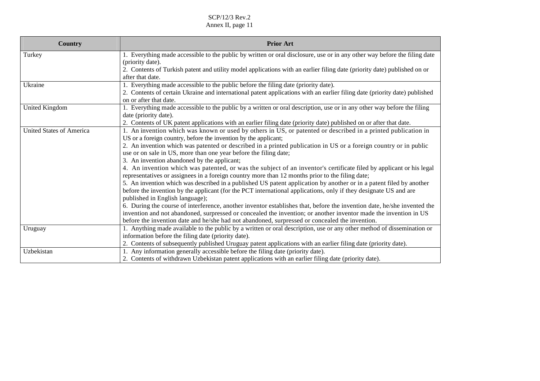| <b>Country</b>                  | <b>Prior Art</b>                                                                                                                                                                                                       |
|---------------------------------|------------------------------------------------------------------------------------------------------------------------------------------------------------------------------------------------------------------------|
| Turkey                          | 1. Everything made accessible to the public by written or oral disclosure, use or in any other way before the filing date                                                                                              |
|                                 | (priority date).                                                                                                                                                                                                       |
|                                 | 2. Contents of Turkish patent and utility model applications with an earlier filing date (priority date) published on or                                                                                               |
|                                 | after that date.                                                                                                                                                                                                       |
| Ukraine                         | 1. Everything made accessible to the public before the filing date (priority date).                                                                                                                                    |
|                                 | 2. Contents of certain Ukraine and international patent applications with an earlier filing date (priority date) published<br>on or after that date.                                                                   |
| <b>United Kingdom</b>           | 1. Everything made accessible to the public by a written or oral description, use or in any other way before the filing                                                                                                |
|                                 | date (priority date).                                                                                                                                                                                                  |
|                                 | 2. Contents of UK patent applications with an earlier filing date (priority date) published on or after that date.                                                                                                     |
| <b>United States of America</b> | 1. An invention which was known or used by others in US, or patented or described in a printed publication in                                                                                                          |
|                                 | US or a foreign country, before the invention by the applicant;                                                                                                                                                        |
|                                 | 2. An invention which was patented or described in a printed publication in US or a foreign country or in public                                                                                                       |
|                                 | use or on sale in US, more than one year before the filing date;                                                                                                                                                       |
|                                 | 3. An invention abandoned by the applicant;                                                                                                                                                                            |
|                                 | 4. An invention which was patented, or was the subject of an inventor's certificate filed by applicant or his legal<br>representatives or assignees in a foreign country more than 12 months prior to the filing date; |
|                                 | 5. An invention which was described in a published US patent application by another or in a patent filed by another                                                                                                    |
|                                 | before the invention by the applicant (for the PCT international applications, only if they designate US and are                                                                                                       |
|                                 | published in English language);                                                                                                                                                                                        |
|                                 | 6. During the course of interference, another inventor establishes that, before the invention date, he/she invented the                                                                                                |
|                                 | invention and not abandoned, surpressed or concealed the invention; or another inventor made the invention in US                                                                                                       |
|                                 | before the invention date and he/she had not abandoned, surpressed or concealed the invention.                                                                                                                         |
| Uruguay                         | 1. Anything made available to the public by a written or oral description, use or any other method of dissemination or                                                                                                 |
|                                 | information before the filing date (priority date).                                                                                                                                                                    |
|                                 | 2. Contents of subsequently published Uruguay patent applications with an earlier filing date (priority date).                                                                                                         |
| Uzbekistan                      | 1. Any information generally accessible before the filing date (priority date).                                                                                                                                        |
|                                 | 2. Contents of withdrawn Uzbekistan patent applications with an earlier filing date (priority date).                                                                                                                   |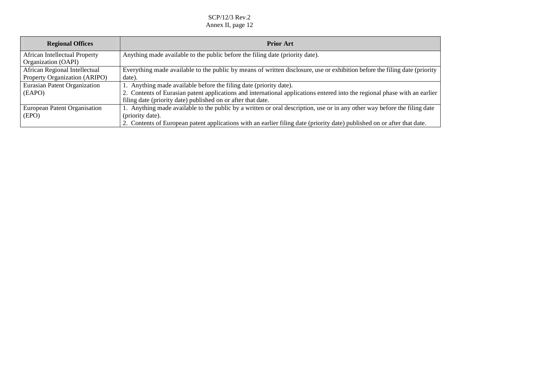| <b>Regional Offices</b>              | <b>Prior Art</b>                                                                                                           |
|--------------------------------------|----------------------------------------------------------------------------------------------------------------------------|
| <b>African Intellectual Property</b> | Anything made available to the public before the filing date (priority date).                                              |
| Organization (OAPI)                  |                                                                                                                            |
| African Regional Intellectual        | Everything made available to the public by means of written disclosure, use or exhibition before the filing date (priority |
| Property Organization (ARIPO)        | date).                                                                                                                     |
| Eurasian Patent Organization         | 1. Anything made available before the filing date (priority date).                                                         |
| (EAPO)                               | 2. Contents of Eurasian patent applications and international applications entered into the regional phase with an earlier |
|                                      | filing date (priority date) published on or after that date.                                                               |
| European Patent Organisation         | 1. Anything made available to the public by a written or oral description, use or in any other way before the filing date  |
| (EPO)                                | (priority date).                                                                                                           |
|                                      | 2. Contents of European patent applications with an earlier filing date (priority date) published on or after that date.   |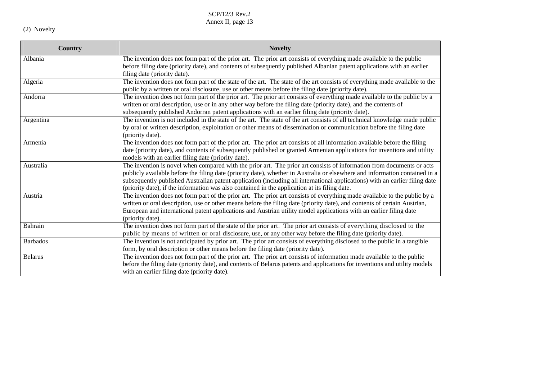(2) Novelty

| <b>Country</b>  | <b>Novelty</b>                                                                                                                                                                                                                                                                                                                                                                                                                                                                       |
|-----------------|--------------------------------------------------------------------------------------------------------------------------------------------------------------------------------------------------------------------------------------------------------------------------------------------------------------------------------------------------------------------------------------------------------------------------------------------------------------------------------------|
| Albania         | The invention does not form part of the prior art. The prior art consists of everything made available to the public<br>before filing date (priority date), and contents of subsequently published Albanian patent applications with an earlier<br>filing date (priority date).                                                                                                                                                                                                      |
| Algeria         | The invention does not form part of the state of the art. The state of the art consists of everything made available to the<br>public by a written or oral disclosure, use or other means before the filing date (priority date).                                                                                                                                                                                                                                                    |
| Andorra         | The invention does not form part of the prior art. The prior art consists of everything made available to the public by a<br>written or oral description, use or in any other way before the filing date (priority date), and the contents of<br>subsequently published Andorran patent applications with an earlier filing date (priority date).                                                                                                                                    |
| Argentina       | The invention is not included in the state of the art. The state of the art consists of all technical knowledge made public<br>by oral or written description, exploitation or other means of dissemination or communication before the filing date<br>(priority date).                                                                                                                                                                                                              |
| Armenia         | The invention does not form part of the prior art. The prior art consists of all information available before the filing<br>date (priority date), and contents of subsequently published or granted Armenian applications for inventions and utility<br>models with an earlier filing date (priority date).                                                                                                                                                                          |
| Australia       | The invention is novel when compared with the prior art. The prior art consists of information from documents or acts<br>publicly available before the filing date (priority date), whether in Australia or elsewhere and information contained in a<br>subsequently published Australian patent application (including all international applications) with an earlier filing date<br>(priority date), if the information was also contained in the application at its filing date. |
| Austria         | The invention does not form part of the prior art. The prior art consists of everything made available to the public by a<br>written or oral description, use or other means before the filing date (priority date), and contents of certain Austrian,<br>European and international patent applications and Austrian utility model applications with an earlier filing date<br>(priority date).                                                                                     |
| Bahrain         | The invention does not form part of the state of the prior art. The prior art consists of everything disclosed to the<br>public by means of written or oral disclosure, use, or any other way before the filing date (priority date).                                                                                                                                                                                                                                                |
| <b>Barbados</b> | The invention is not anticipated by prior art. The prior art consists of everything disclosed to the public in a tangible<br>form, by oral description or other means before the filing date (priority date).                                                                                                                                                                                                                                                                        |
| <b>Belarus</b>  | The invention does not form part of the prior art. The prior art consists of information made available to the public<br>before the filing date (priority date), and contents of Belarus patents and applications for inventions and utility models<br>with an earlier filing date (priority date).                                                                                                                                                                                  |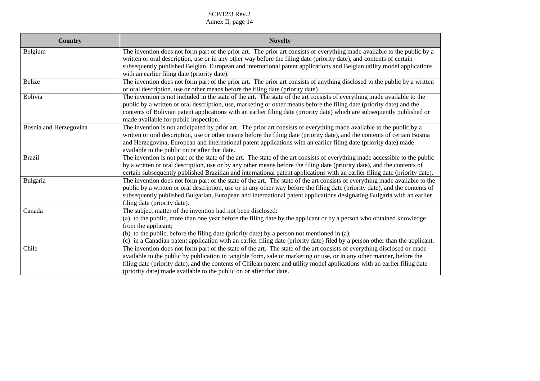| <b>Country</b>         | <b>Novelty</b>                                                                                                                                                                                                                                                                                                                                                                                                                                        |
|------------------------|-------------------------------------------------------------------------------------------------------------------------------------------------------------------------------------------------------------------------------------------------------------------------------------------------------------------------------------------------------------------------------------------------------------------------------------------------------|
| Belgium                | The invention does not form part of the prior art. The prior art consists of everything made available to the public by a<br>written or oral description, use or in any other way before the filing date (priority date), and contents of certain<br>subsequently published Belgian, European and international patent applications and Belgian utility model applications<br>with an earlier filing date (priority date).                            |
| <b>Belize</b>          | The invention does not form part of the prior art. The prior art consists of anything disclosed to the public by a written<br>or oral description, use or other means before the filing date (priority date).                                                                                                                                                                                                                                         |
| Bolivia                | The invention is not included in the state of the art. The state of the art consists of everything made available to the<br>public by a written or oral description, use, marketing or other means before the filing date (priority date) and the<br>contents of Bolivian patent applications with an earlier filing date (priority date) which are subsequently published or<br>made available for public inspection.                                |
| Bosnia and Herzegovina | The invention is not anticipated by prior art. The prior art consists of everything made available to the public by a<br>written or oral description, use or other means before the filing date (priority date), and the contents of certain Bosnia<br>and Herzegovina, European and international patent applications with an earlier filing date (priority date) made<br>available to the public on or after that date.                             |
| <b>Brazil</b>          | The invention is not part of the state of the art. The state of the art consists of everything made accessible to the public<br>by a written or oral description, use or by any other means before the filing date (priority date), and the contents of<br>certain subsequently published Brazilian and international patent applications with an earlier filing date (priority date).                                                                |
| Bulgaria               | The invention does not form part of the state of the art. The state of the art consists of everything made available to the<br>public by a written or oral description, use or in any other way before the filing date (priority date), and the contents of<br>subsequently published Bulgarian, European and international patent applications designating Bulgaria with an earlier<br>filing date (priority date).                                  |
| Canada                 | The subject matter of the invention had not been disclosed:<br>(a) to the public, more than one year before the filing date by the applicant or by a person who obtained knowledge<br>from the applicant;<br>(b) to the public, before the filing date (priority date) by a person not mentioned in (a);<br>(c) in a Canadian patent application with an earlier filing date (priority date) filed by a person other than the applicant.              |
| Chile                  | The invention does not form part of the state of the art. The state of the art consists of everything disclosed or made<br>available to the public by publication in tangible form, sale or marketing or use, or in any other manner, before the<br>filing date (priority date), and the contents of Chilean patent and utility model applications with an earlier filing date<br>(priority date) made available to the public on or after that date. |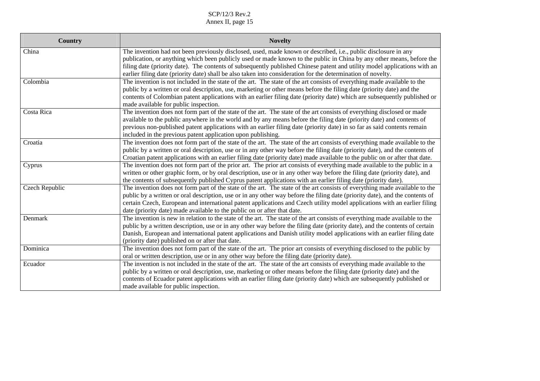| <b>Country</b> | <b>Novelty</b>                                                                                                                                                                                                                                                                                                                                                                                                                                                                       |
|----------------|--------------------------------------------------------------------------------------------------------------------------------------------------------------------------------------------------------------------------------------------------------------------------------------------------------------------------------------------------------------------------------------------------------------------------------------------------------------------------------------|
| China          | The invention had not been previously disclosed, used, made known or described, i.e., public disclosure in any<br>publication, or anything which been publicly used or made known to the public in China by any other means, before the<br>filing date (priority date). The contents of subsequently published Chinese patent and utility model applications with an<br>earlier filing date (priority date) shall be also taken into consideration for the determination of novelty. |
| Colombia       | The invention is not included in the state of the art. The state of the art consists of everything made available to the<br>public by a written or oral description, use, marketing or other means before the filing date (priority date) and the<br>contents of Colombian patent applications with an earlier filing date (priority date) which are subsequently published or<br>made available for public inspection.                                                              |
| Costa Rica     | The invention does not form part of the state of the art. The state of the art consists of everything disclosed or made<br>available to the public anywhere in the world and by any means before the filing date (priority date) and contents of<br>previous non-published patent applications with an earlier filing date (priority date) in so far as said contents remain<br>included in the previous patent application upon publishing.                                         |
| Croatia        | The invention does not form part of the state of the art. The state of the art consists of everything made available to the<br>public by a written or oral description, use or in any other way before the filing date (priority date), and the contents of<br>Croatian patent applications with an earlier filing date (priority date) made available to the public on or after that date.                                                                                          |
| Cyprus         | The invention does not form part of the prior art. The prior art consists of everything made available to the public in a<br>written or other graphic form, or by oral description, use or in any other way before the filing date (priority date), and<br>the contents of subsequently published Cyprus patent applications with an earlier filing date (priority date).                                                                                                            |
| Czech Republic | The invention does not form part of the state of the art. The state of the art consists of everything made available to the<br>public by a written or oral description, use or in any other way before the filing date (priority date), and the contents of<br>certain Czech, European and international patent applications and Czech utility model applications with an earlier filing<br>date (priority date) made available to the public on or after that date.                 |
| Denmark        | The invention is new in relation to the state of the art. The state of the art consists of everything made available to the<br>public by a written description, use or in any other way before the filing date (priority date), and the contents of certain<br>Danish, European and international patent applications and Danish utility model applications with an earlier filing date<br>(priority date) published on or after that date.                                          |
| Dominica       | The invention does not form part of the state of the art. The prior art consists of everything disclosed to the public by<br>oral or written description, use or in any other way before the filing date (priority date).                                                                                                                                                                                                                                                            |
| Ecuador        | The invention is not included in the state of the art. The state of the art consists of everything made available to the<br>public by a written or oral description, use, marketing or other means before the filing date (priority date) and the<br>contents of Ecuador patent applications with an earlier filing date (priority date) which are subsequently published or<br>made available for public inspection.                                                                |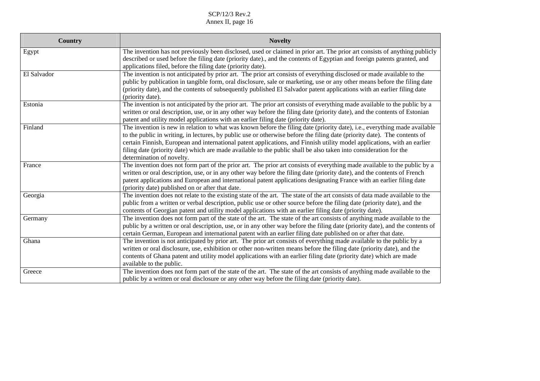| <b>Country</b> | <b>Novelty</b>                                                                                                                                                                                                                                                                                                                                                                                                                                                                                                                        |
|----------------|---------------------------------------------------------------------------------------------------------------------------------------------------------------------------------------------------------------------------------------------------------------------------------------------------------------------------------------------------------------------------------------------------------------------------------------------------------------------------------------------------------------------------------------|
| Egypt          | The invention has not previously been disclosed, used or claimed in prior art. The prior art consists of anything publicly<br>described or used before the filing date (priority date)., and the contents of Egyptian and foreign patents granted, and<br>applications filed, before the filing date (priority date).                                                                                                                                                                                                                 |
| El Salvador    | The invention is not anticipated by prior art. The prior art consists of everything disclosed or made available to the<br>public by publication in tangible form, oral disclosure, sale or marketing, use or any other means before the filing date<br>(priority date), and the contents of subsequently published El Salvador patent applications with an earlier filing date<br>(priority date).                                                                                                                                    |
| Estonia        | The invention is not anticipated by the prior art. The prior art consists of everything made available to the public by a<br>written or oral description, use, or in any other way before the filing date (priority date), and the contents of Estonian<br>patent and utility model applications with an earlier filing date (priority date).                                                                                                                                                                                         |
| Finland        | The invention is new in relation to what was known before the filing date (priority date), i.e., everything made available<br>to the public in writing, in lectures, by public use or otherwise before the filing date (priority date). The contents of<br>certain Finnish, European and international patent applications, and Finnish utility model applications, with an earlier<br>filing date (priority date) which are made available to the public shall be also taken into consideration for the<br>determination of novelty. |
| France         | The invention does not form part of the prior art. The prior art consists of everything made available to the public by a<br>written or oral description, use, or in any other way before the filing date (priority date), and the contents of French<br>patent applications and European and international patent applications designating France with an earlier filing date<br>(priority date) published on or after that date.                                                                                                    |
| Georgia        | The invention does not relate to the existing state of the art. The state of the art consists of data made available to the<br>public from a written or verbal description, public use or other source before the filing date (priority date), and the<br>contents of Georgian patent and utility model applications with an earlier filing date (priority date).                                                                                                                                                                     |
| Germany        | The invention does not form part of the state of the art. The state of the art consists of anything made available to the<br>public by a written or oral description, use, or in any other way before the filing date (priority date), and the contents of<br>certain German, European and international patent with an earlier filing date published on or after that date.                                                                                                                                                          |
| Ghana          | The invention is not anticipated by prior art. The prior art consists of everything made available to the public by a<br>written or oral disclosure, use, exhibition or other non-written means before the filing date (priority date), and the<br>contents of Ghana patent and utility model applications with an earlier filing date (priority date) which are made<br>available to the public.                                                                                                                                     |
| Greece         | The invention does not form part of the state of the art. The state of the art consists of anything made available to the<br>public by a written or oral disclosure or any other way before the filing date (priority date).                                                                                                                                                                                                                                                                                                          |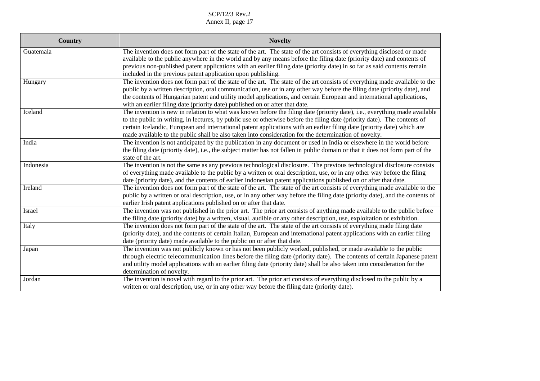| <b>Country</b> | <b>Novelty</b>                                                                                                                                                                                                                                                                                                                                                                                                                                                                              |
|----------------|---------------------------------------------------------------------------------------------------------------------------------------------------------------------------------------------------------------------------------------------------------------------------------------------------------------------------------------------------------------------------------------------------------------------------------------------------------------------------------------------|
| Guatemala      | The invention does not form part of the state of the art. The state of the art consists of everything disclosed or made<br>available to the public anywhere in the world and by any means before the filing date (priority date) and contents of<br>previous non-published patent applications with an earlier filing date (priority date) in so far as said contents remain<br>included in the previous patent application upon publishing.                                                |
| Hungary        | The invention does not form part of the state of the art. The state of the art consists of everything made available to the<br>public by a written description, oral communication, use or in any other way before the filing date (priority date), and<br>the contents of Hungarian patent and utility model applications, and certain European and international applications,<br>with an earlier filing date (priority date) published on or after that date.                            |
| Iceland        | The invention is new in relation to what was known before the filing date (priority date), i.e., everything made available<br>to the public in writing, in lectures, by public use or otherwise before the filing date (priority date). The contents of<br>certain Icelandic, European and international patent applications with an earlier filing date (priority date) which are<br>made available to the public shall be also taken into consideration for the determination of novelty. |
| India          | The invention is not anticipated by the publication in any document or used in India or elsewhere in the world before<br>the filing date (priority date), i.e., the subject matter has not fallen in public domain or that it does not form part of the<br>state of the art.                                                                                                                                                                                                                |
| Indonesia      | The invention is not the same as any previous technological disclosure. The previous technological disclosure consists<br>of everything made available to the public by a written or oral description, use, or in any other way before the filing<br>date (priority date), and the contents of earlier Indonesian patent applications published on or after that date.                                                                                                                      |
| Ireland        | The invention does not form part of the state of the art. The state of the art consists of everything made available to the<br>public by a written or oral description, use, or in any other way before the filing date (priority date), and the contents of<br>earlier Irish patent applications published on or after that date.                                                                                                                                                          |
| Israel         | The invention was not published in the prior art. The prior art consists of anything made available to the public before<br>the filing date (priority date) by a written, visual, audible or any other description, use, exploitation or exhibition.                                                                                                                                                                                                                                        |
| Italy          | The invention does not form part of the state of the art. The state of the art consists of everything made filing date<br>(priority date), and the contents of certain Italian, European and international patent applications with an earlier filing<br>date (priority date) made available to the public on or after that date.                                                                                                                                                           |
| Japan          | The invention was not publicly known or has not been publicly worked, published, or made available to the public<br>through electric telecommunication lines before the filing date (priority date). The contents of certain Japanese patent<br>and utility model applications with an earlier filing date (priority date) shall be also taken into consideration for the<br>determination of novelty.                                                                                      |
| Jordan         | The invention is novel with regard to the prior art. The prior art consists of everything disclosed to the public by a<br>written or oral description, use, or in any other way before the filing date (priority date).                                                                                                                                                                                                                                                                     |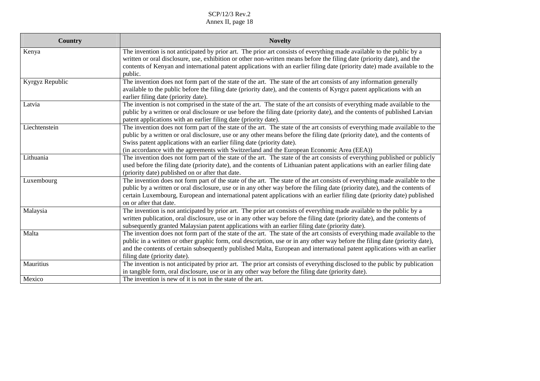| <b>Country</b>  | <b>Novelty</b>                                                                                                                                                                                                                                                                                                                                                                                                                   |
|-----------------|----------------------------------------------------------------------------------------------------------------------------------------------------------------------------------------------------------------------------------------------------------------------------------------------------------------------------------------------------------------------------------------------------------------------------------|
| Kenya           | The invention is not anticipated by prior art. The prior art consists of everything made available to the public by a<br>written or oral disclosure, use, exhibition or other non-written means before the filing date (priority date), and the<br>contents of Kenyan and international patent applications with an earlier filing date (priority date) made available to the<br>public.                                         |
| Kyrgyz Republic | The invention does not form part of the state of the art. The state of the art consists of any information generally<br>available to the public before the filing date (priority date), and the contents of Kyrgyz patent applications with an<br>earlier filing date (priority date).                                                                                                                                           |
| Latvia          | The invention is not comprised in the state of the art. The state of the art consists of everything made available to the<br>public by a written or oral disclosure or use before the filing date (priority date), and the contents of published Latvian<br>patent applications with an earlier filing date (priority date).                                                                                                     |
| Liechtenstein   | The invention does not form part of the state of the art. The state of the art consists of everything made available to the<br>public by a written or oral disclosure, use or any other means before the filing date (priority date), and the contents of<br>Swiss patent applications with an earlier filing date (priority date).<br>(in accordance with the agreements with Switzerland and the European Economic Area (EEA)) |
| Lithuania       | The invention does not form part of the state of the art. The state of the art consists of everything published or publicly<br>used before the filing date (priority date), and the contents of Lithuanian patent applications with an earlier filing date<br>(priority date) published on or after that date.                                                                                                                   |
| Luxembourg      | The invention does not form part of the state of the art. The state of the art consists of everything made available to the<br>public by a written or oral disclosure, use or in any other way before the filing date (priority date), and the contents of<br>certain Luxembourg, European and international patent applications with an earlier filing date (priority date) published<br>on or after that date.                 |
| Malaysia        | The invention is not anticipated by prior art. The prior art consists of everything made available to the public by a<br>written publication, oral disclosure, use or in any other way before the filing date (priority date), and the contents of<br>subsequently granted Malaysian patent applications with an earlier filing date (priority date).                                                                            |
| Malta           | The invention does not form part of the state of the art. The state of the art consists of everything made available to the<br>public in a written or other graphic form, oral description, use or in any other way before the filing date (priority date),<br>and the contents of certain subsequently published Malta, European and international patent applications with an earlier<br>filing date (priority date).          |
| Mauritius       | The invention is not anticipated by prior art. The prior art consists of everything disclosed to the public by publication<br>in tangible form, oral disclosure, use or in any other way before the filing date (priority date).                                                                                                                                                                                                 |
| Mexico          | The invention is new of it is not in the state of the art.                                                                                                                                                                                                                                                                                                                                                                       |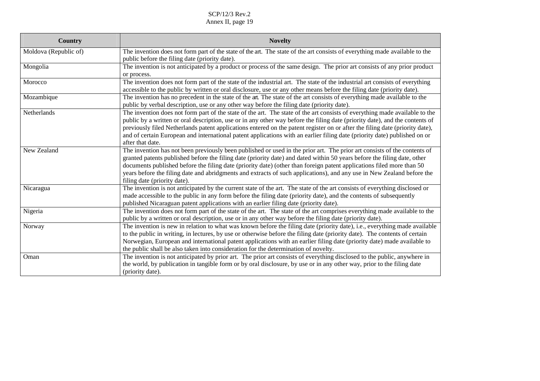| <b>Country</b>        | <b>Novelty</b>                                                                                                                                                                                                                                                                                                                                                                                                                                                                                                                               |
|-----------------------|----------------------------------------------------------------------------------------------------------------------------------------------------------------------------------------------------------------------------------------------------------------------------------------------------------------------------------------------------------------------------------------------------------------------------------------------------------------------------------------------------------------------------------------------|
| Moldova (Republic of) | The invention does not form part of the state of the art. The state of the art consists of everything made available to the<br>public before the filing date (priority date).                                                                                                                                                                                                                                                                                                                                                                |
| Mongolia              | The invention is not anticipated by a product or process of the same design. The prior art consists of any prior product<br>or process.                                                                                                                                                                                                                                                                                                                                                                                                      |
| Morocco               | The invention does not form part of the state of the industrial art. The state of the industrial art consists of everything<br>accessible to the public by written or oral disclosure, use or any other means before the filing date (priority date).                                                                                                                                                                                                                                                                                        |
| Mozambique            | The invention has no precedent in the state of the art. The state of the art consists of everything made available to the<br>public by verbal description, use or any other way before the filing date (priority date).                                                                                                                                                                                                                                                                                                                      |
| Netherlands           | The invention does not form part of the state of the art. The state of the art consists of everything made available to the<br>public by a written or oral description, use or in any other way before the filing date (priority date), and the contents of<br>previously filed Netherlands patent applications entered on the patent register on or after the filing date (priority date),<br>and of certain European and international patent applications with an earlier filing date (priority date) published on or<br>after that date. |
| New Zealand           | The invention has not been previously been published or used in the prior art. The prior art consists of the contents of<br>granted patents published before the filing date (priority date) and dated within 50 years before the filing date, other<br>documents published before the filing date (priority date) (other than foreign patent applications filed more than 50<br>years before the filing date and abridgments and extracts of such applications), and any use in New Zealand before the<br>filing date (priority date).      |
| Nicaragua             | The invention is not anticipated by the current state of the art. The state of the art consists of everything disclosed or<br>made accessible to the public in any form before the filing date (priority date), and the contents of subsequently<br>published Nicaraguan patent applications with an earlier filing date (priority date).                                                                                                                                                                                                    |
| Nigeria               | The invention does not form part of the state of the art. The state of the art comprises everything made available to the<br>public by a written or oral description, use or in any other way before the filing date (priority date).                                                                                                                                                                                                                                                                                                        |
| Norway                | The invention is new in relation to what was known before the filing date (priority date), i.e., everything made available<br>to the public in writing, in lectures, by use or otherwise before the filing date (priority date). The contents of certain<br>Norwegian, European and international patent applications with an earlier filing date (priority date) made available to<br>the public shall be also taken into consideration for the determination of novelty.                                                                   |
| Oman                  | The invention is not anticipated by prior art. The prior art consists of everything disclosed to the public, anywhere in<br>the world, by publication in tangible form or by oral disclosure, by use or in any other way, prior to the filing date<br>(priority date).                                                                                                                                                                                                                                                                       |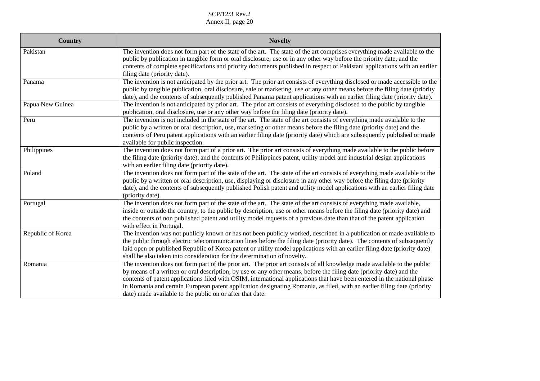| Country           | <b>Novelty</b>                                                                                                                                                                                                                                                                                                                                                                                                                                                                                                                                                      |
|-------------------|---------------------------------------------------------------------------------------------------------------------------------------------------------------------------------------------------------------------------------------------------------------------------------------------------------------------------------------------------------------------------------------------------------------------------------------------------------------------------------------------------------------------------------------------------------------------|
| Pakistan          | The invention does not form part of the state of the art. The state of the art comprises everything made available to the<br>public by publication in tangible form or oral disclosure, use or in any other way before the priority date, and the<br>contents of complete specifications and priority documents published in respect of Pakistani applications with an earlier<br>filing date (priority date).                                                                                                                                                      |
| Panama            | The invention is not anticipated by the prior art. The prior art consists of everything disclosed or made accessible to the<br>public by tangible publication, oral disclosure, sale or marketing, use or any other means before the filing date (priority<br>date), and the contents of subsequently published Panama patent applications with an earlier filing date (priority date).                                                                                                                                                                             |
| Papua New Guinea  | The invention is not anticipated by prior art. The prior art consists of everything disclosed to the public by tangible<br>publication, oral disclosure, use or any other way before the filing date (priority date).                                                                                                                                                                                                                                                                                                                                               |
| Peru              | The invention is not included in the state of the art. The state of the art consists of everything made available to the<br>public by a written or oral description, use, marketing or other means before the filing date (priority date) and the<br>contents of Peru patent applications with an earlier filing date (priority date) which are subsequently published or made<br>available for public inspection.                                                                                                                                                  |
| Philippines       | The invention does not form part of a prior art. The prior art consists of everything made available to the public before<br>the filing date (priority date), and the contents of Philippines patent, utility model and industrial design applications<br>with an earlier filing date (priority date).                                                                                                                                                                                                                                                              |
| Poland            | The invention does not form part of the state of the art. The state of the art consists of everything made available to the<br>public by a written or oral description, use, displaying or disclosure in any other way before the filing date (priority<br>date), and the contents of subsequently published Polish patent and utility model applications with an earlier filing date<br>(priority date).                                                                                                                                                           |
| Portugal          | The invention does not form part of the state of the art. The state of the art consists of everything made available,<br>inside or outside the country, to the public by description, use or other means before the filing date (priority date) and<br>the contents of non published patent and utility model requests of a previous date than that of the patent application<br>with effect in Portugal.                                                                                                                                                           |
| Republic of Korea | The invention was not publicly known or has not been publicly worked, described in a publication or made available to<br>the public through electric telecommunication lines before the filing date (priority date). The contents of subsequently<br>laid open or published Republic of Korea patent or utility model applications with an earlier filing date (priority date)<br>shall be also taken into consideration for the determination of novelty.                                                                                                          |
| Romania           | The invention does not form part of the prior art. The prior art consists of all knowledge made available to the public<br>by means of a written or oral description, by use or any other means, before the filing date (priority date) and the<br>contents of patent applications filed with OSIM, international applications that have been entered in the national phase<br>in Romania and certain European patent application designating Romania, as filed, with an earlier filing date (priority<br>date) made available to the public on or after that date. |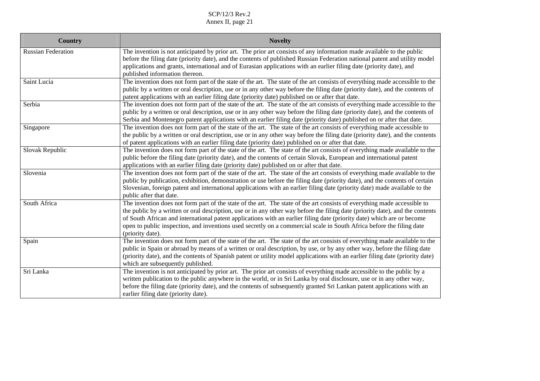| <b>Country</b>            | <b>Novelty</b>                                                                                                                                                                                                                                                                                                                                                                                                                                                                                                                  |
|---------------------------|---------------------------------------------------------------------------------------------------------------------------------------------------------------------------------------------------------------------------------------------------------------------------------------------------------------------------------------------------------------------------------------------------------------------------------------------------------------------------------------------------------------------------------|
| <b>Russian Federation</b> | The invention is not anticipated by prior art. The prior art consists of any information made available to the public<br>before the filing date (priority date), and the contents of published Russian Federation national patent and utility model<br>applications and grants, international and of Eurasian applications with an earlier filing date (priority date), and<br>published information thereon.                                                                                                                   |
| Saint Lucia               | The invention does not form part of the state of the art. The state of the art consists of everything made accessible to the<br>public by a written or oral description, use or in any other way before the filing date (priority date), and the contents of<br>patent applications with an earlier filing date (priority date) published on or after that date.                                                                                                                                                                |
| Serbia                    | The invention does not form part of the state of the art. The state of the art consists of everything made accessible to the<br>public by a written or oral description, use or in any other way before the filing date (priority date), and the contents of<br>Serbia and Montenegro patent applications with an earlier filing date (priority date) published on or after that date.                                                                                                                                          |
| Singapore                 | The invention does not form part of the state of the art. The state of the art consists of everything made accessible to<br>the public by a written or oral description, use or in any other way before the filing date (priority date), and the contents<br>of patent applications with an earlier filing date (priority date) published on or after that date.                                                                                                                                                                |
| Slovak Republic           | The invention does not form part of the state of the art. The state of the art consists of everything made available to the<br>public before the filing date (priority date), and the contents of certain Slovak, European and international patent<br>applications with an earlier filing date (priority date) published on or after that date.                                                                                                                                                                                |
| Slovenia                  | The invention does not form part of the state of the art. The state of the art consists of everything made available to the<br>public by publication, exhibition, demonstration or use before the filing date (priority date), and the contents of certain<br>Slovenian, foreign patent and international applications with an earlier filing date (priority date) made available to the<br>public after that date.                                                                                                             |
| South Africa              | The invention does not form part of the state of the art. The state of the art consists of everything made accessible to<br>the public by a written or oral description, use or in any other way before the filing date (priority date), and the contents<br>of South African and international patent applications with an earlier filing date (priority date) which are or become<br>open to public inspection, and inventions used secretly on a commercial scale in South Africa before the filing date<br>(priority date). |
| Spain                     | The invention does not form part of the state of the art. The state of the art consists of everything made available to the<br>public in Spain or abroad by means of a written or oral description, by use, or by any other way, before the filing date<br>(priority date), and the contents of Spanish patent or utility model applications with an earlier filing date (priority date)<br>which are subsequently published.                                                                                                   |
| Sri Lanka                 | The invention is not anticipated by prior art. The prior art consists of everything made accessible to the public by a<br>written publication to the public anywhere in the world, or in Sri Lanka by oral disclosure, use or in any other way,<br>before the filing date (priority date), and the contents of subsequently granted Sri Lankan patent applications with an<br>earlier filing date (priority date).                                                                                                              |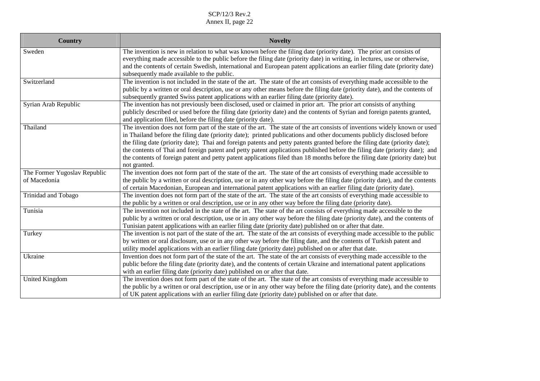| <b>Country</b>               | <b>Novelty</b>                                                                                                                                                                                                                                                                                                                                                                                                                                                                                                                                                                                                                                                     |
|------------------------------|--------------------------------------------------------------------------------------------------------------------------------------------------------------------------------------------------------------------------------------------------------------------------------------------------------------------------------------------------------------------------------------------------------------------------------------------------------------------------------------------------------------------------------------------------------------------------------------------------------------------------------------------------------------------|
| Sweden                       | The invention is new in relation to what was known before the filing date (priority date). The prior art consists of<br>everything made accessible to the public before the filing date (priority date) in writing, in lectures, use or otherwise,<br>and the contents of certain Swedish, international and European patent applications an earlier filing date (priority date)<br>subsequently made available to the public.                                                                                                                                                                                                                                     |
| Switzerland                  | The invention is not included in the state of the art. The state of the art consists of everything made accessible to the<br>public by a written or oral description, use or any other means before the filing date (priority date), and the contents of<br>subsequently granted Swiss patent applications with an earlier filing date (priority date).                                                                                                                                                                                                                                                                                                            |
| Syrian Arab Republic         | The invention has not previously been disclosed, used or claimed in prior art. The prior art consists of anything<br>publicly described or used before the filing date (priority date) and the contents of Syrian and foreign patents granted,<br>and application filed, before the filing date (priority date).                                                                                                                                                                                                                                                                                                                                                   |
| Thailand                     | The invention does not form part of the state of the art. The state of the art consists of inventions widely known or used<br>in Thailand before the filing date (priority date); printed publications and other documents publicly disclosed before<br>the filing date (priority date); Thai and foreign patents and petty patents granted before the filing date (priority date);<br>the contents of Thai and foreign patent and petty patent applications published before the filing date (priority date); and<br>the contents of foreign patent and petty patent applications filed than 18 months before the filing date (priority date) but<br>not granted. |
| The Former Yugoslav Republic | The invention does not form part of the state of the art. The state of the art consists of everything made accessible to                                                                                                                                                                                                                                                                                                                                                                                                                                                                                                                                           |
| of Macedonia                 | the public by a written or oral description, use or in any other way before the filing date (priority date), and the contents<br>of certain Macedonian, European and international patent applications with an earlier filing date (priority date).                                                                                                                                                                                                                                                                                                                                                                                                                |
| Trinidad and Tobago          | The invention does not form part of the state of the art. The state of the art consists of everything made accessible to<br>the public by a written or oral description, use or in any other way before the filing date (priority date).                                                                                                                                                                                                                                                                                                                                                                                                                           |
| Tunisia                      | The invention not included in the state of the art. The state of the art consists of everything made accessible to the<br>public by a written or oral description, use or in any other way before the filing date (priority date), and the contents of<br>Tunisian patent applications with an earlier filing date (priority date) published on or after that date.                                                                                                                                                                                                                                                                                                |
| Turkey                       | The invention is not part of the state of the art. The state of the art consists of everything made accessible to the public<br>by written or oral disclosure, use or in any other way before the filing date, and the contents of Turkish patent and<br>utility model applications with an earlier filing date (priority date) published on or after that date.                                                                                                                                                                                                                                                                                                   |
| Ukraine                      | Invention does not form part of the state of the art. The state of the art consists of everything made accessible to the<br>public before the filing date (priority date), and the contents of certain Ukraine and international patent applications<br>with an earlier filing date (priority date) published on or after that date.                                                                                                                                                                                                                                                                                                                               |
| United Kingdom               | The invention does not form part of the state of the art. The state of the art consists of everything made accessible to<br>the public by a written or oral description, use or in any other way before the filing date (priority date), and the contents<br>of UK patent applications with an earlier filing date (priority date) published on or after that date.                                                                                                                                                                                                                                                                                                |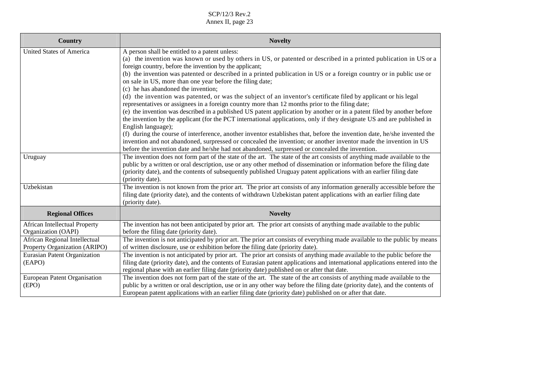| Country                              | <b>Novelty</b>                                                                                                                                                                                                                                             |
|--------------------------------------|------------------------------------------------------------------------------------------------------------------------------------------------------------------------------------------------------------------------------------------------------------|
| <b>United States of America</b>      | A person shall be entitled to a patent unless:<br>(a) the invention was known or used by others in US, or patented or described in a printed publication in US or a                                                                                        |
|                                      | foreign country, before the invention by the applicant;<br>(b) the invention was patented or described in a printed publication in US or a foreign country or in public use or                                                                             |
|                                      | on sale in US, more than one year before the filing date;<br>(c) he has abandoned the invention;                                                                                                                                                           |
|                                      | (d) the invention was patented, or was the subject of an inventor's certificate filed by applicant or his legal                                                                                                                                            |
|                                      | representatives or assignees in a foreign country more than 12 months prior to the filing date;<br>(e) the invention was described in a published US patent application by another or in a patent filed by another before                                  |
|                                      | the invention by the applicant (for the PCT international applications, only if they designate US and are published in                                                                                                                                     |
|                                      | English language);<br>(f) during the course of interference, another inventor establishes that, before the invention date, he/she invented the                                                                                                             |
|                                      | invention and not abandoned, surpressed or concealed the invention; or another inventor made the invention in US                                                                                                                                           |
|                                      | before the invention date and he/she had not abandoned, surpressed or concealed the invention.                                                                                                                                                             |
| Uruguay                              | The invention does not form part of the state of the art. The state of the art consists of anything made available to the<br>public by a written or oral description, use or any other method of dissemination or information before the filing date       |
|                                      | (priority date), and the contents of subsequently published Uruguay patent applications with an earlier filing date                                                                                                                                        |
|                                      | (priority date).                                                                                                                                                                                                                                           |
| Uzbekistan                           | The invention is not known from the prior art. The prior art consists of any information generally accessible before the<br>filing date (priority date), and the contents of withdrawn Uzbekistan patent applications with an earlier filing date          |
|                                      | (priority date).                                                                                                                                                                                                                                           |
| <b>Regional Offices</b>              | <b>Novelty</b>                                                                                                                                                                                                                                             |
| <b>African Intellectual Property</b> | The invention has not been anticipated by prior art. The prior art consists of anything made available to the public                                                                                                                                       |
| Organization (OAPI)                  | before the filing date (priority date).                                                                                                                                                                                                                    |
| African Regional Intellectual        | The invention is not anticipated by prior art. The prior art consists of everything made available to the public by means                                                                                                                                  |
| Property Organization (ARIPO)        | of written disclosure, use or exhibition before the filing date (priority date).                                                                                                                                                                           |
| Eurasian Patent Organization         | The invention is not anticipated by prior art. The prior art consists of anything made available to the public before the<br>filing date (priority date), and the contents of Eurasian patent applications and international applications entered into the |
| (EAPO)                               | regional phase with an earlier filing date (priority date) published on or after that date.                                                                                                                                                                |
| European Patent Organisation         | The invention does not form part of the state of the art. The state of the art consists of anything made available to the                                                                                                                                  |
| (EPO)                                | public by a written or oral description, use or in any other way before the filing date (priority date), and the contents of                                                                                                                               |
|                                      | European patent applications with an earlier filing date (priority date) published on or after that date.                                                                                                                                                  |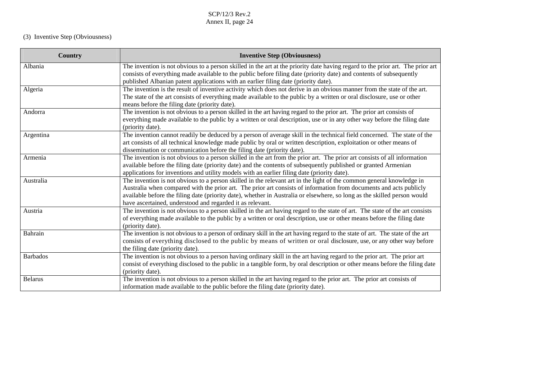# (3) Inventive Step (Obviousness)

| <b>Country</b>  | <b>Inventive Step (Obviousness)</b>                                                                                                                                                                                                                                                                                                                                                                                                 |
|-----------------|-------------------------------------------------------------------------------------------------------------------------------------------------------------------------------------------------------------------------------------------------------------------------------------------------------------------------------------------------------------------------------------------------------------------------------------|
| Albania         | The invention is not obvious to a person skilled in the art at the priority date having regard to the prior art. The prior art<br>consists of everything made available to the public before filing date (priority date) and contents of subsequently<br>published Albanian patent applications with an earlier filing date (priority date).                                                                                        |
| Algeria         | The invention is the result of inventive activity which does not derive in an obvious manner from the state of the art.<br>The state of the art consists of everything made available to the public by a written or oral disclosure, use or other<br>means before the filing date (priority date).                                                                                                                                  |
| Andorra         | The invention is not obvious to a person skilled in the art having regard to the prior art. The prior art consists of<br>everything made available to the public by a written or oral description, use or in any other way before the filing date<br>(priority date).                                                                                                                                                               |
| Argentina       | The invention cannot readily be deduced by a person of average skill in the technical field concerned. The state of the<br>art consists of all technical knowledge made public by oral or written description, exploitation or other means of<br>dissemination or communication before the filing date (priority date).                                                                                                             |
| Armenia         | The invention is not obvious to a person skilled in the art from the prior art. The prior art consists of all information<br>available before the filing date (priority date) and the contents of subsequently published or granted Armenian<br>applications for inventions and utility models with an earlier filing date (priority date).                                                                                         |
| Australia       | The invention is not obvious to a person skilled in the relevant art in the light of the common general knowledge in<br>Australia when compared with the prior art. The prior art consists of information from documents and acts publicly<br>available before the filing date (priority date), whether in Australia or elsewhere, so long as the skilled person would<br>have ascertained, understood and regarded it as relevant. |
| Austria         | The invention is not obvious to a person skilled in the art having regard to the state of art. The state of the art consists<br>of everything made available to the public by a written or oral description, use or other means before the filing date<br>(priority date).                                                                                                                                                          |
| Bahrain         | The invention is not obvious to a person of ordinary skill in the art having regard to the state of art. The state of the art<br>consists of everything disclosed to the public by means of written or oral disclosure, use, or any other way before<br>the filing date (priority date).                                                                                                                                            |
| <b>Barbados</b> | The invention is not obvious to a person having ordinary skill in the art having regard to the prior art. The prior art<br>consist of everything disclosed to the public in a tangible form, by oral description or other means before the filing date<br>(priority date).                                                                                                                                                          |
| <b>Belarus</b>  | The invention is not obvious to a person skilled in the art having regard to the prior art. The prior art consists of<br>information made available to the public before the filing date (priority date).                                                                                                                                                                                                                           |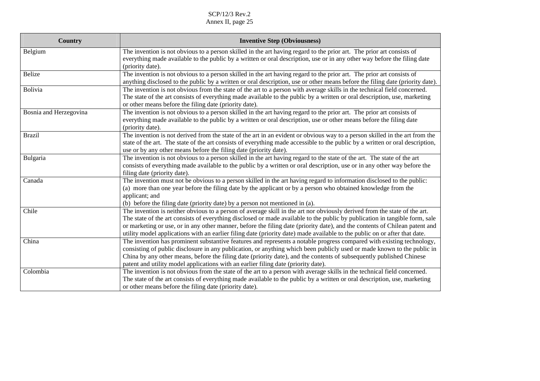| <b>Country</b>         | <b>Inventive Step (Obviousness)</b>                                                                                                                                                                                                                                                                                                                                                                                                                                                                                   |
|------------------------|-----------------------------------------------------------------------------------------------------------------------------------------------------------------------------------------------------------------------------------------------------------------------------------------------------------------------------------------------------------------------------------------------------------------------------------------------------------------------------------------------------------------------|
| Belgium                | The invention is not obvious to a person skilled in the art having regard to the prior art. The prior art consists of<br>everything made available to the public by a written or oral description, use or in any other way before the filing date<br>(priority date).                                                                                                                                                                                                                                                 |
| <b>Belize</b>          | The invention is not obvious to a person skilled in the art having regard to the prior art. The prior art consists of<br>anything disclosed to the public by a written or oral description, use or other means before the filing date (priority date).                                                                                                                                                                                                                                                                |
| Bolivia                | The invention is not obvious from the state of the art to a person with average skills in the technical field concerned.<br>The state of the art consists of everything made available to the public by a written or oral description, use, marketing<br>or other means before the filing date (priority date).                                                                                                                                                                                                       |
| Bosnia and Herzegovina | The invention is not obvious to a person skilled in the art having regard to the prior art. The prior art consists of<br>everything made available to the public by a written or oral description, use or other means before the filing date<br>(priority date).                                                                                                                                                                                                                                                      |
| <b>Brazil</b>          | The invention is not derived from the state of the art in an evident or obvious way to a person skilled in the art from the<br>state of the art. The state of the art consists of everything made accessible to the public by a written or oral description,<br>use or by any other means before the filing date (priority date).                                                                                                                                                                                     |
| Bulgaria               | The invention is not obvious to a person skilled in the art having regard to the state of the art. The state of the art<br>consists of everything made available to the public by a written or oral description, use or in any other way before the<br>filing date (priority date).                                                                                                                                                                                                                                   |
| Canada                 | The invention must not be obvious to a person skilled in the art having regard to information disclosed to the public:<br>(a) more than one year before the filing date by the applicant or by a person who obtained knowledge from the<br>applicant; and<br>(b) before the filing date (priority date) by a person not mentioned in (a).                                                                                                                                                                             |
| Chile                  | The invention is neither obvious to a person of average skill in the art nor obviously derived from the state of the art.<br>The state of the art consists of everything disclosed or made available to the public by publication in tangible form, sale<br>or marketing or use, or in any other manner, before the filing date (priority date), and the contents of Chilean patent and<br>utility model applications with an earlier filing date (priority date) made available to the public on or after that date. |
| China                  | The invention has prominent substantive features and represents a notable progress compared with existing technology,<br>consisting of public disclosure in any publication, or anything which been publicly used or made known to the public in<br>China by any other means, before the filing date (priority date), and the contents of subsequently published Chinese<br>patent and utility model applications with an earlier filing date (priority date).                                                        |
| Colombia               | The invention is not obvious from the state of the art to a person with average skills in the technical field concerned.<br>The state of the art consists of everything made available to the public by a written or oral description, use, marketing<br>or other means before the filing date (priority date).                                                                                                                                                                                                       |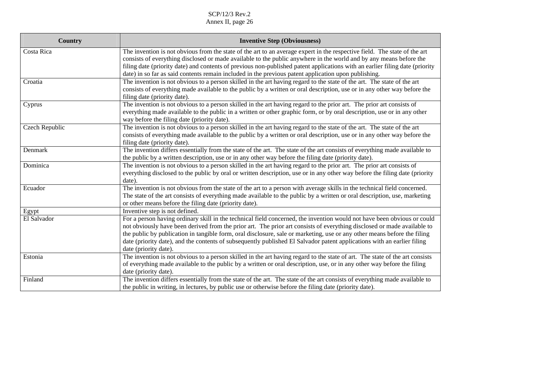| Country        | <b>Inventive Step (Obviousness)</b>                                                                                                                                                                                                                                                                                                                                                                                                                                                                                                |
|----------------|------------------------------------------------------------------------------------------------------------------------------------------------------------------------------------------------------------------------------------------------------------------------------------------------------------------------------------------------------------------------------------------------------------------------------------------------------------------------------------------------------------------------------------|
| Costa Rica     | The invention is not obvious from the state of the art to an average expert in the respective field. The state of the art<br>consists of everything disclosed or made available to the public anywhere in the world and by any means before the<br>filing date (priority date) and contents of previous non-published patent applications with an earlier filing date (priority<br>date) in so far as said contents remain included in the previous patent application upon publishing.                                            |
| Croatia        | The invention is not obvious to a person skilled in the art having regard to the state of the art. The state of the art<br>consists of everything made available to the public by a written or oral description, use or in any other way before the<br>filing date (priority date).                                                                                                                                                                                                                                                |
| Cyprus         | The invention is not obvious to a person skilled in the art having regard to the prior art. The prior art consists of<br>everything made available to the public in a written or other graphic form, or by oral description, use or in any other<br>way before the filing date (priority date).                                                                                                                                                                                                                                    |
| Czech Republic | The invention is not obvious to a person skilled in the art having regard to the state of the art. The state of the art<br>consists of everything made available to the public by a written or oral description, use or in any other way before the<br>filing date (priority date).                                                                                                                                                                                                                                                |
| Denmark        | The invention differs essentially from the state of the art. The state of the art consists of everything made available to<br>the public by a written description, use or in any other way before the filing date (priority date).                                                                                                                                                                                                                                                                                                 |
| Dominica       | The invention is not obvious to a person skilled in the art having regard to the prior art. The prior art consists of<br>everything disclosed to the public by oral or written description, use or in any other way before the filing date (priority<br>date).                                                                                                                                                                                                                                                                     |
| Ecuador        | The invention is not obvious from the state of the art to a person with average skills in the technical field concerned.<br>The state of the art consists of everything made available to the public by a written or oral description, use, marketing<br>or other means before the filing date (priority date).                                                                                                                                                                                                                    |
| Egypt          | Inventive step is not defined.                                                                                                                                                                                                                                                                                                                                                                                                                                                                                                     |
| El Salvador    | For a person having ordinary skill in the technical field concerned, the invention would not have been obvious or could<br>not obviously have been derived from the prior art. The prior art consists of everything disclosed or made available to<br>the public by publication in tangible form, oral disclosure, sale or marketing, use or any other means before the filing<br>date (priority date), and the contents of subsequently published El Salvador patent applications with an earlier filing<br>date (priority date). |
| Estonia        | The invention is not obvious to a person skilled in the art having regard to the state of art. The state of the art consists<br>of everything made available to the public by a written or oral description, use, or in any other way before the filing<br>date (priority date).                                                                                                                                                                                                                                                   |
| Finland        | The invention differs essentially from the state of the art. The state of the art consists of everything made available to<br>the public in writing, in lectures, by public use or otherwise before the filing date (priority date).                                                                                                                                                                                                                                                                                               |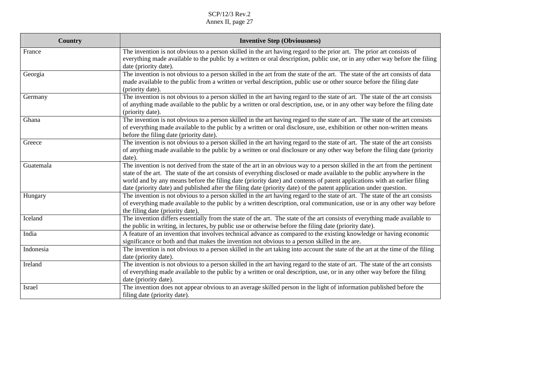| Country   | <b>Inventive Step (Obviousness)</b>                                                                                                              |
|-----------|--------------------------------------------------------------------------------------------------------------------------------------------------|
| France    | The invention is not obvious to a person skilled in the art having regard to the prior art. The prior art consists of                            |
|           | everything made available to the public by a written or oral description, public use, or in any other way before the filing                      |
|           | date (priority date).                                                                                                                            |
| Georgia   | The invention is not obvious to a person skilled in the art from the state of the art. The state of the art consists of data                     |
|           | made available to the public from a written or verbal description, public use or other source before the filing date                             |
| Germany   | (priority date).<br>The invention is not obvious to a person skilled in the art having regard to the state of art. The state of the art consists |
|           | of anything made available to the public by a written or oral description, use, or in any other way before the filing date                       |
|           | (priority date).                                                                                                                                 |
| Ghana     | The invention is not obvious to a person skilled in the art having regard to the state of art. The state of the art consists                     |
|           | of everything made available to the public by a written or oral disclosure, use, exhibition or other non-written means                           |
|           | before the filing date (priority date).                                                                                                          |
| Greece    | The invention is not obvious to a person skilled in the art having regard to the state of art. The state of the art consists                     |
|           | of anything made available to the public by a written or oral disclosure or any other way before the filing date (priority                       |
|           | date).                                                                                                                                           |
| Guatemala | The invention is not derived from the state of the art in an obvious way to a person skilled in the art from the pertinent                       |
|           | state of the art. The state of the art consists of everything disclosed or made available to the public anywhere in the                          |
|           | world and by any means before the filing date (priority date) and contents of patent applications with an earlier filing                         |
|           | date (priority date) and published after the filing date (priority date) of the patent application under question.                               |
| Hungary   | The invention is not obvious to a person skilled in the art having regard to the state of art. The state of the art consists                     |
|           | of everything made available to the public by a written description, oral communication, use or in any other way before                          |
|           | the filing date (priority date),                                                                                                                 |
| Iceland   | The invention differs essentially from the state of the art. The state of the art consists of everything made available to                       |
|           | the public in writing, in lectures, by public use or otherwise before the filing date (priority date).                                           |
| India     | A feature of an invention that involves technical advance as compared to the existing knowledge or having economic                               |
|           | significance or both and that makes the invention not obvious to a person skilled in the are.                                                    |
| Indonesia | The invention is not obvious to a person skilled in the art taking into account the state of the art at the time of the filing                   |
|           | date (priority date).                                                                                                                            |
| Ireland   | The invention is not obvious to a person skilled in the art having regard to the state of art. The state of the art consists                     |
|           | of everything made available to the public by a written or oral description, use, or in any other way before the filing                          |
|           | date (priority date).                                                                                                                            |
| Israel    | The invention does not appear obvious to an average skilled person in the light of information published before the                              |
|           | filing date (priority date).                                                                                                                     |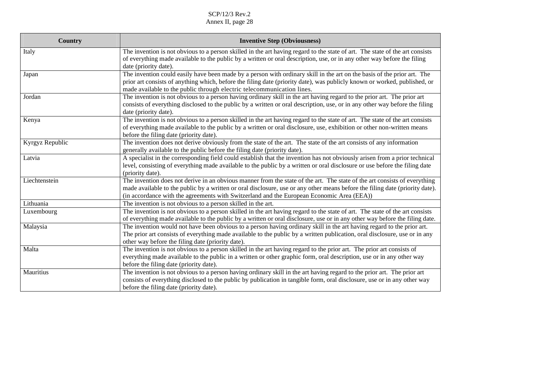| <b>Country</b>  | <b>Inventive Step (Obviousness)</b>                                                                                                                                                                                                                                                                                                                    |
|-----------------|--------------------------------------------------------------------------------------------------------------------------------------------------------------------------------------------------------------------------------------------------------------------------------------------------------------------------------------------------------|
| Italy           | The invention is not obvious to a person skilled in the art having regard to the state of art. The state of the art consists<br>of everything made available to the public by a written or oral description, use, or in any other way before the filing<br>date (priority date).                                                                       |
| Japan           | The invention could easily have been made by a person with ordinary skill in the art on the basis of the prior art. The<br>prior art consists of anything which, before the filing date (priority date), was publicly known or worked, published, or<br>made available to the public through electric telecommunication lines.                         |
| Jordan          | The invention is not obvious to a person having ordinary skill in the art having regard to the prior art. The prior art<br>consists of everything disclosed to the public by a written or oral description, use, or in any other way before the filing<br>date (priority date).                                                                        |
| Kenya           | The invention is not obvious to a person skilled in the art having regard to the state of art. The state of the art consists<br>of everything made available to the public by a written or oral disclosure, use, exhibition or other non-written means<br>before the filing date (priority date).                                                      |
| Kyrgyz Republic | The invention does not derive obviously from the state of the art. The state of the art consists of any information<br>generally available to the public before the filing date (priority date).                                                                                                                                                       |
| Latvia          | A specialist in the corresponding field could establish that the invention has not obviously arisen from a prior technical<br>level, consisting of everything made available to the public by a written or oral disclosure or use before the filing date<br>(priority date).                                                                           |
| Liechtenstein   | The invention does not derive in an obvious manner from the state of the art. The state of the art consists of everything<br>made available to the public by a written or oral disclosure, use or any other means before the filing date (priority date).<br>(in accordance with the agreements with Switzerland and the European Economic Area (EEA)) |
| Lithuania       | The invention is not obvious to a person skilled in the art.                                                                                                                                                                                                                                                                                           |
| Luxembourg      | The invention is not obvious to a person skilled in the art having regard to the state of art. The state of the art consists<br>of everything made available to the public by a written or oral disclosure, use or in any other way before the filing date.                                                                                            |
| Malaysia        | The invention would not have been obvious to a person having ordinary skill in the art having regard to the prior art.<br>The prior art consists of everything made available to the public by a written publication, oral disclosure, use or in any<br>other way before the filing date (priority date).                                              |
| Malta           | The invention is not obvious to a person skilled in the art having regard to the prior art. The prior art consists of<br>everything made available to the public in a written or other graphic form, oral description, use or in any other way<br>before the filing date (priority date).                                                              |
| Mauritius       | The invention is not obvious to a person having ordinary skill in the art having regard to the prior art. The prior art<br>consists of everything disclosed to the public by publication in tangible form, oral disclosure, use or in any other way<br>before the filing date (priority date).                                                         |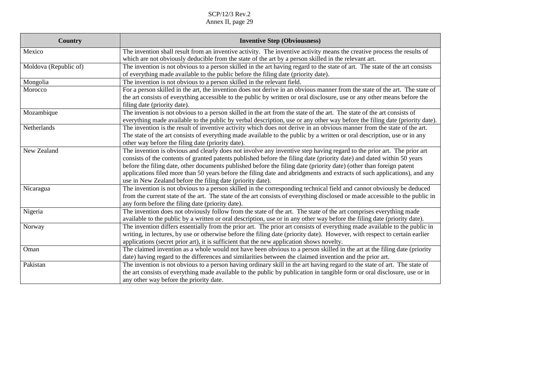| Country               | <b>Inventive Step (Obviousness)</b>                                                                                                                                                                                                                                                                                                                                                                                                                                                                                                                               |
|-----------------------|-------------------------------------------------------------------------------------------------------------------------------------------------------------------------------------------------------------------------------------------------------------------------------------------------------------------------------------------------------------------------------------------------------------------------------------------------------------------------------------------------------------------------------------------------------------------|
| Mexico                | The invention shall result from an inventive activity. The inventive activity means the creative process the results of<br>which are not obviously deducible from the state of the art by a person skilled in the relevant art.                                                                                                                                                                                                                                                                                                                                   |
| Moldova (Republic of) | The invention is not obvious to a person skilled in the art having regard to the state of art. The state of the art consists<br>of everything made available to the public before the filing date (priority date).                                                                                                                                                                                                                                                                                                                                                |
| Mongolia              | The invention is not obvious to a person skilled in the relevant field.                                                                                                                                                                                                                                                                                                                                                                                                                                                                                           |
| Morocco               | For a person skilled in the art, the invention does not derive in an obvious manner from the state of the art. The state of<br>the art consists of everything accessible to the public by written or oral disclosure, use or any other means before the<br>filing date (priority date).                                                                                                                                                                                                                                                                           |
| Mozambique            | The invention is not obvious to a person skilled in the art from the state of the art. The state of the art consists of<br>everything made available to the public by verbal description, use or any other way before the filing date (priority date).                                                                                                                                                                                                                                                                                                            |
| Netherlands           | The invention is the result of inventive activity which does not derive in an obvious manner from the state of the art.<br>The state of the art consists of everything made available to the public by a written or oral description, use or in any<br>other way before the filing date (priority date).                                                                                                                                                                                                                                                          |
| New Zealand           | The invention is obvious and clearly does not involve any inventive step having regard to the prior art. The prior art<br>consists of the contents of granted patents published before the filing date (priority date) and dated within 50 years<br>before the filing date, other documents published before the filing date (priority date) (other than foreign patent<br>applications filed more than 50 years before the filing date and abridgments and extracts of such applications), and any<br>use in New Zealand before the filing date (priority date). |
| Nicaragua             | The invention is not obvious to a person skilled in the corresponding technical field and cannot obviously be deduced<br>from the current state of the art. The state of the art consists of everything disclosed or made accessible to the public in<br>any form before the filing date (priority date).                                                                                                                                                                                                                                                         |
| Nigeria               | The invention does not obviously follow from the state of the art. The state of the art comprises everything made<br>available to the public by a written or oral description, use or in any other way before the filing date (priority date).                                                                                                                                                                                                                                                                                                                    |
| Norway                | The invention differs essentially from the prior art. The prior art consists of everything made available to the public in<br>writing, in lectures, by use or otherwise before the filing date (priority date). However, with respect to certain earlier<br>applications (secret prior art), it is sufficient that the new application shows novelty.                                                                                                                                                                                                             |
| Oman                  | The claimed invention as a whole would not have been obvious to a person skilled in the art at the filing date (priority<br>date) having regard to the differences and similarities between the claimed invention and the prior art.                                                                                                                                                                                                                                                                                                                              |
| Pakistan              | The invention is not obvious to a person having ordinary skill in the art having regard to the state of art. The state of<br>the art consists of everything made available to the public by publication in tangible form or oral disclosure, use or in<br>any other way before the priority date.                                                                                                                                                                                                                                                                 |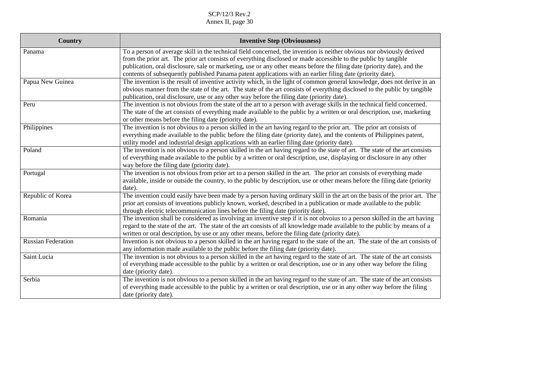| Country                   | <b>Inventive Step (Obviousness)</b>                                                                                                                                                                                                                                                                                                                                                                                                                                               |
|---------------------------|-----------------------------------------------------------------------------------------------------------------------------------------------------------------------------------------------------------------------------------------------------------------------------------------------------------------------------------------------------------------------------------------------------------------------------------------------------------------------------------|
| Panama                    | To a person of average skill in the technical field concerned, the invention is neither obvious nor obviously derived<br>from the prior art. The prior art consists of everything disclosed or made accessible to the public by tangible<br>publication, oral disclosure, sale or marketing, use or any other means before the filing date (priority date), and the<br>contents of subsequently published Panama patent applications with an earlier filing date (priority date). |
| Papua New Guinea          | The invention is the result of inventive activity which, in the light of common general knowledge, does not derive in an<br>obvious manner from the state of the art. The state of the art consists of everything disclosed to the public by tangible<br>publication, oral disclosure, use or any other way before the filing date (priority date).                                                                                                                               |
| Peru                      | The invention is not obvious from the state of the art to a person with average skills in the technical field concerned.<br>The state of the art consists of everything made available to the public by a written or oral description, use, marketing<br>or other means before the filing date (priority date).                                                                                                                                                                   |
| Philippines               | The invention is not obvious to a person skilled in the art having regard to the prior art. The prior art consists of<br>everything made available to the public before the filing date (priority date), and the contents of Philippines patent,<br>utility model and industrial design applications with an earlier filing date (priority date).                                                                                                                                 |
| Poland                    | The invention is not obvious to a person skilled in the art having regard to the state of art. The state of the art consists<br>of everything made available to the public by a written or oral description, use, displaying or disclosure in any other<br>way before the filing date (priority date).                                                                                                                                                                            |
| Portugal                  | The invention is not obvious from prior art to a person skilled in the art. The prior art consists of everything made<br>available, inside or outside the country, to the public by description, use or other means before the filing date (priority<br>date).                                                                                                                                                                                                                    |
| Republic of Korea         | The invention could easily have been made by a person having ordinary skill in the art on the basis of the prior art. The<br>prior art consists of inventions publicly known, worked, described in a publication or made available to the public<br>through electric telecommunication lines before the filing date (priority date).                                                                                                                                              |
| Romania                   | The invention shall be considered as involving an inventive step if it is not obvoius to a person skilled in the art having<br>regard to the state of the art. The state of the art consists of all knowledge made available to the public by means of a<br>written or oral description, by use or any other means, before the filing date (priority date).                                                                                                                       |
| <b>Russian Federation</b> | Invention is not obvious to a person skilled in the art having regard to the state of the art. The state of the art consists of<br>any information made available to the public before the filing date (priority date).                                                                                                                                                                                                                                                           |
| Saint Lucia               | The invention is not obvious to a person skilled in the art having regard to the state of art. The state of the art consists<br>of everything made accessible to the public by a written or oral description, use or in any other way before the filing<br>date (priority date).                                                                                                                                                                                                  |
| Serbia                    | The invention is not obvious to a person skilled in the art having regard to the state of art. The state of the art consists<br>of everything made accessible to the public by a written or oral description, use or in any other way before the filing<br>date (priority date).                                                                                                                                                                                                  |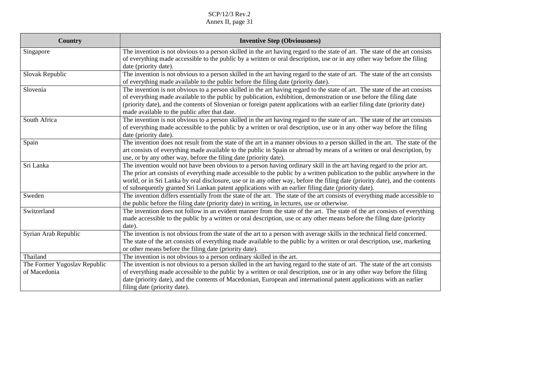| <b>Country</b>               | <b>Inventive Step (Obviousness)</b>                                                                                                                                                                                                                                                                                                                                                                                                                                                        |
|------------------------------|--------------------------------------------------------------------------------------------------------------------------------------------------------------------------------------------------------------------------------------------------------------------------------------------------------------------------------------------------------------------------------------------------------------------------------------------------------------------------------------------|
| Singapore                    | The invention is not obvious to a person skilled in the art having regard to the state of art. The state of the art consists<br>of everything made accessible to the public by a written or oral description, use or in any other way before the filing<br>date (priority date).                                                                                                                                                                                                           |
| Slovak Republic              | The invention is not obvious to a person skilled in the art having regard to the state of art. The state of the art consists<br>of everything made available to the public before the filing date (priority date).                                                                                                                                                                                                                                                                         |
| Slovenia                     | The invention is not obvious to a person skilled in the art having regard to the state of art. The state of the art consists<br>of everything made available to the public by publication, exhibition, demonstration or use before the filing date<br>(priority date), and the contents of Slovenian or foreign patent applications with an earlier filing date (priority date)<br>made available to the public after that date.                                                           |
| South Africa                 | The invention is not obvious to a person skilled in the art having regard to the state of art. The state of the art consists<br>of everything made accessible to the public by a written or oral description, use or in any other way before the filing<br>date (priority date).                                                                                                                                                                                                           |
| Spain                        | The invention does not result from the state of the art in a manner obvious to a person skilled in the art. The state of the<br>art consists of everything made available to the public in Spain or abroad by means of a written or oral description, by<br>use, or by any other way, before the filing date (priority date).                                                                                                                                                              |
| Sri Lanka                    | The invention would not have been obvious to a person having ordinary skill in the art having regard to the prior art.<br>The prior art consists of everything made accessible to the public by a written publication to the public anywhere in the<br>world, or in Sri Lanka by oral disclosure, use or in any other way, before the filing date (priority date), and the contents<br>of subsequently granted Sri Lankan patent applications with an earlier filing date (priority date). |
| Sweden                       | The invention differs essentially from the state of the art. The state of the art consists of everything made accessible to<br>the public before the filing date (priority date) in writing, in lectures, use or otherwise.                                                                                                                                                                                                                                                                |
| Switzerland                  | The invention does not follow in an evident manner from the state of the art. The state of the art consists of everything<br>made accessible to the public by a written or oral description, use or any other means before the filing date (priority<br>date).                                                                                                                                                                                                                             |
| Syrian Arab Republic         | The invention is not obvious from the state of the art to a person with average skills in the technical field concerned.<br>The state of the art consists of everything made available to the public by a written or oral description, use, marketing<br>or other means before the filing date (priority date).                                                                                                                                                                            |
| Thailand                     | The invention is not obvious to a person ordinary skilled in the art.                                                                                                                                                                                                                                                                                                                                                                                                                      |
| The Former Yugoslav Republic | The invention is not obvious to a person skilled in the art having regard to the state of art. The state of the art consists                                                                                                                                                                                                                                                                                                                                                               |
| of Macedonia                 | of everything made accessible to the public by a written or oral description, use or in any other way before the filing<br>date (priority date), and the contents of Macedonian, European and international patent applications with an earlier<br>filing date (priority date).                                                                                                                                                                                                            |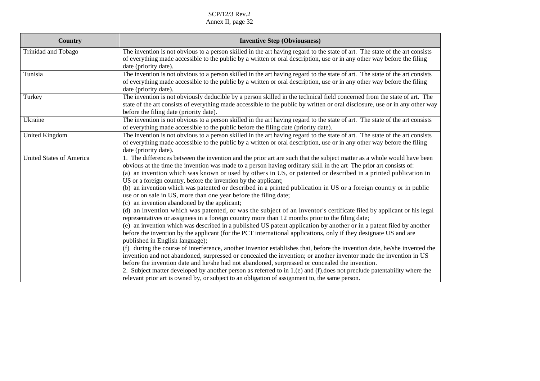| <b>Country</b>                  | <b>Inventive Step (Obviousness)</b>                                                                                                                                                                                                                                                                                                                                                                                                                                                                                                                                                                                        |
|---------------------------------|----------------------------------------------------------------------------------------------------------------------------------------------------------------------------------------------------------------------------------------------------------------------------------------------------------------------------------------------------------------------------------------------------------------------------------------------------------------------------------------------------------------------------------------------------------------------------------------------------------------------------|
| Trinidad and Tobago             | The invention is not obvious to a person skilled in the art having regard to the state of art. The state of the art consists<br>of everything made accessible to the public by a written or oral description, use or in any other way before the filing<br>date (priority date).                                                                                                                                                                                                                                                                                                                                           |
| Tunisia                         | The invention is not obvious to a person skilled in the art having regard to the state of art. The state of the art consists<br>of everything made accessible to the public by a written or oral description, use or in any other way before the filing<br>date (priority date).                                                                                                                                                                                                                                                                                                                                           |
| Turkey                          | The invention is not obviously deducible by a person skilled in the technical field concerned from the state of art. The<br>state of the art consists of everything made accessible to the public by written or oral disclosure, use or in any other way<br>before the filing date (priority date).                                                                                                                                                                                                                                                                                                                        |
| Ukraine                         | The invention is not obvious to a person skilled in the art having regard to the state of art. The state of the art consists<br>of everything made accessible to the public before the filing date (priority date).                                                                                                                                                                                                                                                                                                                                                                                                        |
| United Kingdom                  | The invention is not obvious to a person skilled in the art having regard to the state of art. The state of the art consists<br>of everything made accessible to the public by a written or oral description, use or in any other way before the filing<br>date (priority date).                                                                                                                                                                                                                                                                                                                                           |
| <b>United States of America</b> | 1. The differences between the invention and the prior art are such that the subject matter as a whole would have been<br>obvious at the time the invention was made to a person having ordinary skill in the art The prior art consists of:<br>(a) an invention which was known or used by others in US, or patented or described in a printed publication in<br>US or a foreign country, before the invention by the applicant;<br>(b) an invention which was patented or described in a printed publication in US or a foreign country or in public<br>use or on sale in US, more than one year before the filing date; |
|                                 | (c) an invention abandoned by the applicant;<br>(d) an invention which was patented, or was the subject of an inventor's certificate filed by applicant or his legal<br>representatives or assignees in a foreign country more than 12 months prior to the filing date;<br>(e) an invention which was described in a published US patent application by another or in a patent filed by another<br>before the invention by the applicant (for the PCT international applications, only if they designate US and are<br>published in English language);                                                                     |
|                                 | (f) during the course of interference, another inventor establishes that, before the invention date, he/she invented the<br>invention and not abandoned, surpressed or concealed the invention; or another inventor made the invention in US<br>before the invention date and he/she had not abandoned, surpressed or concealed the invention.<br>2. Subject matter developed by another person as referred to in 1.(e) and (f) does not preclude patentability where the<br>relevant prior art is owned by, or subject to an obligation of assignment to, the same person.                                                |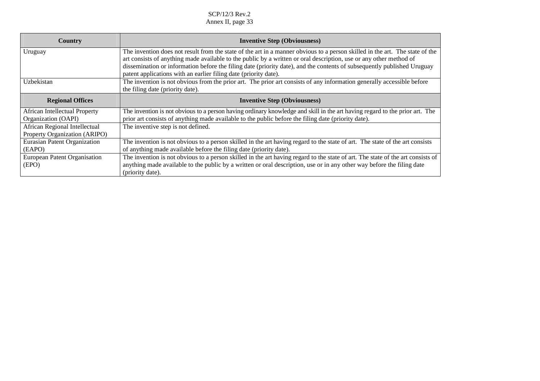| Country                              | <b>Inventive Step (Obviousness)</b>                                                                                                                                                         |
|--------------------------------------|---------------------------------------------------------------------------------------------------------------------------------------------------------------------------------------------|
| Uruguay                              | The invention does not result from the state of the art in a manner obvious to a person skilled in the art. The state of the                                                                |
|                                      | art consists of anything made available to the public by a written or oral description, use or any other method of                                                                          |
|                                      | dissemination or information before the filing date (priority date), and the contents of subsequently published Uruguay<br>patent applications with an earlier filing date (priority date). |
| Uzbekistan                           | The invention is not obvious from the prior art. The prior art consists of any information generally accessible before                                                                      |
|                                      | the filing date (priority date).                                                                                                                                                            |
| <b>Regional Offices</b>              | <b>Inventive Step (Obviousness)</b>                                                                                                                                                         |
| <b>African Intellectual Property</b> | The invention is not obvious to a person having ordinary knowledge and skill in the art having regard to the prior art. The                                                                 |
| Organization (OAPI)                  | prior art consists of anything made available to the public before the filing date (priority date).                                                                                         |
| African Regional Intellectual        | The inventive step is not defined.                                                                                                                                                          |
| Property Organization (ARIPO)        |                                                                                                                                                                                             |
| Eurasian Patent Organization         | The invention is not obvious to a person skilled in the art having regard to the state of art. The state of the art consists                                                                |
| (EAPO)                               | of anything made available before the filing date (priority date).                                                                                                                          |
| European Patent Organisation         | The invention is not obvious to a person skilled in the art having regard to the state of art. The state of the art consists of                                                             |
| (EPO)                                | anything made available to the public by a written or oral description, use or in any other way before the filing date                                                                      |
|                                      | (priority date).                                                                                                                                                                            |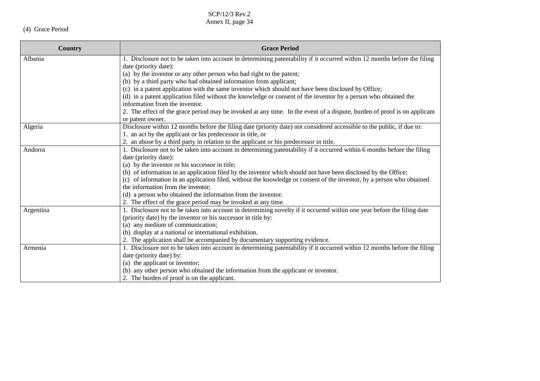# (4) Grace Period

| Country   | <b>Grace Period</b>                                                                                                       |
|-----------|---------------------------------------------------------------------------------------------------------------------------|
| Albania   | 1. Disclosure not to be taken into account in determining patentability if it occurred within 12 months before the filing |
|           | date (priority date):                                                                                                     |
|           | (a) by the inventor or any other person who had right to the patent;                                                      |
|           | (b) by a third party who had obtained information from applicant;                                                         |
|           | (c) in a patent application with the same inventor which should not have been disclosed by Office;                        |
|           | (d) in a patent application filed without the knowledge or consent of the inventor by a person who obtained the           |
|           | information from the inventor.                                                                                            |
|           | 2. The effect of the grace period may be invoked at any time. In the event of a dispute, burden of proof is on applicant  |
|           | or patent owner.                                                                                                          |
| Algeria   | Disclosure within 12 months before the filing date (priority date) not considered accessible to the public, if due to:    |
|           | 1. an act by the applicant or his predecessor in title, or                                                                |
|           | 2. an abuse by a third party in relation to the applicant or his predecessor in title.                                    |
| Andorra   | 1. Disclosure not to be taken into account in determining patentability if it occurred within 6 months before the filing  |
|           | date (priority date):                                                                                                     |
|           | (a) by the inventor or his successor in title;                                                                            |
|           | (b) of information in an application filed by the inventor which should not have been disclosed by the Office;            |
|           | (c) of information in an application filed, without the knowledge or consent of the inventor, by a person who obtained    |
|           | the information from the inventor;                                                                                        |
|           | (d) a person who obtained the information from the inventor.                                                              |
|           | 2. The effect of the grace period may be invoked at any time.                                                             |
| Argentina | 1. Disclosure not to be taken into account in determining novelty if it occurred within one year before the filing date   |
|           | (priority date) by the inventor or his successor in title by:                                                             |
|           | (a) any medium of communication;                                                                                          |
|           | (b) display at a national or international exhibition.                                                                    |
|           | 2. The application shall be accompanied by documentary supporting evidence.                                               |
| Armenia   | 1. Disclosure not to be taken into account in determining patentability if it occurred within 12 months before the filing |
|           | date (priority date) by:                                                                                                  |
|           | (a) the applicant or inventor;                                                                                            |
|           | (b) any other person who obtained the information from the applicant or inventor.                                         |
|           | 2. The burden of proof is on the applicant.                                                                               |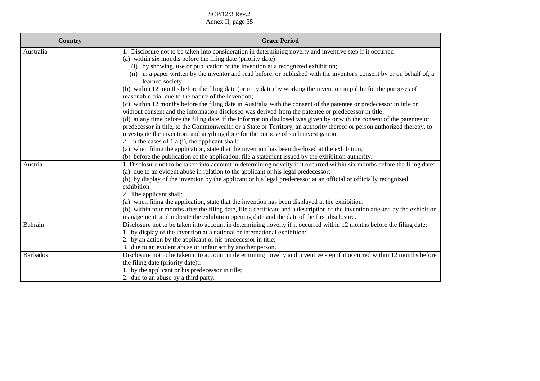| <b>Country</b>  | <b>Grace Period</b>                                                                                                                                                                                                          |
|-----------------|------------------------------------------------------------------------------------------------------------------------------------------------------------------------------------------------------------------------------|
| Australia       | 1. Disclosure not to be taken into consideration in determining novelty and inventive step if it occurred:                                                                                                                   |
|                 | (a) within six months before the filing date (priority date)                                                                                                                                                                 |
|                 | (i) by showing, use or publication of the invention at a recognized exhibition;                                                                                                                                              |
|                 | in a paper written by the inventor and read before, or published with the inventor's consent by or on behalf of, a<br>(ii)<br>learned society;                                                                               |
|                 | (b) within 12 months before the filing date (priority date) by working the invention in public for the purposes of<br>reasonable trial due to the nature of the invention;                                                   |
|                 | (c) within 12 months before the filing date in Australia with the consent of the patentee or predecessor in title or<br>without consent and the information disclosed was derived from the patentee or predecessor in title; |
|                 | (d) at any time before the filing date, if the information disclosed was given by or with the consent of the patentee or                                                                                                     |
|                 | predecessor in title, to the Commonwealth or a State or Territory, an authority thereof or person authorized thereby, to                                                                                                     |
|                 | investigate the invention; and anything done for the purpose of such investigation.                                                                                                                                          |
|                 | 2. In the cases of $1.a.(i)$ , the applicant shall:                                                                                                                                                                          |
|                 | (a) when filing the application, state that the invention has been disclosed at the exhibition;                                                                                                                              |
|                 | (b) before the publication of the application, file a statement issued by the exhibition authority.                                                                                                                          |
| Austria         | 1. Disclosure not to be taken into account in determining novelty if it occurred within six months before the filing date:                                                                                                   |
|                 | (a) due to an evident abuse in relation to the applicant or his legal predecessor;                                                                                                                                           |
|                 | (b) by display of the invention by the applicant or his legal predecessor at an official or officially recognized                                                                                                            |
|                 | exhibition.                                                                                                                                                                                                                  |
|                 | 2. The applicant shall:                                                                                                                                                                                                      |
|                 | (a) when filing the application, state that the invention has been displayed at the exhibition;                                                                                                                              |
|                 | (b) within four months after the filing date, file a certificate and a description of the invention attested by the exhibition                                                                                               |
|                 | management, and indicate the exhibition opening date and the date of the first disclosure.                                                                                                                                   |
| Bahrain         | Disclosure not to be taken into account in determining novelty if it occurred within 12 months before the filing date:                                                                                                       |
|                 | 1. by display of the invention at a national or international exhibition;                                                                                                                                                    |
|                 | 2. by an action by the applicant or his predecessor in title;                                                                                                                                                                |
|                 | 3. due to an evident abuse or unfair act by another person.                                                                                                                                                                  |
| <b>Barbados</b> | Disclosure not to be taken into account in determining novelty and inventive step if it occurred within 12 months before                                                                                                     |
|                 | the filing date (priority date)::                                                                                                                                                                                            |
|                 | 1. by the applicant or his predecessor in title;                                                                                                                                                                             |
|                 | 2. due to an abuse by a third party.                                                                                                                                                                                         |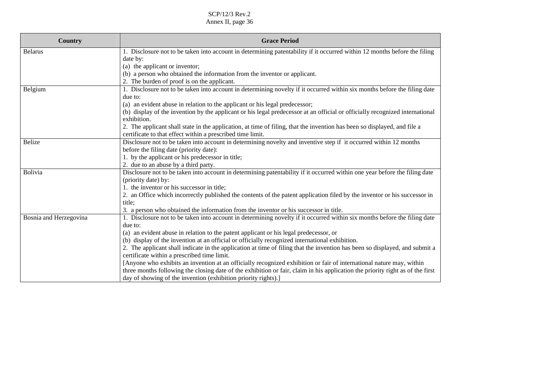| <b>Country</b>         | <b>Grace Period</b>                                                                                                                                                                    |
|------------------------|----------------------------------------------------------------------------------------------------------------------------------------------------------------------------------------|
| <b>Belarus</b>         | 1. Disclosure not to be taken into account in determining patentability if it occurred within 12 months before the filing                                                              |
|                        | date by:                                                                                                                                                                               |
|                        | (a) the applicant or inventor;                                                                                                                                                         |
|                        | (b) a person who obtained the information from the inventor or applicant.                                                                                                              |
|                        | 2. The burden of proof is on the applicant.                                                                                                                                            |
| Belgium                | 1. Disclosure not to be taken into account in determining novelty if it occurred within six months before the filing date                                                              |
|                        | due to:                                                                                                                                                                                |
|                        | (a) an evident abuse in relation to the applicant or his legal predecessor;                                                                                                            |
|                        | (b) display of the invention by the applicant or his legal predecessor at an official or officially recognized international<br>exhibition.                                            |
|                        | 2. The applicant shall state in the application, at time of filing, that the invention has been so displayed, and file a<br>certificate to that effect within a prescribed time limit. |
| <b>Belize</b>          | Disclosure not to be taken into account in determining novelty and inventive step if it occurred within 12 months                                                                      |
|                        | before the filing date (priority date):                                                                                                                                                |
|                        | 1. by the applicant or his predecessor in title;                                                                                                                                       |
|                        | 2. due to an abuse by a third party.                                                                                                                                                   |
| Bolivia                | Disclosure not to be taken into account in determining patentability if it occurred within one year before the filing date                                                             |
|                        | (priority date) by:                                                                                                                                                                    |
|                        | 1. the inventor or his successor in title;                                                                                                                                             |
|                        | 2. an Office which incorrectly published the contents of the patent application filed by the inventor or his successor in                                                              |
|                        | title:                                                                                                                                                                                 |
|                        | 3. a person who obtained the information from the inventor or his successor in title.                                                                                                  |
| Bosnia and Herzegovina | 1. Disclosure not to be taken into account in determining novelty if it occurred within six months before the filing date                                                              |
|                        | due to:                                                                                                                                                                                |
|                        | (a) an evident abuse in relation to the patent applicant or his legal predecessor, or                                                                                                  |
|                        | (b) display of the invention at an official or officially recognized international exhibition.                                                                                         |
|                        | 2. The applicant shall indicate in the application at time of filing that the invention has been so displayed, and submit a<br>certificate within a prescribed time limit.             |
|                        | [Anyone who exhibits an invention at an officially recognized exhibition or fair of international nature may, within                                                                   |
|                        | three months following the closing date of the exhibition or fair, claim in his application the priority right as of the first                                                         |
|                        | day of showing of the invention (exhibition priority rights).]                                                                                                                         |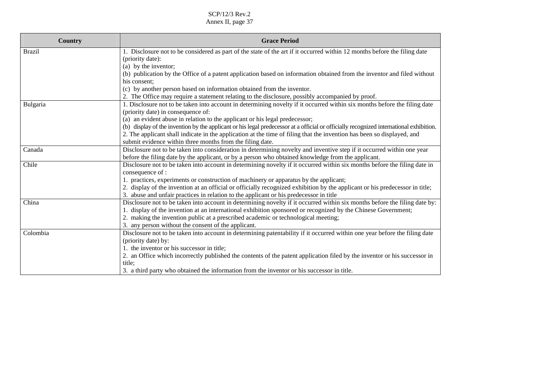| <b>Country</b> | <b>Grace Period</b>                                                                                                                                             |
|----------------|-----------------------------------------------------------------------------------------------------------------------------------------------------------------|
| <b>Brazil</b>  | 1. Disclosure not to be considered as part of the state of the art if it occurred within 12 months before the filing date<br>(priority date):                   |
|                | (a) by the inventor;                                                                                                                                            |
|                | (b) publication by the Office of a patent application based on information obtained from the inventor and filed without                                         |
|                | his consent:                                                                                                                                                    |
|                | (c) by another person based on information obtained from the inventor.                                                                                          |
|                | 2. The Office may require a statement relating to the disclosure, possibly accompanied by proof.                                                                |
| Bulgaria       | 1. Disclosure not to be taken into account in determining novelty if it occurred within six months before the filing date<br>(priority date) in consequence of: |
|                | (a) an evident abuse in relation to the applicant or his legal predecessor;                                                                                     |
|                | (b) display of the invention by the applicant or his legal predecessor at a official or officially recognized international exhibition.                         |
|                | 2. The applicant shall indicate in the application at the time of filing that the invention has been so displayed, and                                          |
|                | submit evidence within three months from the filing date.                                                                                                       |
| Canada         | Disclosure not to be taken into consideration in determining novelty and inventive step if it occurred within one year                                          |
|                | before the filing date by the applicant, or by a person who obtained knowledge from the applicant.                                                              |
| Chile          | Disclosure not to be taken into account in determining novelty if it occurred within six months before the filing date in                                       |
|                | consequence of :                                                                                                                                                |
|                | 1. practices, experiments or construction of machinery or apparatus by the applicant;                                                                           |
|                | 2. display of the invention at an official or officially recognized exhibition by the applicant or his predecessor in title;                                    |
|                | 3. abuse and unfair practices in relation to the applicant or his predecessor in title                                                                          |
| China          | Disclosure not to be taken into account in determining novelty if it occurred within six months before the filing date by:                                      |
|                | 1. display of the invention at an international exhibition sponsored or recognized by the Chinese Government;                                                   |
|                | 2. making the invention public at a prescribed academic or technological meeting;                                                                               |
|                | 3. any person without the consent of the applicant.                                                                                                             |
| Colombia       | Disclosure not to be taken into account in determining patentability if it occurred within one year before the filing date                                      |
|                | (priority date) by:                                                                                                                                             |
|                | 1. the inventor or his successor in title;                                                                                                                      |
|                | 2. an Office which incorrectly published the contents of the patent application filed by the inventor or his successor in                                       |
|                | title;                                                                                                                                                          |
|                | 3. a third party who obtained the information from the inventor or his successor in title.                                                                      |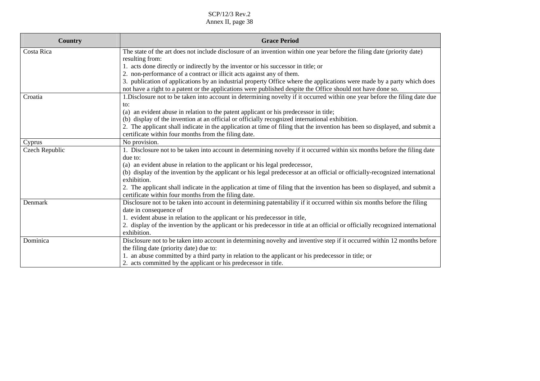| <b>Country</b> | <b>Grace Period</b>                                                                                                                                                                                                                   |
|----------------|---------------------------------------------------------------------------------------------------------------------------------------------------------------------------------------------------------------------------------------|
| Costa Rica     | The state of the art does not include disclosure of an invention within one year before the filing date (priority date)<br>resulting from:                                                                                            |
|                | 1. acts done directly or indirectly by the inventor or his successor in title; or                                                                                                                                                     |
|                | 2. non-performance of a contract or illicit acts against any of them.                                                                                                                                                                 |
|                | 3. publication of applications by an industrial property Office where the applications were made by a party which does<br>not have a right to a patent or the applications were published despite the Office should not have done so. |
| Croatia        | 1. Disclosure not to be taken into account in determining novelty if it occurred within one year before the filing date due                                                                                                           |
|                | to:                                                                                                                                                                                                                                   |
|                | (a) an evident abuse in relation to the patent applicant or his predecessor in title;                                                                                                                                                 |
|                | (b) display of the invention at an official or officially recognized international exhibition.                                                                                                                                        |
|                | 2. The applicant shall indicate in the application at time of filing that the invention has been so displayed, and submit a                                                                                                           |
|                | certificate within four months from the filing date.                                                                                                                                                                                  |
| Cyprus         | No provision.                                                                                                                                                                                                                         |
| Czech Republic | 1. Disclosure not to be taken into account in determining novelty if it occurred within six months before the filing date<br>due to:                                                                                                  |
|                | (a) an evident abuse in relation to the applicant or his legal predecessor,                                                                                                                                                           |
|                | (b) display of the invention by the applicant or his legal predecessor at an official or officially-recognized international                                                                                                          |
|                | exhibition.                                                                                                                                                                                                                           |
|                | 2. The applicant shall indicate in the application at time of filing that the invention has been so displayed, and submit a<br>certificate within four months from the filing date.                                                   |
| Denmark        | Disclosure not to be taken into account in determining patentability if it occurred within six months before the filing                                                                                                               |
|                | date in consequence of                                                                                                                                                                                                                |
|                | 1. evident abuse in relation to the applicant or his predecessor in title,                                                                                                                                                            |
|                | 2. display of the invention by the applicant or his predecessor in title at an official or officially recognized international                                                                                                        |
|                | exhibition.                                                                                                                                                                                                                           |
| Dominica       | Disclosure not to be taken into account in determining novelty and inventive step if it occurred within 12 months before                                                                                                              |
|                | the filing date (priority date) due to:                                                                                                                                                                                               |
|                | 1. an abuse committed by a third party in relation to the applicant or his predecessor in title; or                                                                                                                                   |
|                | 2. acts committed by the applicant or his predecessor in title.                                                                                                                                                                       |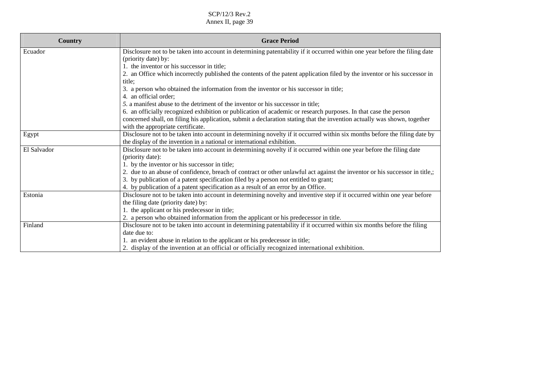| Country     | <b>Grace Period</b>                                                                                                         |
|-------------|-----------------------------------------------------------------------------------------------------------------------------|
| Ecuador     | Disclosure not to be taken into account in determining patentability if it occurred within one year before the filing date  |
|             | (priority date) by:                                                                                                         |
|             | 1. the inventor or his successor in title;                                                                                  |
|             | 2. an Office which incorrectly published the contents of the patent application filed by the inventor or his successor in   |
|             | title:                                                                                                                      |
|             | 3. a person who obtained the information from the inventor or his successor in title;                                       |
|             | 4. an official order;                                                                                                       |
|             | 5. a manifest abuse to the detriment of the inventor or his successor in title;                                             |
|             | 6. an officially recognized exhibition or publication of academic or research purposes. In that case the person             |
|             | concerned shall, on filing his application, submit a declaration stating that the invention actually was shown, together    |
|             | with the appropriate certificate.                                                                                           |
| Egypt       | Disclosure not to be taken into account in determining novelty if it occurred within six months before the filing date by   |
|             | the display of the invention in a national or international exhibition.                                                     |
| El Salvador | Disclosure not to be taken into account in determining novelty if it occurred within one year before the filing date        |
|             | (priority date):                                                                                                            |
|             | 1. by the inventor or his successor in title;                                                                               |
|             | 2. due to an abuse of confidence, breach of contract or other unlawful act against the inventor or his successor in title,; |
|             | 3. by publication of a patent specification filed by a person not entitled to grant;                                        |
|             | 4. by publication of a patent specification as a result of an error by an Office.                                           |
| Estonia     | Disclosure not to be taken into account in determining novelty and inventive step if it occurred within one year before     |
|             | the filing date (priority date) by:                                                                                         |
|             | 1. the applicant or his predecessor in title;                                                                               |
|             | 2. a person who obtained information from the applicant or his predecessor in title.                                        |
| Finland     | Disclosure not to be taken into account in determining patentability if it occurred within six months before the filing     |
|             | date due to:                                                                                                                |
|             | 1. an evident abuse in relation to the applicant or his predecessor in title;                                               |
|             | 2. display of the invention at an official or officially recognized international exhibition.                               |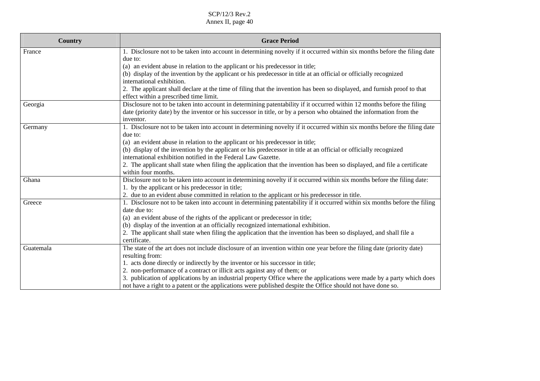| <b>Country</b> | <b>Grace Period</b>                                                                                                                                                                                       |
|----------------|-----------------------------------------------------------------------------------------------------------------------------------------------------------------------------------------------------------|
| France         | 1. Disclosure not to be taken into account in determining novelty if it occurred within six months before the filing date                                                                                 |
|                | due to:                                                                                                                                                                                                   |
|                | (a) an evident abuse in relation to the applicant or his predecessor in title;                                                                                                                            |
|                | (b) display of the invention by the applicant or his predecessor in title at an official or officially recognized<br>international exhibition.                                                            |
|                | 2. The applicant shall declare at the time of filing that the invention has been so displayed, and furnish proof to that                                                                                  |
|                | effect within a prescribed time limit.                                                                                                                                                                    |
| Georgia        | Disclosure not to be taken into account in determining patentability if it occurred within 12 months before the filing                                                                                    |
|                | date (priority date) by the inventor or his successor in title, or by a person who obtained the information from the                                                                                      |
|                | inventor.                                                                                                                                                                                                 |
| Germany        | 1. Disclosure not to be taken into account in determining novelty if it occurred within six months before the filing date                                                                                 |
|                | due to:                                                                                                                                                                                                   |
|                | (a) an evident abuse in relation to the applicant or his predecessor in title;                                                                                                                            |
|                | (b) display of the invention by the applicant or his predecessor in title at an official or officially recognized                                                                                         |
|                | international exhibition notified in the Federal Law Gazette.                                                                                                                                             |
|                | 2. The applicant shall state when filing the application that the invention has been so displayed, and file a certificate                                                                                 |
|                | within four months.                                                                                                                                                                                       |
| Ghana          | Disclosure not to be taken into account in determining novelty if it occurred within six months before the filing date:                                                                                   |
|                | 1. by the applicant or his predecessor in title;                                                                                                                                                          |
|                | 2. due to an evident abuse committed in relation to the applicant or his predecessor in title.                                                                                                            |
| Greece         | 1. Disclosure not to be taken into account in determining patentability if it occurred within six months before the filing                                                                                |
|                | date due to:                                                                                                                                                                                              |
|                | (a) an evident abuse of the rights of the applicant or predecessor in title;                                                                                                                              |
|                | (b) display of the invention at an officially recognized international exhibition.<br>2. The applicant shall state when filing the application that the invention has been so displayed, and shall file a |
|                | certificate.                                                                                                                                                                                              |
| Guatemala      | The state of the art does not include disclosure of an invention within one year before the filing date (priority date)                                                                                   |
|                | resulting from:                                                                                                                                                                                           |
|                | 1. acts done directly or indirectly by the inventor or his successor in title;                                                                                                                            |
|                | 2. non-performance of a contract or illicit acts against any of them; or                                                                                                                                  |
|                | 3. publication of applications by an industrial property Office where the applications were made by a party which does                                                                                    |
|                | not have a right to a patent or the applications were published despite the Office should not have done so.                                                                                               |
|                |                                                                                                                                                                                                           |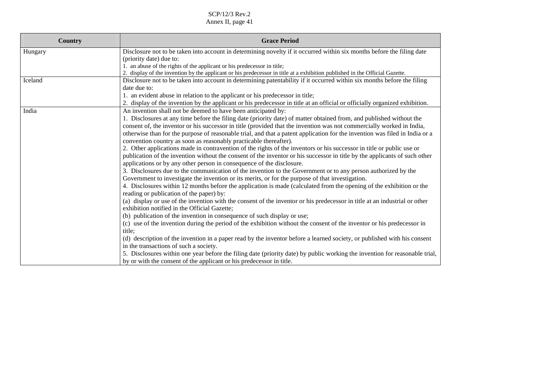| <b>Country</b> | <b>Grace Period</b>                                                                                                                                                                                                                                                                                                                                                                                                                                                                                                                                                                                                                                                                                                                                                                                                                                                                                                                                                                                                                                                                                                                                                                                                                                                                                                                                                                                                                                                                                                                                                                                                                                                                                                                                                                                                                                                                                                                                                                                                   |
|----------------|-----------------------------------------------------------------------------------------------------------------------------------------------------------------------------------------------------------------------------------------------------------------------------------------------------------------------------------------------------------------------------------------------------------------------------------------------------------------------------------------------------------------------------------------------------------------------------------------------------------------------------------------------------------------------------------------------------------------------------------------------------------------------------------------------------------------------------------------------------------------------------------------------------------------------------------------------------------------------------------------------------------------------------------------------------------------------------------------------------------------------------------------------------------------------------------------------------------------------------------------------------------------------------------------------------------------------------------------------------------------------------------------------------------------------------------------------------------------------------------------------------------------------------------------------------------------------------------------------------------------------------------------------------------------------------------------------------------------------------------------------------------------------------------------------------------------------------------------------------------------------------------------------------------------------------------------------------------------------------------------------------------------------|
| Hungary        | Disclosure not to be taken into account in determining novelty if it occurred within six months before the filing date<br>(priority date) due to:<br>1. an abuse of the rights of the applicant or his predecessor in title;<br>2. display of the invention by the applicant or his predecessor in title at a exhibition published in the Official Gazette.                                                                                                                                                                                                                                                                                                                                                                                                                                                                                                                                                                                                                                                                                                                                                                                                                                                                                                                                                                                                                                                                                                                                                                                                                                                                                                                                                                                                                                                                                                                                                                                                                                                           |
| Iceland        | Disclosure not to be taken into account in determining patentability if it occurred within six months before the filing<br>date due to:<br>1. an evident abuse in relation to the applicant or his predecessor in title;<br>2. display of the invention by the applicant or his predecessor in title at an official or officially organized exhibition.                                                                                                                                                                                                                                                                                                                                                                                                                                                                                                                                                                                                                                                                                                                                                                                                                                                                                                                                                                                                                                                                                                                                                                                                                                                                                                                                                                                                                                                                                                                                                                                                                                                               |
| India          | An invention shall not be deemed to have been anticipated by:<br>1. Disclosures at any time before the filing date (priority date) of matter obtained from, and published without the<br>consent of, the inventor or his successor in title (provided that the invention was not commercially worked in India,<br>otherwise than for the purpose of reasonable trial, and that a patent application for the invention was filed in India or a<br>convention country as soon as reasonably practicable thereafter).<br>2. Other applications made in contravention of the rights of the inventors or his successor in title or public use or<br>publication of the invention without the consent of the inventor or his successor in title by the applicants of such other<br>applications or by any other person in consequence of the disclosure.<br>3. Disclosures due to the communication of the invention to the Government or to any person authorized by the<br>Government to investigate the invention or its merits, or for the purpose of that investigation.<br>4. Disclosures within 12 months before the application is made (calculated from the opening of the exhibition or the<br>reading or publication of the paper) by:<br>(a) display or use of the invention with the consent of the inventor or his predecessor in title at an industrial or other<br>exhibition notified in the Official Gazette;<br>(b) publication of the invention in consequence of such display or use;<br>(c) use of the invention during the period of the exhibition without the consent of the inventor or his predecessor in<br>title;<br>(d) description of the invention in a paper read by the inventor before a learned society, or published with his consent<br>in the transactions of such a society.<br>5. Disclosures within one year before the filing date (priority date) by public working the invention for reasonable trial,<br>by or with the consent of the applicant or his predecessor in title. |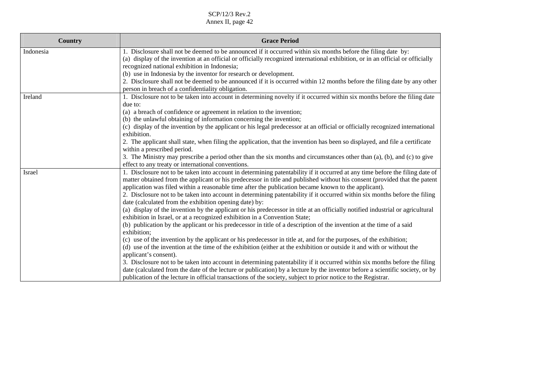| Country   | <b>Grace Period</b>                                                                                                                                                                                                                                                                                                                                                                                                                                                                              |
|-----------|--------------------------------------------------------------------------------------------------------------------------------------------------------------------------------------------------------------------------------------------------------------------------------------------------------------------------------------------------------------------------------------------------------------------------------------------------------------------------------------------------|
| Indonesia | 1. Disclosure shall not be deemed to be announced if it occurred within six months before the filing date by:<br>(a) display of the invention at an official or officially recognized international exhibition, or in an official or officially<br>recognized national exhibition in Indonesia;                                                                                                                                                                                                  |
|           | (b) use in Indonesia by the inventor for research or development.<br>2. Disclosure shall not be deemed to be announced if it is occurred within 12 months before the filing date by any other<br>person in breach of a confidentiality obligation.                                                                                                                                                                                                                                               |
| Ireland   | 1. Disclosure not to be taken into account in determining novelty if it occurred within six months before the filing date<br>due to:<br>(a) a breach of confidence or agreement in relation to the invention;                                                                                                                                                                                                                                                                                    |
|           | (b) the unlawful obtaining of information concerning the invention;<br>(c) display of the invention by the applicant or his legal predecessor at an official or officially recognized international<br>exhibition.                                                                                                                                                                                                                                                                               |
|           | 2. The applicant shall state, when filing the application, that the invention has been so displayed, and file a certificate<br>within a prescribed period.<br>3. The Ministry may prescribe a period other than the six months and circumstances other than (a), (b), and (c) to give                                                                                                                                                                                                            |
|           | effect to any treaty or international conventions.                                                                                                                                                                                                                                                                                                                                                                                                                                               |
| Israel    | 1. Disclosure not to be taken into account in determining patentability if it occurred at any time before the filing date of<br>matter obtained from the applicant or his predecessor in title and published without his consent (provided that the patent<br>application was filed within a reasonable time after the publication became known to the applicant).<br>2. Disclosure not to be taken into account in determining patentability if it occurred within six months before the filing |
|           | date (calculated from the exhibition opening date) by:<br>(a) display of the invention by the applicant or his predecessor in title at an officially notified industrial or agricultural<br>exhibition in Israel, or at a recognized exhibition in a Convention State;                                                                                                                                                                                                                           |
|           | (b) publication by the applicant or his predecessor in title of a description of the invention at the time of a said<br>exhibition;                                                                                                                                                                                                                                                                                                                                                              |
|           | (c) use of the invention by the applicant or his predecessor in title at, and for the purposes, of the exhibition;<br>(d) use of the invention at the time of the exhibition (either at the exhibition or outside it and with or without the<br>applicant's consent).                                                                                                                                                                                                                            |
|           | 3. Disclosure not to be taken into account in determining patentability if it occurred within six months before the filing<br>date (calculated from the date of the lecture or publication) by a lecture by the inventor before a scientific society, or by<br>publication of the lecture in official transactions of the society, subject to prior notice to the Registrar.                                                                                                                     |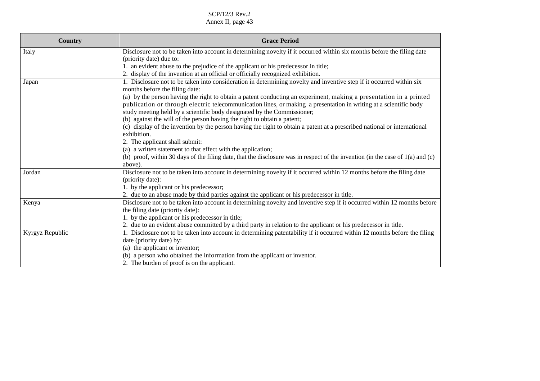| <b>Country</b>  | <b>Grace Period</b>                                                                                                                                    |
|-----------------|--------------------------------------------------------------------------------------------------------------------------------------------------------|
| Italy           | Disclosure not to be taken into account in determining novelty if it occurred within six months before the filing date                                 |
|                 | (priority date) due to:                                                                                                                                |
|                 | 1. an evident abuse to the prejudice of the applicant or his predecessor in title;                                                                     |
|                 | 2. display of the invention at an official or officially recognized exhibition.                                                                        |
| Japan           | 1. Disclosure not to be taken into consideration in determining novelty and inventive step if it occurred within six<br>months before the filing date: |
|                 | (a) by the person having the right to obtain a patent conducting an experiment, making a presentation in a printed                                     |
|                 | publication or through electric telecommunication lines, or making a presentation in writing at a scientific body                                      |
|                 | study meeting held by a scientific body designated by the Commissioner;                                                                                |
|                 | (b) against the will of the person having the right to obtain a patent;                                                                                |
|                 | (c) display of the invention by the person having the right to obtain a patent at a prescribed national or international                               |
|                 | exhibition.                                                                                                                                            |
|                 | 2. The applicant shall submit:                                                                                                                         |
|                 | (a) a written statement to that effect with the application;                                                                                           |
|                 | (b) proof, within 30 days of the filing date, that the disclosure was in respect of the invention (in the case of 1(a) and (c)                         |
|                 | above).                                                                                                                                                |
| Jordan          | Disclosure not to be taken into account in determining novelty if it occurred within 12 months before the filing date                                  |
|                 | (priority date):                                                                                                                                       |
|                 | 1. by the applicant or his predecessor;                                                                                                                |
|                 | 2. due to an abuse made by third parties against the applicant or his predecessor in title.                                                            |
| Kenya           | Disclosure not to be taken into account in determining novelty and inventive step if it occurred within 12 months before                               |
|                 | the filing date (priority date):                                                                                                                       |
|                 | 1. by the applicant or his predecessor in title;                                                                                                       |
|                 | 2. due to an evident abuse committed by a third party in relation to the applicant or his predecessor in title.                                        |
| Kyrgyz Republic | 1. Disclosure not to be taken into account in determining patentability if it occurred within 12 months before the filing                              |
|                 | date (priority date) by:                                                                                                                               |
|                 | (a) the applicant or inventor;                                                                                                                         |
|                 | (b) a person who obtained the information from the applicant or inventor.                                                                              |
|                 | 2. The burden of proof is on the applicant.                                                                                                            |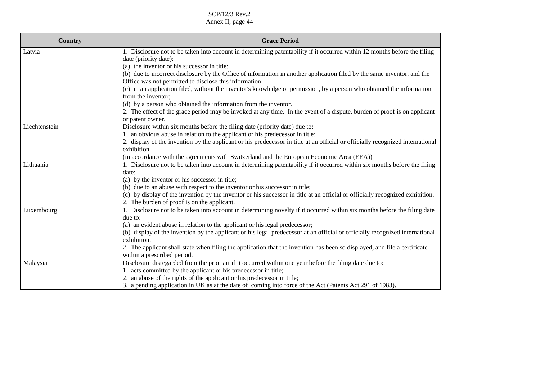| <b>Country</b> | <b>Grace Period</b>                                                                                                                                                          |
|----------------|------------------------------------------------------------------------------------------------------------------------------------------------------------------------------|
| Latvia         | 1. Disclosure not to be taken into account in determining patentability if it occurred within 12 months before the filing<br>date (priority date):                           |
|                | (a) the inventor or his successor in title;<br>(b) due to incorrect disclosure by the Office of information in another application filed by the same inventor, and the       |
|                | Office was not permitted to disclose this information;                                                                                                                       |
|                | (c) in an application filed, without the inventor's knowledge or permission, by a person who obtained the information                                                        |
|                | from the inventor;                                                                                                                                                           |
|                | (d) by a person who obtained the information from the inventor.                                                                                                              |
|                | 2. The effect of the grace period may be invoked at any time. In the event of a dispute, burden of proof is on applicant                                                     |
| Liechtenstein  | or patent owner.<br>Disclosure within six months before the filing date (priority date) due to:                                                                              |
|                | 1. an obvious abuse in relation to the applicant or his predecessor in title;                                                                                                |
|                | 2. display of the invention by the applicant or his predecessor in title at an official or officially recognized international                                               |
|                | exhibition.                                                                                                                                                                  |
|                | (in accordance with the agreements with Switzerland and the European Economic Area (EEA))                                                                                    |
| Lithuania      | 1. Disclosure not to be taken into account in determining patentability if it occurred within six months before the filing                                                   |
|                | date:                                                                                                                                                                        |
|                | (a) by the inventor or his successor in title;                                                                                                                               |
|                | (b) due to an abuse with respect to the inventor or his successor in title;                                                                                                  |
|                | (c) by display of the invention by the inventor or his successor in title at an official or officially recognized exhibition.<br>2. The burden of proof is on the applicant. |
| Luxembourg     | 1. Disclosure not to be taken into account in determining novelty if it occurred within six months before the filing date                                                    |
|                | due to:                                                                                                                                                                      |
|                | (a) an evident abuse in relation to the applicant or his legal predecessor;                                                                                                  |
|                | (b) display of the invention by the applicant or his legal predecessor at an official or officially recognized international<br>exhibition.                                  |
|                | 2. The applicant shall state when filing the application that the invention has been so displayed, and file a certificate                                                    |
|                | within a prescribed period.                                                                                                                                                  |
| Malaysia       | Disclosure disregarded from the prior art if it occurred within one year before the filing date due to:                                                                      |
|                | 1. acts committed by the applicant or his predecessor in title;                                                                                                              |
|                | 2. an abuse of the rights of the applicant or his predecessor in title;                                                                                                      |
|                | 3. a pending application in UK as at the date of coming into force of the Act (Patents Act 291 of 1983).                                                                     |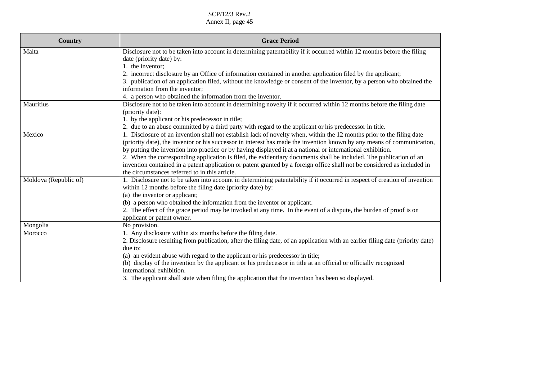| Country               | <b>Grace Period</b>                                                                                                            |
|-----------------------|--------------------------------------------------------------------------------------------------------------------------------|
| Malta                 | Disclosure not to be taken into account in determining patentability if it occurred within 12 months before the filing         |
|                       | date (priority date) by:                                                                                                       |
|                       | 1. the inventor;                                                                                                               |
|                       | 2. incorrect disclosure by an Office of information contained in another application filed by the applicant;                   |
|                       | 3. publication of an application filed, without the knowledge or consent of the inventor, by a person who obtained the         |
|                       | information from the inventor;                                                                                                 |
|                       | 4. a person who obtained the information from the inventor.                                                                    |
| Mauritius             | Disclosure not to be taken into account in determining novelty if it occurred within 12 months before the filing date          |
|                       | (priority date):                                                                                                               |
|                       | 1. by the applicant or his predecessor in title;                                                                               |
|                       | 2. due to an abuse committed by a third party with regard to the applicant or his predecessor in title.                        |
| Mexico                | 1. Disclosure of an invention shall not establish lack of novelty when, within the 12 months prior to the filing date          |
|                       | (priority date), the inventor or his successor in interest has made the invention known by any means of communication,         |
|                       | by putting the invention into practice or by having displayed it at a national or international exhibition.                    |
|                       | 2. When the corresponding application is filed, the evidentiary documents shall be included. The publication of an             |
|                       | invention contained in a patent application or patent granted by a foreign office shall not be considered as included in       |
|                       | the circumstances referred to in this article.                                                                                 |
| Moldova (Republic of) | 1. Disclosure not to be taken into account in determining patentability if it occurred in respect of creation of invention     |
|                       | within 12 months before the filing date (priority date) by:                                                                    |
|                       | (a) the inventor or applicant;                                                                                                 |
|                       | (b) a person who obtained the information from the inventor or applicant.                                                      |
|                       | 2. The effect of the grace period may be invoked at any time. In the event of a dispute, the burden of proof is on             |
|                       | applicant or patent owner.                                                                                                     |
| Mongolia              | No provision.                                                                                                                  |
| Morocco               | 1. Any disclosure within six months before the filing date.                                                                    |
|                       | 2. Disclosure resulting from publication, after the filing date, of an application with an earlier filing date (priority date) |
|                       | due to:                                                                                                                        |
|                       | (a) an evident abuse with regard to the applicant or his predecessor in title;                                                 |
|                       | (b) display of the invention by the applicant or his predecessor in title at an official or officially recognized              |
|                       | international exhibition.                                                                                                      |
|                       | 3. The applicant shall state when filing the application that the invention has been so displayed.                             |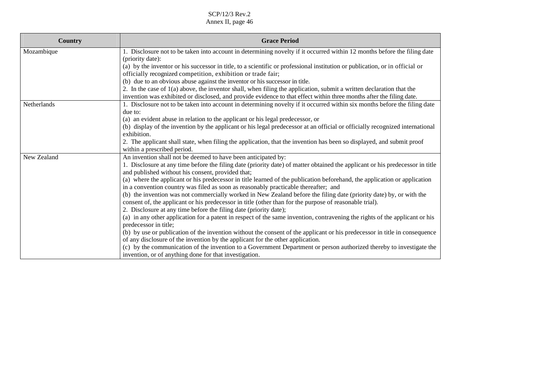| Country     | <b>Grace Period</b>                                                                                                                                                                                                                          |
|-------------|----------------------------------------------------------------------------------------------------------------------------------------------------------------------------------------------------------------------------------------------|
| Mozambique  | 1. Disclosure not to be taken into account in determining novelty if it occurred within 12 months before the filing date<br>(priority date):                                                                                                 |
|             | (a) by the inventor or his successor in title, to a scientific or professional institution or publication, or in official or<br>officially recognized competition, exhibition or trade fair;                                                 |
|             | (b) due to an obvious abuse against the inventor or his successor in title.                                                                                                                                                                  |
|             | 2. In the case of 1(a) above, the inventor shall, when filing the application, submit a written declaration that the<br>invention was exhibited or disclosed, and provide evidence to that effect within three months after the filing date. |
| Netherlands | 1. Disclosure not to be taken into account in determining novelty if it occurred within six months before the filing date<br>due to:                                                                                                         |
|             | (a) an evident abuse in relation to the applicant or his legal predecessor, or                                                                                                                                                               |
|             | (b) display of the invention by the applicant or his legal predecessor at an official or officially recognized international<br>exhibition.                                                                                                  |
|             | 2. The applicant shall state, when filing the application, that the invention has been so displayed, and submit proof<br>within a prescribed period.                                                                                         |
| New Zealand | An invention shall not be deemed to have been anticipated by:                                                                                                                                                                                |
|             | 1. Disclosure at any time before the filing date (priority date) of matter obtained the applicant or his predecessor in title<br>and published without his consent, provided that;                                                           |
|             | (a) where the applicant or his predecessor in title learned of the publication beforehand, the application or application<br>in a convention country was filed as soon as reasonably practicable thereafter; and                             |
|             | (b) the invention was not commercially worked in New Zealand before the filing date (priority date) by, or with the<br>consent of, the applicant or his predecessor in title (other than for the purpose of reasonable trial).               |
|             | 2. Disclosure at any time before the filing date (priority date);                                                                                                                                                                            |
|             | (a) in any other application for a patent in respect of the same invention, contravening the rights of the applicant or his<br>predecessor in title;                                                                                         |
|             | (b) by use or publication of the invention without the consent of the applicant or his predecessor in title in consequence<br>of any disclosure of the invention by the applicant for the other application.                                 |
|             | (c) by the communication of the invention to a Government Department or person authorized thereby to investigate the<br>invention, or of anything done for that investigation.                                                               |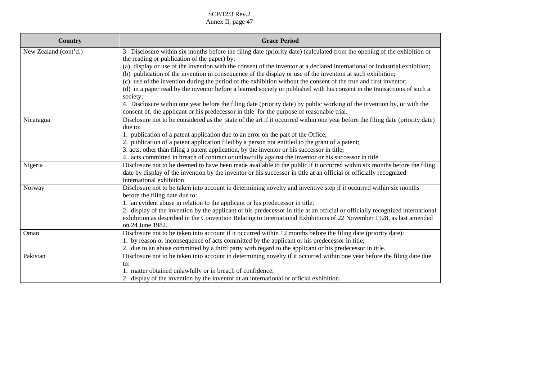| <b>Country</b>        | <b>Grace Period</b>                                                                                                                  |
|-----------------------|--------------------------------------------------------------------------------------------------------------------------------------|
| New Zealand (cont'd.) | 3. Disclosure within six months before the filing date (priority date) (calculated from the opening of the exhibition or             |
|                       | the reading or publication of the paper) by:                                                                                         |
|                       | (a) display or use of the invention with the consent of the inventor at a declared international or industrial exhibition;           |
|                       | (b) publication of the invention in consequence of the display or use of the invention at such exhibition;                           |
|                       | (c) use of the invention during the period of the exhibition without the consent of the true and first inventor;                     |
|                       | (d) in a paper read by the inventor before a learned society or published with his consent in the transactions of such a<br>society; |
|                       | 4. Disclosure within one year before the filing date (priority date) by public working of the invention by, or with the              |
|                       | consent of, the applicant or his predecessor in title for the purpose of reasonable trial.                                           |
| Nicaragua             | Disclosure not to be considered as the state of the art if it occurred within one year before the filing date (priority date)        |
|                       | due to:                                                                                                                              |
|                       | 1. publication of a patent application due to an error on the part of the Office;                                                    |
|                       | 2. publication of a patent application filed by a person not entitled to the grant of a patent;                                      |
|                       | 3. acts, other than filing a patent application, by the inventor or his successor in title;                                          |
|                       | 4. acts committed in breach of contract or unlawfully against the inventor or his successor in title.                                |
| Nigeria               | Disclosure not to be deemed to have been made available to the public if it occurred within six months before the filing             |
|                       | date by display of the invention by the inventor or his successor in title at an official or officially recognized                   |
|                       | international exhibition.                                                                                                            |
| Norway                | Disclosure not to be taken into account in determining novelty and inventive step if it occurred within six months                   |
|                       | before the filing date due to:                                                                                                       |
|                       | 1. an evident abuse in relation to the applicant or his predecessor in title;                                                        |
|                       | 2. display of the invention by the applicant or his predecessor in title at an official or officially recognized international       |
|                       | exhibition as described in the Convention Relating to International Exhibitions of 22 November 1928, as last amended                 |
|                       | on 24 June 1982.                                                                                                                     |
| Oman                  | Disclosure not to be taken into account if it occurred within 12 months before the filing date (priority date):                      |
|                       | 1. by reason or inconsequence of acts committed by the applicant or his predecessor in title;                                        |
|                       | 2. due to an abuse committed by a third party with regard to the applicant or his predecessor in title.                              |
| Pakistan              | Disclosure not to be taken into account in determining novelty if it occurred within one year before the filing date due             |
|                       | to:                                                                                                                                  |
|                       | 1. matter obtained unlawfully or in breach of confidence;                                                                            |
|                       | 2. display of the invention by the inventor at an international or official exhibition.                                              |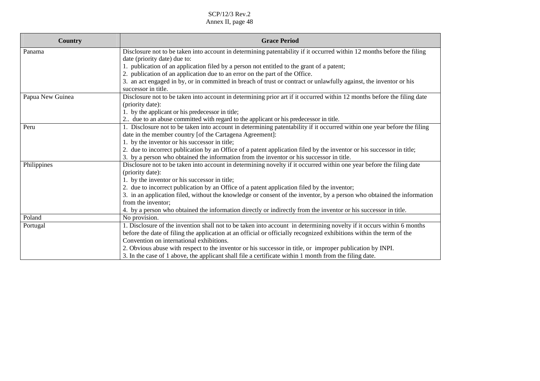| Country          | <b>Grace Period</b>                                                                                                      |
|------------------|--------------------------------------------------------------------------------------------------------------------------|
| Panama           | Disclosure not to be taken into account in determining patentability if it occurred within 12 months before the filing   |
|                  | date (priority date) due to:                                                                                             |
|                  | 1. publication of an application filed by a person not entitled to the grant of a patent;                                |
|                  | 2. publication of an application due to an error on the part of the Office.                                              |
|                  | 3. an act engaged in by, or in committed in breach of trust or contract or unlawfully against, the inventor or his       |
|                  | successor in title.                                                                                                      |
| Papua New Guinea | Disclosure not to be taken into account in determining prior art if it occurred within 12 months before the filing date  |
|                  | (priority date):                                                                                                         |
|                  | 1. by the applicant or his predecessor in title;                                                                         |
|                  | 2 due to an abuse committed with regard to the applicant or his predecessor in title.                                    |
| Peru             | 1. Disclosure not to be taken into account in determining patentability if it occurred within one year before the filing |
|                  | date in the member country [of the Cartagena Agreement]:                                                                 |
|                  | 1. by the inventor or his successor in title;                                                                            |
|                  | 2. due to incorrect publication by an Office of a patent application filed by the inventor or his successor in title;    |
|                  | 3. by a person who obtained the information from the inventor or his successor in title.                                 |
| Philippines      | Disclosure not to be taken into account in determining novelty if it occurred within one year before the filing date     |
|                  | (priority date):                                                                                                         |
|                  | 1. by the inventor or his successor in title;                                                                            |
|                  | 2. due to incorrect publication by an Office of a patent application filed by the inventor;                              |
|                  | 3. in an application filed, without the knowledge or consent of the inventor, by a person who obtained the information   |
|                  | from the inventor;                                                                                                       |
|                  | 4. by a person who obtained the information directly or indirectly from the inventor or his successor in title.          |
| Poland           | No provision.                                                                                                            |
| Portugal         | 1. Disclosure of the invention shall not to be taken into account in determining novelty if it occurs within 6 months    |
|                  | before the date of filing the application at an official or officially recognized exhibitions within the term of the     |
|                  | Convention on international exhibitions.                                                                                 |
|                  | 2. Obvious abuse with respect to the inventor or his successor in title, or improper publication by INPI.                |
|                  | 3. In the case of 1 above, the applicant shall file a certificate within 1 month from the filing date.                   |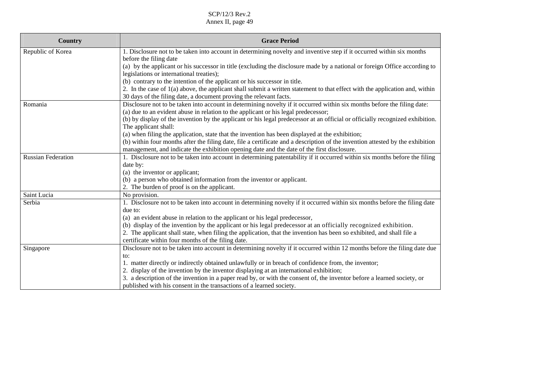| <b>Country</b>            | <b>Grace Period</b>                                                                                                            |
|---------------------------|--------------------------------------------------------------------------------------------------------------------------------|
| Republic of Korea         | 1. Disclosure not to be taken into account in determining novelty and inventive step if it occurred within six months          |
|                           | before the filing date                                                                                                         |
|                           | (a) by the applicant or his successor in title (excluding the disclosure made by a national or foreign Office according to     |
|                           | legislations or international treaties);                                                                                       |
|                           | (b) contrary to the intention of the applicant or his successor in title.                                                      |
|                           | 2. In the case of $1(a)$ above, the applicant shall submit a written statement to that effect with the application and, within |
|                           | 30 days of the filing date, a document proving the relevant facts.                                                             |
| Romania                   | Disclosure not to be taken into account in determining novelty if it occurred within six months before the filing date:        |
|                           | (a) due to an evident abuse in relation to the applicant or his legal predecessor;                                             |
|                           | (b) by display of the invention by the applicant or his legal predecessor at an official or officially recognized exhibition.  |
|                           | The applicant shall:                                                                                                           |
|                           | (a) when filing the application, state that the invention has been displayed at the exhibition;                                |
|                           | (b) within four months after the filing date, file a certificate and a description of the invention attested by the exhibition |
|                           | management, and indicate the exhibition opening date and the date of the first disclosure.                                     |
| <b>Russian Federation</b> | 1. Disclosure not to be taken into account in determining patentability if it occurred within six months before the filing     |
|                           | date by:                                                                                                                       |
|                           | (a) the inventor or applicant;                                                                                                 |
|                           | (b) a person who obtained information from the inventor or applicant.                                                          |
|                           | 2. The burden of proof is on the applicant.                                                                                    |
| Saint Lucia               | No provision.                                                                                                                  |
| Serbia                    | 1. Disclosure not to be taken into account in determining novelty if it occurred within six months before the filing date      |
|                           | due to:                                                                                                                        |
|                           | (a) an evident abuse in relation to the applicant or his legal predecessor,                                                    |
|                           | (b) display of the invention by the applicant or his legal predecessor at an officially recognized exhibition.                 |
|                           | 2. The applicant shall state, when filing the application, that the invention has been so exhibited, and shall file a          |
|                           | certificate within four months of the filing date.                                                                             |
| Singapore                 | Disclosure not to be taken into account in determining novelty if it occurred within 12 months before the filing date due      |
|                           | to:                                                                                                                            |
|                           | 1. matter directly or indirectly obtained unlawfully or in breach of confidence from, the inventor;                            |
|                           | 2. display of the invention by the inventor displaying at an international exhibition;                                         |
|                           | 3. a description of the invention in a paper read by, or with the consent of, the inventor before a learned society, or        |
|                           | published with his consent in the transactions of a learned society.                                                           |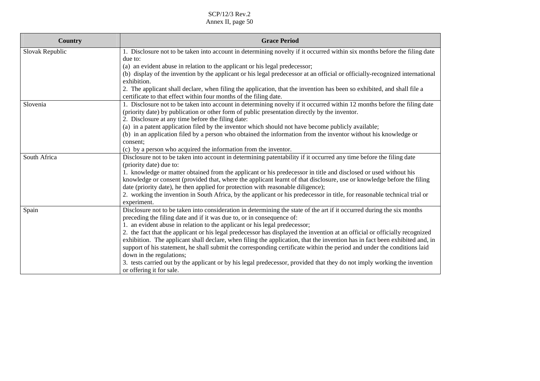| <b>Country</b>  | <b>Grace Period</b>                                                                                                                                                                                        |
|-----------------|------------------------------------------------------------------------------------------------------------------------------------------------------------------------------------------------------------|
| Slovak Republic | 1. Disclosure not to be taken into account in determining novelty if it occurred within six months before the filing date                                                                                  |
|                 | due to:                                                                                                                                                                                                    |
|                 | (a) an evident abuse in relation to the applicant or his legal predecessor;                                                                                                                                |
|                 | (b) display of the invention by the applicant or his legal predecessor at an official or officially-recognized international<br>exhibition.                                                                |
|                 | 2. The applicant shall declare, when filing the application, that the invention has been so exhibited, and shall file a                                                                                    |
|                 | certificate to that effect within four months of the filing date.                                                                                                                                          |
| Slovenia        | 1. Disclosure not to be taken into account in determining novelty if it occurred within 12 months before the filing date                                                                                   |
|                 | (priority date) by publication or other form of public presentation directly by the inventor.                                                                                                              |
|                 | 2. Disclosure at any time before the filing date:                                                                                                                                                          |
|                 | (a) in a patent application filed by the inventor which should not have become publicly available;                                                                                                         |
|                 | (b) in an application filed by a person who obtained the information from the inventor without his knowledge or                                                                                            |
|                 | consent;                                                                                                                                                                                                   |
|                 | (c) by a person who acquired the information from the inventor.                                                                                                                                            |
| South Africa    | Disclosure not to be taken into account in determining patentability if it occurred any time before the filing date                                                                                        |
|                 | (priority date) due to:                                                                                                                                                                                    |
|                 | 1. knowledge or matter obtained from the applicant or his predecessor in title and disclosed or used without his                                                                                           |
|                 | knowledge or consent (provided that, where the applicant learnt of that disclosure, use or knowledge before the filing<br>date (priority date), he then applied for protection with reasonable diligence); |
|                 | 2. working the invention in South Africa, by the applicant or his predecessor in title, for reasonable technical trial or                                                                                  |
|                 | experiment.                                                                                                                                                                                                |
| Spain           | Disclosure not to be taken into consideration in determining the state of the art if it occurred during the six months                                                                                     |
|                 | preceding the filing date and if it was due to, or in consequence of:                                                                                                                                      |
|                 | 1. an evident abuse in relation to the applicant or his legal predecessor;                                                                                                                                 |
|                 | 2. the fact that the applicant or his legal predecessor has displayed the invention at an official or officially recognized                                                                                |
|                 | exhibition. The applicant shall declare, when filing the application, that the invention has in fact been exhibited and, in                                                                                |
|                 | support of his statement, he shall submit the corresponding certificate within the period and under the conditions laid                                                                                    |
|                 | down in the regulations;                                                                                                                                                                                   |
|                 | 3. tests carried out by the applicant or by his legal predecessor, provided that they do not imply working the invention                                                                                   |
|                 | or offering it for sale.                                                                                                                                                                                   |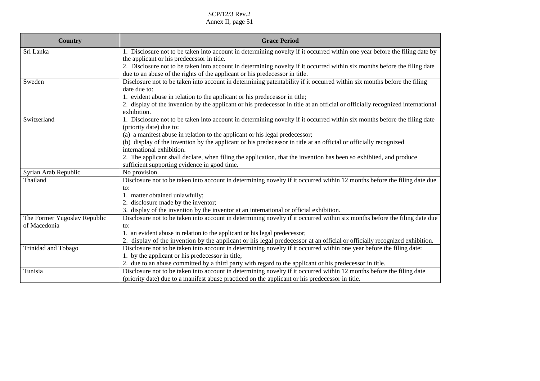| <b>Country</b>               | <b>Grace Period</b>                                                                                                            |
|------------------------------|--------------------------------------------------------------------------------------------------------------------------------|
| Sri Lanka                    | 1. Disclosure not to be taken into account in determining novelty if it occurred within one year before the filing date by     |
|                              | the applicant or his predecessor in title.                                                                                     |
|                              | 2. Disclosure not to be taken into account in determining novelty if it occurred within six months before the filing date      |
|                              | due to an abuse of the rights of the applicant or his predecessor in title.                                                    |
| Sweden                       | Disclosure not to be taken into account in determining patentability if it occurred within six months before the filing        |
|                              | date due to:                                                                                                                   |
|                              | 1. evident abuse in relation to the applicant or his predecessor in title;                                                     |
|                              | 2. display of the invention by the applicant or his predecessor in title at an official or officially recognized international |
|                              | exhibition.                                                                                                                    |
| Switzerland                  | 1. Disclosure not to be taken into account in determining novelty if it occurred within six months before the filing date      |
|                              | (priority date) due to:                                                                                                        |
|                              | (a) a manifest abuse in relation to the applicant or his legal predecessor;                                                    |
|                              | (b) display of the invention by the applicant or his predecessor in title at an official or officially recognized              |
|                              | international exhibition.                                                                                                      |
|                              | 2. The applicant shall declare, when filing the application, that the invention has been so exhibited, and produce             |
|                              | sufficient supporting evidence in good time.                                                                                   |
| Syrian Arab Republic         | No provision.                                                                                                                  |
| Thailand                     | Disclosure not to be taken into account in determining novelty if it occurred within 12 months before the filing date due      |
|                              | to:                                                                                                                            |
|                              | 1. matter obtained unlawfully;                                                                                                 |
|                              | 2. disclosure made by the inventor;                                                                                            |
|                              | 3. display of the invention by the inventor at an international or official exhibition.                                        |
| The Former Yugoslav Republic | Disclosure not to be taken into account in determining novelty if it occurred within six months before the filing date due     |
| of Macedonia                 | to:                                                                                                                            |
|                              | 1. an evident abuse in relation to the applicant or his legal predecessor;                                                     |
|                              | 2. display of the invention by the applicant or his legal predecessor at an official or officially recognized exhibition.      |
| Trinidad and Tobago          | Disclosure not to be taken into account in determining novelty if it occurred within one year before the filing date:          |
|                              | 1. by the applicant or his predecessor in title;                                                                               |
|                              | 2. due to an abuse committed by a third party with regard to the applicant or his predecessor in title.                        |
| Tunisia                      | Disclosure not to be taken into account in determining novelty if it occurred within 12 months before the filing date          |
|                              | (priority date) due to a manifest abuse practiced on the applicant or his predecessor in title.                                |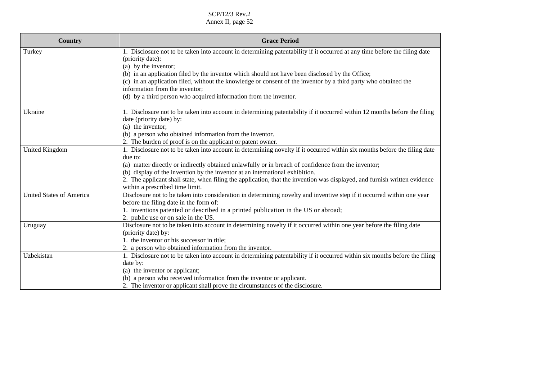| Country                         | <b>Grace Period</b>                                                                                                                                          |
|---------------------------------|--------------------------------------------------------------------------------------------------------------------------------------------------------------|
| Turkey                          | 1. Disclosure not to be taken into account in determining patentability if it occurred at any time before the filing date<br>(priority date):                |
|                                 | (a) by the inventor;                                                                                                                                         |
|                                 | (b) in an application filed by the inventor which should not have been disclosed by the Office;                                                              |
|                                 | (c) in an application filed, without the knowledge or consent of the inventor by a third party who obtained the<br>information from the inventor;            |
|                                 | (d) by a third person who acquired information from the inventor.                                                                                            |
| Ukraine                         | 1. Disclosure not to be taken into account in determining patentability if it occurred within 12 months before the filing<br>date (priority date) by:        |
|                                 | (a) the inventor;                                                                                                                                            |
|                                 | (b) a person who obtained information from the inventor.                                                                                                     |
|                                 | 2. The burden of proof is on the applicant or patent owner.                                                                                                  |
| <b>United Kingdom</b>           | 1. Disclosure not to be taken into account in determining novelty if it occurred within six months before the filing date                                    |
|                                 | due to:                                                                                                                                                      |
|                                 | (a) matter directly or indirectly obtained unlawfully or in breach of confidence from the inventor;                                                          |
|                                 | (b) display of the invention by the inventor at an international exhibition.                                                                                 |
|                                 | 2. The applicant shall state, when filing the application, that the invention was displayed, and furnish written evidence<br>within a prescribed time limit. |
| <b>United States of America</b> | Disclosure not to be taken into consideration in determining novelty and inventive step if it occurred within one year                                       |
|                                 | before the filing date in the form of:                                                                                                                       |
|                                 | 1. inventions patented or described in a printed publication in the US or abroad;                                                                            |
|                                 | 2. public use or on sale in the US.                                                                                                                          |
| Uruguay                         | Disclosure not to be taken into account in determining novelty if it occurred within one year before the filing date                                         |
|                                 | (priority date) by:                                                                                                                                          |
|                                 | 1. the inventor or his successor in title;                                                                                                                   |
|                                 | 2. a person who obtained information from the inventor.                                                                                                      |
| Uzbekistan                      | 1. Disclosure not to be taken into account in determining patentability if it occurred within six months before the filing                                   |
|                                 | date by:                                                                                                                                                     |
|                                 | (a) the inventor or applicant;                                                                                                                               |
|                                 | (b) a person who received information from the inventor or applicant.                                                                                        |
|                                 | 2. The inventor or applicant shall prove the circumstances of the disclosure.                                                                                |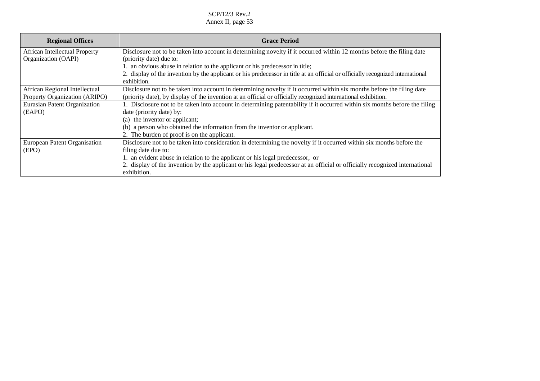| <b>Regional Offices</b>              | <b>Grace Period</b>                                                                                                                           |
|--------------------------------------|-----------------------------------------------------------------------------------------------------------------------------------------------|
| <b>African Intellectual Property</b> | Disclosure not to be taken into account in determining novelty if it occurred within 12 months before the filing date                         |
| Organization (OAPI)                  | (priority date) due to:                                                                                                                       |
|                                      | 1. an obvious abuse in relation to the applicant or his predecessor in title;                                                                 |
|                                      | 2. display of the invention by the applicant or his predecessor in title at an official or officially recognized international<br>exhibition. |
| African Regional Intellectual        | Disclosure not to be taken into account in determining novelty if it occurred within six months before the filing date                        |
| Property Organization (ARIPO)        | (priority date), by display of the invention at an official or officially recognized international exhibition.                                |
| Eurasian Patent Organization         | 1. Disclosure not to be taken into account in determining patentability if it occurred within six months before the filing                    |
| (EAPO)                               | date (priority date) by:                                                                                                                      |
|                                      | (a) the inventor or applicant;                                                                                                                |
|                                      | (b) a person who obtained the information from the inventor or applicant.                                                                     |
|                                      | 2. The burden of proof is on the applicant.                                                                                                   |
| European Patent Organisation         | Disclosure not to be taken into consideration in determining the novelty if it occurred within six months before the                          |
| (EPO)                                | filing date due to:                                                                                                                           |
|                                      | 1. an evident abuse in relation to the applicant or his legal predecessor, or                                                                 |
|                                      | 2. display of the invention by the applicant or his legal predecessor at an official or officially recognized international<br>exhibition.    |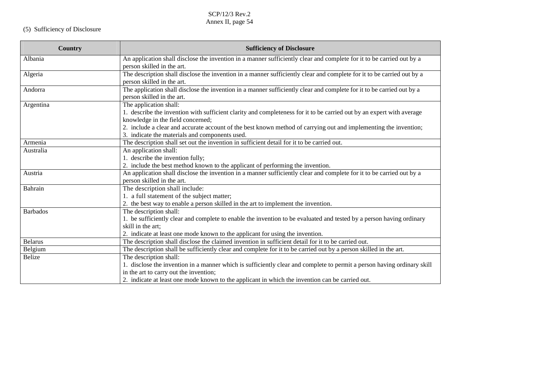# (5) Sufficiency of Disclosure

| Country         | <b>Sufficiency of Disclosure</b>                                                                                        |
|-----------------|-------------------------------------------------------------------------------------------------------------------------|
| Albania         | An application shall disclose the invention in a manner sufficiently clear and complete for it to be carried out by a   |
|                 | person skilled in the art.                                                                                              |
| Algeria         | The description shall disclose the invention in a manner sufficiently clear and complete for it to be carried out by a  |
|                 | person skilled in the art.                                                                                              |
| Andorra         | The application shall disclose the invention in a manner sufficiently clear and complete for it to be carried out by a  |
|                 | person skilled in the art.                                                                                              |
| Argentina       | The application shall:                                                                                                  |
|                 | 1. describe the invention with sufficient clarity and completeness for it to be carried out by an expert with average   |
|                 | knowledge in the field concerned;                                                                                       |
|                 | 2. include a clear and accurate account of the best known method of carrying out and implementing the invention;        |
|                 | 3. indicate the materials and components used.                                                                          |
| Armenia         | The description shall set out the invention in sufficient detail for it to be carried out.                              |
| Australia       | An application shall:                                                                                                   |
|                 | 1. describe the invention fully;                                                                                        |
|                 | 2. include the best method known to the applicant of performing the invention.                                          |
| Austria         | An application shall disclose the invention in a manner sufficiently clear and complete for it to be carried out by a   |
|                 | person skilled in the art.                                                                                              |
| Bahrain         | The description shall include:                                                                                          |
|                 | 1. a full statement of the subject matter;                                                                              |
|                 | 2. the best way to enable a person skilled in the art to implement the invention.                                       |
| <b>Barbados</b> | The description shall:                                                                                                  |
|                 | 1. be sufficiently clear and complete to enable the invention to be evaluated and tested by a person having ordinary    |
|                 | skill in the art:                                                                                                       |
|                 | 2. indicate at least one mode known to the applicant for using the invention.                                           |
| <b>Belarus</b>  | The description shall disclose the claimed invention in sufficient detail for it to be carried out.                     |
| Belgium         | The description shall be sufficiently clear and complete for it to be carried out by a person skilled in the art.       |
| <b>Belize</b>   | The description shall:                                                                                                  |
|                 | 1. disclose the invention in a manner which is sufficiently clear and complete to permit a person having ordinary skill |
|                 | in the art to carry out the invention;                                                                                  |
|                 | 2. indicate at least one mode known to the applicant in which the invention can be carried out.                         |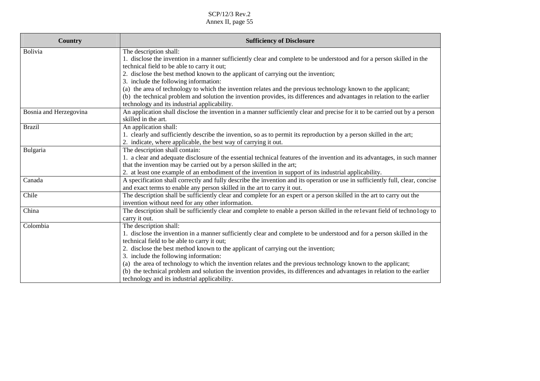| <b>Country</b>         | <b>Sufficiency of Disclosure</b>                                                                                                                                            |
|------------------------|-----------------------------------------------------------------------------------------------------------------------------------------------------------------------------|
| Bolivia                | The description shall:                                                                                                                                                      |
|                        | 1. disclose the invention in a manner sufficiently clear and complete to be understood and for a person skilled in the                                                      |
|                        | technical field to be able to carry it out;                                                                                                                                 |
|                        | 2. disclose the best method known to the applicant of carrying out the invention;                                                                                           |
|                        | 3. include the following information:                                                                                                                                       |
|                        | (a) the area of technology to which the invention relates and the previous technology known to the applicant;                                                               |
|                        | (b) the technical problem and solution the invention provides, its differences and advantages in relation to the earlier                                                    |
|                        | technology and its industrial applicability.<br>An application shall disclose the invention in a manner sufficiently clear and precise for it to be carried out by a person |
| Bosnia and Herzegovina | skilled in the art.                                                                                                                                                         |
| <b>Brazil</b>          | An application shall:                                                                                                                                                       |
|                        | 1. clearly and sufficiently describe the invention, so as to permit its reproduction by a person skilled in the art;                                                        |
|                        | 2. indicate, where applicable, the best way of carrying it out.                                                                                                             |
| Bulgaria               | The description shall contain:                                                                                                                                              |
|                        | 1. a clear and adequate disclosure of the essential technical features of the invention and its advantages, in such manner                                                  |
|                        | that the invention may be carried out by a person skilled in the art;                                                                                                       |
|                        | 2. at least one example of an embodiment of the invention in support of its industrial applicability.                                                                       |
| Canada                 | A specification shall correctly and fully describe the invention and its operation or use in sufficiently full, clear, concise                                              |
|                        | and exact terms to enable any person skilled in the art to carry it out.                                                                                                    |
| Chile                  | The description shall be sufficiently clear and complete for an expert or a person skilled in the art to carry out the                                                      |
|                        | invention without need for any other information.                                                                                                                           |
| China                  | The description shall be sufficiently clear and complete to enable a person skilled in the relevant field of technology to                                                  |
|                        | carry it out.                                                                                                                                                               |
| Colombia               | The description shall:                                                                                                                                                      |
|                        | 1. disclose the invention in a manner sufficiently clear and complete to be understood and for a person skilled in the                                                      |
|                        | technical field to be able to carry it out;                                                                                                                                 |
|                        | 2. disclose the best method known to the applicant of carrying out the invention;                                                                                           |
|                        | 3. include the following information:                                                                                                                                       |
|                        | (a) the area of technology to which the invention relates and the previous technology known to the applicant;                                                               |
|                        | (b) the technical problem and solution the invention provides, its differences and advantages in relation to the earlier                                                    |
|                        | technology and its industrial applicability.                                                                                                                                |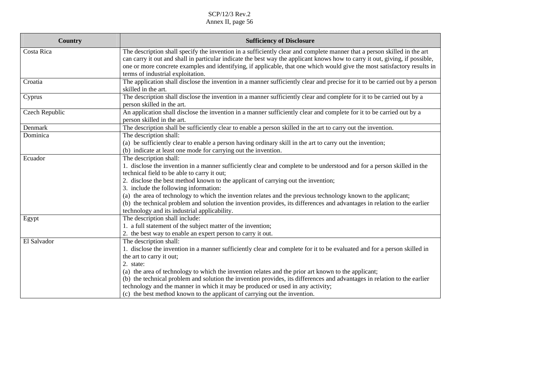| <b>Country</b> | <b>Sufficiency of Disclosure</b>                                                                                                                                                                                                                                                                                                                                                                                                                                                                                                                                                                                           |
|----------------|----------------------------------------------------------------------------------------------------------------------------------------------------------------------------------------------------------------------------------------------------------------------------------------------------------------------------------------------------------------------------------------------------------------------------------------------------------------------------------------------------------------------------------------------------------------------------------------------------------------------------|
| Costa Rica     | The description shall specify the invention in a sufficiently clear and complete manner that a person skilled in the art<br>can carry it out and shall in particular indicate the best way the applicant knows how to carry it out, giving, if possible,<br>one or more concrete examples and identifying, if applicable, that one which would give the most satisfactory results in<br>terms of industrial exploitation.                                                                                                                                                                                                  |
| Croatia        | The application shall disclose the invention in a manner sufficiently clear and precise for it to be carried out by a person<br>skilled in the art.                                                                                                                                                                                                                                                                                                                                                                                                                                                                        |
| Cyprus         | The description shall disclose the invention in a manner sufficiently clear and complete for it to be carried out by a<br>person skilled in the art.                                                                                                                                                                                                                                                                                                                                                                                                                                                                       |
| Czech Republic | An application shall disclose the invention in a manner sufficiently clear and complete for it to be carried out by a<br>person skilled in the art.                                                                                                                                                                                                                                                                                                                                                                                                                                                                        |
| Denmark        | The description shall be sufficiently clear to enable a person skilled in the art to carry out the invention.                                                                                                                                                                                                                                                                                                                                                                                                                                                                                                              |
| Dominica       | The description shall:<br>(a) be sufficiently clear to enable a person having ordinary skill in the art to carry out the invention;<br>(b) indicate at least one mode for carrying out the invention.                                                                                                                                                                                                                                                                                                                                                                                                                      |
| Ecuador        | The description shall:<br>1. disclose the invention in a manner sufficiently clear and complete to be understood and for a person skilled in the<br>technical field to be able to carry it out;<br>2. disclose the best method known to the applicant of carrying out the invention;<br>3. include the following information:<br>(a) the area of technology to which the invention relates and the previous technology known to the applicant;<br>(b) the technical problem and solution the invention provides, its differences and advantages in relation to the earlier<br>technology and its industrial applicability. |
| Egypt          | The description shall include:<br>1. a full statement of the subject matter of the invention;<br>2. the best way to enable an expert person to carry it out.                                                                                                                                                                                                                                                                                                                                                                                                                                                               |
| El Salvador    | The description shall:<br>1. disclose the invention in a manner sufficiently clear and complete for it to be evaluated and for a person skilled in<br>the art to carry it out;<br>2. state:<br>(a) the area of technology to which the invention relates and the prior art known to the applicant;<br>(b) the technical problem and solution the invention provides, its differences and advantages in relation to the earlier<br>technology and the manner in which it may be produced or used in any activity;<br>(c) the best method known to the applicant of carrying out the invention.                              |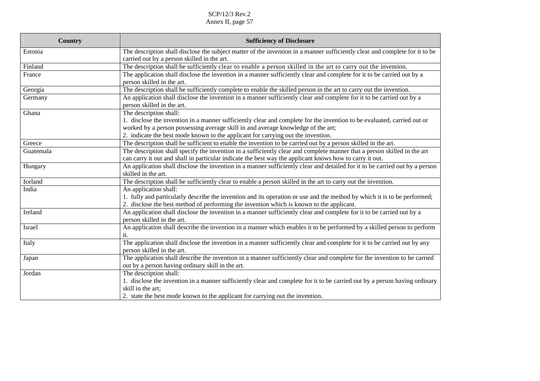| <b>Country</b> | <b>Sufficiency of Disclosure</b>                                                                                                                                                                                                                                                                |
|----------------|-------------------------------------------------------------------------------------------------------------------------------------------------------------------------------------------------------------------------------------------------------------------------------------------------|
| Estonia        | The description shall disclose the subject matter of the invention in a manner sufficiently clear and complete for it to be<br>carried out by a person skilled in the art.                                                                                                                      |
| Finland        | The description shall be sufficiently clear to enable a person skilled in the art to carry out the invention.                                                                                                                                                                                   |
| France         | The application shall disclose the invention in a manner sufficiently clear and complete for it to be carried out by a<br>person skilled in the art.                                                                                                                                            |
| Georgia        | The description shall be sufficiently complete to enable the skilled person in the art to carry out the invention.                                                                                                                                                                              |
| Germany        | An application shall disclose the invention in a manner sufficiently clear and complete for it to be carried out by a<br>person skilled in the art.                                                                                                                                             |
| Ghana          | The description shall:                                                                                                                                                                                                                                                                          |
|                | 1. disclose the invention in a manner sufficiently clear and complete for the invention to be evaluated, carried out or<br>worked by a person possessing average skill in and average knowledge of the art;<br>2. indicate the best mode known to the applicant for carrying out the invention. |
| Greece         | The description shall be sufficient to enable the invention to be carried out by a person skilled in the art.                                                                                                                                                                                   |
| Guatemala      | The description shall specify the invention in a sufficiently clear and complete manner that a person skilled in the art<br>can carry it out and shall in particular indicate the best way the applicant knows how to carry it out.                                                             |
| Hungary        | An application shall disclose the invention in a manner sufficiently clear and detailed for it to be carried out by a person<br>skilled in the art.                                                                                                                                             |
| Iceland        | The description shall be sufficiently clear to enable a person skilled in the art to carry out the invention.                                                                                                                                                                                   |
| India          | An application shall:<br>1. fully and particularly describe the invention and its operation or use and the method by which it is to be performed;<br>2. disclose the best method of performing the invention which is known to the applicant.                                                   |
| Ireland        | An application shall disclose the invention in a manner sufficiently clear and complete for it to be carried out by a<br>person skilled in the art.                                                                                                                                             |
| Israel         | An application shall describe the invention in a manner which enables it to be performed by a skilled person to perform<br>it.                                                                                                                                                                  |
| Italy          | The application shall disclose the invention in a manner sufficiently clear and complete for it to be carried out by any<br>person skilled in the art.                                                                                                                                          |
| Japan          | The application shall describe the invention in a manner sufficiently clear and complete for the invention to be carried<br>out by a person having ordinary skill in the art.                                                                                                                   |
| Jordan         | The description shall:<br>1. disclose the invention in a manner sufficiently clear and complete for it to be carried out by a person having ordinary<br>skill in the art;<br>2. state the best mode known to the applicant for carrying out the invention.                                      |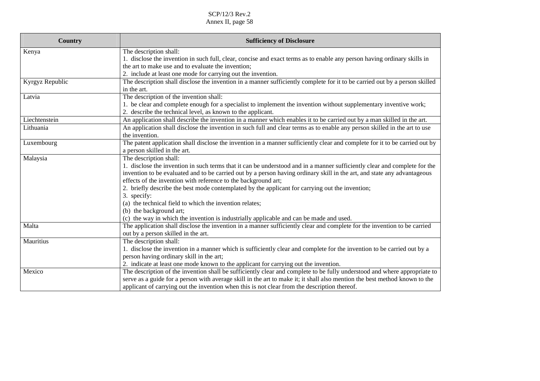| <b>Country</b>  | <b>Sufficiency of Disclosure</b>                                                                                            |
|-----------------|-----------------------------------------------------------------------------------------------------------------------------|
| Kenya           | The description shall:                                                                                                      |
|                 | 1. disclose the invention in such full, clear, concise and exact terms as to enable any person having ordinary skills in    |
|                 | the art to make use and to evaluate the invention;                                                                          |
|                 | 2. include at least one mode for carrying out the invention.                                                                |
| Kyrgyz Republic | The description shall disclose the invention in a manner sufficiently complete for it to be carried out by a person skilled |
|                 | in the art.                                                                                                                 |
| Latvia          | The description of the invention shall:                                                                                     |
|                 | 1. be clear and complete enough for a specialist to implement the invention without supplementary inventive work;           |
|                 | 2. describe the technical level, as known to the applicant.                                                                 |
| Liechtenstein   | An application shall describe the invention in a manner which enables it to be carried out by a man skilled in the art.     |
| Lithuania       | An application shall disclose the invention in such full and clear terms as to enable any person skilled in the art to use  |
|                 | the invention.                                                                                                              |
| Luxembourg      | The patent application shall disclose the invention in a manner sufficiently clear and complete for it to be carried out by |
|                 | a person skilled in the art.                                                                                                |
| Malaysia        | The description shall:                                                                                                      |
|                 | 1. disclose the invention in such terms that it can be understood and in a manner sufficiently clear and complete for the   |
|                 | invention to be evaluated and to be carried out by a person having ordinary skill in the art, and state any advantageous    |
|                 | effects of the invention with reference to the background art;                                                              |
|                 | 2. briefly describe the best mode contemplated by the applicant for carrying out the invention;                             |
|                 | 3. specify:                                                                                                                 |
|                 | (a) the technical field to which the invention relates;                                                                     |
|                 | (b) the background art;                                                                                                     |
|                 | (c) the way in which the invention is industrially applicable and can be made and used.                                     |
| Malta           | The application shall disclose the invention in a manner sufficiently clear and complete for the invention to be carried    |
|                 | out by a person skilled in the art.                                                                                         |
| Mauritius       | The description shall:                                                                                                      |
|                 | 1. disclose the invention in a manner which is sufficiently clear and complete for the invention to be carried out by a     |
|                 | person having ordinary skill in the art;                                                                                    |
|                 | 2. indicate at least one mode known to the applicant for carrying out the invention.                                        |
| Mexico          | The description of the invention shall be sufficiently clear and complete to be fully understood and where appropriate to   |
|                 | serve as a guide for a person with average skill in the art to make it; it shall also mention the best method known to the  |
|                 | applicant of carrying out the invention when this is not clear from the description thereof.                                |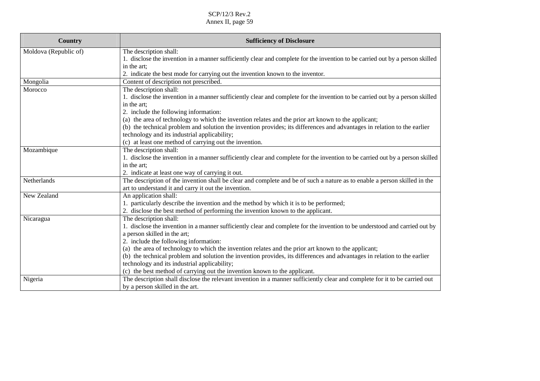| Country               | <b>Sufficiency of Disclosure</b>                                                                                              |
|-----------------------|-------------------------------------------------------------------------------------------------------------------------------|
| Moldova (Republic of) | The description shall:                                                                                                        |
|                       | 1. disclose the invention in a manner sufficiently clear and complete for the invention to be carried out by a person skilled |
|                       | in the art:                                                                                                                   |
|                       | 2. indicate the best mode for carrying out the invention known to the inventor.                                               |
| Mongolia              | Content of description not prescribed.                                                                                        |
| Morocco               | The description shall:                                                                                                        |
|                       | 1. disclose the invention in a manner sufficiently clear and complete for the invention to be carried out by a person skilled |
|                       | in the art;                                                                                                                   |
|                       | 2. include the following information:                                                                                         |
|                       | (a) the area of technology to which the invention relates and the prior art known to the applicant;                           |
|                       | (b) the technical problem and solution the invention provides; its differences and advantages in relation to the earlier      |
|                       | technology and its industrial applicability;                                                                                  |
|                       | (c) at least one method of carrying out the invention.                                                                        |
| Mozambique            | The description shall:                                                                                                        |
|                       | 1. disclose the invention in a manner sufficiently clear and complete for the invention to be carried out by a person skilled |
|                       | in the art;                                                                                                                   |
|                       | 2. indicate at least one way of carrying it out.                                                                              |
| Netherlands           | The description of the invention shall be clear and complete and be of such a nature as to enable a person skilled in the     |
|                       | art to understand it and carry it out the invention.                                                                          |
| New Zealand           | An application shall:                                                                                                         |
|                       | 1. particularly describe the invention and the method by which it is to be performed;                                         |
|                       | 2. disclose the best method of performing the invention known to the applicant.                                               |
| Nicaragua             | The description shall:                                                                                                        |
|                       | 1. disclose the invention in a manner sufficiently clear and complete for the invention to be understood and carried out by   |
|                       | a person skilled in the art;                                                                                                  |
|                       | 2. include the following information:                                                                                         |
|                       | (a) the area of technology to which the invention relates and the prior art known to the applicant;                           |
|                       | (b) the technical problem and solution the invention provides, its differences and advantages in relation to the earlier      |
|                       | technology and its industrial applicability;                                                                                  |
|                       | (c) the best method of carrying out the invention known to the applicant.                                                     |
| Nigeria               | The description shall disclose the relevant invention in a manner sufficiently clear and complete for it to be carried out    |
|                       | by a person skilled in the art.                                                                                               |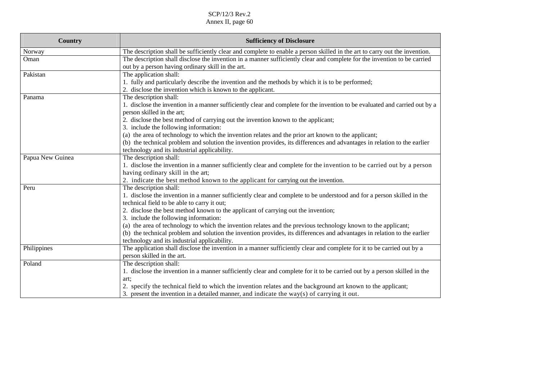| Country          | <b>Sufficiency of Disclosure</b>                                                                                                                                              |
|------------------|-------------------------------------------------------------------------------------------------------------------------------------------------------------------------------|
| Norway           | The description shall be sufficiently clear and complete to enable a person skilled in the art to carry out the invention.                                                    |
| Oman             | The description shall disclose the invention in a manner sufficiently clear and complete for the invention to be carried<br>out by a person having ordinary skill in the art. |
| Pakistan         | The application shall:                                                                                                                                                        |
|                  | 1. fully and particularly describe the invention and the methods by which it is to be performed;                                                                              |
|                  | 2. disclose the invention which is known to the applicant.                                                                                                                    |
| Panama           | The description shall:                                                                                                                                                        |
|                  | 1. disclose the invention in a manner sufficiently clear and complete for the invention to be evaluated and carried out by a<br>person skilled in the art;                    |
|                  | 2. disclose the best method of carrying out the invention known to the applicant;                                                                                             |
|                  | 3. include the following information:                                                                                                                                         |
|                  | (a) the area of technology to which the invention relates and the prior art known to the applicant;                                                                           |
|                  | (b) the technical problem and solution the invention provides, its differences and advantages in relation to the earlier                                                      |
|                  | technology and its industrial applicability.                                                                                                                                  |
| Papua New Guinea | The description shall:                                                                                                                                                        |
|                  | 1. disclose the invention in a manner sufficiently clear and complete for the invention to be carried out by a person                                                         |
|                  | having ordinary skill in the art;                                                                                                                                             |
|                  | 2. indicate the best method known to the applicant for carrying out the invention.                                                                                            |
| Peru             | The description shall:                                                                                                                                                        |
|                  | 1. disclose the invention in a manner sufficiently clear and complete to be understood and for a person skilled in the                                                        |
|                  | technical field to be able to carry it out;                                                                                                                                   |
|                  | 2. disclose the best method known to the applicant of carrying out the invention;                                                                                             |
|                  | 3. include the following information:                                                                                                                                         |
|                  | (a) the area of technology to which the invention relates and the previous technology known to the applicant;                                                                 |
|                  | (b) the technical problem and solution the invention provides, its differences and advantages in relation to the earlier                                                      |
|                  | technology and its industrial applicability.                                                                                                                                  |
| Philippines      | The application shall disclose the invention in a manner sufficiently clear and complete for it to be carried out by a                                                        |
|                  | person skilled in the art.                                                                                                                                                    |
| Poland           | The description shall:                                                                                                                                                        |
|                  | 1. disclose the invention in a manner sufficiently clear and complete for it to be carried out by a person skilled in the                                                     |
|                  | art:                                                                                                                                                                          |
|                  | 2. specify the technical field to which the invention relates and the background art known to the applicant;                                                                  |
|                  | 3. present the invention in a detailed manner, and indicate the way(s) of carrying it out.                                                                                    |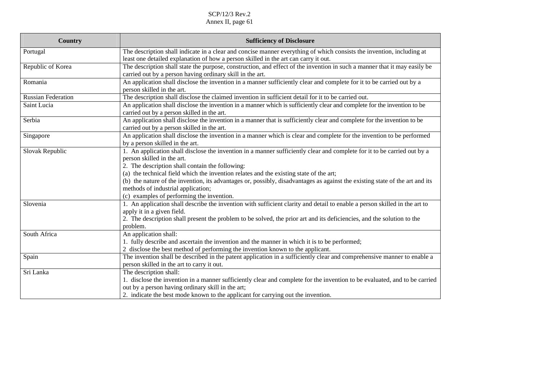| <b>Country</b>            | <b>Sufficiency of Disclosure</b>                                                                                                                                                                                                                                                                                                                                                                                                                                                                                       |
|---------------------------|------------------------------------------------------------------------------------------------------------------------------------------------------------------------------------------------------------------------------------------------------------------------------------------------------------------------------------------------------------------------------------------------------------------------------------------------------------------------------------------------------------------------|
| Portugal                  | The description shall indicate in a clear and concise manner everything of which consists the invention, including at<br>least one detailed explanation of how a person skilled in the art can carry it out.                                                                                                                                                                                                                                                                                                           |
| Republic of Korea         | The description shall state the purpose, construction, and effect of the invention in such a manner that it may easily be<br>carried out by a person having ordinary skill in the art.                                                                                                                                                                                                                                                                                                                                 |
| Romania                   | An application shall disclose the invention in a manner sufficiently clear and complete for it to be carried out by a<br>person skilled in the art.                                                                                                                                                                                                                                                                                                                                                                    |
| <b>Russian Federation</b> | The description shall disclose the claimed invention in sufficient detail for it to be carried out.                                                                                                                                                                                                                                                                                                                                                                                                                    |
| Saint Lucia               | An application shall disclose the invention in a manner which is sufficiently clear and complete for the invention to be<br>carried out by a person skilled in the art.                                                                                                                                                                                                                                                                                                                                                |
| Serbia                    | An application shall disclose the invention in a manner that is sufficiently clear and complete for the invention to be<br>carried out by a person skilled in the art.                                                                                                                                                                                                                                                                                                                                                 |
| Singapore                 | An application shall disclose the invention in a manner which is clear and complete for the invention to be performed<br>by a person skilled in the art.                                                                                                                                                                                                                                                                                                                                                               |
| Slovak Republic           | 1. An application shall disclose the invention in a manner sufficiently clear and complete for it to be carried out by a<br>person skilled in the art.<br>2. The description shall contain the following:<br>(a) the technical field which the invention relates and the existing state of the art;<br>(b) the nature of the invention, its advantages or, possibly, disadvantages as against the existing state of the art and its<br>methods of industrial application;<br>(c) examples of performing the invention. |
| Slovenia                  | 1. An application shall describe the invention with sufficient clarity and detail to enable a person skilled in the art to<br>apply it in a given field.<br>2. The description shall present the problem to be solved, the prior art and its deficiencies, and the solution to the<br>problem.                                                                                                                                                                                                                         |
| South Africa              | An application shall:<br>1. fully describe and ascertain the invention and the manner in which it is to be performed;<br>2 disclose the best method of performing the invention known to the applicant.                                                                                                                                                                                                                                                                                                                |
| Spain                     | The invention shall be described in the patent application in a sufficiently clear and comprehensive manner to enable a<br>person skilled in the art to carry it out.                                                                                                                                                                                                                                                                                                                                                  |
| Sri Lanka                 | The description shall:<br>1. disclose the invention in a manner sufficiently clear and complete for the invention to be evaluated, and to be carried<br>out by a person having ordinary skill in the art;<br>2. indicate the best mode known to the applicant for carrying out the invention.                                                                                                                                                                                                                          |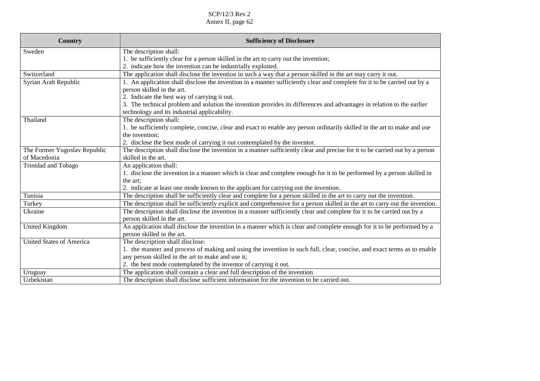| <b>Country</b>                  | <b>Sufficiency of Disclosure</b>                                                                                             |
|---------------------------------|------------------------------------------------------------------------------------------------------------------------------|
| Sweden                          | The description shall:                                                                                                       |
|                                 | 1. be sufficiently clear for a person skilled in the art to carry out the invention;                                         |
|                                 | 2. indicate how the invention can be industrially exploited.                                                                 |
| Switzerland                     | The application shall disclose the invention in such a way that a person skilled in the art may carry it out.                |
| Syrian Arab Republic            | 1. An application shall disclose the invention in a manner sufficiently clear and complete for it to be carried out by a     |
|                                 | person skilled in the art.                                                                                                   |
|                                 | 2. Indicate the best way of carrying it out.                                                                                 |
|                                 | 3. The technical problem and solution the invention provides its differences and advantages in relation to the earlier       |
|                                 | technology and its industrial applicability.                                                                                 |
| Thailand                        | The description shall:                                                                                                       |
|                                 | 1. be sufficiently complete, concise, clear and exact to enable any person ordinarily skilled in the art to make and use     |
|                                 | the invention;                                                                                                               |
|                                 | 2. disclose the best mode of carrying it out contemplated by the inventor.                                                   |
| The Former Yugoslav Republic    | The description shall disclose the invention in a manner sufficiently clear and precise for it to be carried out by a person |
| of Macedonia                    | skilled in the art.                                                                                                          |
| Trinidad and Tobago             | An application shall:                                                                                                        |
|                                 | 1. disclose the invention in a manner which is clear and complete enough for it to be performed by a person skilled in       |
|                                 | the art:                                                                                                                     |
|                                 | 2. indicate at least one mode known to the applicant for carrying out the invention.                                         |
| Tunisia                         | The description shall be sufficiently clear and complete for a person skilled in the art to carry out the invention.         |
| Turkey                          | The description shall be sufficiently explicit and comprehensive for a person skilled in the art to carry out the invention. |
| Ukraine                         | The description shall disclose the invention in a manner sufficiently clear and complete for it to be carried out by a       |
|                                 | person skilled in the art.                                                                                                   |
| <b>United Kingdom</b>           | An application shall disclose the invention in a manner which is clear and complete enough for it to be performed by a       |
|                                 | person skilled in the art.                                                                                                   |
| <b>United States of America</b> | The description shall disclose:                                                                                              |
|                                 | 1. the manner and process of making and using the invention in such full, clear, concise, and exact terms as to enable       |
|                                 | any person skilled in the art to make and use it;                                                                            |
|                                 | 2. the best mode contemplated by the inventor of carrying it out.                                                            |
| Uruguay                         | The application shall contain a clear and full description of the invention.                                                 |
| Uzbekistan                      | The description shall disclose sufficient information for the invention to be carried out.                                   |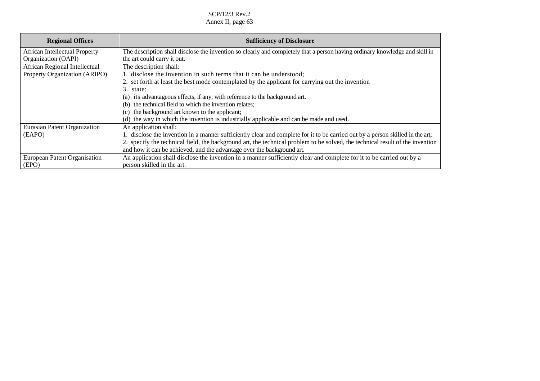| <b>Regional Offices</b>              | <b>Sufficiency of Disclosure</b>                                                                                               |
|--------------------------------------|--------------------------------------------------------------------------------------------------------------------------------|
| <b>African Intellectual Property</b> | The description shall disclose the invention so clearly and completely that a person having ordinary knowledge and skill in    |
| Organization (OAPI)                  | the art could carry it out.                                                                                                    |
| African Regional Intellectual        | The description shall:                                                                                                         |
| Property Organization (ARIPO)        | 1. disclose the invention in such terms that it can be understood;                                                             |
|                                      | 2. set forth at least the best mode contemplated by the applicant for carrying out the invention                               |
|                                      | 3. state:                                                                                                                      |
|                                      | its advantageous effects, if any, with reference to the background art.<br>(a)                                                 |
|                                      | (b) the technical field to which the invention relates;                                                                        |
|                                      | (c) the background art known to the applicant;                                                                                 |
|                                      | (d) the way in which the invention is industrially applicable and can be made and used.                                        |
| Eurasian Patent Organization         | An application shall:                                                                                                          |
| (EAPO)                               | 1. disclose the invention in a manner sufficiently clear and complete for it to be carried out by a person skilled in the art; |
|                                      | 2. specify the technical field, the background art, the technical problem to be solved, the technical result of the invention  |
|                                      | and how it can be achieved, and the advantage over the background art.                                                         |
| European Patent Organisation         | An application shall disclose the invention in a manner sufficiently clear and complete for it to be carried out by a          |
| (EPO)                                | person skilled in the art.                                                                                                     |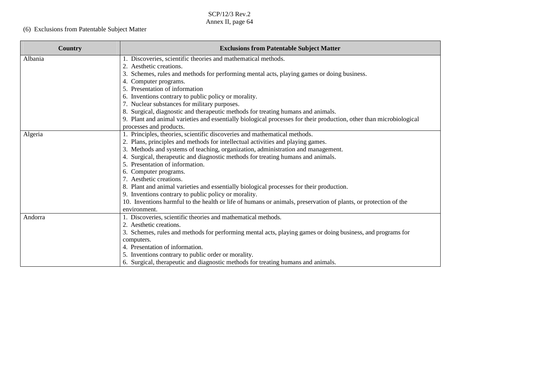# (6) Exclusions from Patentable Subject Matter

| Country | <b>Exclusions from Patentable Subject Matter</b>                                                                    |
|---------|---------------------------------------------------------------------------------------------------------------------|
| Albania | 1. Discoveries, scientific theories and mathematical methods.                                                       |
|         | 2. Aesthetic creations.                                                                                             |
|         | Schemes, rules and methods for performing mental acts, playing games or doing business.<br>3.                       |
|         | 4. Computer programs.                                                                                               |
|         | 5. Presentation of information                                                                                      |
|         | 6. Inventions contrary to public policy or morality.                                                                |
|         | 7. Nuclear substances for military purposes.                                                                        |
|         | 8. Surgical, diagnostic and therapeutic methods for treating humans and animals.                                    |
|         | 9. Plant and animal varieties and essentially biological processes for their production, other than microbiological |
|         | processes and products.                                                                                             |
| Algeria | 1. Principles, theories, scientific discoveries and mathematical methods.                                           |
|         | 2. Plans, principles and methods for intellectual activities and playing games.                                     |
|         | 3. Methods and systems of teaching, organization, administration and management.                                    |
|         | 4. Surgical, therapeutic and diagnostic methods for treating humans and animals.                                    |
|         | 5. Presentation of information.                                                                                     |
|         | 6. Computer programs.                                                                                               |
|         | 7. Aesthetic creations.                                                                                             |
|         | 8. Plant and animal varieties and essentially biological processes for their production.                            |
|         | 9. Inventions contrary to public policy or morality.                                                                |
|         | 10. Inventions harmful to the health or life of humans or animals, preservation of plants, or protection of the     |
|         | environment.                                                                                                        |
| Andorra | 1. Discoveries, scientific theories and mathematical methods.                                                       |
|         | 2. Aesthetic creations.                                                                                             |
|         | 3. Schemes, rules and methods for performing mental acts, playing games or doing business, and programs for         |
|         | computers.                                                                                                          |
|         | 4. Presentation of information.                                                                                     |
|         | 5. Inventions contrary to public order or morality.                                                                 |
|         | 6. Surgical, therapeutic and diagnostic methods for treating humans and animals.                                    |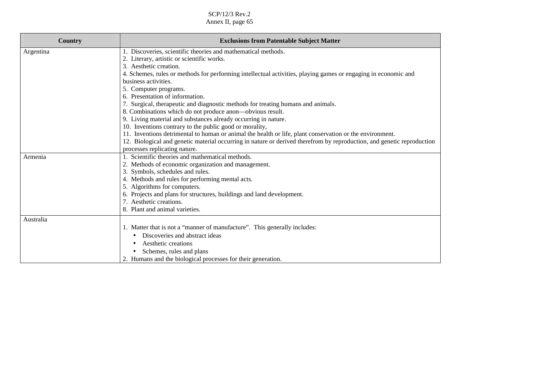| Country   | <b>Exclusions from Patentable Subject Matter</b>                                                                       |
|-----------|------------------------------------------------------------------------------------------------------------------------|
| Argentina | 1. Discoveries, scientific theories and mathematical methods.                                                          |
|           | 2. Literary, artistic or scientific works.                                                                             |
|           | 3. Aesthetic creation.                                                                                                 |
|           | 4. Schemes, rules or methods for performing intellectual activities, playing games or engaging in economic and         |
|           | business activities.                                                                                                   |
|           | 5. Computer programs.                                                                                                  |
|           | Presentation of information.                                                                                           |
|           | 7. Surgical, therapeutic and diagnostic methods for treating humans and animals.                                       |
|           | 8. Combinations which do not produce anon—obvious result.                                                              |
|           | 9. Living material and substances already occurring in nature.                                                         |
|           | 10. Inventions contrary to the public good or morality,                                                                |
|           | 11. Inventions detrimental to human or animal the health or life, plant conservation or the environment.               |
|           | 12. Biological and genetic material occurring in nature or derived therefrom by reproduction, and genetic reproduction |
|           | processes replicating nature.                                                                                          |
| Armenia   | 1. Scientific theories and mathematical methods.                                                                       |
|           | 2. Methods of economic organization and management.                                                                    |
|           | 3. Symbols, schedules and rules.                                                                                       |
|           | 4. Methods and rules for performing mental acts.                                                                       |
|           | 5. Algorithms for computers.                                                                                           |
|           | 6. Projects and plans for structures, buildings and land development.                                                  |
|           | . Aesthetic creations.                                                                                                 |
|           | 8. Plant and animal varieties.                                                                                         |
| Australia |                                                                                                                        |
|           | 1. Matter that is not a "manner of manufacture". This generally includes:                                              |
|           | Discoveries and abstract ideas                                                                                         |
|           | Aesthetic creations                                                                                                    |
|           | Schemes, rules and plans                                                                                               |
|           | 2. Humans and the biological processes for their generation.                                                           |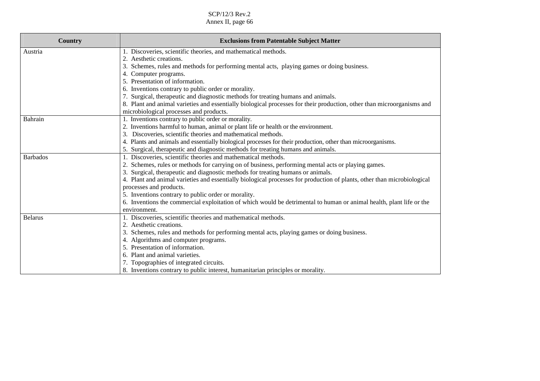| <b>Country</b>  | <b>Exclusions from Patentable Subject Matter</b>                                                                        |
|-----------------|-------------------------------------------------------------------------------------------------------------------------|
|                 |                                                                                                                         |
| Austria         | 1. Discoveries, scientific theories, and mathematical methods.                                                          |
|                 | 2. Aesthetic creations.                                                                                                 |
|                 | 3. Schemes, rules and methods for performing mental acts, playing games or doing business.                              |
|                 | 4. Computer programs.                                                                                                   |
|                 | 5. Presentation of information.                                                                                         |
|                 | 6. Inventions contrary to public order or morality.                                                                     |
|                 | 7. Surgical, therapeutic and diagnostic methods for treating humans and animals.                                        |
|                 | 8. Plant and animal varieties and essentially biological processes for their production, other than microorganisms and  |
|                 | microbiological processes and products.                                                                                 |
| Bahrain         | 1. Inventions contrary to public order or morality.                                                                     |
|                 | 2. Inventions harmful to human, animal or plant life or health or the environment.                                      |
|                 | 3. Discoveries, scientific theories and mathematical methods.                                                           |
|                 | 4. Plants and animals and essentially biological processes for their production, other than microorganisms.             |
|                 | 5. Surgical, therapeutic and diagnostic methods for treating humans and animals.                                        |
| <b>Barbados</b> | 1. Discoveries, scientific theories and mathematical methods.                                                           |
|                 | 2. Schemes, rules or methods for carrying on of business, performing mental acts or playing games.                      |
|                 | 3. Surgical, therapeutic and diagnostic methods for treating humans or animals.                                         |
|                 | 4. Plant and animal varieties and essentially biological processes for production of plants, other than microbiological |
|                 | processes and products.                                                                                                 |
|                 | 5. Inventions contrary to public order or morality.                                                                     |
|                 | 6. Inventions the commercial exploitation of which would be detrimental to human or animal health, plant life or the    |
|                 | environment.                                                                                                            |
| <b>Belarus</b>  | 1. Discoveries, scientific theories and mathematical methods.                                                           |
|                 | 2. Aesthetic creations.                                                                                                 |
|                 | 3. Schemes, rules and methods for performing mental acts, playing games or doing business.                              |
|                 | 4. Algorithms and computer programs.                                                                                    |
|                 | 5. Presentation of information.                                                                                         |
|                 | 6. Plant and animal varieties.                                                                                          |
|                 | 7. Topographies of integrated circuits.                                                                                 |
|                 | 8. Inventions contrary to public interest, humanitarian principles or morality.                                         |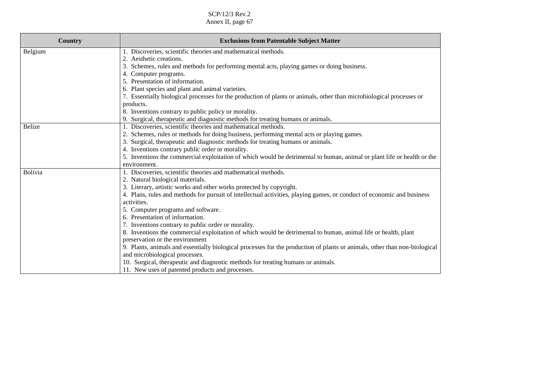| <b>Country</b> | <b>Exclusions from Patentable Subject Matter</b>                                                                           |
|----------------|----------------------------------------------------------------------------------------------------------------------------|
| Belgium        | 1. Discoveries, scientific theories and mathematical methods.                                                              |
|                | 2.<br>Aesthetic creations.                                                                                                 |
|                | Schemes, rules and methods for performing mental acts, playing games or doing business.<br>3.                              |
|                | 4. Computer programs.                                                                                                      |
|                | 5. Presentation of information.                                                                                            |
|                | 6. Plant species and plant and animal varieties.                                                                           |
|                | 7. Essentially biological processes for the production of plants or animals, other than microbiological processes or       |
|                | products.                                                                                                                  |
|                | 8. Inventions contrary to public policy or morality.                                                                       |
|                | 9. Surgical, therapeutic and diagnostic methods for treating humans or animals.                                            |
| <b>Belize</b>  | 1. Discoveries, scientific theories and mathematical methods.                                                              |
|                | Schemes, rules or methods for doing business, performing mental acts or playing games.                                     |
|                | Surgical, therapeutic and diagnostic methods for treating humans or animals.                                               |
|                | 4. Inventions contrary public order or morality.                                                                           |
|                | 5. Inventions the commercial exploitation of which would be detrimental to human, animal or plant life or health or the    |
|                | environment.                                                                                                               |
| Bolivia        | 1. Discoveries, scientific theories and mathematical methods.                                                              |
|                | 2. Natural biological materials.                                                                                           |
|                | 3. Literary, artistic works and other works protected by copyright.                                                        |
|                | 4. Plans, rules and methods for pursuit of intellectual activities, playing games, or conduct of economic and business     |
|                | activities.                                                                                                                |
|                | 5. Computer programs and software.                                                                                         |
|                | 6. Presentation of information.                                                                                            |
|                | 7. Inventions contrary to public order or morality.                                                                        |
|                | 8. Inventions the commercial exploitation of which would be detrimental to human, animal life or health, plant             |
|                | preservation or the environment                                                                                            |
|                | 9. Plants, animals and essentially biological processes for the production of plants or animals, other than non-biological |
|                | and microbiological processes.                                                                                             |
|                | 10. Surgical, therapeutic and diagnostic methods for treating humans or animals.                                           |
|                | 11. New uses of patented products and processes.                                                                           |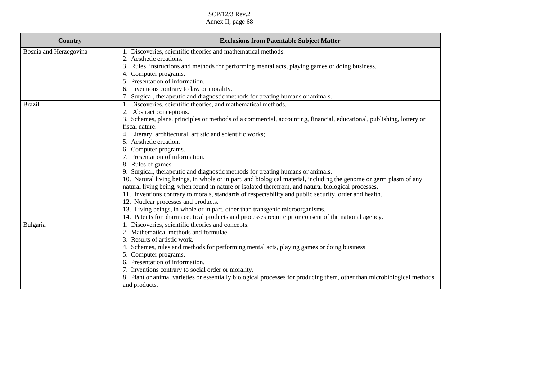| <b>Country</b>         | <b>Exclusions from Patentable Subject Matter</b>                                                                        |
|------------------------|-------------------------------------------------------------------------------------------------------------------------|
| Bosnia and Herzegovina | 1. Discoveries, scientific theories and mathematical methods.                                                           |
|                        | 2. Aesthetic creations.                                                                                                 |
|                        | 3. Rules, instructions and methods for performing mental acts, playing games or doing business.                         |
|                        | 4. Computer programs.                                                                                                   |
|                        | 5. Presentation of information.                                                                                         |
|                        | 6. Inventions contrary to law or morality.                                                                              |
|                        | 7. Surgical, therapeutic and diagnostic methods for treating humans or animals.                                         |
| <b>Brazil</b>          | 1. Discoveries, scientific theories, and mathematical methods.                                                          |
|                        | 2. Abstract conceptions.                                                                                                |
|                        | 3. Schemes, plans, principles or methods of a commercial, accounting, financial, educational, publishing, lottery or    |
|                        | fiscal nature.                                                                                                          |
|                        | 4. Literary, architectural, artistic and scientific works;                                                              |
|                        | 5. Aesthetic creation.                                                                                                  |
|                        | 6. Computer programs.                                                                                                   |
|                        | 7. Presentation of information.                                                                                         |
|                        | 8. Rules of games.                                                                                                      |
|                        | 9. Surgical, therapeutic and diagnostic methods for treating humans or animals.                                         |
|                        | 10. Natural living beings, in whole or in part, and biological material, including the genome or germ plasm of any      |
|                        | natural living being, when found in nature or isolated therefrom, and natural biological processes.                     |
|                        | 11. Inventions contrary to morals, standards of respectability and public security, order and health.                   |
|                        | 12. Nuclear processes and products.                                                                                     |
|                        | 13. Living beings, in whole or in part, other than transgenic microorganisms.                                           |
|                        | 14. Patents for pharmaceutical products and processes require prior consent of the national agency.                     |
| Bulgaria               | 1. Discoveries, scientific theories and concepts.                                                                       |
|                        | 2. Mathematical methods and formulae.                                                                                   |
|                        | 3. Results of artistic work.                                                                                            |
|                        | 4. Schemes, rules and methods for performing mental acts, playing games or doing business.                              |
|                        | 5. Computer programs.                                                                                                   |
|                        | 6. Presentation of information.                                                                                         |
|                        | 7. Inventions contrary to social order or morality.                                                                     |
|                        | 8. Plant or animal varieties or essentially biological processes for producing them, other than microbiological methods |
|                        | and products.                                                                                                           |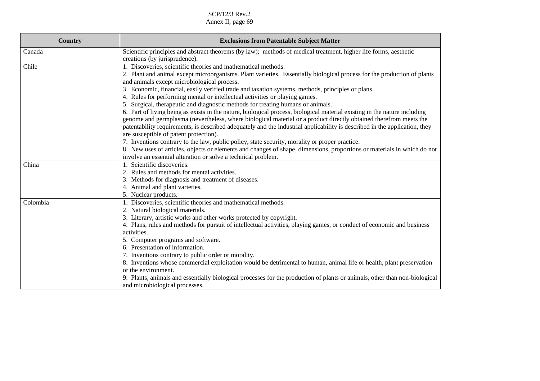| Country  | <b>Exclusions from Patentable Subject Matter</b>                                                                           |
|----------|----------------------------------------------------------------------------------------------------------------------------|
| Canada   | Scientific principles and abstract theorems (by law); methods of medical treatment, higher life forms, aesthetic           |
|          | creations (by jurisprudence).                                                                                              |
| Chile    | 1. Discoveries, scientific theories and mathematical methods.                                                              |
|          | 2. Plant and animal except microorganisms. Plant varieties. Essentially biological process for the production of plants    |
|          | and animals except microbiological process.                                                                                |
|          | 3. Economic, financial, easily verified trade and taxation systems, methods, principles or plans.                          |
|          | 4. Rules for performing mental or intellectual activities or playing games.                                                |
|          | 5. Surgical, therapeutic and diagnostic methods for treating humans or animals.                                            |
|          | 6. Part of living being as exists in the nature, biological process, biological material existing in the nature including  |
|          | genome and germplasma (nevertheless, where biological material or a product directly obtained therefrom meets the          |
|          | patentability requirements, is described adequately and the industrial applicability is described in the application, they |
|          | are susceptible of patent protection).                                                                                     |
|          | 7. Inventions contrary to the law, public policy, state security, morality or proper practice.                             |
|          | 8. New uses of articles, objects or elements and changes of shape, dimensions, proportions or materials in which do not    |
|          | involve an essential alteration or solve a technical problem.                                                              |
| China    | 1. Scientific discoveries.                                                                                                 |
|          | 2. Rules and methods for mental activities.                                                                                |
|          | 3. Methods for diagnosis and treatment of diseases.                                                                        |
|          | 4. Animal and plant varieties.                                                                                             |
|          | 5. Nuclear products.                                                                                                       |
| Colombia | 1. Discoveries, scientific theories and mathematical methods.                                                              |
|          | 2. Natural biological materials.                                                                                           |
|          | 3. Literary, artistic works and other works protected by copyright.                                                        |
|          | 4. Plans, rules and methods for pursuit of intellectual activities, playing games, or conduct of economic and business     |
|          | activities.                                                                                                                |
|          | 5. Computer programs and software.<br>6. Presentation of information.                                                      |
|          | 7. Inventions contrary to public order or morality.                                                                        |
|          | 8. Inventions whose commercial exploitation would be detrimental to human, animal life or health, plant preservation       |
|          | or the environment.                                                                                                        |
|          | 9. Plants, animals and essentially biological processes for the production of plants or animals, other than non-biological |
|          |                                                                                                                            |
|          | and microbiological processes.                                                                                             |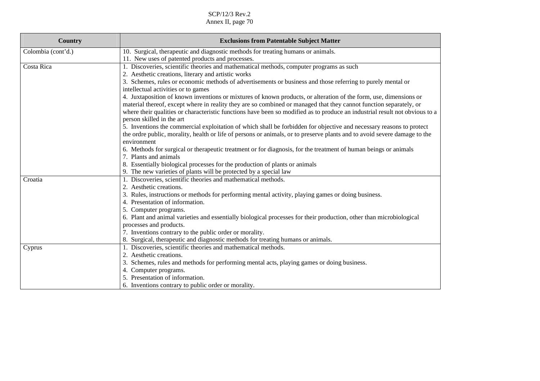| <b>Country</b>     | <b>Exclusions from Patentable Subject Matter</b>                                                                                      |
|--------------------|---------------------------------------------------------------------------------------------------------------------------------------|
| Colombia (cont'd.) | 10. Surgical, therapeutic and diagnostic methods for treating humans or animals.                                                      |
|                    | 11. New uses of patented products and processes.                                                                                      |
| Costa Rica         | 1. Discoveries, scientific theories and mathematical methods, computer programs as such                                               |
|                    | 2. Aesthetic creations, literary and artistic works                                                                                   |
|                    | 3. Schemes, rules or economic methods of advertisements or business and those referring to purely mental or                           |
|                    | intellectual activities or to games                                                                                                   |
|                    | 4. Juxtaposition of known inventions or mixtures of known products, or alteration of the form, use, dimensions or                     |
|                    | material thereof, except where in reality they are so combined or managed that they cannot function separately, or                    |
|                    | where their qualities or characteristic functions have been so modified as to produce an industrial result not obvious to a           |
|                    | person skilled in the art                                                                                                             |
|                    | 5. Inventions the commercial exploitation of which shall be forbidden for objective and necessary reasons to protect                  |
|                    | the ordre public, morality, health or life of persons or animals, or to preserve plants and to avoid severe damage to the             |
|                    | environment                                                                                                                           |
|                    | 6. Methods for surgical or therapeutic treatment or for diagnosis, for the treatment of human beings or animals                       |
|                    | 7. Plants and animals                                                                                                                 |
|                    | 8. Essentially biological processes for the production of plants or animals                                                           |
|                    | 9. The new varieties of plants will be protected by a special law                                                                     |
| Croatia            | 1. Discoveries, scientific theories and mathematical methods.                                                                         |
|                    | 2. Aesthetic creations.                                                                                                               |
|                    | 3. Rules, instructions or methods for performing mental activity, playing games or doing business.<br>4. Presentation of information. |
|                    | 5. Computer programs.                                                                                                                 |
|                    | 6. Plant and animal varieties and essentially biological processes for their production, other than microbiological                   |
|                    | processes and products.                                                                                                               |
|                    | 7. Inventions contrary to the public order or morality.                                                                               |
|                    | 8. Surgical, therapeutic and diagnostic methods for treating humans or animals.                                                       |
| Cyprus             | 1. Discoveries, scientific theories and mathematical methods.                                                                         |
|                    | 2. Aesthetic creations.                                                                                                               |
|                    | 3. Schemes, rules and methods for performing mental acts, playing games or doing business.                                            |
|                    | 4. Computer programs.                                                                                                                 |
|                    | 5. Presentation of information.                                                                                                       |
|                    | 6. Inventions contrary to public order or morality.                                                                                   |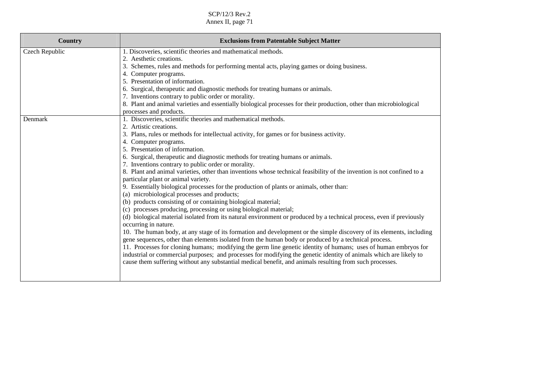| <b>Exclusions from Patentable Subject Matter</b>                                                                                             |
|----------------------------------------------------------------------------------------------------------------------------------------------|
| 1. Discoveries, scientific theories and mathematical methods.                                                                                |
| 2. Aesthetic creations.                                                                                                                      |
| 3. Schemes, rules and methods for performing mental acts, playing games or doing business.                                                   |
| 4. Computer programs.                                                                                                                        |
| 5. Presentation of information.                                                                                                              |
| 6. Surgical, therapeutic and diagnostic methods for treating humans or animals.                                                              |
| 7. Inventions contrary to public order or morality.                                                                                          |
| 8. Plant and animal varieties and essentially biological processes for their production, other than microbiological                          |
| processes and products.                                                                                                                      |
| 1. Discoveries, scientific theories and mathematical methods.                                                                                |
| 2. Artistic creations.                                                                                                                       |
| 3. Plans, rules or methods for intellectual activity, for games or for business activity.                                                    |
| 4. Computer programs.                                                                                                                        |
| 5. Presentation of information.                                                                                                              |
| 6. Surgical, therapeutic and diagnostic methods for treating humans or animals.                                                              |
| 7. Inventions contrary to public order or morality.                                                                                          |
| 8. Plant and animal varieties, other than inventions whose technical feasibility of the invention is not confined to a                       |
| particular plant or animal variety.                                                                                                          |
| 9. Essentially biological processes for the production of plants or animals, other than:                                                     |
| (a) microbiological processes and products;                                                                                                  |
| (b) products consisting of or containing biological material;                                                                                |
| (c) processes producing, processing or using biological material;                                                                            |
| (d) biological material isolated from its natural environment or produced by a technical process, even if previously<br>occurring in nature. |
| 10. The human body, at any stage of its formation and development or the simple discovery of its elements, including                         |
| gene sequences, other than elements isolated from the human body or produced by a technical process.                                         |
| 11. Processes for cloning humans; modifying the germ line genetic identity of humans; uses of human embryos for                              |
| industrial or commercial purposes; and processes for modifying the genetic identity of animals which are likely to                           |
| cause them suffering without any substantial medical benefit, and animals resulting from such processes.                                     |
|                                                                                                                                              |
|                                                                                                                                              |
|                                                                                                                                              |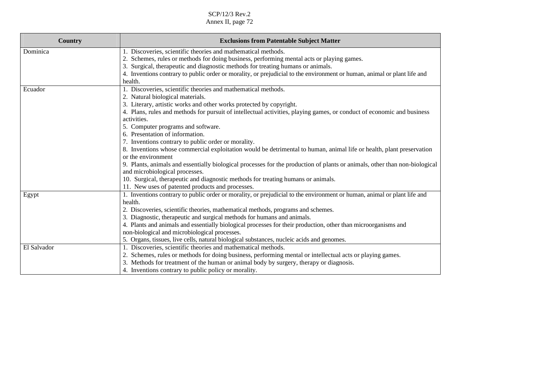| <b>Country</b> | <b>Exclusions from Patentable Subject Matter</b>                                                                           |
|----------------|----------------------------------------------------------------------------------------------------------------------------|
| Dominica       | Discoveries, scientific theories and mathematical methods.                                                                 |
|                | 2. Schemes, rules or methods for doing business, performing mental acts or playing games.                                  |
|                | Surgical, therapeutic and diagnostic methods for treating humans or animals.<br>3.                                         |
|                | 4. Inventions contrary to public order or morality, or prejudicial to the environment or human, animal or plant life and   |
|                | health.                                                                                                                    |
| Ecuador        | 1. Discoveries, scientific theories and mathematical methods.                                                              |
|                | 2. Natural biological materials.                                                                                           |
|                | 3. Literary, artistic works and other works protected by copyright.                                                        |
|                | 4. Plans, rules and methods for pursuit of intellectual activities, playing games, or conduct of economic and business     |
|                | activities.                                                                                                                |
|                | 5. Computer programs and software.                                                                                         |
|                | 6. Presentation of information.                                                                                            |
|                | 7. Inventions contrary to public order or morality.                                                                        |
|                | 8. Inventions whose commercial exploitation would be detrimental to human, animal life or health, plant preservation       |
|                | or the environment                                                                                                         |
|                | 9. Plants, animals and essentially biological processes for the production of plants or animals, other than non-biological |
|                | and microbiological processes.                                                                                             |
|                | 10. Surgical, therapeutic and diagnostic methods for treating humans or animals.                                           |
|                | 11. New uses of patented products and processes.                                                                           |
| Egypt          | 1. Inventions contrary to public order or morality, or prejudicial to the environment or human, animal or plant life and   |
|                | health.                                                                                                                    |
|                | 2. Discoveries, scientific theories, mathematical methods, programs and schemes.                                           |
|                | 3. Diagnostic, therapeutic and surgical methods for humans and animals.                                                    |
|                | 4. Plants and animals and essentially biological processes for their production, other than microorganisms and             |
|                | non-biological and microbiological processes.                                                                              |
|                | 5. Organs, tissues, live cells, natural biological substances, nucleic acids and genomes.                                  |
| El Salvador    | 1. Discoveries, scientific theories and mathematical methods.                                                              |
|                | 2. Schemes, rules or methods for doing business, performing mental or intellectual acts or playing games.                  |
|                | 3. Methods for treatment of the human or animal body by surgery, therapy or diagnosis.                                     |
|                | 4. Inventions contrary to public policy or morality.                                                                       |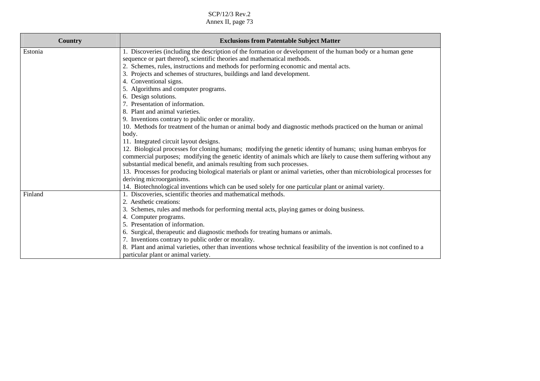SCP/12/3 Rev.2

Annex II, page 73

| <b>Country</b> | <b>Exclusions from Patentable Subject Matter</b>                                                                        |
|----------------|-------------------------------------------------------------------------------------------------------------------------|
| Estonia        | 1. Discoveries (including the description of the formation or development of the human body or a human gene             |
|                | sequence or part thereof), scientific theories and mathematical methods.                                                |
|                | 2. Schemes, rules, instructions and methods for performing economic and mental acts.                                    |
|                | 3. Projects and schemes of structures, buildings and land development.                                                  |
|                | 4. Conventional signs.                                                                                                  |
|                | 5. Algorithms and computer programs.                                                                                    |
|                | 6. Design solutions.                                                                                                    |
|                | 7. Presentation of information.                                                                                         |
|                | 8. Plant and animal varieties.                                                                                          |
|                | 9. Inventions contrary to public order or morality.                                                                     |
|                | 10. Methods for treatment of the human or animal body and diagnostic methods practiced on the human or animal           |
|                | body.                                                                                                                   |
|                | 11. Integrated circuit layout designs.                                                                                  |
|                | 12. Biological processes for cloning humans; modifying the genetic identity of humans; using human embryos for          |
|                | commercial purposes; modifying the genetic identity of animals which are likely to cause them suffering without any     |
|                | substantial medical benefit, and animals resulting from such processes.                                                 |
|                | 13. Processes for producing biological materials or plant or animal varieties, other than microbiological processes for |
|                | deriving microorganisms.                                                                                                |
|                | 14. Biotechnological inventions which can be used solely for one particular plant or animal variety.                    |
| Finland        | 1. Discoveries, scientific theories and mathematical methods.                                                           |
|                | Aesthetic creations:                                                                                                    |
|                | 3. Schemes, rules and methods for performing mental acts, playing games or doing business.                              |
|                | 4. Computer programs.                                                                                                   |
|                | 5. Presentation of information.                                                                                         |
|                | 6. Surgical, therapeutic and diagnostic methods for treating humans or animals.                                         |
|                | 7. Inventions contrary to public order or morality.                                                                     |
|                | 8. Plant and animal varieties, other than inventions whose technical feasibility of the invention is not confined to a  |
|                | particular plant or animal variety.                                                                                     |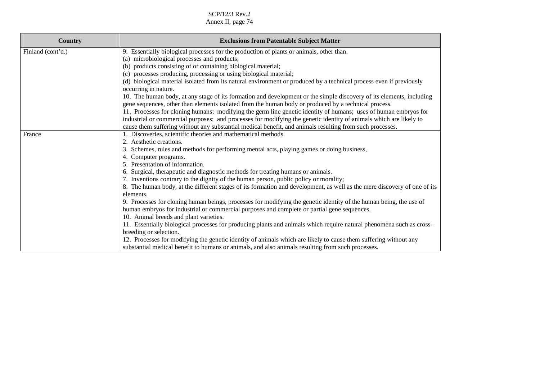| <b>Country</b>    | <b>Exclusions from Patentable Subject Matter</b>                                                                                                                                                                               |
|-------------------|--------------------------------------------------------------------------------------------------------------------------------------------------------------------------------------------------------------------------------|
| Finland (cont'd.) | 9. Essentially biological processes for the production of plants or animals, other than.                                                                                                                                       |
|                   | (a) microbiological processes and products;                                                                                                                                                                                    |
|                   | (b) products consisting of or containing biological material;                                                                                                                                                                  |
|                   | (c) processes producing, processing or using biological material;                                                                                                                                                              |
|                   | (d) biological material isolated from its natural environment or produced by a technical process even if previously<br>occurring in nature.                                                                                    |
|                   | 10. The human body, at any stage of its formation and development or the simple discovery of its elements, including<br>gene sequences, other than elements isolated from the human body or produced by a technical process.   |
|                   | 11. Processes for cloning humans; modifying the germ line genetic identity of humans; uses of human embryos for                                                                                                                |
|                   | industrial or commercial purposes; and processes for modifying the genetic identity of animals which are likely to<br>cause them suffering without any substantial medical benefit, and animals resulting from such processes. |
| France            | 1. Discoveries, scientific theories and mathematical methods.                                                                                                                                                                  |
|                   | 2. Aesthetic creations.                                                                                                                                                                                                        |
|                   | 3. Schemes, rules and methods for performing mental acts, playing games or doing business,                                                                                                                                     |
|                   | 4. Computer programs.                                                                                                                                                                                                          |
|                   | 5. Presentation of information.                                                                                                                                                                                                |
|                   | 6. Surgical, therapeutic and diagnostic methods for treating humans or animals.                                                                                                                                                |
|                   | 7. Inventions contrary to the dignity of the human person, public policy or morality;                                                                                                                                          |
|                   | 8. The human body, at the different stages of its formation and development, as well as the mere discovery of one of its                                                                                                       |
|                   | elements.                                                                                                                                                                                                                      |
|                   | 9. Processes for cloning human beings, processes for modifying the genetic identity of the human being, the use of                                                                                                             |
|                   | human embryos for industrial or commercial purposes and complete or partial gene sequences.                                                                                                                                    |
|                   | 10. Animal breeds and plant varieties.                                                                                                                                                                                         |
|                   | 11. Essentially biological processes for producing plants and animals which require natural phenomena such as cross-                                                                                                           |
|                   | breeding or selection.                                                                                                                                                                                                         |
|                   | 12. Processes for modifying the genetic identity of animals which are likely to cause them suffering without any                                                                                                               |
|                   | substantial medical benefit to humans or animals, and also animals resulting from such processes.                                                                                                                              |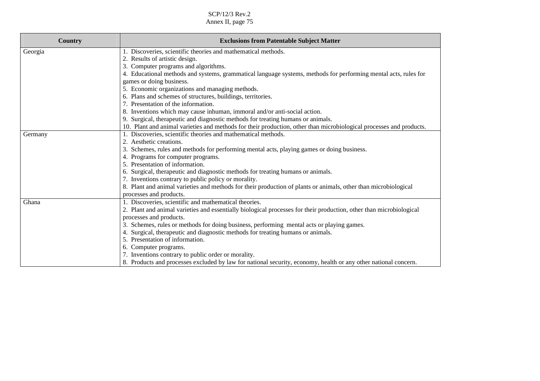| Country | <b>Exclusions from Patentable Subject Matter</b>                                                                    |
|---------|---------------------------------------------------------------------------------------------------------------------|
| Georgia | 1. Discoveries, scientific theories and mathematical methods.                                                       |
|         | 2. Results of artistic design.                                                                                      |
|         | 3. Computer programs and algorithms.                                                                                |
|         | 4. Educational methods and systems, grammatical language systems, methods for performing mental acts, rules for     |
|         | games or doing business.                                                                                            |
|         | 5. Economic organizations and managing methods.                                                                     |
|         | 6. Plans and schemes of structures, buildings, territories.                                                         |
|         | 7. Presentation of the information.                                                                                 |
|         | 8. Inventions which may cause inhuman, immoral and/or anti-social action.                                           |
|         | 9. Surgical, therapeutic and diagnostic methods for treating humans or animals.                                     |
|         | 10. Plant and animal varieties and methods for their production, other than microbiological processes and products. |
| Germany | 1. Discoveries, scientific theories and mathematical methods.                                                       |
|         | Aesthetic creations.                                                                                                |
|         | Schemes, rules and methods for performing mental acts, playing games or doing business.<br>3.                       |
|         | 4. Programs for computer programs.                                                                                  |
|         | 5. Presentation of information.                                                                                     |
|         | 6. Surgical, therapeutic and diagnostic methods for treating humans or animals.                                     |
|         | 7. Inventions contrary to public policy or morality.                                                                |
|         | 8. Plant and animal varieties and methods for their production of plants or animals, other than microbiological     |
|         | processes and products.                                                                                             |
| Ghana   | 1. Discoveries, scientific and mathematical theories.                                                               |
|         | 2. Plant and animal varieties and essentially biological processes for their production, other than microbiological |
|         | processes and products.                                                                                             |
|         | 3. Schemes, rules or methods for doing business, performing mental acts or playing games.                           |
|         | Surgical, therapeutic and diagnostic methods for treating humans or animals.                                        |
|         | 5. Presentation of information.                                                                                     |
|         | 6. Computer programs.                                                                                               |
|         | 7. Inventions contrary to public order or morality.                                                                 |
|         | 8. Products and processes excluded by law for national security, economy, health or any other national concern.     |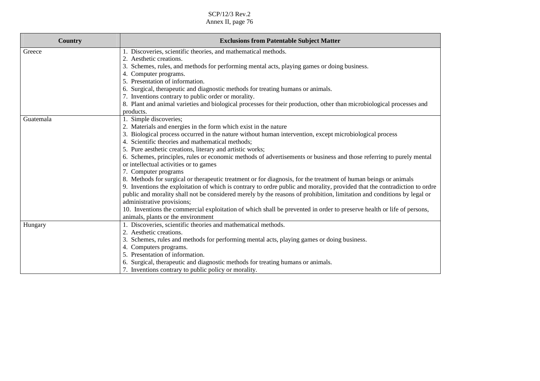| <b>Country</b> | <b>Exclusions from Patentable Subject Matter</b>                                                                           |
|----------------|----------------------------------------------------------------------------------------------------------------------------|
| Greece         | 1. Discoveries, scientific theories, and mathematical methods.                                                             |
|                | 2. Aesthetic creations.                                                                                                    |
|                | Schemes, rules, and methods for performing mental acts, playing games or doing business.<br>3.                             |
|                | 4. Computer programs.                                                                                                      |
|                | 5. Presentation of information.                                                                                            |
|                | 6. Surgical, therapeutic and diagnostic methods for treating humans or animals.                                            |
|                | 7. Inventions contrary to public order or morality.                                                                        |
|                | 8. Plant and animal varieties and biological processes for their production, other than microbiological processes and      |
|                | products.                                                                                                                  |
| Guatemala      | 1. Simple discoveries;                                                                                                     |
|                | 2. Materials and energies in the form which exist in the nature                                                            |
|                | Biological process occurred in the nature without human intervention, except microbiological process<br>3.                 |
|                | 4. Scientific theories and mathematical methods;                                                                           |
|                | 5. Pure aesthetic creations, literary and artistic works;                                                                  |
|                | 6. Schemes, principles, rules or economic methods of advertisements or business and those referring to purely mental       |
|                | or intellectual activities or to games                                                                                     |
|                | 7. Computer programs                                                                                                       |
|                | 8. Methods for surgical or therapeutic treatment or for diagnosis, for the treatment of human beings or animals            |
|                | 9. Inventions the exploitation of which is contrary to ordre public and morality, provided that the contradiction to ordre |
|                | public and morality shall not be considered merely by the reasons of prohibition, limitation and conditions by legal or    |
|                | administrative provisions;                                                                                                 |
|                | 10. Inventions the commercial exploitation of which shall be prevented in order to preserve health or life of persons,     |
|                | animals, plants or the environment                                                                                         |
| Hungary        | 1. Discoveries, scientific theories and mathematical methods.                                                              |
|                | Aesthetic creations.                                                                                                       |
|                | Schemes, rules and methods for performing mental acts, playing games or doing business.<br>3.                              |
|                | Computers programs.<br>4.                                                                                                  |
|                | Presentation of information.                                                                                               |
|                | 6. Surgical, therapeutic and diagnostic methods for treating humans or animals.                                            |
|                | 7. Inventions contrary to public policy or morality.                                                                       |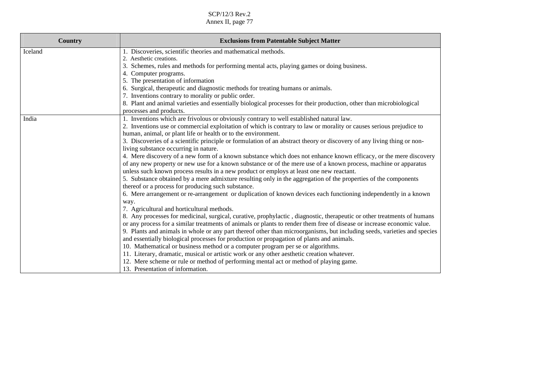SCP/12/3 Rev.2

Annex II, page 77

| <b>Country</b> | <b>Exclusions from Patentable Subject Matter</b>                                                                                                                                                             |
|----------------|--------------------------------------------------------------------------------------------------------------------------------------------------------------------------------------------------------------|
| Iceland        | 1. Discoveries, scientific theories and mathematical methods.                                                                                                                                                |
|                | 2. Aesthetic creations.                                                                                                                                                                                      |
|                | 3. Schemes, rules and methods for performing mental acts, playing games or doing business.                                                                                                                   |
|                | 4. Computer programs.                                                                                                                                                                                        |
|                | 5. The presentation of information                                                                                                                                                                           |
|                | 6. Surgical, therapeutic and diagnostic methods for treating humans or animals.                                                                                                                              |
|                | 7. Inventions contrary to morality or public order.                                                                                                                                                          |
|                | 8. Plant and animal varieties and essentially biological processes for their production, other than microbiological<br>processes and products.                                                               |
| India          | 1. Inventions which are frivolous or obviously contrary to well established natural law.                                                                                                                     |
|                | 2. Inventions use or commercial exploitation of which is contrary to law or morality or causes serious prejudice to                                                                                          |
|                | human, animal, or plant life or health or to the environment.                                                                                                                                                |
|                | 3. Discoveries of a scientific principle or formulation of an abstract theory or discovery of any living thing or non-                                                                                       |
|                | living substance occurring in nature.                                                                                                                                                                        |
|                | 4. Mere discovery of a new form of a known substance which does not enhance known efficacy, or the mere discovery                                                                                            |
|                | of any new property or new use for a known substance or of the mere use of a known process, machine or apparatus<br>unless such known process results in a new product or employs at least one new reactant. |
|                | 5. Substance obtained by a mere admixture resulting only in the aggregation of the properties of the components<br>thereof or a process for producing such substance.                                        |
|                | 6. Mere arrangement or re-arrangement or duplication of known devices each functioning independently in a known                                                                                              |
|                | way.                                                                                                                                                                                                         |
|                | 7. Agricultural and horticultural methods.                                                                                                                                                                   |
|                | 8. Any processes for medicinal, surgical, curative, prophylactic, diagnostic, therapeutic or other treatments of humans                                                                                      |
|                | or any process for a similar treatments of animals or plants to render them free of disease or increase economic value.                                                                                      |
|                | 9. Plants and animals in whole or any part thereof other than microorganisms, but including seeds, varieties and species                                                                                     |
|                | and essentially biological processes for production or propagation of plants and animals.                                                                                                                    |
|                | 10. Mathematical or business method or a computer program per se or algorithms.                                                                                                                              |
|                | 11. Literary, dramatic, musical or artistic work or any other aesthetic creation whatever.                                                                                                                   |
|                | 12. Mere scheme or rule or method of performing mental act or method of playing game.                                                                                                                        |
|                | 13. Presentation of information.                                                                                                                                                                             |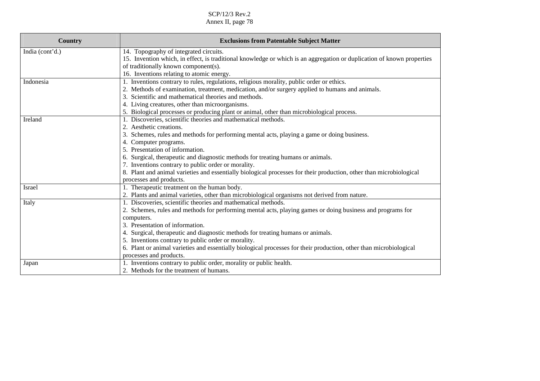| <b>Country</b>  | <b>Exclusions from Patentable Subject Matter</b>                                                                       |
|-----------------|------------------------------------------------------------------------------------------------------------------------|
| India (cont'd.) | 14. Topography of integrated circuits.                                                                                 |
|                 | 15. Invention which, in effect, is traditional knowledge or which is an aggregation or duplication of known properties |
|                 | of traditionally known component(s).                                                                                   |
|                 | 16. Inventions relating to atomic energy.                                                                              |
| Indonesia       | 1. Inventions contrary to rules, regulations, religious morality, public order or ethics.                              |
|                 | 2. Methods of examination, treatment, medication, and/or surgery applied to humans and animals.                        |
|                 | 3. Scientific and mathematical theories and methods.                                                                   |
|                 | 4. Living creatures, other than microorganisms.                                                                        |
|                 | 5. Biological processes or producing plant or animal, other than microbiological process.                              |
| Ireland         | 1. Discoveries, scientific theories and mathematical methods.                                                          |
|                 | 2. Aesthetic creations.                                                                                                |
|                 | 3. Schemes, rules and methods for performing mental acts, playing a game or doing business.                            |
|                 | 4. Computer programs.                                                                                                  |
|                 | 5. Presentation of information.                                                                                        |
|                 | 6. Surgical, therapeutic and diagnostic methods for treating humans or animals.                                        |
|                 | 7. Inventions contrary to public order or morality.                                                                    |
|                 | 8. Plant and animal varieties and essentially biological processes for their production, other than microbiological    |
|                 | processes and products.                                                                                                |
| Israel          | 1. Therapeutic treatment on the human body.                                                                            |
|                 | 2. Plants and animal varieties, other than microbiological organisms not derived from nature.                          |
| Italy           | 1. Discoveries, scientific theories and mathematical methods.                                                          |
|                 | 2. Schemes, rules and methods for performing mental acts, playing games or doing business and programs for             |
|                 | computers.                                                                                                             |
|                 | 3. Presentation of information.                                                                                        |
|                 | 4. Surgical, therapeutic and diagnostic methods for treating humans or animals.                                        |
|                 | 5. Inventions contrary to public order or morality.                                                                    |
|                 | 6. Plant or animal varieties and essentially biological processes for their production, other than microbiological     |
|                 | processes and products.                                                                                                |
| Japan           | 1. Inventions contrary to public order, morality or public health.                                                     |
|                 | 2. Methods for the treatment of humans.                                                                                |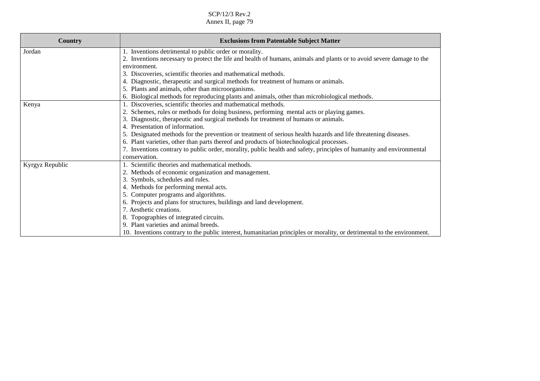| Country         | <b>Exclusions from Patentable Subject Matter</b>                                                                        |
|-----------------|-------------------------------------------------------------------------------------------------------------------------|
| Jordan          | 1. Inventions detrimental to public order or morality.                                                                  |
|                 | 2. Inventions necessary to protect the life and health of humans, animals and plants or to avoid severe damage to the   |
|                 | environment.                                                                                                            |
|                 | 3. Discoveries, scientific theories and mathematical methods.                                                           |
|                 | 4. Diagnostic, therapeutic and surgical methods for treatment of humans or animals.                                     |
|                 | 5. Plants and animals, other than microorganisms.                                                                       |
|                 | 6. Biological methods for reproducing plants and animals, other than microbiological methods.                           |
| Kenya           | 1. Discoveries, scientific theories and mathematical methods.                                                           |
|                 | 2. Schemes, rules or methods for doing business, performing mental acts or playing games.                               |
|                 | 3. Diagnostic, therapeutic and surgical methods for treatment of humans or animals.                                     |
|                 | 4. Presentation of information.                                                                                         |
|                 | 5. Designated methods for the prevention or treatment of serious health hazards and life threatening diseases.          |
|                 | 6. Plant varieties, other than parts thereof and products of biotechnological processes.                                |
|                 | 7. Inventions contrary to public order, morality, public health and safety, principles of humanity and environmental    |
|                 | conservation.                                                                                                           |
| Kyrgyz Republic | 1. Scientific theories and mathematical methods.                                                                        |
|                 | 2. Methods of economic organization and management.                                                                     |
|                 | 3. Symbols, schedules and rules.                                                                                        |
|                 | 4. Methods for performing mental acts.                                                                                  |
|                 | 5. Computer programs and algorithms.                                                                                    |
|                 | 6. Projects and plans for structures, buildings and land development.                                                   |
|                 | 7. Aesthetic creations.                                                                                                 |
|                 | 8. Topographies of integrated circuits.                                                                                 |
|                 | 9. Plant varieties and animal breeds.                                                                                   |
|                 | 10. Inventions contrary to the public interest, humanitarian principles or morality, or detrimental to the environment. |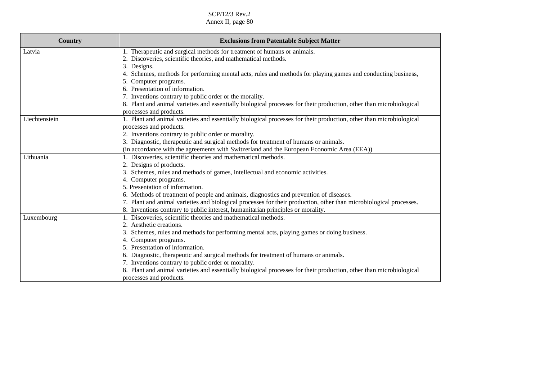SCP/12/3 Rev.2

Annex II, page 80

| Country       | <b>Exclusions from Patentable Subject Matter</b>                                                                    |
|---------------|---------------------------------------------------------------------------------------------------------------------|
| Latvia        | 1. Therapeutic and surgical methods for treatment of humans or animals.                                             |
|               | 2. Discoveries, scientific theories, and mathematical methods.                                                      |
|               | 3. Designs.                                                                                                         |
|               | 4. Schemes, methods for performing mental acts, rules and methods for playing games and conducting business,        |
|               | 5. Computer programs.                                                                                               |
|               | 6. Presentation of information.                                                                                     |
|               | 7. Inventions contrary to public order or the morality.                                                             |
|               | 8. Plant and animal varieties and essentially biological processes for their production, other than microbiological |
|               | processes and products.                                                                                             |
| Liechtenstein | 1. Plant and animal varieties and essentially biological processes for their production, other than microbiological |
|               | processes and products.                                                                                             |
|               | 2. Inventions contrary to public order or morality.                                                                 |
|               | 3. Diagnostic, therapeutic and surgical methods for treatment of humans or animals.                                 |
|               | (in accordance with the agreements with Switzerland and the European Economic Area (EEA))                           |
| Lithuania     | 1. Discoveries, scientific theories and mathematical methods.                                                       |
|               | 2. Designs of products.                                                                                             |
|               | 3. Schemes, rules and methods of games, intellectual and economic activities.                                       |
|               | 4. Computer programs.                                                                                               |
|               | 5. Presentation of information.                                                                                     |
|               | 6. Methods of treatment of people and animals, diagnostics and prevention of diseases.                              |
|               | 7. Plant and animal varieties and biological processes for their production, other than microbiological processes.  |
|               | 8. Inventions contrary to public interest, humanitarian principles or morality.                                     |
| Luxembourg    | 1. Discoveries, scientific theories and mathematical methods.                                                       |
|               | Aesthetic creations.<br>2.                                                                                          |
|               | 3. Schemes, rules and methods for performing mental acts, playing games or doing business.                          |
|               | 4. Computer programs.                                                                                               |
|               | 5. Presentation of information.                                                                                     |
|               | 6. Diagnostic, therapeutic and surgical methods for treatment of humans or animals.                                 |
|               | 7. Inventions contrary to public order or morality.                                                                 |
|               | 8. Plant and animal varieties and essentially biological processes for their production, other than microbiological |
|               | processes and products.                                                                                             |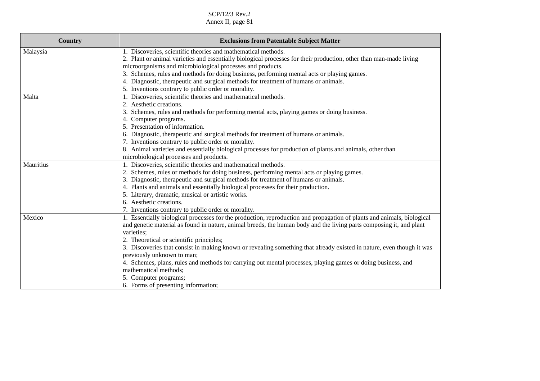SCP/12/3 Rev.2

| <b>Country</b> | <b>Exclusions from Patentable Subject Matter</b>                                                                       |
|----------------|------------------------------------------------------------------------------------------------------------------------|
| Malaysia       | 1. Discoveries, scientific theories and mathematical methods.                                                          |
|                | 2. Plant or animal varieties and essentially biological processes for their production, other than man-made living     |
|                | microorganisms and microbiological processes and products.                                                             |
|                | 3. Schemes, rules and methods for doing business, performing mental acts or playing games.                             |
|                | 4. Diagnostic, therapeutic and surgical methods for treatment of humans or animals.                                    |
|                | 5. Inventions contrary to public order or morality.                                                                    |
| Malta          | 1. Discoveries, scientific theories and mathematical methods.                                                          |
|                | 2. Aesthetic creations.                                                                                                |
|                | 3. Schemes, rules and methods for performing mental acts, playing games or doing business.                             |
|                | 4. Computer programs.                                                                                                  |
|                | 5. Presentation of information.                                                                                        |
|                | 6. Diagnostic, therapeutic and surgical methods for treatment of humans or animals.                                    |
|                | 7. Inventions contrary to public order or morality.                                                                    |
|                | 8. Animal varieties and essentially biological processes for production of plants and animals, other than              |
|                | microbiological processes and products.                                                                                |
| Mauritius      | 1. Discoveries, scientific theories and mathematical methods.                                                          |
|                | 2. Schemes, rules or methods for doing business, performing mental acts or playing games.                              |
|                | 3. Diagnostic, therapeutic and surgical methods for treatment of humans or animals.                                    |
|                | 4. Plants and animals and essentially biological processes for their production.                                       |
|                | 5. Literary, dramatic, musical or artistic works.                                                                      |
|                | 6. Aesthetic creations.                                                                                                |
|                | 7. Inventions contrary to public order or morality.                                                                    |
| Mexico         | 1. Essentially biological processes for the production, reproduction and propagation of plants and animals, biological |
|                | and genetic material as found in nature, animal breeds, the human body and the living parts composing it, and plant    |
|                | varieties;                                                                                                             |
|                | 2. Theoretical or scientific principles;                                                                               |
|                | 3. Discoveries that consist in making known or revealing something that already existed in nature, even though it was  |
|                | previously unknown to man;                                                                                             |
|                | 4. Schemes, plans, rules and methods for carrying out mental processes, playing games or doing business, and           |
|                | mathematical methods;                                                                                                  |
|                | 5. Computer programs;                                                                                                  |
|                | 6. Forms of presenting information;                                                                                    |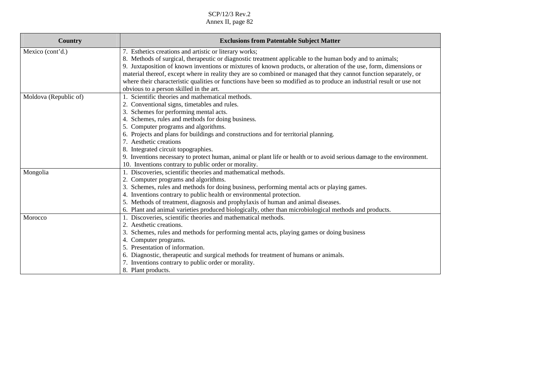| Country               | <b>Exclusions from Patentable Subject Matter</b>                                                                        |
|-----------------------|-------------------------------------------------------------------------------------------------------------------------|
| Mexico (cont'd.)      | 7. Esthetics creations and artistic or literary works;                                                                  |
|                       | 8. Methods of surgical, therapeutic or diagnostic treatment applicable to the human body and to animals;                |
|                       | 9. Juxtaposition of known inventions or mixtures of known products, or alteration of the use, form, dimensions or       |
|                       | material thereof, except where in reality they are so combined or managed that they cannot function separately, or      |
|                       | where their characteristic qualities or functions have been so modified as to produce an industrial result or use not   |
|                       | obvious to a person skilled in the art.                                                                                 |
| Moldova (Republic of) | 1. Scientific theories and mathematical methods.                                                                        |
|                       | 2. Conventional signs, timetables and rules.                                                                            |
|                       | 3. Schemes for performing mental acts.                                                                                  |
|                       | 4. Schemes, rules and methods for doing business.                                                                       |
|                       | 5. Computer programs and algorithms.                                                                                    |
|                       | 6. Projects and plans for buildings and constructions and for territorial planning.                                     |
|                       | 7. Aesthetic creations                                                                                                  |
|                       | 8. Integrated circuit topographies.                                                                                     |
|                       | 9. Inventions necessary to protect human, animal or plant life or health or to avoid serious damage to the environment. |
|                       | 10. Inventions contrary to public order or morality.                                                                    |
| Mongolia              | 1. Discoveries, scientific theories and mathematical methods.                                                           |
|                       | 2. Computer programs and algorithms.                                                                                    |
|                       | 3. Schemes, rules and methods for doing business, performing mental acts or playing games.                              |
|                       | 4. Inventions contrary to public health or environmental protection.                                                    |
|                       | 5. Methods of treatment, diagnosis and prophylaxis of human and animal diseases.                                        |
|                       | 6. Plant and animal varieties produced biologically, other than microbiological methods and products.                   |
| Morocco               | 1. Discoveries, scientific theories and mathematical methods.                                                           |
|                       | 2. Aesthetic creations.                                                                                                 |
|                       | 3. Schemes, rules and methods for performing mental acts, playing games or doing business                               |
|                       | 4. Computer programs.                                                                                                   |
|                       | 5. Presentation of information.                                                                                         |
|                       | 6. Diagnostic, therapeutic and surgical methods for treatment of humans or animals.                                     |
|                       | 7. Inventions contrary to public order or morality.                                                                     |
|                       | 8. Plant products.                                                                                                      |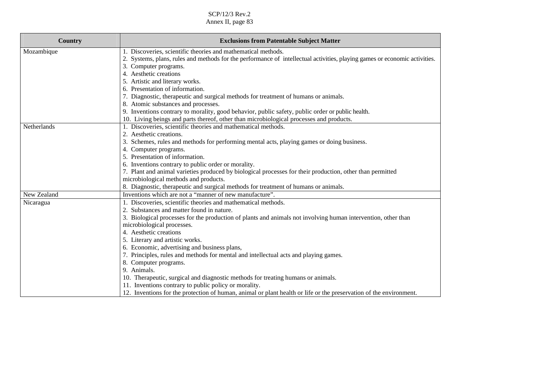| Country     | <b>Exclusions from Patentable Subject Matter</b>                                                                           |
|-------------|----------------------------------------------------------------------------------------------------------------------------|
| Mozambique  | 1. Discoveries, scientific theories and mathematical methods.                                                              |
|             | 2. Systems, plans, rules and methods for the performance of intellectual activities, playing games or economic activities. |
|             | 3. Computer programs.                                                                                                      |
|             | 4. Aesthetic creations                                                                                                     |
|             | 5. Artistic and literary works.                                                                                            |
|             | 6. Presentation of information.                                                                                            |
|             | 7. Diagnostic, therapeutic and surgical methods for treatment of humans or animals.                                        |
|             | 8. Atomic substances and processes.                                                                                        |
|             | 9. Inventions contrary to morality, good behavior, public safety, public order or public health.                           |
|             | 10. Living beings and parts thereof, other than microbiological processes and products.                                    |
| Netherlands | 1. Discoveries, scientific theories and mathematical methods.                                                              |
|             | 2. Aesthetic creations.                                                                                                    |
|             | 3. Schemes, rules and methods for performing mental acts, playing games or doing business.                                 |
|             | 4. Computer programs.                                                                                                      |
|             | 5. Presentation of information.                                                                                            |
|             | 6. Inventions contrary to public order or morality.                                                                        |
|             | 7. Plant and animal varieties produced by biological processes for their production, other than permitted                  |
|             | microbiological methods and products.                                                                                      |
|             | 8. Diagnostic, therapeutic and surgical methods for treatment of humans or animals.                                        |
| New Zealand | Inventions which are not a "manner of new manufacture".                                                                    |
| Nicaragua   | 1. Discoveries, scientific theories and mathematical methods.                                                              |
|             | 2. Substances and matter found in nature.                                                                                  |
|             | 3. Biological processes for the production of plants and animals not involving human intervention, other than              |
|             | microbiological processes.                                                                                                 |
|             | 4. Aesthetic creations                                                                                                     |
|             | 5. Literary and artistic works.                                                                                            |
|             | 6. Economic, advertising and business plans,                                                                               |
|             | 7. Principles, rules and methods for mental and intellectual acts and playing games.                                       |
|             | 8. Computer programs.                                                                                                      |
|             | 9. Animals.                                                                                                                |
|             | 10. Therapeutic, surgical and diagnostic methods for treating humans or animals.                                           |
|             | 11. Inventions contrary to public policy or morality.                                                                      |
|             | 12. Inventions for the protection of human, animal or plant health or life or the preservation of the environment.         |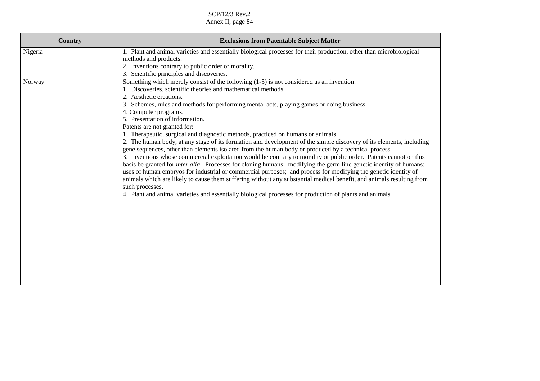| <b>Country</b> | <b>Exclusions from Patentable Subject Matter</b>                                                                                                                                                                                                                                                                                                                                                                                                                                                                                                                                                                                                                                                                                                                                                                                                                                                                                                                                                                                                                                                                                                                                                                                                                                                                      |
|----------------|-----------------------------------------------------------------------------------------------------------------------------------------------------------------------------------------------------------------------------------------------------------------------------------------------------------------------------------------------------------------------------------------------------------------------------------------------------------------------------------------------------------------------------------------------------------------------------------------------------------------------------------------------------------------------------------------------------------------------------------------------------------------------------------------------------------------------------------------------------------------------------------------------------------------------------------------------------------------------------------------------------------------------------------------------------------------------------------------------------------------------------------------------------------------------------------------------------------------------------------------------------------------------------------------------------------------------|
| Nigeria        | 1. Plant and animal varieties and essentially biological processes for their production, other than microbiological<br>methods and products.<br>2. Inventions contrary to public order or morality.<br>3. Scientific principles and discoveries.                                                                                                                                                                                                                                                                                                                                                                                                                                                                                                                                                                                                                                                                                                                                                                                                                                                                                                                                                                                                                                                                      |
| Norway         | Something which merely consist of the following (1-5) is not considered as an invention:<br>1. Discoveries, scientific theories and mathematical methods.<br>2. Aesthetic creations.<br>3. Schemes, rules and methods for performing mental acts, playing games or doing business.<br>4. Computer programs.<br>5. Presentation of information.<br>Patents are not granted for:<br>1. Therapeutic, surgical and diagnostic methods, practiced on humans or animals.<br>2. The human body, at any stage of its formation and development of the simple discovery of its elements, including<br>gene sequences, other than elements isolated from the human body or produced by a technical process.<br>3. Inventions whose commercial exploitation would be contrary to morality or public order. Patents cannot on this<br>basis be granted for inter alia: Processes for cloning humans; modifying the germ line genetic identity of humans;<br>uses of human embryos for industrial or commercial purposes; and process for modifying the genetic identity of<br>animals which are likely to cause them suffering without any substantial medical benefit, and animals resulting from<br>such processes.<br>4. Plant and animal varieties and essentially biological processes for production of plants and animals. |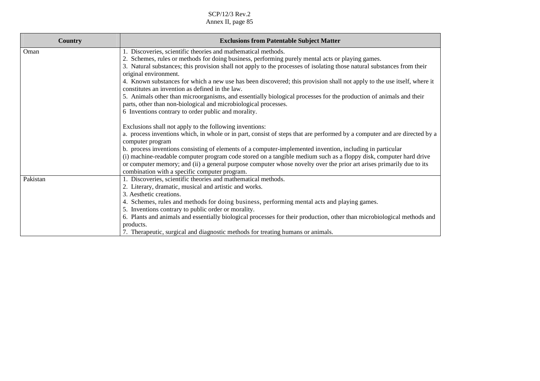| Country  | <b>Exclusions from Patentable Subject Matter</b>                                                                                                                                                                                                                                           |
|----------|--------------------------------------------------------------------------------------------------------------------------------------------------------------------------------------------------------------------------------------------------------------------------------------------|
| Oman     | 1. Discoveries, scientific theories and mathematical methods.                                                                                                                                                                                                                              |
|          | 2. Schemes, rules or methods for doing business, performing purely mental acts or playing games.                                                                                                                                                                                           |
|          | 3. Natural substances; this provision shall not apply to the processes of isolating those natural substances from their                                                                                                                                                                    |
|          | original environment.                                                                                                                                                                                                                                                                      |
|          | 4. Known substances for which a new use has been discovered; this provision shall not apply to the use itself, where it<br>constitutes an invention as defined in the law.                                                                                                                 |
|          | 5. Animals other than microorganisms, and essentially biological processes for the production of animals and their<br>parts, other than non-biological and microbiological processes.                                                                                                      |
|          | 6 Inventions contrary to order public and morality.                                                                                                                                                                                                                                        |
|          | Exclusions shall not apply to the following inventions:                                                                                                                                                                                                                                    |
|          | a. process inventions which, in whole or in part, consist of steps that are performed by a computer and are directed by a<br>computer program                                                                                                                                              |
|          | b. process inventions consisting of elements of a computer-implemented invention, including in particular                                                                                                                                                                                  |
|          | (i) machine-readable computer program code stored on a tangible medium such as a floppy disk, computer hard drive<br>or computer memory; and (ii) a general purpose computer whose novelty over the prior art arises primarily due to its<br>combination with a specific computer program. |
| Pakistan | 1. Discoveries, scientific theories and mathematical methods.                                                                                                                                                                                                                              |
|          | 2. Literary, dramatic, musical and artistic and works.                                                                                                                                                                                                                                     |
|          | 3. Aesthetic creations.                                                                                                                                                                                                                                                                    |
|          | 4. Schemes, rules and methods for doing business, performing mental acts and playing games.                                                                                                                                                                                                |
|          | 5. Inventions contrary to public order or morality.                                                                                                                                                                                                                                        |
|          | 6. Plants and animals and essentially biological processes for their production, other than microbiological methods and                                                                                                                                                                    |
|          | products.                                                                                                                                                                                                                                                                                  |
|          | 7. Therapeutic, surgical and diagnostic methods for treating humans or animals.                                                                                                                                                                                                            |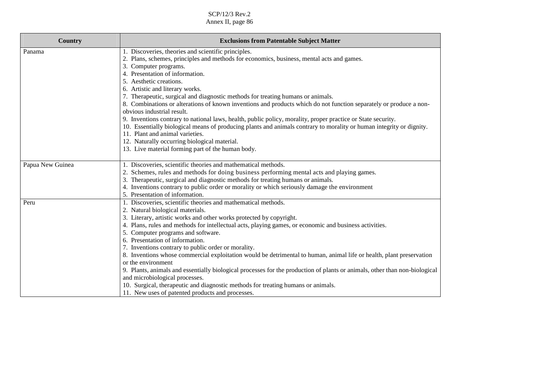| Country          | <b>Exclusions from Patentable Subject Matter</b>                                                                                                        |
|------------------|---------------------------------------------------------------------------------------------------------------------------------------------------------|
| Panama           | 1. Discoveries, theories and scientific principles.<br>2. Plans, schemes, principles and methods for economics, business, mental acts and games.        |
|                  |                                                                                                                                                         |
|                  | 3. Computer programs.<br>4. Presentation of information.                                                                                                |
|                  | 5. Aesthetic creations.                                                                                                                                 |
|                  | 6. Artistic and literary works.                                                                                                                         |
|                  | 7. Therapeutic, surgical and diagnostic methods for treating humans or animals.                                                                         |
|                  | 8. Combinations or alterations of known inventions and products which do not function separately or produce a non-                                      |
|                  | obvious industrial result.                                                                                                                              |
|                  | 9. Inventions contrary to national laws, health, public policy, morality, proper practice or State security.                                            |
|                  | 10. Essentially biological means of producing plants and animals contrary to morality or human integrity or dignity.<br>11. Plant and animal varieties. |
|                  | 12. Naturally occurring biological material.                                                                                                            |
|                  | 13. Live material forming part of the human body.                                                                                                       |
|                  |                                                                                                                                                         |
| Papua New Guinea | 1. Discoveries, scientific theories and mathematical methods.                                                                                           |
|                  | 2. Schemes, rules and methods for doing business performing mental acts and playing games.                                                              |
|                  | 3. Therapeutic, surgical and diagnostic methods for treating humans or animals.                                                                         |
|                  | 4. Inventions contrary to public order or morality or which seriously damage the environment                                                            |
|                  | 5. Presentation of information.                                                                                                                         |
| Peru             | 1. Discoveries, scientific theories and mathematical methods.                                                                                           |
|                  | 2. Natural biological materials.                                                                                                                        |
|                  | 3. Literary, artistic works and other works protected by copyright.                                                                                     |
|                  | 4. Plans, rules and methods for intellectual acts, playing games, or economic and business activities.                                                  |
|                  | 5. Computer programs and software.                                                                                                                      |
|                  | 6. Presentation of information.                                                                                                                         |
|                  | 7. Inventions contrary to public order or morality.                                                                                                     |
|                  | 8. Inventions whose commercial exploitation would be detrimental to human, animal life or health, plant preservation                                    |
|                  | or the environment                                                                                                                                      |
|                  | 9. Plants, animals and essentially biological processes for the production of plants or animals, other than non-biological                              |
|                  | and microbiological processes.                                                                                                                          |
|                  | 10. Surgical, therapeutic and diagnostic methods for treating humans or animals.                                                                        |
|                  | 11. New uses of patented products and processes.                                                                                                        |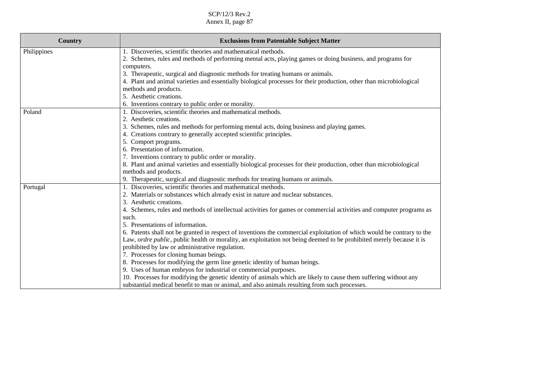| <b>Country</b> | <b>Exclusions from Patentable Subject Matter</b>                                                                       |
|----------------|------------------------------------------------------------------------------------------------------------------------|
| Philippines    | 1. Discoveries, scientific theories and mathematical methods.                                                          |
|                | 2. Schemes, rules and methods of performing mental acts, playing games or doing business, and programs for             |
|                | computers.                                                                                                             |
|                | 3. Therapeutic, surgical and diagnostic methods for treating humans or animals.                                        |
|                | 4. Plant and animal varieties and essentially biological processes for their production, other than microbiological    |
|                | methods and products.                                                                                                  |
|                | 5. Aesthetic creations.                                                                                                |
|                | 6. Inventions contrary to public order or morality.                                                                    |
| Poland         | 1. Discoveries, scientific theories and mathematical methods.                                                          |
|                | 2. Aesthetic creations.                                                                                                |
|                | 3. Schemes, rules and methods for performing mental acts, doing business and playing games.                            |
|                | 4. Creations contrary to generally accepted scientific principles.                                                     |
|                | 5. Comport programs.                                                                                                   |
|                | 6. Presentation of information.                                                                                        |
|                | 7. Inventions contrary to public order or morality.                                                                    |
|                | 8. Plant and animal varieties and essentially biological processes for their production, other than microbiological    |
|                | methods and products.                                                                                                  |
|                | 9. Therapeutic, surgical and diagnostic methods for treating humans or animals.                                        |
| Portugal       | 1. Discoveries, scientific theories and mathematical methods.                                                          |
|                | 2. Materials or substances which already exist in nature and nuclear substances.                                       |
|                | 3. Aesthetic creations.                                                                                                |
|                | 4. Schemes, rules and methods of intellectual activities for games or commercial activities and computer programs as   |
|                | such.                                                                                                                  |
|                | 5. Presentations of information.                                                                                       |
|                | 6. Patents shall not be granted in respect of inventions the commercial exploitation of which would be contrary to the |
|                | Law, ordre public, public health or morality, an exploitation not being deemed to be prohibited merely because it is   |
|                | prohibited by law or administrative regulation.                                                                        |
|                | 7. Processes for cloning human beings.                                                                                 |
|                | 8. Processes for modifying the germ line genetic identity of human beings.                                             |
|                | 9. Uses of human embryos for industrial or commercial purposes.                                                        |
|                | 10. Processes for modifying the genetic identity of animals which are likely to cause them suffering without any       |
|                | substantial medical benefit to man or animal, and also animals resulting from such processes.                          |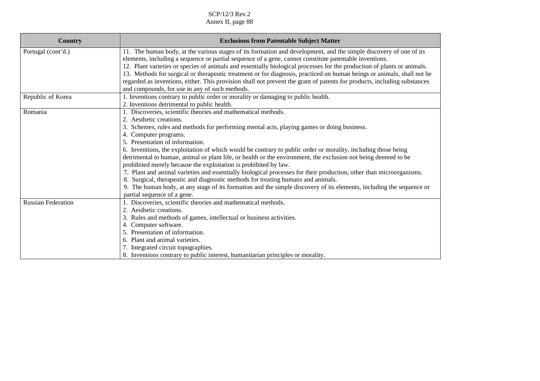| <b>Country</b>            | <b>Exclusions from Patentable Subject Matter</b>                                                                         |
|---------------------------|--------------------------------------------------------------------------------------------------------------------------|
| Portugal (cont'd.)        | 11. The human body, at the various stages of its formation and development, and the simple discovery of one of its       |
|                           | elements, including a sequence or partial sequence of a gene, cannot constitute patentable inventions.                   |
|                           | 12. Plant varieties or species of animals and essentially biological processes for the production of plants or animals.  |
|                           | 13. Methods for surgical or therapeutic treatment or for diagnosis, practiced on human beings or animals, shall not be   |
|                           | regarded as inventions, either. This provision shall not prevent the grant of patents for products, including substances |
|                           | and compounds, for use in any of such methods.                                                                           |
| Republic of Korea         | 1. Inventions contrary to public order or morality or damaging to public health.                                         |
|                           | 2. Inventions detrimental to public health.                                                                              |
| Romania                   | 1. Discoveries, scientific theories and mathematical methods.                                                            |
|                           | 2. Aesthetic creations.                                                                                                  |
|                           | 3. Schemes, rules and methods for performing mental acts, playing games or doing business.                               |
|                           | 4. Computer programs.                                                                                                    |
|                           | 5. Presentation of information.                                                                                          |
|                           | 6. Inventions, the exploitation of which would be contrary to public order or morality, including those being            |
|                           | detrimental to human, animal or plant life, or health or the environment, the exclusion not being deemed to be           |
|                           | prohibited merely because the exploitation is prohibited by law.                                                         |
|                           | 7. Plant and animal varieties and essentially biological processes for their production, other than microorganisms.      |
|                           | 8. Surgical, therapeutic and diagnostic methods for treating humans and animals.                                         |
|                           | 9. The human body, at any stage of its formation and the simple discovery of its elements, including the sequence or     |
|                           | partial sequence of a gene.                                                                                              |
| <b>Russian Federation</b> | 1. Discoveries, scientific theories and mathematical methods.                                                            |
|                           | 2. Aesthetic creations.                                                                                                  |
|                           | 3. Rules and methods of games, intellectual or business activities.                                                      |
|                           | 4. Computer software.                                                                                                    |
|                           | 5. Presentation of information.                                                                                          |
|                           | 6. Plant and animal varieties.                                                                                           |
|                           | 7. Integrated circuit topographies.                                                                                      |
|                           | 8. Inventions contrary to public interest, humanitarian principles or morality.                                          |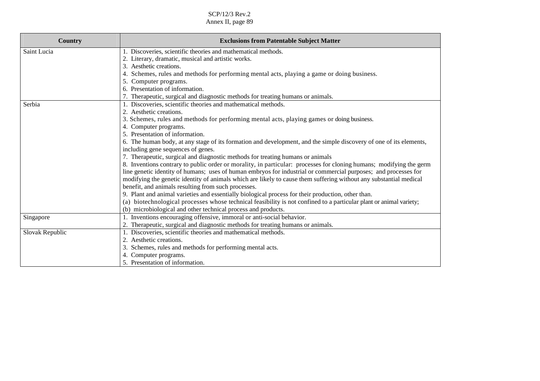| <b>Country</b>  | <b>Exclusions from Patentable Subject Matter</b>                                                                    |
|-----------------|---------------------------------------------------------------------------------------------------------------------|
| Saint Lucia     | 1. Discoveries, scientific theories and mathematical methods.                                                       |
|                 | 2. Literary, dramatic, musical and artistic works.                                                                  |
|                 | Aesthetic creations.<br>3.                                                                                          |
|                 | Schemes, rules and methods for performing mental acts, playing a game or doing business.                            |
|                 | Computer programs.<br>5.                                                                                            |
|                 | 6. Presentation of information.                                                                                     |
|                 | 7. Therapeutic, surgical and diagnostic methods for treating humans or animals.                                     |
| Serbia          | 1. Discoveries, scientific theories and mathematical methods.                                                       |
|                 | 2. Aesthetic creations.                                                                                             |
|                 | 3. Schemes, rules and methods for performing mental acts, playing games or doing business.                          |
|                 | 4. Computer programs.                                                                                               |
|                 | 5. Presentation of information.                                                                                     |
|                 | 6. The human body, at any stage of its formation and development, and the simple discovery of one of its elements,  |
|                 | including gene sequences of genes.                                                                                  |
|                 | 7. Therapeutic, surgical and diagnostic methods for treating humans or animals                                      |
|                 | 8. Inventions contrary to public order or morality, in particular: processes for cloning humans; modifying the germ |
|                 | line genetic identity of humans; uses of human embryos for industrial or commercial purposes; and processes for     |
|                 | modifying the genetic identity of animals which are likely to cause them suffering without any substantial medical  |
|                 | benefit, and animals resulting from such processes.                                                                 |
|                 | 9. Plant and animal varieties and essentially biological process for their production, other than.                  |
|                 | (a) biotechnological processes whose technical feasibility is not confined to a particular plant or animal variety; |
|                 | (b) microbiological and other technical process and products.                                                       |
| Singapore       | 1. Inventions encouraging offensive, immoral or anti-social behavior.                                               |
|                 | 2. Therapeutic, surgical and diagnostic methods for treating humans or animals.                                     |
| Slovak Republic | 1. Discoveries, scientific theories and mathematical methods.                                                       |
|                 | 2.<br>Aesthetic creations.                                                                                          |
|                 | Schemes, rules and methods for performing mental acts.<br>3.                                                        |
|                 | Computer programs.                                                                                                  |
|                 | 5. Presentation of information.                                                                                     |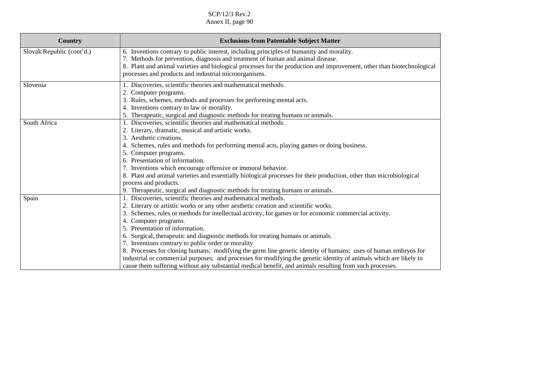| Country                   | <b>Exclusions from Patentable Subject Matter</b>                                                                                                                                                                                                                                                       |
|---------------------------|--------------------------------------------------------------------------------------------------------------------------------------------------------------------------------------------------------------------------------------------------------------------------------------------------------|
| Slovak Republic (cont'd.) | 6. Inventions contrary to public interest, including principles of humanity and morality.<br>7. Methods for prevention, diagnosis and treatment of human and animal disease.<br>8. Plant and animal varieties and biological processes for the production and improvement, other than biotechnological |
|                           | processes and products and industrial microorganisms.                                                                                                                                                                                                                                                  |
| Slovenia                  | 1. Discoveries, scientific theories and mathematical methods.                                                                                                                                                                                                                                          |
|                           | 2. Computer programs.                                                                                                                                                                                                                                                                                  |
|                           | 3. Rules, schemes, methods and processes for performing mental acts.                                                                                                                                                                                                                                   |
|                           | 4. Inventions contrary to law or morality.                                                                                                                                                                                                                                                             |
|                           | 5. Therapeutic, surgical and diagnostic methods for treating humans or animals.                                                                                                                                                                                                                        |
| South Africa              | 1. Discoveries, scientific theories and mathematical methods.                                                                                                                                                                                                                                          |
|                           | 2. Literary, dramatic, musical and artistic works.                                                                                                                                                                                                                                                     |
|                           | 3. Aesthetic creations.                                                                                                                                                                                                                                                                                |
|                           | 4. Schemes, rules and methods for performing mental acts, playing games or doing business.                                                                                                                                                                                                             |
|                           | 5. Computer programs.                                                                                                                                                                                                                                                                                  |
|                           | 6. Presentation of information.                                                                                                                                                                                                                                                                        |
|                           | 7. Inventions which encourage offensive or immoral behavior.                                                                                                                                                                                                                                           |
|                           | 8. Plant and animal varieties and essentially biological processes for their production, other than microbiological                                                                                                                                                                                    |
|                           | process and products.                                                                                                                                                                                                                                                                                  |
|                           | 9. Therapeutic, surgical and diagnostic methods for treating humans or animals.                                                                                                                                                                                                                        |
| Spain                     | 1. Discoveries, scientific theories and mathematical methods.                                                                                                                                                                                                                                          |
|                           | Literary or artistic works or any other aesthetic creation and scientific works.                                                                                                                                                                                                                       |
|                           | Schemes, rules or methods for intellectual activity, for games or for economic commercial activity.<br>3.                                                                                                                                                                                              |
|                           | 4. Computer programs.<br>5. Presentation of information.                                                                                                                                                                                                                                               |
|                           |                                                                                                                                                                                                                                                                                                        |
|                           | 6. Surgical, therapeutic and diagnostic methods for treating humans or animals.                                                                                                                                                                                                                        |
|                           | 7. Inventions contrary to public order or morality                                                                                                                                                                                                                                                     |
|                           | 8. Processes for cloning humans; modifying the germ line genetic identity of humans; uses of human embryos for                                                                                                                                                                                         |
|                           | industrial or commercial purposes; and processes for modifying the genetic identity of animals which are likely to<br>cause them suffering without any substantial medical benefit, and animals resulting from such processes.                                                                         |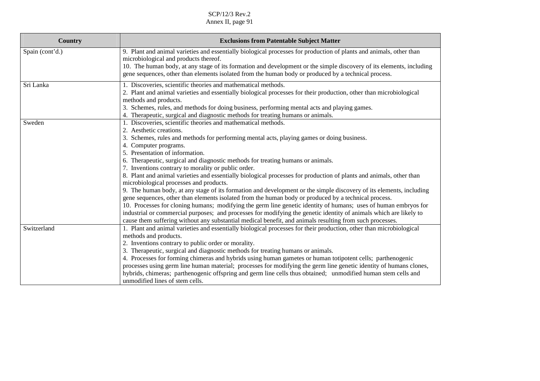| <b>Country</b>  | <b>Exclusions from Patentable Subject Matter</b>                                                                                                                                                                            |
|-----------------|-----------------------------------------------------------------------------------------------------------------------------------------------------------------------------------------------------------------------------|
| Spain (cont'd.) | 9. Plant and animal varieties and essentially biological processes for production of plants and animals, other than                                                                                                         |
|                 | microbiological and products thereof.                                                                                                                                                                                       |
|                 | 10. The human body, at any stage of its formation and development or the simple discovery of its elements, including                                                                                                        |
|                 | gene sequences, other than elements isolated from the human body or produced by a technical process.                                                                                                                        |
| Sri Lanka       | 1. Discoveries, scientific theories and mathematical methods.                                                                                                                                                               |
|                 | 2. Plant and animal varieties and essentially biological processes for their production, other than microbiological                                                                                                         |
|                 | methods and products.                                                                                                                                                                                                       |
|                 | 3. Schemes, rules, and methods for doing business, performing mental acts and playing games.                                                                                                                                |
|                 | 4. Therapeutic, surgical and diagnostic methods for treating humans or animals.                                                                                                                                             |
| Sweden          | 1. Discoveries, scientific theories and mathematical methods.                                                                                                                                                               |
|                 | 2. Aesthetic creations.                                                                                                                                                                                                     |
|                 | 3. Schemes, rules and methods for performing mental acts, playing games or doing business.                                                                                                                                  |
|                 | 4. Computer programs.                                                                                                                                                                                                       |
|                 | 5. Presentation of information.                                                                                                                                                                                             |
|                 | 6. Therapeutic, surgical and diagnostic methods for treating humans or animals.                                                                                                                                             |
|                 | 7. Inventions contrary to morality or public order.                                                                                                                                                                         |
|                 | 8. Plant and animal varieties and essentially biological processes for production of plants and animals, other than                                                                                                         |
|                 | microbiological processes and products.                                                                                                                                                                                     |
|                 | 9. The human body, at any stage of its formation and development or the simple discovery of its elements, including<br>gene sequences, other than elements isolated from the human body or produced by a technical process. |
|                 | 10. Processes for cloning humans; modifying the germ line genetic identity of humans; uses of human embryos for                                                                                                             |
|                 | industrial or commercial purposes; and processes for modifying the genetic identity of animals which are likely to                                                                                                          |
|                 | cause them suffering without any substantial medical benefit, and animals resulting from such processes.                                                                                                                    |
| Switzerland     | 1. Plant and animal varieties and essentially biological processes for their production, other than microbiological                                                                                                         |
|                 | methods and products.                                                                                                                                                                                                       |
|                 | 2. Inventions contrary to public order or morality.                                                                                                                                                                         |
|                 | 3. Therapeutic, surgical and diagnostic methods for treating humans or animals.                                                                                                                                             |
|                 | 4. Processes for forming chimeras and hybrids using human gametes or human totipotent cells; parthenogenic                                                                                                                  |
|                 | processes using germ line human material; processes for modifying the germ line genetic identity of humans clones,                                                                                                          |
|                 | hybrids, chimeras; parthenogenic offspring and germ line cells thus obtained; unmodified human stem cells and                                                                                                               |
|                 | unmodified lines of stem cells.                                                                                                                                                                                             |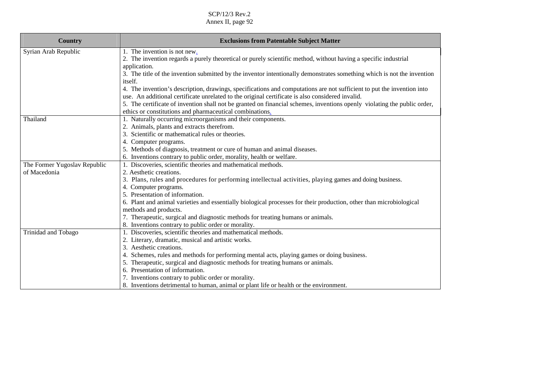| <b>Country</b>               | <b>Exclusions from Patentable Subject Matter</b>                                                                         |
|------------------------------|--------------------------------------------------------------------------------------------------------------------------|
| Syrian Arab Republic         | 1. The invention is not new.                                                                                             |
|                              | 2. The invention regards a purely theoretical or purely scientific method, without having a specific industrial          |
|                              | application.                                                                                                             |
|                              | 3. The title of the invention submitted by the inventor intentionally demonstrates something which is not the invention  |
|                              | <i>itself.</i>                                                                                                           |
|                              | 4. The invention's description, drawings, specifications and computations are not sufficient to put the invention into   |
|                              | use. An additional certificate unrelated to the original certificate is also considered invalid.                         |
|                              | 5. The certificate of invention shall not be granted on financial schemes, inventions openly violating the public order, |
|                              | ethics or constitutions and pharmaceutical combinations.                                                                 |
| Thailand                     | 1. Naturally occurring microorganisms and their components.                                                              |
|                              | 2. Animals, plants and extracts therefrom.                                                                               |
|                              | 3. Scientific or mathematical rules or theories.                                                                         |
|                              | 4. Computer programs.                                                                                                    |
|                              | 5. Methods of diagnosis, treatment or cure of human and animal diseases.                                                 |
|                              | 6. Inventions contrary to public order, morality, health or welfare.                                                     |
| The Former Yugoslav Republic | 1. Discoveries, scientific theories and mathematical methods.                                                            |
| of Macedonia                 | 2. Aesthetic creations.                                                                                                  |
|                              | 3. Plans, rules and procedures for performing intellectual activities, playing games and doing business.                 |
|                              | 4. Computer programs.                                                                                                    |
|                              | 5. Presentation of information.                                                                                          |
|                              | 6. Plant and animal varieties and essentially biological processes for their production, other than microbiological      |
|                              | methods and products.                                                                                                    |
|                              | 7. Therapeutic, surgical and diagnostic methods for treating humans or animals.                                          |
|                              | 8. Inventions contrary to public order or morality.                                                                      |
| Trinidad and Tobago          | 1. Discoveries, scientific theories and mathematical methods.                                                            |
|                              | 2. Literary, dramatic, musical and artistic works.                                                                       |
|                              | 3. Aesthetic creations.                                                                                                  |
|                              | 4. Schemes, rules and methods for performing mental acts, playing games or doing business.                               |
|                              | 5. Therapeutic, surgical and diagnostic methods for treating humans or animals.                                          |
|                              | 6. Presentation of information.                                                                                          |
|                              | 7. Inventions contrary to public order or morality.                                                                      |
|                              | 8. Inventions detrimental to human, animal or plant life or health or the environment.                                   |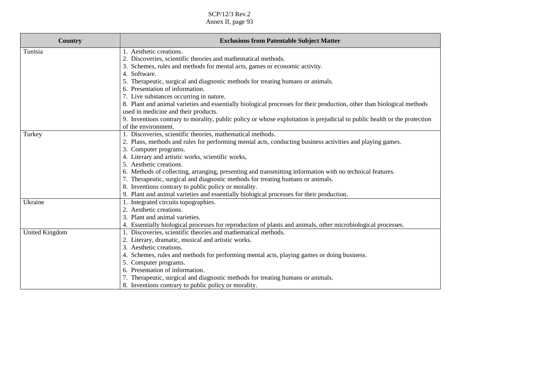SCP/12/3 Rev.2

Annex II, page 93

| Country        | <b>Exclusions from Patentable Subject Matter</b>                                                                                                               |
|----------------|----------------------------------------------------------------------------------------------------------------------------------------------------------------|
| Tunisia        | 1. Aesthetic creations.                                                                                                                                        |
|                | 2. Discoveries, scientific theories and mathematical methods.                                                                                                  |
|                | 3. Schemes, rules and methods for mental acts, games or economic activity.                                                                                     |
|                | 4. Software.                                                                                                                                                   |
|                | 5. Therapeutic, surgical and diagnostic methods for treating humans or animals.                                                                                |
|                | 6. Presentation of information.                                                                                                                                |
|                | 7. Live substances occurring in nature.                                                                                                                        |
|                | 8. Plant and animal varieties and essentially biological processes for their production, other than biological methods<br>used in medicine and their products. |
|                | 9. Inventions contrary to morality, public policy or whose exploitation is prejudicial to public health or the protection<br>of the environment.               |
| Turkey         | 1. Discoveries, scientific theories, mathematical methods.                                                                                                     |
|                | 2. Plans, methods and rules for performing mental acts, conducting business activities and playing games.                                                      |
|                | 3. Computer programs.                                                                                                                                          |
|                | 4. Literary and artistic works, scientific works,                                                                                                              |
|                | 5. Aesthetic creations.                                                                                                                                        |
|                | 6. Methods of collecting, arranging, presenting and transmitting information with no technical features.                                                       |
|                | 7. Therapeutic, surgical and diagnostic methods for treating humans or animals.                                                                                |
|                | 8. Inventions contrary to public policy or morality.                                                                                                           |
|                | 9. Plant and animal varieties and essentially biological processes for their production.                                                                       |
| Ukraine        | 1. Integrated circuits topographies.                                                                                                                           |
|                | 2. Aesthetic creations.                                                                                                                                        |
|                | 3. Plant and animal varieties.                                                                                                                                 |
|                | 4. Essentially biological processes for reproduction of plants and animals, other microbiological processes.                                                   |
| United Kingdom | 1. Discoveries, scientific theories and mathematical methods.                                                                                                  |
|                | 2. Literary, dramatic, musical and artistic works.                                                                                                             |
|                | 3. Aesthetic creations.                                                                                                                                        |
|                | 4. Schemes, rules and methods for performing mental acts, playing games or doing business.                                                                     |
|                | 5. Computer programs.                                                                                                                                          |
|                | 6. Presentation of information.                                                                                                                                |
|                | 7. Therapeutic, surgical and diagnostic methods for treating humans or animals.                                                                                |
|                | 8. Inventions contrary to public policy or morality.                                                                                                           |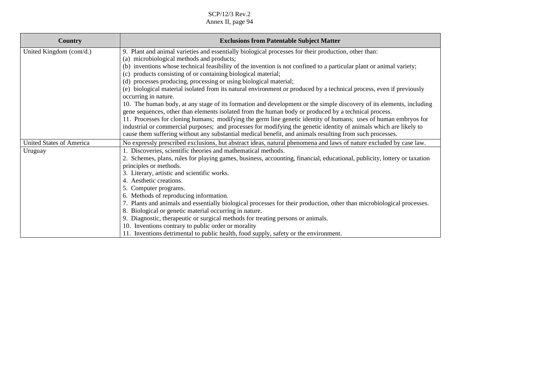| Country                         | <b>Exclusions from Patentable Subject Matter</b>                                                                                                                                                                                      |
|---------------------------------|---------------------------------------------------------------------------------------------------------------------------------------------------------------------------------------------------------------------------------------|
| United Kingdom (cont/d.)        | 9. Plant and animal varieties and essentially biological processes for their production, other than:                                                                                                                                  |
|                                 | microbiological methods and products;<br>(a)                                                                                                                                                                                          |
|                                 | inventions whose technical feasibility of the invention is not confined to a particular plant or animal variety;<br>(b)                                                                                                               |
|                                 | products consisting of or containing biological material;<br>(c)                                                                                                                                                                      |
|                                 | processes producing, processing or using biological material;<br>(d)                                                                                                                                                                  |
|                                 | biological material isolated from its natural environment or produced by a technical process, even if previously<br>(e)                                                                                                               |
|                                 | occurring in nature.                                                                                                                                                                                                                  |
|                                 | 10. The human body, at any stage of its formation and development or the simple discovery of its elements, including                                                                                                                  |
|                                 | gene sequences, other than elements isolated from the human body or produced by a technical process.                                                                                                                                  |
|                                 | 11. Processes for cloning humans; modifying the germ line genetic identity of humans; uses of human embryos for<br>industrial or commercial purposes; and processes for modifying the genetic identity of animals which are likely to |
|                                 | cause them suffering without any substantial medical benefit, and animals resulting from such processes.                                                                                                                              |
|                                 |                                                                                                                                                                                                                                       |
| <b>United States of America</b> | No expressly prescribed exclusions, but abstract ideas, natural phenomena and laws of nature excluded by case law.                                                                                                                    |
| Uruguay                         | 1. Discoveries, scientific theories and mathematical methods.                                                                                                                                                                         |
|                                 | 2. Schemes, plans, rules for playing games, business, accounting, financial, educational, publicity, lottery or taxation<br>principles or methods.                                                                                    |
|                                 | 3. Literary, artistic and scientific works.                                                                                                                                                                                           |
|                                 | 4. Aesthetic creations.                                                                                                                                                                                                               |
|                                 | 5. Computer programs.                                                                                                                                                                                                                 |
|                                 | 6. Methods of reproducing information.                                                                                                                                                                                                |
|                                 | 7. Plants and animals and essentially biological processes for their production, other than microbiological processes.                                                                                                                |
|                                 | 8. Biological or genetic material occurring in nature.                                                                                                                                                                                |
|                                 | 9. Diagnostic, therapeutic or surgical methods for treating persons or animals.                                                                                                                                                       |
|                                 | 10. Inventions contrary to public order or morality                                                                                                                                                                                   |
|                                 | 11. Inventions detrimental to public health, food supply, safety or the environment.                                                                                                                                                  |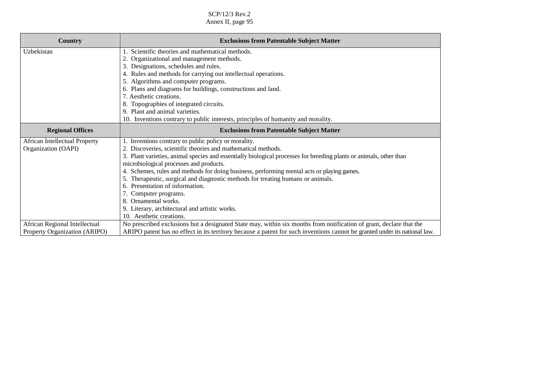| Country                              | <b>Exclusions from Patentable Subject Matter</b>                                                                           |
|--------------------------------------|----------------------------------------------------------------------------------------------------------------------------|
|                                      |                                                                                                                            |
| Uzbekistan                           | Scientific theories and mathematical methods.                                                                              |
|                                      | Organizational and management methods.                                                                                     |
|                                      | Designations, schedules and rules.<br>3.                                                                                   |
|                                      | Rules and methods for carrying out intellectual operations.                                                                |
|                                      | 5. Algorithms and computer programs.                                                                                       |
|                                      | 6. Plans and diagrams for buildings, constructions and land.                                                               |
|                                      | 7. Aesthetic creations.                                                                                                    |
|                                      | Topographies of integrated circuits.                                                                                       |
|                                      | 9. Plant and animal varieties.                                                                                             |
|                                      | 10. Inventions contrary to public interests, principles of humanity and morality.                                          |
| <b>Regional Offices</b>              | <b>Exclusions from Patentable Subject Matter</b>                                                                           |
| <b>African Intellectual Property</b> | 1. Inventions contrary to public policy or morality.                                                                       |
| Organization (OAPI)                  | 2. Discoveries, scientific theories and mathematical methods.                                                              |
|                                      | 3. Plant varieties, animal species and essentially biological processes for breeding plants or animals, other than         |
|                                      | microbiological processes and products.                                                                                    |
|                                      | 4. Schemes, rules and methods for doing business, performing mental acts or playing games.                                 |
|                                      | Therapeutic, surgical and diagnostic methods for treating humans or animals.                                               |
|                                      | Presentation of information.<br>6.                                                                                         |
|                                      | 7. Computer programs.                                                                                                      |
|                                      | 8. Ornamental works.                                                                                                       |
|                                      | 9. Literary, architectural and artistic works.                                                                             |
|                                      | 10. Aesthetic creations.                                                                                                   |
| African Regional Intellectual        | No prescribed exclusions but a designated State may, within six months from notification of grant, declare that the        |
| Property Organization (ARIPO)        | ARIPO patent has no effect in its territory because a patent for such inventions cannot be granted under its national law. |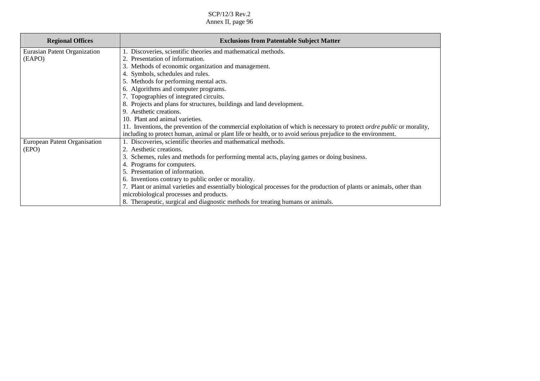| <b>Regional Offices</b>      | <b>Exclusions from Patentable Subject Matter</b>                                                                                |
|------------------------------|---------------------------------------------------------------------------------------------------------------------------------|
| Eurasian Patent Organization | 1. Discoveries, scientific theories and mathematical methods.                                                                   |
| (EAPO)                       | 2. Presentation of information.                                                                                                 |
|                              | 3. Methods of economic organization and management.                                                                             |
|                              | 4. Symbols, schedules and rules.                                                                                                |
|                              | 5. Methods for performing mental acts.                                                                                          |
|                              | 6. Algorithms and computer programs.                                                                                            |
|                              | 7. Topographies of integrated circuits.                                                                                         |
|                              | 8. Projects and plans for structures, buildings and land development.                                                           |
|                              | 9. Aesthetic creations.                                                                                                         |
|                              | 10. Plant and animal varieties.                                                                                                 |
|                              | 11. Inventions, the prevention of the commercial exploitation of which is necessary to protect <i>ordre public</i> or morality, |
|                              | including to protect human, animal or plant life or health, or to avoid serious prejudice to the environment.                   |
| European Patent Organisation | 1. Discoveries, scientific theories and mathematical methods.                                                                   |
| (EPO)                        | 2. Aesthetic creations.                                                                                                         |
|                              | Schemes, rules and methods for performing mental acts, playing games or doing business.<br>3.                                   |
|                              | 4. Programs for computers.                                                                                                      |
|                              | 5. Presentation of information.                                                                                                 |
|                              | 6. Inventions contrary to public order or morality.                                                                             |
|                              | 7. Plant or animal varieties and essentially biological processes for the production of plants or animals, other than           |
|                              | microbiological processes and products.                                                                                         |
|                              | 8. Therapeutic, surgical and diagnostic methods for treating humans or animals.                                                 |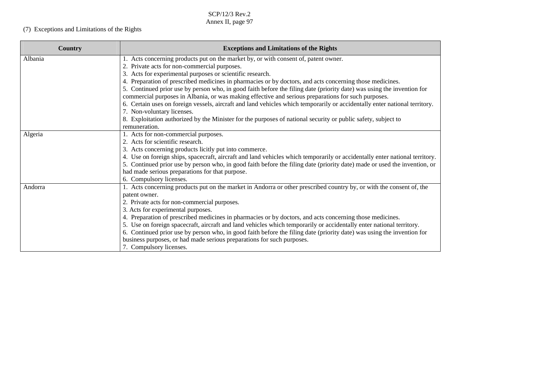# (7) Exceptions and Limitations of the Rights

| Country | <b>Exceptions and Limitations of the Rights</b>                                                                             |
|---------|-----------------------------------------------------------------------------------------------------------------------------|
| Albania | 1. Acts concerning products put on the market by, or with consent of, patent owner.                                         |
|         | 2. Private acts for non-commercial purposes.                                                                                |
|         | 3. Acts for experimental purposes or scientific research.                                                                   |
|         | 4. Preparation of prescribed medicines in pharmacies or by doctors, and acts concerning those medicines.                    |
|         | 5. Continued prior use by person who, in good faith before the filing date (priority date) was using the invention for      |
|         | commercial purposes in Albania, or was making effective and serious preparations for such purposes.                         |
|         | 6. Certain uses on foreign vessels, aircraft and land vehicles which temporarily or accidentally enter national territory.  |
|         | 7. Non-voluntary licenses.                                                                                                  |
|         | 8. Exploitation authorized by the Minister for the purposes of national security or public safety, subject to               |
|         | remuneration.                                                                                                               |
| Algeria | 1. Acts for non-commercial purposes.                                                                                        |
|         | 2. Acts for scientific research.                                                                                            |
|         | 3. Acts concerning products licitly put into commerce.                                                                      |
|         | 4. Use on foreign ships, spacecraft, aircraft and land vehicles which temporarily or accidentally enter national territory. |
|         | 5. Continued prior use by person who, in good faith before the filing date (priority date) made or used the invention, or   |
|         | had made serious preparations for that purpose.                                                                             |
|         | 6. Compulsory licenses.                                                                                                     |
| Andorra | 1. Acts concerning products put on the market in Andorra or other prescribed country by, or with the consent of, the        |
|         | patent owner.                                                                                                               |
|         | 2. Private acts for non-commercial purposes.                                                                                |
|         | 3. Acts for experimental purposes.                                                                                          |
|         | 4. Preparation of prescribed medicines in pharmacies or by doctors, and acts concerning those medicines.                    |
|         | 5. Use on foreign spacecraft, aircraft and land vehicles which temporarily or accidentally enter national territory.        |
|         | 6. Continued prior use by person who, in good faith before the filing date (priority date) was using the invention for      |
|         | business purposes, or had made serious preparations for such purposes.                                                      |
|         | 7. Compulsory licenses.                                                                                                     |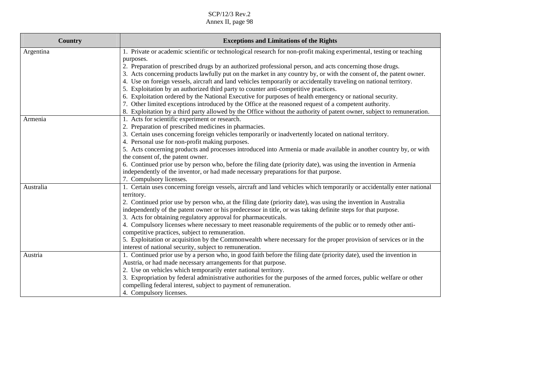| <b>Country</b> | <b>Exceptions and Limitations of the Rights</b>                                                                                                                                                                                                                                                                                                                                                                                                                                                                                                                                                                                                                                                                                                                                                                                                                                                                                   |
|----------------|-----------------------------------------------------------------------------------------------------------------------------------------------------------------------------------------------------------------------------------------------------------------------------------------------------------------------------------------------------------------------------------------------------------------------------------------------------------------------------------------------------------------------------------------------------------------------------------------------------------------------------------------------------------------------------------------------------------------------------------------------------------------------------------------------------------------------------------------------------------------------------------------------------------------------------------|
| Argentina      | 1. Private or academic scientific or technological research for non-profit making experimental, testing or teaching<br>purposes.<br>2. Preparation of prescribed drugs by an authorized professional person, and acts concerning those drugs.<br>3. Acts concerning products lawfully put on the market in any country by, or with the consent of, the patent owner.<br>4. Use on foreign vessels, aircraft and land vehicles temporarily or accidentally traveling on national territory.<br>5. Exploitation by an authorized third party to counter anti-competitive practices.<br>6. Exploitation ordered by the National Executive for purposes of health emergency or national security.<br>7. Other limited exceptions introduced by the Office at the reasoned request of a competent authority.<br>8. Exploitation by a third party allowed by the Office without the authority of patent owner, subject to remuneration. |
| Armenia        | 1. Acts for scientific experiment or research.<br>2. Preparation of prescribed medicines in pharmacies.<br>3. Certain uses concerning foreign vehicles temporarily or inadvertently located on national territory.<br>4. Personal use for non-profit making purposes.<br>5. Acts concerning products and processes introduced into Armenia or made available in another country by, or with<br>the consent of, the patent owner.<br>6. Continued prior use by person who, before the filing date (priority date), was using the invention in Armenia<br>independently of the inventor, or had made necessary preparations for that purpose.<br>7. Compulsory licenses.                                                                                                                                                                                                                                                            |
| Australia      | 1. Certain uses concerning foreign vessels, aircraft and land vehicles which temporarily or accidentally enter national<br>territory.<br>2. Continued prior use by person who, at the filing date (priority date), was using the invention in Australia<br>independently of the patent owner or his predecessor in title, or was taking definite steps for that purpose.<br>3. Acts for obtaining regulatory approval for pharmaceuticals.<br>4. Compulsory licenses where necessary to meet reasonable requirements of the public or to remedy other anti-<br>competitive practices, subject to remuneration.<br>5. Exploitation or acquisition by the Commonwealth where necessary for the proper provision of services or in the<br>interest of national security, subject to remuneration.                                                                                                                                    |
| Austria        | 1. Continued prior use by a person who, in good faith before the filing date (priority date), used the invention in<br>Austria, or had made necessary arrangements for that purpose.<br>2. Use on vehicles which temporarily enter national territory.<br>3. Expropriation by federal administrative authorities for the purposes of the armed forces, public welfare or other<br>compelling federal interest, subject to payment of remuneration.<br>4. Compulsory licenses.                                                                                                                                                                                                                                                                                                                                                                                                                                                     |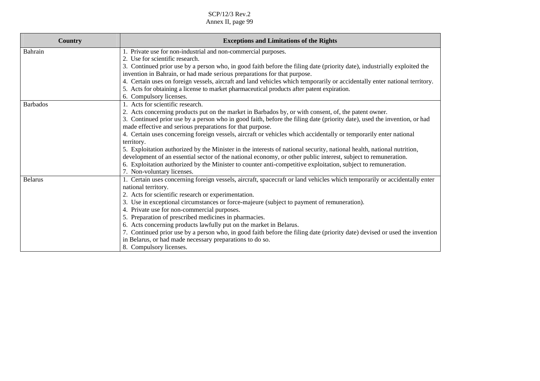| Country         | <b>Exceptions and Limitations of the Rights</b>                                                                            |
|-----------------|----------------------------------------------------------------------------------------------------------------------------|
| Bahrain         | 1. Private use for non-industrial and non-commercial purposes.                                                             |
|                 | 2. Use for scientific research.                                                                                            |
|                 | 3. Continued prior use by a person who, in good faith before the filing date (priority date), industrially exploited the   |
|                 | invention in Bahrain, or had made serious preparations for that purpose.                                                   |
|                 | 4. Certain uses on foreign vessels, aircraft and land vehicles which temporarily or accidentally enter national territory. |
|                 | 5. Acts for obtaining a license to market pharmaceutical products after patent expiration.                                 |
|                 | 6. Compulsory licenses.                                                                                                    |
| <b>Barbados</b> | 1. Acts for scientific research.                                                                                           |
|                 | 2. Acts concerning products put on the market in Barbados by, or with consent, of, the patent owner.                       |
|                 | 3. Continued prior use by a person who in good faith, before the filing date (priority date), used the invention, or had   |
|                 | made effective and serious preparations for that purpose.                                                                  |
|                 | 4. Certain uses concerning foreign vessels, aircraft or vehicles which accidentally or temporarily enter national          |
|                 | territory.                                                                                                                 |
|                 | 5. Exploitation authorized by the Minister in the interests of national security, national health, national nutrition,     |
|                 | development of an essential sector of the national economy, or other public interest, subject to remuneration.             |
|                 | 6. Exploitation authorized by the Minister to counter anti-competitive exploitation, subject to remuneration.              |
|                 | 7. Non-voluntary licenses.                                                                                                 |
| <b>Belarus</b>  | 1. Certain uses concerning foreign vessels, aircraft, spacecraft or land vehicles which temporarily or accidentally enter  |
|                 | national territory.                                                                                                        |
|                 | 2. Acts for scientific research or experimentation.                                                                        |
|                 | 3. Use in exceptional circumstances or force-majeure (subject to payment of remuneration).                                 |
|                 | 4. Private use for non-commercial purposes.                                                                                |
|                 | 5. Preparation of prescribed medicines in pharmacies.                                                                      |
|                 | 6. Acts concerning products lawfully put on the market in Belarus.                                                         |
|                 | 7. Continued prior use by a person who, in good faith before the filing date (priority date) devised or used the invention |
|                 | in Belarus, or had made necessary preparations to do so.                                                                   |
|                 | 8. Compulsory licenses.                                                                                                    |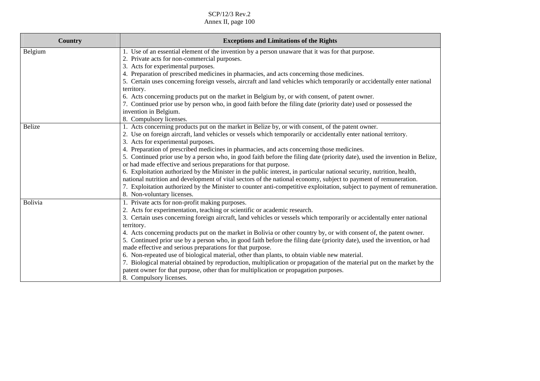| <b>Country</b> | <b>Exceptions and Limitations of the Rights</b>                                                                                                                                                                                                 |
|----------------|-------------------------------------------------------------------------------------------------------------------------------------------------------------------------------------------------------------------------------------------------|
| Belgium        | 1. Use of an essential element of the invention by a person unaware that it was for that purpose.                                                                                                                                               |
|                | 2. Private acts for non-commercial purposes.                                                                                                                                                                                                    |
|                | 3. Acts for experimental purposes.                                                                                                                                                                                                              |
|                | 4. Preparation of prescribed medicines in pharmacies, and acts concerning those medicines.                                                                                                                                                      |
|                | 5. Certain uses concerning foreign vessels, aircraft and land vehicles which temporarily or accidentally enter national                                                                                                                         |
|                | territory.                                                                                                                                                                                                                                      |
|                | 6. Acts concerning products put on the market in Belgium by, or with consent, of patent owner.                                                                                                                                                  |
|                | 7. Continued prior use by person who, in good faith before the filing date (priority date) used or possessed the                                                                                                                                |
|                | invention in Belgium.                                                                                                                                                                                                                           |
|                | 8. Compulsory licenses.                                                                                                                                                                                                                         |
| Belize         | 1. Acts concerning products put on the market in Belize by, or with consent, of the patent owner.                                                                                                                                               |
|                | 2. Use on foreign aircraft, land vehicles or vessels which temporarily or accidentally enter national territory.                                                                                                                                |
|                | 3. Acts for experimental purposes.                                                                                                                                                                                                              |
|                | 4. Preparation of prescribed medicines in pharmacies, and acts concerning those medicines.                                                                                                                                                      |
|                | 5. Continued prior use by a person who, in good faith before the filing date (priority date), used the invention in Belize,                                                                                                                     |
|                | or had made effective and serious preparations for that purpose.                                                                                                                                                                                |
|                | 6. Exploitation authorized by the Minister in the public interest, in particular national security, nutrition, health,                                                                                                                          |
|                | national nutrition and development of vital sectors of the national economy, subject to payment of remuneration.                                                                                                                                |
|                | 7. Exploitation authorized by the Minister to counter anti-competitive exploitation, subject to payment of remuneration.                                                                                                                        |
|                | 8. Non-voluntary licenses.                                                                                                                                                                                                                      |
| Bolivia        | 1. Private acts for non-profit making purposes.                                                                                                                                                                                                 |
|                | 2. Acts for experimentation, teaching or scientific or academic research.                                                                                                                                                                       |
|                | 3. Certain uses concerning foreign aircraft, land vehicles or vessels which temporarily or accidentally enter national                                                                                                                          |
|                | territory.                                                                                                                                                                                                                                      |
|                | 4. Acts concerning products put on the market in Bolivia or other country by, or with consent of, the patent owner.<br>5. Continued prior use by a person who, in good faith before the filing date (priority date), used the invention, or had |
|                |                                                                                                                                                                                                                                                 |
|                | made effective and serious preparations for that purpose.<br>6. Non-repeated use of biological material, other than plants, to obtain viable new material.                                                                                      |
|                | 7. Biological material obtained by reproduction, multiplication or propagation of the material put on the market by the                                                                                                                         |
|                | patent owner for that purpose, other than for multiplication or propagation purposes.                                                                                                                                                           |
|                |                                                                                                                                                                                                                                                 |
|                | 8. Compulsory licenses.                                                                                                                                                                                                                         |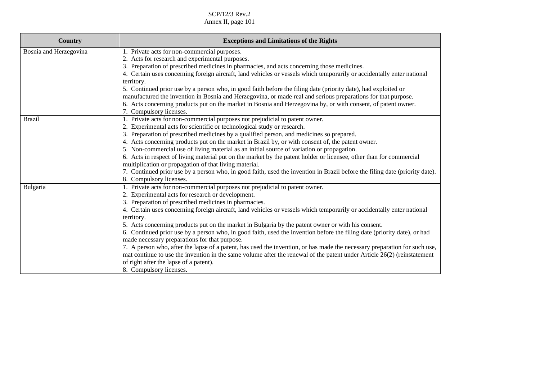| <b>Country</b>         | <b>Exceptions and Limitations of the Rights</b>                                                                                      |
|------------------------|--------------------------------------------------------------------------------------------------------------------------------------|
| Bosnia and Herzegovina | 1. Private acts for non-commercial purposes.                                                                                         |
|                        | 2. Acts for research and experimental purposes.                                                                                      |
|                        | 3. Preparation of prescribed medicines in pharmacies, and acts concerning those medicines.                                           |
|                        | 4. Certain uses concerning foreign aircraft, land vehicles or vessels which temporarily or accidentally enter national<br>territory. |
|                        | 5. Continued prior use by a person who, in good faith before the filing date (priority date), had exploited or                       |
|                        | manufactured the invention in Bosnia and Herzegovina, or made real and serious preparations for that purpose.                        |
|                        | 6. Acts concerning products put on the market in Bosnia and Herzegovina by, or with consent, of patent owner.                        |
|                        | 7. Compulsory licenses.                                                                                                              |
| <b>Brazil</b>          | 1. Private acts for non-commercial purposes not prejudicial to patent owner.                                                         |
|                        | 2. Experimental acts for scientific or technological study or research.                                                              |
|                        | 3. Preparation of prescribed medicines by a qualified person, and medicines so prepared.                                             |
|                        | 4. Acts concerning products put on the market in Brazil by, or with consent of, the patent owner.                                    |
|                        | 5. Non-commercial use of living material as an initial source of variation or propagation.                                           |
|                        | 6. Acts in respect of living material put on the market by the patent holder or licensee, other than for commercial                  |
|                        | multiplication or propagation of that living material.                                                                               |
|                        | 7. Continued prior use by a person who, in good faith, used the invention in Brazil before the filing date (priority date).          |
|                        | 8. Compulsory licenses.                                                                                                              |
| Bulgaria               | 1. Private acts for non-commercial purposes not prejudicial to patent owner.                                                         |
|                        | 2. Experimental acts for research or development.                                                                                    |
|                        | 3. Preparation of prescribed medicines in pharmacies.                                                                                |
|                        | 4. Certain uses concerning foreign aircraft, land vehicles or vessels which temporarily or accidentally enter national               |
|                        | territory.                                                                                                                           |
|                        | 5. Acts concerning products put on the market in Bulgaria by the patent owner or with his consent.                                   |
|                        | 6. Continued prior use by a person who, in good faith, used the invention before the filing date (priority date), or had             |
|                        | made necessary preparations for that purpose.                                                                                        |
|                        | 7. A person who, after the lapse of a patent, has used the invention, or has made the necessary preparation for such use,            |
|                        | mat continue to use the invention in the same volume after the renewal of the patent under Article $26(2)$ (reinstatement            |
|                        | of right after the lapse of a patent).                                                                                               |
|                        | 8. Compulsory licenses.                                                                                                              |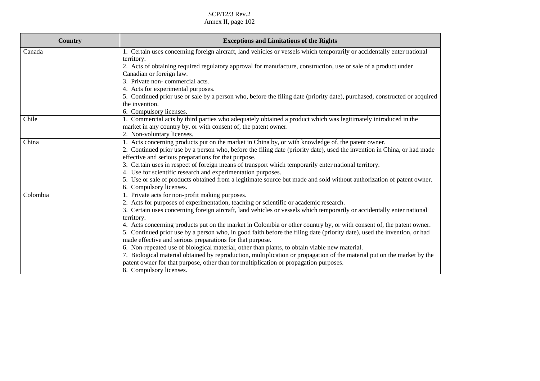| <b>Country</b> | <b>Exceptions and Limitations of the Rights</b>                                                                                                                                                                  |
|----------------|------------------------------------------------------------------------------------------------------------------------------------------------------------------------------------------------------------------|
| Canada         | 1. Certain uses concerning foreign aircraft, land vehicles or vessels which temporarily or accidentally enter national<br>territory.                                                                             |
|                | 2. Acts of obtaining required regulatory approval for manufacture, construction, use or sale of a product under<br>Canadian or foreign law.                                                                      |
|                | 3. Private non-commercial acts.                                                                                                                                                                                  |
|                | 4. Acts for experimental purposes.                                                                                                                                                                               |
|                | 5. Continued prior use or sale by a person who, before the filing date (priority date), purchased, constructed or acquired                                                                                       |
|                | the invention.                                                                                                                                                                                                   |
|                | 6. Compulsory licenses.                                                                                                                                                                                          |
| Chile          | 1. Commercial acts by third parties who adequately obtained a product which was legitimately introduced in the<br>market in any country by, or with consent of, the patent owner.                                |
|                | 2. Non-voluntary licenses.                                                                                                                                                                                       |
| China          | 1. Acts concerning products put on the market in China by, or with knowledge of, the patent owner.                                                                                                               |
|                | 2. Continued prior use by a person who, before the filing date (priority date), used the invention in China, or had made<br>effective and serious preparations for that purpose.                                 |
|                | 3. Certain uses in respect of foreign means of transport which temporarily enter national territory.                                                                                                             |
|                | 4. Use for scientific research and experimentation purposes.                                                                                                                                                     |
|                | 5. Use or sale of products obtained from a legitimate source but made and sold without authorization of patent owner.                                                                                            |
|                | 6. Compulsory licenses.                                                                                                                                                                                          |
| Colombia       | 1. Private acts for non-profit making purposes.                                                                                                                                                                  |
|                | 2. Acts for purposes of experimentation, teaching or scientific or academic research.                                                                                                                            |
|                | 3. Certain uses concerning foreign aircraft, land vehicles or vessels which temporarily or accidentally enter national                                                                                           |
|                | territory.                                                                                                                                                                                                       |
|                | 4. Acts concerning products put on the market in Colombia or other country by, or with consent of, the patent owner.                                                                                             |
|                | 5. Continued prior use by a person who, in good faith before the filing date (priority date), used the invention, or had                                                                                         |
|                | made effective and serious preparations for that purpose.                                                                                                                                                        |
|                | 6. Non-repeated use of biological material, other than plants, to obtain viable new material.                                                                                                                    |
|                | 7. Biological material obtained by reproduction, multiplication or propagation of the material put on the market by the<br>patent owner for that purpose, other than for multiplication or propagation purposes. |
|                | 8. Compulsory licenses.                                                                                                                                                                                          |
|                |                                                                                                                                                                                                                  |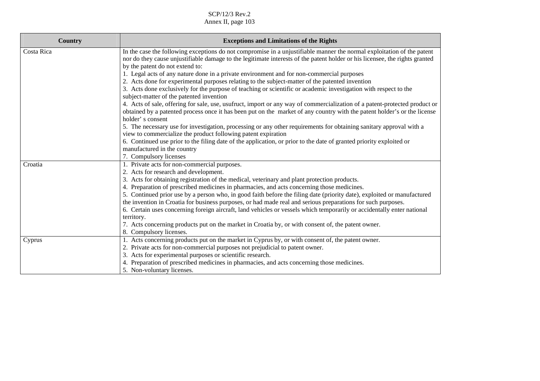| <b>Country</b> | <b>Exceptions and Limitations of the Rights</b>                                                                                                                                                                                                                                                                                                                                                                                                                                                                                                                                                                                                                                                                                                                                                                                                                                                                                                                                                                                                                                                                                                                                                                                                                                      |
|----------------|--------------------------------------------------------------------------------------------------------------------------------------------------------------------------------------------------------------------------------------------------------------------------------------------------------------------------------------------------------------------------------------------------------------------------------------------------------------------------------------------------------------------------------------------------------------------------------------------------------------------------------------------------------------------------------------------------------------------------------------------------------------------------------------------------------------------------------------------------------------------------------------------------------------------------------------------------------------------------------------------------------------------------------------------------------------------------------------------------------------------------------------------------------------------------------------------------------------------------------------------------------------------------------------|
| Costa Rica     | In the case the following exceptions do not compromise in a unjustifiable manner the normal exploitation of the patent<br>nor do they cause unjustifiable damage to the legitimate interests of the patent holder or his licensee, the rights granted<br>by the patent do not extend to:<br>1. Legal acts of any nature done in a private environment and for non-commercial purposes<br>2. Acts done for experimental purposes relating to the subject-matter of the patented invention<br>3. Acts done exclusively for the purpose of teaching or scientific or academic investigation with respect to the<br>subject-matter of the patented invention<br>4. Acts of sale, offering for sale, use, usufruct, import or any way of commercialization of a patent-protected product or<br>obtained by a patented process once it has been put on the market of any country with the patent holder's or the license<br>holder's consent<br>5. The necessary use for investigation, processing or any other requirements for obtaining sanitary approval with a<br>view to commercialize the product following patent expiration<br>6. Continued use prior to the filing date of the application, or prior to the date of granted priority exploited or<br>manufactured in the country |
| Croatia        | 7. Compulsory licenses<br>1. Private acts for non-commercial purposes.<br>2. Acts for research and development.<br>3. Acts for obtaining registration of the medical, veterinary and plant protection products.<br>4. Preparation of prescribed medicines in pharmacies, and acts concerning those medicines.<br>5. Continued prior use by a person who, in good faith before the filing date (priority date), exploited or manufactured<br>the invention in Croatia for business purposes, or had made real and serious preparations for such purposes.<br>6. Certain uses concerning foreign aircraft, land vehicles or vessels which temporarily or accidentally enter national<br>territory.<br>7. Acts concerning products put on the market in Croatia by, or with consent of, the patent owner.<br>8. Compulsory licenses.                                                                                                                                                                                                                                                                                                                                                                                                                                                    |
| Cyprus         | 1. Acts concerning products put on the market in Cyprus by, or with consent of, the patent owner.<br>2. Private acts for non-commercial purposes not prejudicial to patent owner.<br>3. Acts for experimental purposes or scientific research.<br>4. Preparation of prescribed medicines in pharmacies, and acts concerning those medicines.<br>5. Non-voluntary licenses.                                                                                                                                                                                                                                                                                                                                                                                                                                                                                                                                                                                                                                                                                                                                                                                                                                                                                                           |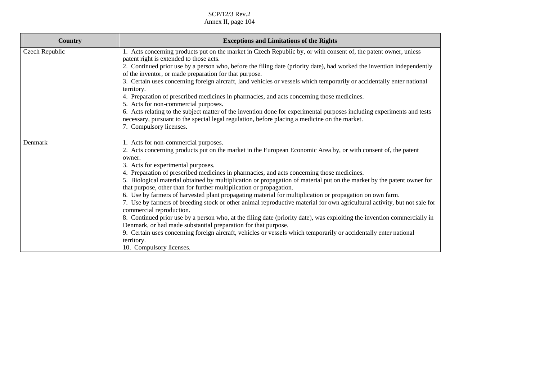| <b>Country</b> | <b>Exceptions and Limitations of the Rights</b>                                                                                                                                               |
|----------------|-----------------------------------------------------------------------------------------------------------------------------------------------------------------------------------------------|
| Czech Republic | 1. Acts concerning products put on the market in Czech Republic by, or with consent of, the patent owner, unless                                                                              |
|                | patent right is extended to those acts.<br>2. Continued prior use by a person who, before the filing date (priority date), had worked the invention independently                             |
|                | of the inventor, or made preparation for that purpose.                                                                                                                                        |
|                | 3. Certain uses concerning foreign aircraft, land vehicles or vessels which temporarily or accidentally enter national                                                                        |
|                | territory.                                                                                                                                                                                    |
|                | 4. Preparation of prescribed medicines in pharmacies, and acts concerning those medicines.                                                                                                    |
|                | 5. Acts for non-commercial purposes.                                                                                                                                                          |
|                | 6. Acts relating to the subject matter of the invention done for experimental purposes including experiments and tests                                                                        |
|                | necessary, pursuant to the special legal regulation, before placing a medicine on the market.                                                                                                 |
|                | 7. Compulsory licenses.                                                                                                                                                                       |
| Denmark        | 1. Acts for non-commercial purposes.                                                                                                                                                          |
|                | 2. Acts concerning products put on the market in the European Economic Area by, or with consent of, the patent                                                                                |
|                | owner.                                                                                                                                                                                        |
|                | 3. Acts for experimental purposes.                                                                                                                                                            |
|                | 4. Preparation of prescribed medicines in pharmacies, and acts concerning those medicines.                                                                                                    |
|                | 5. Biological material obtained by multiplication or propagation of material put on the market by the patent owner for<br>that purpose, other than for further multiplication or propagation. |
|                | 6. Use by farmers of harvested plant propagating material for multiplication or propagation on own farm.                                                                                      |
|                | 7. Use by farmers of breeding stock or other animal reproductive material for own agricultural activity, but not sale for                                                                     |
|                | commercial reproduction.                                                                                                                                                                      |
|                | 8. Continued prior use by a person who, at the filing date (priority date), was exploiting the invention commercially in                                                                      |
|                | Denmark, or had made substantial preparation for that purpose.                                                                                                                                |
|                | 9. Certain uses concerning foreign aircraft, vehicles or vessels which temporarily or accidentally enter national                                                                             |
|                | territory.                                                                                                                                                                                    |
|                | 10. Compulsory licenses.                                                                                                                                                                      |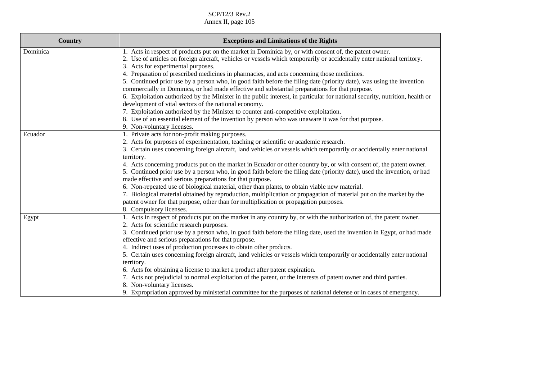| Country  | <b>Exceptions and Limitations of the Rights</b>                                                                                                                                                                                                                                                                                                                                                                                                                                                                                                                                                                                                                                                                                                                                                                                                                                                                                                                                         |
|----------|-----------------------------------------------------------------------------------------------------------------------------------------------------------------------------------------------------------------------------------------------------------------------------------------------------------------------------------------------------------------------------------------------------------------------------------------------------------------------------------------------------------------------------------------------------------------------------------------------------------------------------------------------------------------------------------------------------------------------------------------------------------------------------------------------------------------------------------------------------------------------------------------------------------------------------------------------------------------------------------------|
| Dominica | 1. Acts in respect of products put on the market in Dominica by, or with consent of, the patent owner.<br>2. Use of articles on foreign aircraft, vehicles or vessels which temporarily or accidentally enter national territory.<br>3. Acts for experimental purposes.<br>4. Preparation of prescribed medicines in pharmacies, and acts concerning those medicines.<br>5. Continued prior use by a person who, in good faith before the filing date (priority date), was using the invention<br>commercially in Dominica, or had made effective and substantial preparations for that purpose.<br>6. Exploitation authorized by the Minister in the public interest, in particular for national security, nutrition, health or<br>development of vital sectors of the national economy.<br>7. Exploitation authorized by the Minister to counter anti-competitive exploitation.<br>8. Use of an essential element of the invention by person who was unaware it was for that purpose. |
| Ecuador  | 9. Non-voluntary licenses.<br>1. Private acts for non-profit making purposes.<br>2. Acts for purposes of experimentation, teaching or scientific or academic research.<br>3. Certain uses concerning foreign aircraft, land vehicles or vessels which temporarily or accidentally enter national<br>territory.<br>4. Acts concerning products put on the market in Ecuador or other country by, or with consent of, the patent owner.<br>5. Continued prior use by a person who, in good faith before the filing date (priority date), used the invention, or had<br>made effective and serious preparations for that purpose.<br>6. Non-repeated use of biological material, other than plants, to obtain viable new material.<br>7. Biological material obtained by reproduction, multiplication or propagation of material put on the market by the<br>patent owner for that purpose, other than for multiplication or propagation purposes.<br>8. Compulsory licenses.              |
| Egypt    | 1. Acts in respect of products put on the market in any country by, or with the authorization of, the patent owner.<br>2. Acts for scientific research purposes.<br>3. Continued prior use by a person who, in good faith before the filing date, used the invention in Egypt, or had made<br>effective and serious preparations for that purpose.<br>4. Indirect uses of production processes to obtain other products.<br>5. Certain uses concerning foreign aircraft, land vehicles or vessels which temporarily or accidentally enter national<br>territory.<br>6. Acts for obtaining a license to market a product after patent expiration.<br>7. Acts not prejudicial to normal exploitation of the patent, or the interests of patent owner and third parties.<br>8. Non-voluntary licenses.<br>9. Expropriation approved by ministerial committee for the purposes of national defense or in cases of emergency.                                                                |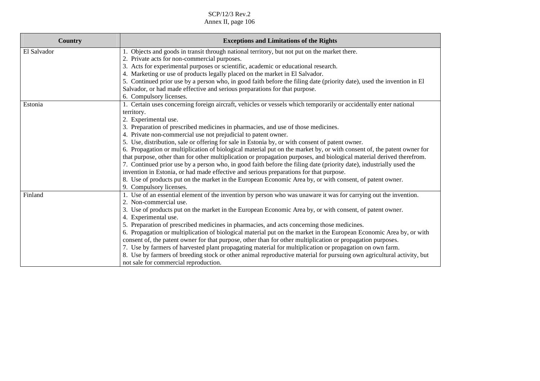| <b>Country</b> | <b>Exceptions and Limitations of the Rights</b>                                                                        |
|----------------|------------------------------------------------------------------------------------------------------------------------|
| El Salvador    | 1. Objects and goods in transit through national territory, but not put on the market there.                           |
|                | 2. Private acts for non-commercial purposes.                                                                           |
|                | 3. Acts for experimental purposes or scientific, academic or educational research.                                     |
|                | 4. Marketing or use of products legally placed on the market in El Salvador.                                           |
|                | 5. Continued prior use by a person who, in good faith before the filing date (priority date), used the invention in El |
|                | Salvador, or had made effective and serious preparations for that purpose.                                             |
|                | 6. Compulsory licenses.                                                                                                |
| Estonia        | 1. Certain uses concerning foreign aircraft, vehicles or vessels which temporarily or accidentally enter national      |
|                | territory.                                                                                                             |
|                | 2. Experimental use.                                                                                                   |
|                | 3. Preparation of prescribed medicines in pharmacies, and use of those medicines.                                      |
|                | 4. Private non-commercial use not prejudicial to patent owner.                                                         |
|                | 5. Use, distribution, sale or offering for sale in Estonia by, or with consent of patent owner.                        |
|                | 6. Propagation or multiplication of biological material put on the market by, or with consent of, the patent owner for |
|                | that purpose, other than for other multiplication or propagation purposes, and biological material derived therefrom.  |
|                | 7. Continued prior use by a person who, in good faith before the filing date (priority date), industrially used the    |
|                | invention in Estonia, or had made effective and serious preparations for that purpose.                                 |
|                | 8. Use of products put on the market in the European Economic Area by, or with consent, of patent owner.               |
|                | 9. Compulsory licenses.                                                                                                |
| Finland        | 1. Use of an essential element of the invention by person who was unaware it was for carrying out the invention.       |
|                | 2. Non-commercial use.                                                                                                 |
|                | 3. Use of products put on the market in the European Economic Area by, or with consent, of patent owner.               |
|                | 4. Experimental use.                                                                                                   |
|                | 5. Preparation of prescribed medicines in pharmacies, and acts concerning those medicines.                             |
|                | 6. Propagation or multiplication of biological material put on the market in the European Economic Area by, or with    |
|                | consent of, the patent owner for that purpose, other than for other multiplication or propagation purposes.            |
|                | 7. Use by farmers of harvested plant propagating material for multiplication or propagation on own farm.               |
|                | 8. Use by farmers of breeding stock or other animal reproductive material for pursuing own agricultural activity, but  |
|                | not sale for commercial reproduction.                                                                                  |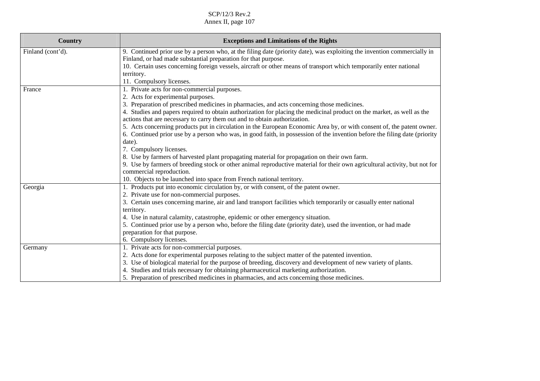| Country           | <b>Exceptions and Limitations of the Rights</b>                                                                                                                                                     |
|-------------------|-----------------------------------------------------------------------------------------------------------------------------------------------------------------------------------------------------|
| Finland (cont'd). | 9. Continued prior use by a person who, at the filing date (priority date), was exploiting the invention commercially in                                                                            |
|                   | Finland, or had made substantial preparation for that purpose.                                                                                                                                      |
|                   | 10. Certain uses concerning foreign vessels, aircraft or other means of transport which temporarily enter national                                                                                  |
|                   | territory.                                                                                                                                                                                          |
|                   | 11. Compulsory licenses.                                                                                                                                                                            |
| France            | 1. Private acts for non-commercial purposes.                                                                                                                                                        |
|                   | 2. Acts for experimental purposes.                                                                                                                                                                  |
|                   | 3. Preparation of prescribed medicines in pharmacies, and acts concerning those medicines.                                                                                                          |
|                   | 4. Studies and papers required to obtain authorization for placing the medicinal product on the market, as well as the<br>actions that are necessary to carry them out and to obtain authorization. |
|                   | 5. Acts concerning products put in circulation in the European Economic Area by, or with consent of, the patent owner.                                                                              |
|                   | 6. Continued prior use by a person who was, in good faith, in possession of the invention before the filing date (priority                                                                          |
|                   | date).                                                                                                                                                                                              |
|                   | 7. Compulsory licenses.                                                                                                                                                                             |
|                   | 8. Use by farmers of harvested plant propagating material for propagation on their own farm.                                                                                                        |
|                   | 9. Use by farmers of breeding stock or other animal reproductive material for their own agricultural activity, but not for                                                                          |
|                   | commercial reproduction.                                                                                                                                                                            |
|                   | 10. Objects to be launched into space from French national territory.                                                                                                                               |
| Georgia           | 1. Products put into economic circulation by, or with consent, of the patent owner.                                                                                                                 |
|                   | 2. Private use for non-commercial purposes.                                                                                                                                                         |
|                   | 3. Certain uses concerning marine, air and land transport facilities which temporarily or casually enter national                                                                                   |
|                   | territory.                                                                                                                                                                                          |
|                   | 4. Use in natural calamity, catastrophe, epidemic or other emergency situation.                                                                                                                     |
|                   | 5. Continued prior use by a person who, before the filing date (priority date), used the invention, or had made                                                                                     |
|                   | preparation for that purpose.                                                                                                                                                                       |
|                   | 6. Compulsory licenses.                                                                                                                                                                             |
| Germany           | 1. Private acts for non-commercial purposes.                                                                                                                                                        |
|                   | 2. Acts done for experimental purposes relating to the subject matter of the patented invention.                                                                                                    |
|                   | 3. Use of biological material for the purpose of breeding, discovery and development of new variety of plants.                                                                                      |
|                   | 4. Studies and trials necessary for obtaining pharmaceutical marketing authorization.                                                                                                               |
|                   | 5. Preparation of prescribed medicines in pharmacies, and acts concerning those medicines.                                                                                                          |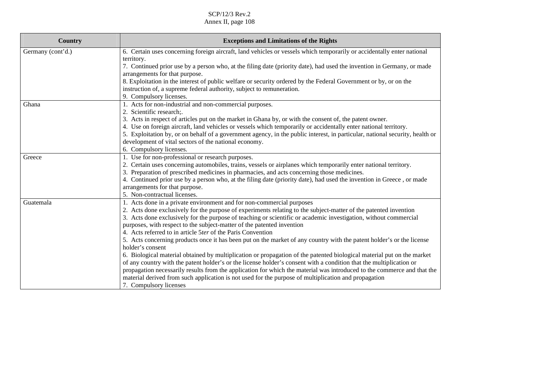| Country                    | <b>Exceptions and Limitations of the Rights</b>                                                                                                                                                                             |
|----------------------------|-----------------------------------------------------------------------------------------------------------------------------------------------------------------------------------------------------------------------------|
| Germany (cont'd.)<br>Ghana | 6. Certain uses concerning foreign aircraft, land vehicles or vessels which temporarily or accidentally enter national                                                                                                      |
|                            | territory.                                                                                                                                                                                                                  |
|                            | 7. Continued prior use by a person who, at the filing date (priority date), had used the invention in Germany, or made                                                                                                      |
|                            | arrangements for that purpose.                                                                                                                                                                                              |
|                            | 8. Exploitation in the interest of public welfare or security ordered by the Federal Government or by, or on the                                                                                                            |
|                            | instruction of, a supreme federal authority, subject to remuneration.                                                                                                                                                       |
|                            | 9. Compulsory licenses.                                                                                                                                                                                                     |
|                            | 1. Acts for non-industrial and non-commercial purposes.<br>2. Scientific research;                                                                                                                                          |
|                            |                                                                                                                                                                                                                             |
|                            | 3. Acts in respect of articles put on the market in Ghana by, or with the consent of, the patent owner.<br>4. Use on foreign aircraft, land vehicles or vessels which temporarily or accidentally enter national territory. |
|                            | 5. Exploitation by, or on behalf of a government agency, in the public interest, in particular, national security, health or                                                                                                |
|                            | development of vital sectors of the national economy.                                                                                                                                                                       |
|                            | 6. Compulsory licenses.                                                                                                                                                                                                     |
| Greece                     | 1. Use for non-professional or research purposes.                                                                                                                                                                           |
|                            | 2. Certain uses concerning automobiles, trains, vessels or airplanes which temporarily enter national territory.                                                                                                            |
|                            | 3. Preparation of prescribed medicines in pharmacies, and acts concerning those medicines.                                                                                                                                  |
|                            | 4. Continued prior use by a person who, at the filing date (priority date), had used the invention in Greece, or made                                                                                                       |
|                            | arrangements for that purpose.                                                                                                                                                                                              |
|                            | 5. Non-contractual licenses.                                                                                                                                                                                                |
| Guatemala                  | 1. Acts done in a private environment and for non-commercial purposes                                                                                                                                                       |
|                            | 2. Acts done exclusively for the purpose of experiments relating to the subject-matter of the patented invention                                                                                                            |
|                            | 3. Acts done exclusively for the purpose of teaching or scientific or academic investigation, without commercial                                                                                                            |
|                            | purposes, with respect to the subject-matter of the patented invention                                                                                                                                                      |
|                            | 4. Acts referred to in article 5ter of the Paris Convention                                                                                                                                                                 |
|                            | 5. Acts concerning products once it has been put on the market of any country with the patent holder's or the license                                                                                                       |
|                            | holder's consent                                                                                                                                                                                                            |
|                            | 6. Biological material obtained by multiplication or propagation of the patented biological material put on the market                                                                                                      |
|                            | of any country with the patent holder's or the license holder's consent with a condition that the multiplication or                                                                                                         |
|                            | propagation necessarily results from the application for which the material was introduced to the commerce and that the                                                                                                     |
|                            | material derived from such application is not used for the purpose of multiplication and propagation                                                                                                                        |
|                            | 7. Compulsory licenses                                                                                                                                                                                                      |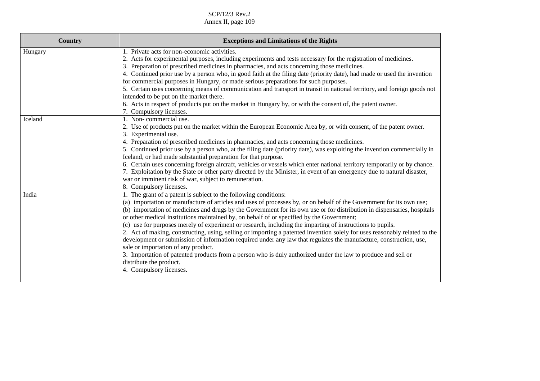| <b>Country</b> | <b>Exceptions and Limitations of the Rights</b>                                                                                                                                                                                                                                                                                                                                                                                                                                                                                                                                                                                                                                                                                                                                                                                                                                                                                                                                                 |
|----------------|-------------------------------------------------------------------------------------------------------------------------------------------------------------------------------------------------------------------------------------------------------------------------------------------------------------------------------------------------------------------------------------------------------------------------------------------------------------------------------------------------------------------------------------------------------------------------------------------------------------------------------------------------------------------------------------------------------------------------------------------------------------------------------------------------------------------------------------------------------------------------------------------------------------------------------------------------------------------------------------------------|
| Hungary        | 1. Private acts for non-economic activities.<br>2. Acts for experimental purposes, including experiments and tests necessary for the registration of medicines.<br>3. Preparation of prescribed medicines in pharmacies, and acts concerning those medicines.<br>4. Continued prior use by a person who, in good faith at the filing date (priority date), had made or used the invention<br>for commercial purposes in Hungary, or made serious preparations for such purposes.<br>5. Certain uses concerning means of communication and transport in transit in national territory, and foreign goods not<br>intended to be put on the market there.<br>6. Acts in respect of products put on the market in Hungary by, or with the consent of, the patent owner.<br>7. Compulsory licenses.                                                                                                                                                                                                  |
| Iceland        | 1. Non-commercial use.<br>2. Use of products put on the market within the European Economic Area by, or with consent, of the patent owner.<br>3. Experimental use.<br>4. Preparation of prescribed medicines in pharmacies, and acts concerning those medicines.<br>5. Continued prior use by a person who, at the filing date (priority date), was exploiting the invention commercially in<br>Iceland, or had made substantial preparation for that purpose.<br>6. Certain uses concerning foreign aircraft, vehicles or vessels which enter national territory temporarily or by chance.<br>7. Exploitation by the State or other party directed by the Minister, in event of an emergency due to natural disaster,<br>war or imminent risk of war, subject to remuneration.<br>8. Compulsory licenses.                                                                                                                                                                                      |
| India          | 1. The grant of a patent is subject to the following conditions:<br>(a) importation or manufacture of articles and uses of processes by, or on behalf of the Government for its own use;<br>(b) importation of medicines and drugs by the Government for its own use or for distribution in dispensaries, hospitals<br>or other medical institutions maintained by, on behalf of or specified by the Government;<br>(c) use for purposes merely of experiment or research, including the imparting of instructions to pupils.<br>2. Act of making, constructing, using, selling or importing a patented invention solely for uses reasonably related to the<br>development or submission of information required under any law that regulates the manufacture, construction, use,<br>sale or importation of any product.<br>3. Importation of patented products from a person who is duly authorized under the law to produce and sell or<br>distribute the product.<br>4. Compulsory licenses. |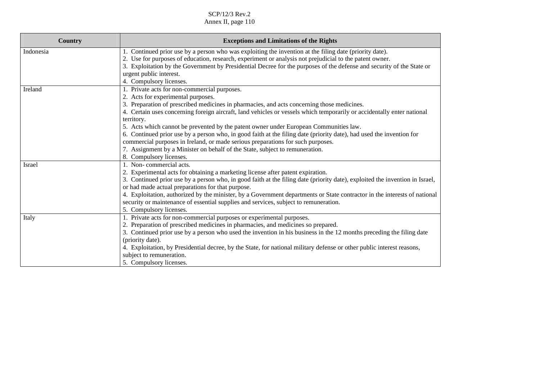| <b>Country</b> | <b>Exceptions and Limitations of the Rights</b>                                                                                                                                                                                                                                                                                                                                                                                                                                                                                                                                                                                                                                                                                         |
|----------------|-----------------------------------------------------------------------------------------------------------------------------------------------------------------------------------------------------------------------------------------------------------------------------------------------------------------------------------------------------------------------------------------------------------------------------------------------------------------------------------------------------------------------------------------------------------------------------------------------------------------------------------------------------------------------------------------------------------------------------------------|
| Indonesia      | 1. Continued prior use by a person who was exploiting the invention at the filing date (priority date).<br>2. Use for purposes of education, research, experiment or analysis not prejudicial to the patent owner.<br>3. Exploitation by the Government by Presidential Decree for the purposes of the defense and security of the State or<br>urgent public interest.<br>4. Compulsory licenses.                                                                                                                                                                                                                                                                                                                                       |
| Ireland        | 1. Private acts for non-commercial purposes.<br>2. Acts for experimental purposes.<br>3. Preparation of prescribed medicines in pharmacies, and acts concerning those medicines.<br>4. Certain uses concerning foreign aircraft, land vehicles or vessels which temporarily or accidentally enter national<br>territory.<br>5. Acts which cannot be prevented by the patent owner under European Communities law.<br>6. Continued prior use by a person who, in good faith at the filing date (priority date), had used the invention for<br>commercial purposes in Ireland, or made serious preparations for such purposes.<br>7. Assignment by a Minister on behalf of the State, subject to remuneration.<br>8. Compulsory licenses. |
| Israel         | 1. Non-commercial acts.<br>2. Experimental acts for obtaining a marketing license after patent expiration.<br>3. Continued prior use by a person who, in good faith at the filing date (priority date), exploited the invention in Israel,<br>or had made actual preparations for that purpose.<br>4. Exploitation, authorized by the minister, by a Government departments or State contractor in the interests of national<br>security or maintenance of essential supplies and services, subject to remuneration.<br>5. Compulsory licenses.                                                                                                                                                                                         |
| Italy          | 1. Private acts for non-commercial purposes or experimental purposes.<br>2. Preparation of prescribed medicines in pharmacies, and medicines so prepared.<br>3. Continued prior use by a person who used the invention in his business in the 12 months preceding the filing date<br>(priority date).<br>4. Exploitation, by Presidential decree, by the State, for national military defense or other public interest reasons,<br>subject to remuneration.<br>5. Compulsory licenses.                                                                                                                                                                                                                                                  |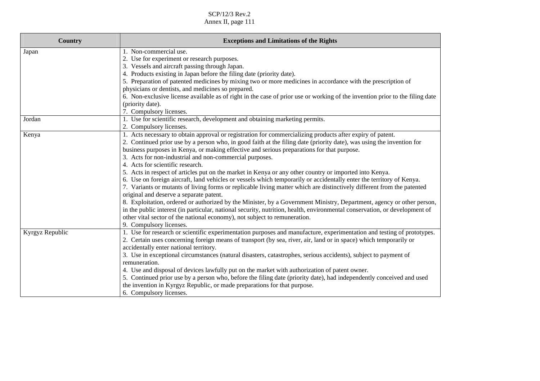| 6. Non-exclusive license available as of right in the case of prior use or working of the invention prior to the filing date                                                                                                                                                                                                                        |
|-----------------------------------------------------------------------------------------------------------------------------------------------------------------------------------------------------------------------------------------------------------------------------------------------------------------------------------------------------|
|                                                                                                                                                                                                                                                                                                                                                     |
|                                                                                                                                                                                                                                                                                                                                                     |
|                                                                                                                                                                                                                                                                                                                                                     |
|                                                                                                                                                                                                                                                                                                                                                     |
|                                                                                                                                                                                                                                                                                                                                                     |
| 2. Continued prior use by a person who, in good faith at the filing date (priority date), was using the invention for                                                                                                                                                                                                                               |
|                                                                                                                                                                                                                                                                                                                                                     |
|                                                                                                                                                                                                                                                                                                                                                     |
|                                                                                                                                                                                                                                                                                                                                                     |
|                                                                                                                                                                                                                                                                                                                                                     |
| 6. Use on foreign aircraft, land vehicles or vessels which temporarily or accidentally enter the territory of Kenya.                                                                                                                                                                                                                                |
| 7. Variants or mutants of living forms or replicable living matter which are distinctively different from the patented                                                                                                                                                                                                                              |
|                                                                                                                                                                                                                                                                                                                                                     |
| 8. Exploitation, ordered or authorized by the Minister, by a Government Ministry, Department, agency or other person,                                                                                                                                                                                                                               |
| in the public interest (in particular, national security, nutrition, health, environmental conservation, or development of                                                                                                                                                                                                                          |
|                                                                                                                                                                                                                                                                                                                                                     |
|                                                                                                                                                                                                                                                                                                                                                     |
| 1. Use for research or scientific experimentation purposes and manufacture, experimentation and testing of prototypes.                                                                                                                                                                                                                              |
|                                                                                                                                                                                                                                                                                                                                                     |
|                                                                                                                                                                                                                                                                                                                                                     |
|                                                                                                                                                                                                                                                                                                                                                     |
|                                                                                                                                                                                                                                                                                                                                                     |
|                                                                                                                                                                                                                                                                                                                                                     |
| 5. Continued prior use by a person who, before the filing date (priority date), had independently conceived and used                                                                                                                                                                                                                                |
|                                                                                                                                                                                                                                                                                                                                                     |
|                                                                                                                                                                                                                                                                                                                                                     |
| 5. Preparation of patented medicines by mixing two or more medicines in accordance with the prescription of<br>2. Certain uses concerning foreign means of transport (by sea, river, air, land or in space) which temporarily or<br>3. Use in exceptional circumstances (natural disasters, catastrophes, serious accidents), subject to payment of |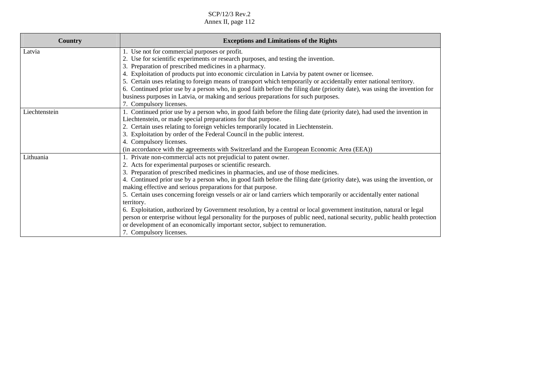| <b>Country</b> | <b>Exceptions and Limitations of the Rights</b>                                                                             |
|----------------|-----------------------------------------------------------------------------------------------------------------------------|
| Latvia         | 1. Use not for commercial purposes or profit.                                                                               |
|                | 2. Use for scientific experiments or research purposes, and testing the invention.                                          |
|                | 3. Preparation of prescribed medicines in a pharmacy.                                                                       |
|                | 4. Exploitation of products put into economic circulation in Latvia by patent owner or licensee.                            |
|                | 5. Certain uses relating to foreign means of transport which temporarily or accidentally enter national territory.          |
|                | 6. Continued prior use by a person who, in good faith before the filing date (priority date), was using the invention for   |
|                | business purposes in Latvia, or making and serious preparations for such purposes.                                          |
|                | 7. Compulsory licenses.                                                                                                     |
| Liechtenstein  | 1. Continued prior use by a person who, in good faith before the filing date (priority date), had used the invention in     |
|                | Liechtenstein, or made special preparations for that purpose.                                                               |
|                | 2. Certain uses relating to foreign vehicles temporarily located in Liechtenstein.                                          |
|                | 3. Exploitation by order of the Federal Council in the public interest.                                                     |
|                | 4. Compulsory licenses.                                                                                                     |
|                | (in accordance with the agreements with Switzerland and the European Economic Area (EEA))                                   |
| Lithuania      | 1. Private non-commercial acts not prejudicial to patent owner.                                                             |
|                | 2. Acts for experimental purposes or scientific research.                                                                   |
|                | 3. Preparation of prescribed medicines in pharmacies, and use of those medicines.                                           |
|                | 4. Continued prior use by a person who, in good faith before the filing date (priority date), was using the invention, or   |
|                | making effective and serious preparations for that purpose.                                                                 |
|                | 5. Certain uses concerning foreign vessels or air or land carriers which temporarily or accidentally enter national         |
|                | territory.                                                                                                                  |
|                | 6. Exploitation, authorized by Government resolution, by a central or local government institution, natural or legal        |
|                | person or enterprise without legal personality for the purposes of public need, national security, public health protection |
|                | or development of an economically important sector, subject to remuneration.                                                |
|                | 7. Compulsory licenses.                                                                                                     |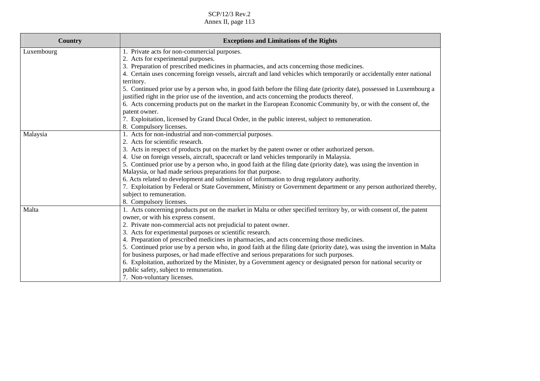| <b>Country</b> | <b>Exceptions and Limitations of the Rights</b>                                                                                       |
|----------------|---------------------------------------------------------------------------------------------------------------------------------------|
| Luxembourg     | 1. Private acts for non-commercial purposes.                                                                                          |
|                | 2. Acts for experimental purposes.                                                                                                    |
|                | 3. Preparation of prescribed medicines in pharmacies, and acts concerning those medicines.                                            |
|                | 4. Certain uses concerning foreign vessels, aircraft and land vehicles which temporarily or accidentally enter national<br>territory. |
|                | 5. Continued prior use by a person who, in good faith before the filing date (priority date), possessed in Luxembourg a               |
|                | justified right in the prior use of the invention, and acts concerning the products thereof.                                          |
|                | 6. Acts concerning products put on the market in the European Economic Community by, or with the consent of, the                      |
|                | patent owner.                                                                                                                         |
|                | 7. Exploitation, licensed by Grand Ducal Order, in the public interest, subject to remuneration.                                      |
|                | 8. Compulsory licenses.                                                                                                               |
| Malaysia       | 1. Acts for non-industrial and non-commercial purposes.                                                                               |
|                | 2. Acts for scientific research.                                                                                                      |
|                | 3. Acts in respect of products put on the market by the patent owner or other authorized person.                                      |
|                | 4. Use on foreign vessels, aircraft, spacecraft or land vehicles temporarily in Malaysia.                                             |
|                | 5. Continued prior use by a person who, in good faith at the filing date (priority date), was using the invention in                  |
|                | Malaysia, or had made serious preparations for that purpose.                                                                          |
|                | 6. Acts related to development and submission of information to drug regulatory authority.                                            |
|                | 7. Exploitation by Federal or State Government, Ministry or Government department or any person authorized thereby,                   |
|                | subject to remuneration.                                                                                                              |
|                | 8. Compulsory licenses.                                                                                                               |
| Malta          | 1. Acts concerning products put on the market in Malta or other specified territory by, or with consent of, the patent                |
|                | owner, or with his express consent.                                                                                                   |
|                | 2. Private non-commercial acts not prejudicial to patent owner.                                                                       |
|                | 3. Acts for experimental purposes or scientific research.                                                                             |
|                | 4. Preparation of prescribed medicines in pharmacies, and acts concerning those medicines.                                            |
|                | 5. Continued prior use by a person who, in good faith at the filing date (priority date), was using the invention in Malta            |
|                | for business purposes, or had made effective and serious preparations for such purposes.                                              |
|                | 6. Exploitation, authorized by the Minister, by a Government agency or designated person for national security or                     |
|                | public safety, subject to remuneration.                                                                                               |
|                | 7. Non-voluntary licenses.                                                                                                            |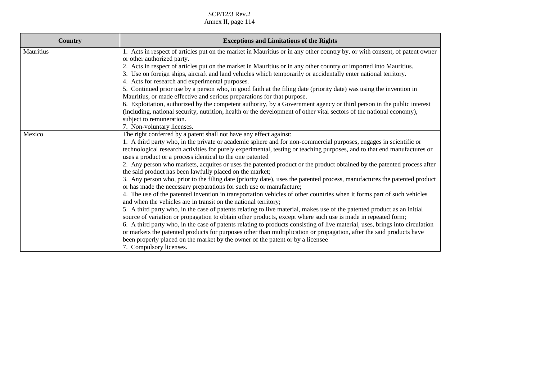| Country   | <b>Exceptions and Limitations of the Rights</b>                                                                                                                                                                                                                                                                                                                                                                                                                                                                                                                                                                                                                                                                                                                                                                                                                                                                                                                                                                                                                                                                                                                                                                                                                                                                                                                                                                                                                                                                                                                                         |
|-----------|-----------------------------------------------------------------------------------------------------------------------------------------------------------------------------------------------------------------------------------------------------------------------------------------------------------------------------------------------------------------------------------------------------------------------------------------------------------------------------------------------------------------------------------------------------------------------------------------------------------------------------------------------------------------------------------------------------------------------------------------------------------------------------------------------------------------------------------------------------------------------------------------------------------------------------------------------------------------------------------------------------------------------------------------------------------------------------------------------------------------------------------------------------------------------------------------------------------------------------------------------------------------------------------------------------------------------------------------------------------------------------------------------------------------------------------------------------------------------------------------------------------------------------------------------------------------------------------------|
| Mauritius | 1. Acts in respect of articles put on the market in Mauritius or in any other country by, or with consent, of patent owner<br>or other authorized party.<br>2. Acts in respect of articles put on the market in Mauritius or in any other country or imported into Mauritius.<br>3. Use on foreign ships, aircraft and land vehicles which temporarily or accidentally enter national territory.<br>4. Acts for research and experimental purposes.<br>5. Continued prior use by a person who, in good faith at the filing date (priority date) was using the invention in<br>Mauritius, or made effective and serious preparations for that purpose.<br>6. Exploitation, authorized by the competent authority, by a Government agency or third person in the public interest<br>(including, national security, nutrition, health or the development of other vital sectors of the national economy),<br>subject to remuneration.<br>7. Non-voluntary licenses.                                                                                                                                                                                                                                                                                                                                                                                                                                                                                                                                                                                                                        |
| Mexico    | The right conferred by a patent shall not have any effect against:<br>1. A third party who, in the private or academic sphere and for non-commercial purposes, engages in scientific or<br>technological research activities for purely experimental, testing or teaching purposes, and to that end manufactures or<br>uses a product or a process identical to the one patented<br>2. Any person who markets, acquires or uses the patented product or the product obtained by the patented process after<br>the said product has been lawfully placed on the market;<br>3. Any person who, prior to the filing date (priority date), uses the patented process, manufactures the patented product<br>or has made the necessary preparations for such use or manufacture;<br>4. The use of the patented invention in transportation vehicles of other countries when it forms part of such vehicles<br>and when the vehicles are in transit on the national territory;<br>5. A third party who, in the case of patents relating to live material, makes use of the patented product as an initial<br>source of variation or propagation to obtain other products, except where such use is made in repeated form;<br>6. A third party who, in the case of patents relating to products consisting of live material, uses, brings into circulation<br>or markets the patented products for purposes other than multiplication or propagation, after the said products have<br>been properly placed on the market by the owner of the patent or by a licensee<br>7. Compulsory licenses. |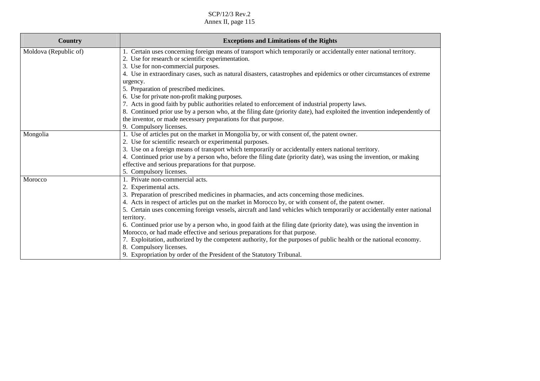| <b>Country</b>        | <b>Exceptions and Limitations of the Rights</b>                                                                                                   |
|-----------------------|---------------------------------------------------------------------------------------------------------------------------------------------------|
| Moldova (Republic of) | 1. Certain uses concerning foreign means of transport which temporarily or accidentally enter national territory.                                 |
|                       | 2. Use for research or scientific experimentation.                                                                                                |
|                       | 3. Use for non-commercial purposes.                                                                                                               |
|                       | 4. Use in extraordinary cases, such as natural disasters, catastrophes and epidemics or other circumstances of extreme                            |
|                       | urgency.                                                                                                                                          |
|                       | 5. Preparation of prescribed medicines.                                                                                                           |
|                       | 6. Use for private non-profit making purposes.<br>7. Acts in good faith by public authorities related to enforcement of industrial property laws. |
|                       | 8. Continued prior use by a person who, at the filing date (priority date), had exploited the invention independently of                          |
|                       | the inventor, or made necessary preparations for that purpose.                                                                                    |
|                       | 9. Compulsory licenses.                                                                                                                           |
| Mongolia              | 1. Use of articles put on the market in Mongolia by, or with consent of, the patent owner.                                                        |
|                       | 2. Use for scientific research or experimental purposes.                                                                                          |
|                       | 3. Use on a foreign means of transport which temporarily or accidentally enters national territory.                                               |
|                       | 4. Continued prior use by a person who, before the filing date (priority date), was using the invention, or making                                |
|                       | effective and serious preparations for that purpose.                                                                                              |
|                       | 5. Compulsory licenses.                                                                                                                           |
| Morocco               | 1. Private non-commercial acts.                                                                                                                   |
|                       | 2. Experimental acts.                                                                                                                             |
|                       | 3. Preparation of prescribed medicines in pharmacies, and acts concerning those medicines.                                                        |
|                       | 4. Acts in respect of articles put on the market in Morocco by, or with consent of, the patent owner.                                             |
|                       | 5. Certain uses concerning foreign vessels, aircraft and land vehicles which temporarily or accidentally enter national                           |
|                       | territory.                                                                                                                                        |
|                       | 6. Continued prior use by a person who, in good faith at the filing date (priority date), was using the invention in                              |
|                       | Morocco, or had made effective and serious preparations for that purpose.                                                                         |
|                       | 7. Exploitation, authorized by the competent authority, for the purposes of public health or the national economy.                                |
|                       | 8. Compulsory licenses.                                                                                                                           |
|                       | 9. Expropriation by order of the President of the Statutory Tribunal.                                                                             |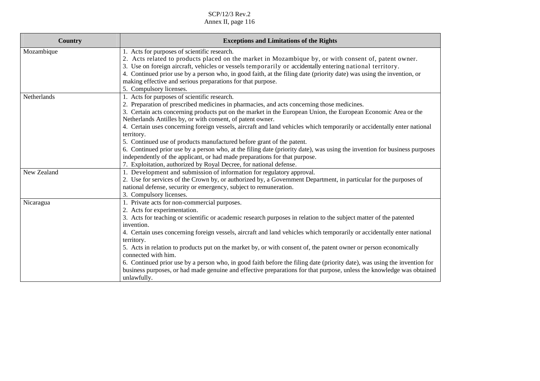| Country     | <b>Exceptions and Limitations of the Rights</b>                                                                                                                                                                                                                                                                                                                                                                                                                                                                                                                                                                                                                                                                                                                                                                               |
|-------------|-------------------------------------------------------------------------------------------------------------------------------------------------------------------------------------------------------------------------------------------------------------------------------------------------------------------------------------------------------------------------------------------------------------------------------------------------------------------------------------------------------------------------------------------------------------------------------------------------------------------------------------------------------------------------------------------------------------------------------------------------------------------------------------------------------------------------------|
| Mozambique  | 1. Acts for purposes of scientific research.<br>2. Acts related to products placed on the market in Mozambique by, or with consent of, patent owner.<br>3. Use on foreign aircraft, vehicles or vessels temporarily or accidentally entering national territory.<br>4. Continued prior use by a person who, in good faith, at the filing date (priority date) was using the invention, or<br>making effective and serious preparations for that purpose.<br>5. Compulsory licenses.                                                                                                                                                                                                                                                                                                                                           |
| Netherlands | 1. Acts for purposes of scientific research.<br>2. Preparation of prescribed medicines in pharmacies, and acts concerning those medicines.<br>3. Certain acts concerning products put on the market in the European Union, the European Economic Area or the<br>Netherlands Antilles by, or with consent, of patent owner.<br>4. Certain uses concerning foreign vessels, aircraft and land vehicles which temporarily or accidentally enter national<br>territory.<br>5. Continued use of products manufactured before grant of the patent.<br>6. Continued prior use by a person who, at the filing date (priority date), was using the invention for business purposes<br>independently of the applicant, or had made preparations for that purpose.<br>7. Exploitation, authorized by Royal Decree, for national defense. |
| New Zealand | 1. Development and submission of information for regulatory approval.<br>2. Use for services of the Crown by, or authorized by, a Government Department, in particular for the purposes of<br>national defense, security or emergency, subject to remuneration.<br>3. Compulsory licenses.                                                                                                                                                                                                                                                                                                                                                                                                                                                                                                                                    |
| Nicaragua   | 1. Private acts for non-commercial purposes.<br>2. Acts for experimentation.<br>3. Acts for teaching or scientific or academic research purposes in relation to the subject matter of the patented<br>invention.<br>4. Certain uses concerning foreign vessels, aircraft and land vehicles which temporarily or accidentally enter national<br>territory.<br>5. Acts in relation to products put on the market by, or with consent of, the patent owner or person economically<br>connected with him.<br>6. Continued prior use by a person who, in good faith before the filing date (priority date), was using the invention for<br>business purposes, or had made genuine and effective preparations for that purpose, unless the knowledge was obtained<br>unlawfully.                                                    |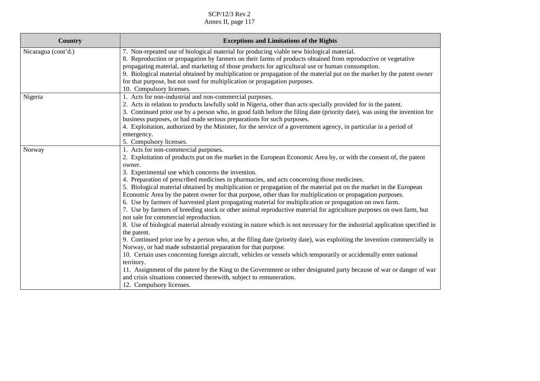| <b>Country</b>      | <b>Exceptions and Limitations of the Rights</b>                                                                                                                                                                                                                                                                                                                                                                                                                                                                                                                                                                                                                                                                                                                                                                                                                                                                                                                                                                                                                                                                                                                                                                                                                                                                                                                                                                                                                                                                                                   |
|---------------------|---------------------------------------------------------------------------------------------------------------------------------------------------------------------------------------------------------------------------------------------------------------------------------------------------------------------------------------------------------------------------------------------------------------------------------------------------------------------------------------------------------------------------------------------------------------------------------------------------------------------------------------------------------------------------------------------------------------------------------------------------------------------------------------------------------------------------------------------------------------------------------------------------------------------------------------------------------------------------------------------------------------------------------------------------------------------------------------------------------------------------------------------------------------------------------------------------------------------------------------------------------------------------------------------------------------------------------------------------------------------------------------------------------------------------------------------------------------------------------------------------------------------------------------------------|
| Nicaragua (cont'd.) | 7. Non-repeated use of biological material for producing viable new biological material.<br>8. Reproduction or propagation by farmers on their farms of products obtained from reproductive or vegetative<br>propagating material, and marketing of those products for agricultural use or human consumption.<br>9. Biological material obtained by multiplication or propagation of the material put on the market by the patent owner<br>for that purpose, but not used for multiplication or propagation purposes.<br>10. Compulsory licenses.                                                                                                                                                                                                                                                                                                                                                                                                                                                                                                                                                                                                                                                                                                                                                                                                                                                                                                                                                                                                 |
| Nigeria             | 1. Acts for non-industrial and non-commercial purposes.<br>2. Acts in relation to products lawfully sold in Nigeria, other than acts specially provided for in the patent.<br>3. Continued prior use by a person who, in good faith before the filing date (priority date), was using the invention for<br>business purposes, or had made serious preparations for such purposes.<br>4. Exploitation, authorized by the Minister, for the service of a government agency, in particular in a period of<br>emergency.<br>5. Compulsory licenses.                                                                                                                                                                                                                                                                                                                                                                                                                                                                                                                                                                                                                                                                                                                                                                                                                                                                                                                                                                                                   |
| Norway              | 1. Acts for non-commercial purposes.<br>2. Exploitation of products put on the market in the European Economic Area by, or with the consent of, the patent<br>owner.<br>3. Experimental use which concerns the invention.<br>4. Preparation of prescribed medicines in pharmacies, and acts concerning those medicines.<br>5. Biological material obtained by multiplication or propagation of the material put on the market in the European<br>Economic Area by the patent owner for that purpose, other than for multiplication or propagation purposes.<br>6. Use by farmers of harvested plant propagating material for multiplication or propagation on own farm.<br>7. Use by farmers of breeding stock or other animal reproductive material for agriculture purposes on own farm, but<br>not sale for commercial reproduction.<br>8. Use of biological material already existing in nature which is not necessary for the industrial application specified in<br>the patent.<br>9. Continued prior use by a person who, at the filing date (priority date), was exploiting the invention commercially in<br>Norway, or had made substantial preparation for that purpose.<br>10. Certain uses concerning foreign aircraft, vehicles or vessels which temporarily or accidentally enter national<br>territory.<br>11. Assignment of the patent by the King to the Government or other designated party because of war or danger of war<br>and crisis situations connected therewith, subject to remuneration.<br>12. Compulsory licenses. |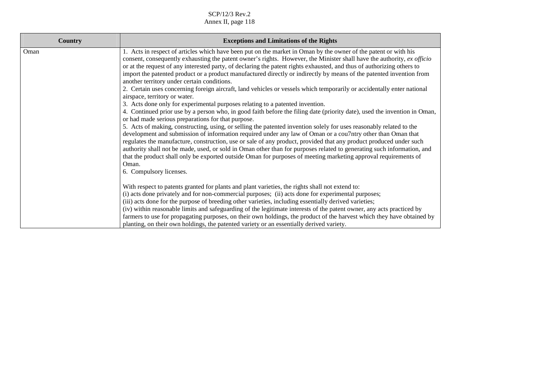| <b>Country</b> | <b>Exceptions and Limitations of the Rights</b>                                                                                                                                                                                                                                                                                                                                                                                                                                                                                                                                                                                                                                                                                                                                                                                                                                                                                                                                                                                                                                                                                                                                                                                                                                                                                                                                                                                                                                                                                                                                                                        |
|----------------|------------------------------------------------------------------------------------------------------------------------------------------------------------------------------------------------------------------------------------------------------------------------------------------------------------------------------------------------------------------------------------------------------------------------------------------------------------------------------------------------------------------------------------------------------------------------------------------------------------------------------------------------------------------------------------------------------------------------------------------------------------------------------------------------------------------------------------------------------------------------------------------------------------------------------------------------------------------------------------------------------------------------------------------------------------------------------------------------------------------------------------------------------------------------------------------------------------------------------------------------------------------------------------------------------------------------------------------------------------------------------------------------------------------------------------------------------------------------------------------------------------------------------------------------------------------------------------------------------------------------|
| Oman           | 1. Acts in respect of articles which have been put on the market in Oman by the owner of the patent or with his<br>consent, consequently exhausting the patent owner's rights. However, the Minister shall have the authority, ex officio<br>or at the request of any interested party, of declaring the patent rights exhausted, and thus of authorizing others to<br>import the patented product or a product manufactured directly or indirectly by means of the patented invention from<br>another territory under certain conditions.<br>2. Certain uses concerning foreign aircraft, land vehicles or vessels which temporarily or accidentally enter national<br>airspace, territory or water.<br>3. Acts done only for experimental purposes relating to a patented invention.<br>4. Continued prior use by a person who, in good faith before the filing date (priority date), used the invention in Oman,<br>or had made serious preparations for that purpose.<br>5. Acts of making, constructing, using, or selling the patented invention solely for uses reasonably related to the<br>development and submission of information required under any law of Oman or a cou7ntry other than Oman that<br>regulates the manufacture, construction, use or sale of any product, provided that any product produced under such<br>authority shall not be made, used, or sold in Oman other than for purposes related to generating such information, and<br>that the product shall only be exported outside Oman for purposes of meeting marketing approval requirements of<br>Oman.<br>6. Compulsory licenses. |
|                | With respect to patents granted for plants and plant varieties, the rights shall not extend to:<br>(i) acts done privately and for non-commercial purposes; (ii) acts done for experimental purposes;<br>(iii) acts done for the purpose of breeding other varieties, including essentially derived varieties;<br>(iv) within reasonable limits and safeguarding of the legitimate interests of the patent owner, any acts practiced by<br>farmers to use for propagating purposes, on their own holdings, the product of the harvest which they have obtained by<br>planting, on their own holdings, the patented variety or an essentially derived variety.                                                                                                                                                                                                                                                                                                                                                                                                                                                                                                                                                                                                                                                                                                                                                                                                                                                                                                                                                          |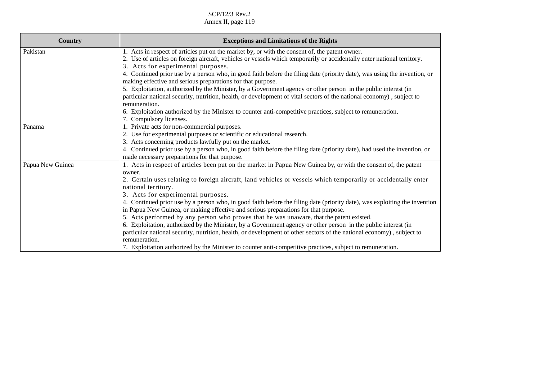| Country          | <b>Exceptions and Limitations of the Rights</b>                                                                                                                                          |
|------------------|------------------------------------------------------------------------------------------------------------------------------------------------------------------------------------------|
| Pakistan         | 1. Acts in respect of articles put on the market by, or with the consent of, the patent owner.                                                                                           |
|                  | 2. Use of articles on foreign aircraft, vehicles or vessels which temporarily or accidentally enter national territory.                                                                  |
|                  | 3. Acts for experimental purposes.                                                                                                                                                       |
|                  | 4. Continued prior use by a person who, in good faith before the filing date (priority date), was using the invention, or<br>making effective and serious preparations for that purpose. |
|                  | 5. Exploitation, authorized by the Minister, by a Government agency or other person in the public interest (in                                                                           |
|                  | particular national security, nutrition, health, or development of vital sectors of the national economy), subject to<br>remuneration.                                                   |
|                  | 6. Exploitation authorized by the Minister to counter anti-competitive practices, subject to remuneration.                                                                               |
|                  | 7. Compulsory licenses.                                                                                                                                                                  |
| Panama           | 1. Private acts for non-commercial purposes.                                                                                                                                             |
|                  | 2. Use for experimental purposes or scientific or educational research.                                                                                                                  |
|                  | 3. Acts concerning products lawfully put on the market.                                                                                                                                  |
|                  | 4. Continued prior use by a person who, in good faith before the filing date (priority date), had used the invention, or                                                                 |
|                  | made necessary preparations for that purpose.                                                                                                                                            |
| Papua New Guinea | 1. Acts in respect of articles been put on the market in Papua New Guinea by, or with the consent of, the patent<br>owner.                                                               |
|                  | 2. Certain uses relating to foreign aircraft, land vehicles or vessels which temporarily or accidentally enter<br>national territory.                                                    |
|                  | 3. Acts for experimental purposes.                                                                                                                                                       |
|                  | 4. Continued prior use by a person who, in good faith before the filing date (priority date), was exploiting the invention                                                               |
|                  | in Papua New Guinea, or making effective and serious preparations for that purpose.                                                                                                      |
|                  | 5. Acts performed by any person who proves that he was unaware, that the patent existed.                                                                                                 |
|                  | 6. Exploitation, authorized by the Minister, by a Government agency or other person in the public interest (in                                                                           |
|                  | particular national security, nutrition, health, or development of other sectors of the national economy), subject to                                                                    |
|                  | remuneration.                                                                                                                                                                            |
|                  | 7. Exploitation authorized by the Minister to counter anti-competitive practices, subject to remuneration.                                                                               |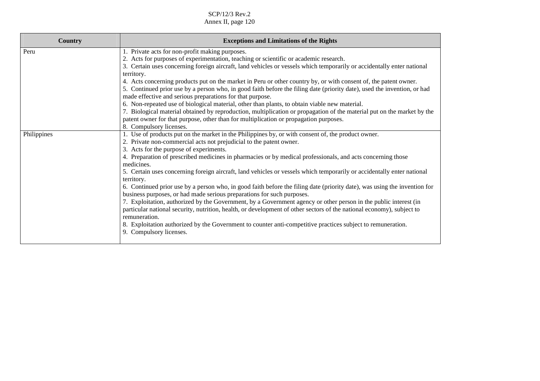| Country     | <b>Exceptions and Limitations of the Rights</b>                                                                                                                                                                                                                                                                                                                                                                                                                                                                                                                                                                                                                                                                                                                                                                                                                                                                                                                                                                                                                                                          |
|-------------|----------------------------------------------------------------------------------------------------------------------------------------------------------------------------------------------------------------------------------------------------------------------------------------------------------------------------------------------------------------------------------------------------------------------------------------------------------------------------------------------------------------------------------------------------------------------------------------------------------------------------------------------------------------------------------------------------------------------------------------------------------------------------------------------------------------------------------------------------------------------------------------------------------------------------------------------------------------------------------------------------------------------------------------------------------------------------------------------------------|
| Peru        | 1. Private acts for non-profit making purposes.<br>2. Acts for purposes of experimentation, teaching or scientific or academic research.<br>3. Certain uses concerning foreign aircraft, land vehicles or vessels which temporarily or accidentally enter national<br>territory.<br>4. Acts concerning products put on the market in Peru or other country by, or with consent of, the patent owner.<br>5. Continued prior use by a person who, in good faith before the filing date (priority date), used the invention, or had<br>made effective and serious preparations for that purpose.<br>6. Non-repeated use of biological material, other than plants, to obtain viable new material.                                                                                                                                                                                                                                                                                                                                                                                                           |
|             | 7. Biological material obtained by reproduction, multiplication or propagation of the material put on the market by the<br>patent owner for that purpose, other than for multiplication or propagation purposes.<br>8. Compulsory licenses.                                                                                                                                                                                                                                                                                                                                                                                                                                                                                                                                                                                                                                                                                                                                                                                                                                                              |
| Philippines | 1. Use of products put on the market in the Philippines by, or with consent of, the product owner.<br>2. Private non-commercial acts not prejudicial to the patent owner.<br>3. Acts for the purpose of experiments.<br>4. Preparation of prescribed medicines in pharmacies or by medical professionals, and acts concerning those<br>medicines.<br>5. Certain uses concerning foreign aircraft, land vehicles or vessels which temporarily or accidentally enter national<br>territory.<br>6. Continued prior use by a person who, in good faith before the filing date (priority date), was using the invention for<br>business purposes, or had made serious preparations for such purposes.<br>7. Exploitation, authorized by the Government, by a Government agency or other person in the public interest (in<br>particular national security, nutrition, health, or development of other sectors of the national economy), subject to<br>remuneration.<br>8. Exploitation authorized by the Government to counter anti-competitive practices subject to remuneration.<br>9. Compulsory licenses. |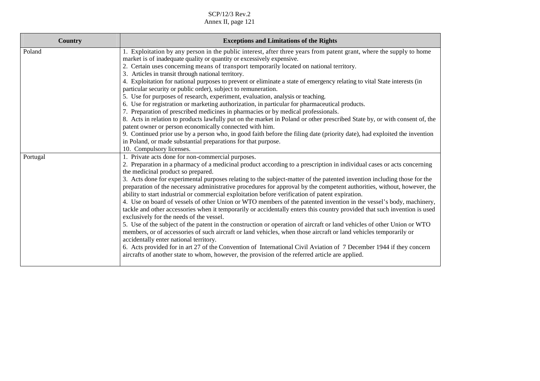| <b>Exceptions and Limitations of the Rights</b>                                                                                                                                                                                                    |
|----------------------------------------------------------------------------------------------------------------------------------------------------------------------------------------------------------------------------------------------------|
| 1. Exploitation by any person in the public interest, after three years from patent grant, where the supply to home<br>market is of inadequate quality or quantity or excessively expensive.                                                       |
| 2. Certain uses concerning means of transport temporarily located on national territory.                                                                                                                                                           |
| 3. Articles in transit through national territory.                                                                                                                                                                                                 |
| 4. Exploitation for national purposes to prevent or eliminate a state of emergency relating to vital State interests (in                                                                                                                           |
| particular security or public order), subject to remuneration.                                                                                                                                                                                     |
| 5. Use for purposes of research, experiment, evaluation, analysis or teaching.                                                                                                                                                                     |
| 6. Use for registration or marketing authorization, in particular for pharmaceutical products.<br>7. Preparation of prescribed medicines in pharmacies or by medical professionals.                                                                |
| 8. Acts in relation to products lawfully put on the market in Poland or other prescribed State by, or with consent of, the                                                                                                                         |
| patent owner or person economically connected with him.                                                                                                                                                                                            |
| 9. Continued prior use by a person who, in good faith before the filing date (priority date), had exploited the invention                                                                                                                          |
| in Poland, or made substantial preparations for that purpose.                                                                                                                                                                                      |
| 10. Compulsory licenses.                                                                                                                                                                                                                           |
| 1. Private acts done for non-commercial purposes.                                                                                                                                                                                                  |
| 2. Preparation in a pharmacy of a medicinal product according to a prescription in individual cases or acts concerning<br>the medicinal product so prepared.                                                                                       |
| 3. Acts done for experimental purposes relating to the subject-matter of the patented invention including those for the<br>preparation of the necessary administrative procedures for approval by the competent authorities, without, however, the |
| ability to start industrial or commercial exploitation before verification of patent expiration.                                                                                                                                                   |
| 4. Use on board of vessels of other Union or WTO members of the patented invention in the vessel's body, machinery,                                                                                                                                |
| tackle and other accessories when it temporarily or accidentally enters this country provided that such invention is used                                                                                                                          |
| exclusively for the needs of the vessel.                                                                                                                                                                                                           |
| 5. Use of the subject of the patent in the construction or operation of aircraft or land vehicles of other Union or WTO<br>members, or of accessories of such aircraft or land vehicles, when those aircraft or land vehicles temporarily or       |
| accidentally enter national territory.                                                                                                                                                                                                             |
| 6. Acts provided for in art 27 of the Convention of International Civil Aviation of 7 December 1944 if they concern                                                                                                                                |
| aircrafts of another state to whom, however, the provision of the referred article are applied.                                                                                                                                                    |
|                                                                                                                                                                                                                                                    |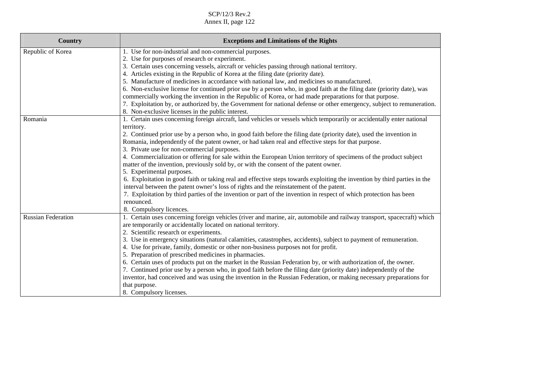| Country                   | <b>Exceptions and Limitations of the Rights</b>                                                                           |
|---------------------------|---------------------------------------------------------------------------------------------------------------------------|
| Republic of Korea         | 1. Use for non-industrial and non-commercial purposes.                                                                    |
|                           | 2. Use for purposes of research or experiment.                                                                            |
|                           | 3. Certain uses concerning vessels, aircraft or vehicles passing through national territory.                              |
|                           | 4. Articles existing in the Republic of Korea at the filing date (priority date).                                         |
|                           | 5. Manufacture of medicines in accordance with national law, and medicines so manufactured.                               |
|                           | 6. Non-exclusive license for continued prior use by a person who, in good faith at the filing date (priority date), was   |
|                           | commercially working the invention in the Republic of Korea, or had made preparations for that purpose.                   |
|                           | 7. Exploitation by, or authorized by, the Government for national defense or other emergency, subject to remuneration.    |
|                           | 8. Non-exclusive licenses in the public interest.                                                                         |
| Romania                   | 1. Certain uses concerning foreign aircraft, land vehicles or vessels which temporarily or accidentally enter national    |
|                           | territory.                                                                                                                |
|                           | 2. Continued prior use by a person who, in good faith before the filing date (priority date), used the invention in       |
|                           | Romania, independently of the patent owner, or had taken real and effective steps for that purpose.                       |
|                           | 3. Private use for non-commercial purposes.                                                                               |
|                           | 4. Commercialization or offering for sale within the European Union territory of specimens of the product subject         |
|                           | matter of the invention, previously sold by, or with the consent of the patent owner.                                     |
|                           | 5. Experimental purposes.                                                                                                 |
|                           | 6. Exploitation in good faith or taking real and effective steps towards exploiting the invention by third parties in the |
|                           | interval between the patent owner's loss of rights and the reinstatement of the patent.                                   |
|                           | 7. Exploitation by third parties of the invention or part of the invention in respect of which protection has been        |
|                           | renounced.                                                                                                                |
|                           | 8. Compulsory licences.                                                                                                   |
| <b>Russian Federation</b> | 1. Certain uses concerning foreign vehicles (river and marine, air, automobile and railway transport, spacecraft) which   |
|                           | are temporarily or accidentally located on national territory.                                                            |
|                           | 2. Scientific research or experiments.                                                                                    |
|                           | 3. Use in emergency situations (natural calamities, catastrophes, accidents), subject to payment of remuneration.         |
|                           | 4. Use for private, family, domestic or other non-business purposes not for profit.                                       |
|                           | 5. Preparation of prescribed medicines in pharmacies.                                                                     |
|                           | 6. Certain uses of products put on the market in the Russian Federation by, or with authorization of, the owner.          |
|                           | 7. Continued prior use by a person who, in good faith before the filing date (priority date) independently of the         |
|                           | inventor, had conceived and was using the invention in the Russian Federation, or making necessary preparations for       |
|                           | that purpose.                                                                                                             |
|                           | 8. Compulsory licenses.                                                                                                   |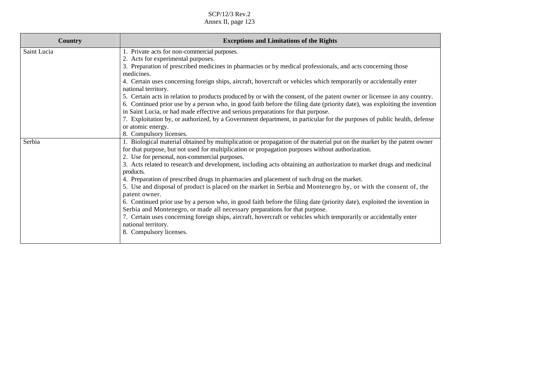| <b>Country</b> | <b>Exceptions and Limitations of the Rights</b>                                                                                                                                                                                                                                                                                                                                                                                                                                                                                                                                                                                                                                                                                                                                |
|----------------|--------------------------------------------------------------------------------------------------------------------------------------------------------------------------------------------------------------------------------------------------------------------------------------------------------------------------------------------------------------------------------------------------------------------------------------------------------------------------------------------------------------------------------------------------------------------------------------------------------------------------------------------------------------------------------------------------------------------------------------------------------------------------------|
| Saint Lucia    | 1. Private acts for non-commercial purposes.                                                                                                                                                                                                                                                                                                                                                                                                                                                                                                                                                                                                                                                                                                                                   |
|                | 2. Acts for experimental purposes.                                                                                                                                                                                                                                                                                                                                                                                                                                                                                                                                                                                                                                                                                                                                             |
|                | 3. Preparation of prescribed medicines in pharmacies or by medical professionals, and acts concerning those<br>medicines.                                                                                                                                                                                                                                                                                                                                                                                                                                                                                                                                                                                                                                                      |
|                | 4. Certain uses concerning foreign ships, aircraft, hovercraft or vehicles which temporarily or accidentally enter<br>national territory.                                                                                                                                                                                                                                                                                                                                                                                                                                                                                                                                                                                                                                      |
|                | 5. Certain acts in relation to products produced by or with the consent, of the patent owner or licensee in any country.                                                                                                                                                                                                                                                                                                                                                                                                                                                                                                                                                                                                                                                       |
|                | 6. Continued prior use by a person who, in good faith before the filing date (priority date), was exploiting the invention<br>in Saint Lucia, or had made effective and serious preparations for that purpose.                                                                                                                                                                                                                                                                                                                                                                                                                                                                                                                                                                 |
|                | 7. Exploitation by, or authorized, by a Government department, in particular for the purposes of public health, defense                                                                                                                                                                                                                                                                                                                                                                                                                                                                                                                                                                                                                                                        |
|                | or atomic energy.                                                                                                                                                                                                                                                                                                                                                                                                                                                                                                                                                                                                                                                                                                                                                              |
|                | 8. Compulsory licenses.                                                                                                                                                                                                                                                                                                                                                                                                                                                                                                                                                                                                                                                                                                                                                        |
| Serbia         | 1. Biological material obtained by multiplication or propagation of the material put on the market by the patent owner<br>for that purpose, but not used for multiplication or propagation purposes without authorization.<br>2. Use for personal, non-commercial purposes.<br>3. Acts related to research and development, including acts obtaining an authorization to market drugs and medicinal<br>products.<br>4. Preparation of prescribed drugs in pharmacies and placement of such drug on the market.<br>5. Use and disposal of product is placed on the market in Serbia and Montenegro by, or with the consent of, the<br>patent owner.<br>6. Continued prior use by a person who, in good faith before the filing date (priority date), exploited the invention in |
|                | Serbia and Montenegro, or made all necessary preparations for that purpose.<br>7. Certain uses concerning foreign ships, aircraft, hovercraft or vehicles which temporarily or accidentally enter<br>national territory.<br>8. Compulsory licenses.                                                                                                                                                                                                                                                                                                                                                                                                                                                                                                                            |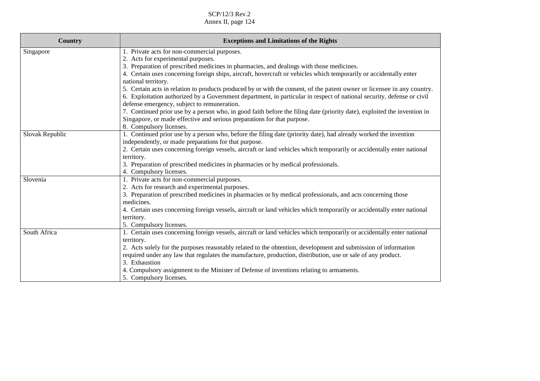| <b>Country</b>  | <b>Exceptions and Limitations of the Rights</b>                                                                                           |
|-----------------|-------------------------------------------------------------------------------------------------------------------------------------------|
| Singapore       | 1. Private acts for non-commercial purposes.                                                                                              |
|                 | 2. Acts for experimental purposes.                                                                                                        |
|                 | 3. Preparation of prescribed medicines in pharmacies, and dealings with those medicines.                                                  |
|                 | 4. Certain uses concerning foreign ships, aircraft, hovercraft or vehicles which temporarily or accidentally enter<br>national territory. |
|                 | 5. Certain acts in relation to products produced by or with the consent, of the patent owner or licensee in any country.                  |
|                 | 6. Exploitation authorized by a Government department, in particular in respect of national security, defense or civil                    |
|                 | defense emergency, subject to remuneration.                                                                                               |
|                 | 7. Continued prior use by a person who, in good faith before the filing date (priority date), exploited the invention in                  |
|                 | Singapore, or made effective and serious preparations for that purpose.                                                                   |
|                 | 8. Compulsory licenses.                                                                                                                   |
| Slovak Republic | 1. Continued prior use by a person who, before the filing date (priority date), had already worked the invention                          |
|                 | independently, or made preparations for that purpose.                                                                                     |
|                 | 2. Certain uses concerning foreign vessels, aircraft or land vehicles which temporarily or accidentally enter national                    |
|                 | territory.                                                                                                                                |
|                 | 3. Preparation of prescribed medicines in pharmacies or by medical professionals.                                                         |
|                 | 4. Compulsory licenses.                                                                                                                   |
| Slovenia        | 1. Private acts for non-commercial purposes.                                                                                              |
|                 | 2. Acts for research and experimental purposes.                                                                                           |
|                 | 3. Preparation of prescribed medicines in pharmacies or by medical professionals, and acts concerning those<br>medicines.                 |
|                 | 4. Certain uses concerning foreign vessels, aircraft or land vehicles which temporarily or accidentally enter national                    |
|                 | territory.                                                                                                                                |
|                 | 5. Compulsory licenses.                                                                                                                   |
| South Africa    | 1. Certain uses concerning foreign vessels, aircraft or land vehicles which temporarily or accidentally enter national                    |
|                 | territory.                                                                                                                                |
|                 | 2. Acts solely for the purposes reasonably related to the obtention, development and submission of information                            |
|                 | required under any law that regulates the manufacture, production, distribution, use or sale of any product.                              |
|                 | 3. Exhaustion                                                                                                                             |
|                 | 4. Compulsory assignment to the Minister of Defense of inventions relating to armaments.                                                  |
|                 | 5. Compulsory licenses.                                                                                                                   |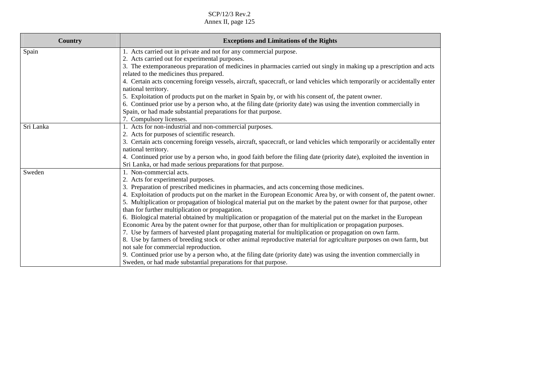| <b>Country</b> | <b>Exceptions and Limitations of the Rights</b>                                                                                                   |
|----------------|---------------------------------------------------------------------------------------------------------------------------------------------------|
| Spain          | 1. Acts carried out in private and not for any commercial purpose.                                                                                |
|                | 2. Acts carried out for experimental purposes.                                                                                                    |
|                | 3. The extemporaneous preparation of medicines in pharmacies carried out singly in making up a prescription and acts                              |
|                | related to the medicines thus prepared.                                                                                                           |
|                | 4. Certain acts concerning foreign vessels, aircraft, spacecraft, or land vehicles which temporarily or accidentally enter<br>national territory. |
|                | 5. Exploitation of products put on the market in Spain by, or with his consent of, the patent owner.                                              |
|                | 6. Continued prior use by a person who, at the filing date (priority date) was using the invention commercially in                                |
|                | Spain, or had made substantial preparations for that purpose.                                                                                     |
|                | 7. Compulsory licenses.                                                                                                                           |
| Sri Lanka      | 1. Acts for non-industrial and non-commercial purposes.                                                                                           |
|                | 2. Acts for purposes of scientific research.                                                                                                      |
|                | 3. Certain acts concerning foreign vessels, aircraft, spacecraft, or land vehicles which temporarily or accidentally enter                        |
|                | national territory.                                                                                                                               |
|                | 4. Continued prior use by a person who, in good faith before the filing date (priority date), exploited the invention in                          |
|                | Sri Lanka, or had made serious preparations for that purpose.                                                                                     |
| Sweden         | 1. Non-commercial acts.                                                                                                                           |
|                | 2. Acts for experimental purposes.                                                                                                                |
|                | 3. Preparation of prescribed medicines in pharmacies, and acts concerning those medicines.                                                        |
|                | 4. Exploitation of products put on the market in the European Economic Area by, or with consent of, the patent owner.                             |
|                | 5. Multiplication or propagation of biological material put on the market by the patent owner for that purpose, other                             |
|                | than for further multiplication or propagation.                                                                                                   |
|                | 6. Biological material obtained by multiplication or propagation of the material put on the market in the European                                |
|                | Economic Area by the patent owner for that purpose, other than for multiplication or propagation purposes.                                        |
|                | 7. Use by farmers of harvested plant propagating material for multiplication or propagation on own farm.                                          |
|                | 8. Use by farmers of breeding stock or other animal reproductive material for agriculture purposes on own farm, but                               |
|                | not sale for commercial reproduction.                                                                                                             |
|                | 9. Continued prior use by a person who, at the filing date (priority date) was using the invention commercially in                                |
|                | Sweden, or had made substantial preparations for that purpose.                                                                                    |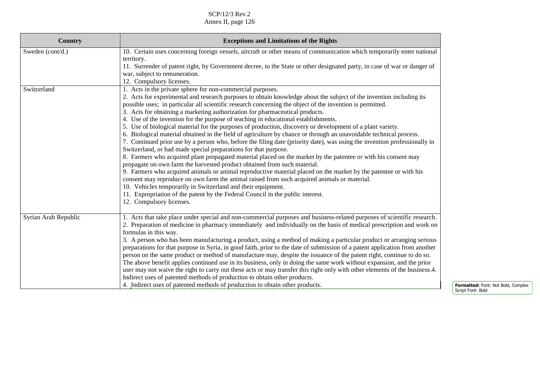| Country              | <b>Exceptions and Limitations of the Rights</b>                                                                             |
|----------------------|-----------------------------------------------------------------------------------------------------------------------------|
| Sweden (cont/d.)     | 10. Certain uses concerning foreign vessels, aircraft or other means of communication which temporarily enter national      |
|                      | territory.                                                                                                                  |
|                      | 11. Surrender of patent right, by Government decree, to the State or other designated party, in case of war or danger of    |
|                      | war, subject to remuneration.                                                                                               |
|                      | 12. Compulsory licenses.                                                                                                    |
| Switzerland          | 1. Acts in the private sphere for non-commercial purposes.                                                                  |
|                      | 2. Acts for experimental and research purposes to obtain knowledge about the subject of the invention including its         |
|                      | possible uses; in particular all scientific research concerning the object of the invention is permitted.                   |
|                      | 3. Acts for obtaining a marketing authorization for pharmaceutical products.                                                |
|                      | 4. Use of the invention for the purpose of teaching in educational establishments.                                          |
|                      | 5. Use of biological material for the purposes of production, discovery or development of a plant variety.                  |
|                      | 6. Biological material obtained in the field of agriculture by chance or through an unavoidable technical process.          |
|                      | 7. Continued prior use by a person who, before the filing date (priority date), was using the invention professionally in   |
|                      | Switzerland, or had made special preparations for that purpose.                                                             |
|                      | 8. Farmers who acquired plant propagated material placed on the market by the patentee or with his consent may              |
|                      | propagate on own farm the harvested product obtained from such material.                                                    |
|                      | 9. Farmers who acquired animals or animal reproductive material placed on the market by the patentee or with his            |
|                      | consent may reproduce on own farm the animal raised from such acquired animals or material.                                 |
|                      | 10. Vehicles temporarily in Switzerland and their equipment.                                                                |
|                      | 11. Expropriation of the patent by the Federal Council in the public interest.                                              |
|                      | 12. Compulsory licenses.                                                                                                    |
| Syrian Arab Republic | 1. Acts that take place under special and non-commercial purposes and business-related purposes of scientific research.     |
|                      | 2. Preparation of medicine in pharmacy immediately and individually on the basis of medical prescription and work on        |
|                      | formulas in this way.                                                                                                       |
|                      | 3. A person who has been manufacturing a product, using a method of making a particular product or arranging serious        |
|                      | preparations for that purpose in Syria, in good faith, prior to the date of submission of a patent application from another |
|                      | person on the same product or method of manufacture may, despite the issuance of the patent right, continue to do so.       |
|                      | The above benefit applies continued use in its business, only in doing the same work without expansion, and the prior       |
|                      | user may not waive the right to carry out these acts or may transfer this right only with other elements of the business.4. |
|                      | Indirect uses of patented methods of production to obtain other products.                                                   |
|                      | 4. Indirect uses of patented methods of production to obtain other products.                                                |
|                      |                                                                                                                             |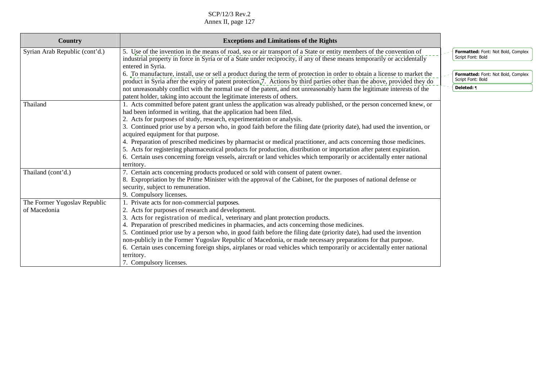| Country                        | <b>Exceptions and Limitations of the Rights</b>                                                                                                                                                                                                                     |                                                         |  |
|--------------------------------|---------------------------------------------------------------------------------------------------------------------------------------------------------------------------------------------------------------------------------------------------------------------|---------------------------------------------------------|--|
| Syrian Arab Republic (cont'd.) | 5. Use of the invention in the means of road, sea or air transport of a State or entity members of the convention of<br>industrial property in force in Syria or of a State under reciprocity, if any of these means temporarily or accidentally                    | Formatted: Font: Not Bold, Complex<br>Script Font: Bold |  |
|                                | entered in Syria.<br>6. To manufacture, install, use or sell a product during the term of protection in order to obtain a license to market the                                                                                                                     | Formatted: Font: Not Bold, Complex                      |  |
|                                | product in Syria after the expiry of patent protection.7. Actions by third parties other than the above, provided they do                                                                                                                                           | Script Font: Bold                                       |  |
|                                | not unreasonably conflict with the normal use of the patent, and not unreasonably harm the legitimate interests of the<br>patent holder, taking into account the legitimate interests of others.                                                                    | Deleted: ¶                                              |  |
| Thailand                       | 1. Acts committed before patent grant unless the application was already published, or the person concerned knew, or<br>had been informed in writing, that the application had been filed.<br>2. Acts for purposes of study, research, experimentation or analysis. |                                                         |  |
|                                | 3. Continued prior use by a person who, in good faith before the filing date (priority date), had used the invention, or<br>acquired equipment for that purpose.                                                                                                    |                                                         |  |
|                                | 4. Preparation of prescribed medicines by pharmacist or medical practitioner, and acts concerning those medicines.<br>5. Acts for registering pharmaceutical products for production, distribution or importation after patent expiration.                          |                                                         |  |
|                                | 6. Certain uses concerning foreign vessels, aircraft or land vehicles which temporarily or accidentally enter national<br>territory.                                                                                                                                |                                                         |  |
| Thailand (cont'd.)             | 7. Certain acts concerning products produced or sold with consent of patent owner.<br>8. Expropriation by the Prime Minister with the approval of the Cabinet, for the purposes of national defense or                                                              |                                                         |  |
|                                | security, subject to remuneration.<br>9. Compulsory licenses.                                                                                                                                                                                                       |                                                         |  |
| The Former Yugoslav Republic   | 1. Private acts for non-commercial purposes.                                                                                                                                                                                                                        |                                                         |  |
| of Macedonia                   | 2. Acts for purposes of research and development.                                                                                                                                                                                                                   |                                                         |  |
|                                | 3. Acts for registration of medical, veterinary and plant protection products.                                                                                                                                                                                      |                                                         |  |
|                                | 4. Preparation of prescribed medicines in pharmacies, and acts concerning those medicines.                                                                                                                                                                          |                                                         |  |
|                                | 5. Continued prior use by a person who, in good faith before the filing date (priority date), had used the invention                                                                                                                                                |                                                         |  |
|                                | non-publicly in the Former Yugoslav Republic of Macedonia, or made necessary preparations for that purpose.<br>6. Certain uses concerning foreign ships, airplanes or road vehicles which temporarily or accidentally enter national                                |                                                         |  |
|                                | territory.                                                                                                                                                                                                                                                          |                                                         |  |
|                                | 7. Compulsory licenses.                                                                                                                                                                                                                                             |                                                         |  |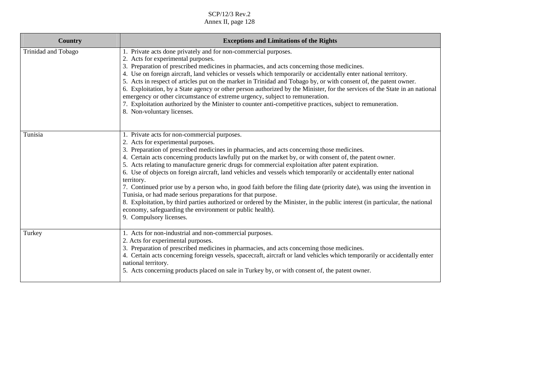| <b>Country</b>      | <b>Exceptions and Limitations of the Rights</b>                                                                                                                                                                                                                                                                                                                                                                                                                                                                                                                                                                                                                                                                                                                                                                                                                                                                                                         |
|---------------------|---------------------------------------------------------------------------------------------------------------------------------------------------------------------------------------------------------------------------------------------------------------------------------------------------------------------------------------------------------------------------------------------------------------------------------------------------------------------------------------------------------------------------------------------------------------------------------------------------------------------------------------------------------------------------------------------------------------------------------------------------------------------------------------------------------------------------------------------------------------------------------------------------------------------------------------------------------|
| Trinidad and Tobago | 1. Private acts done privately and for non-commercial purposes.<br>2. Acts for experimental purposes.<br>3. Preparation of prescribed medicines in pharmacies, and acts concerning those medicines.<br>4. Use on foreign aircraft, land vehicles or vessels which temporarily or accidentally enter national territory.<br>5. Acts in respect of articles put on the market in Trinidad and Tobago by, or with consent of, the patent owner.<br>6. Exploitation, by a State agency or other person authorized by the Minister, for the services of the State in an national<br>emergency or other circumstance of extreme urgency, subject to remuneration.<br>7. Exploitation authorized by the Minister to counter anti-competitive practices, subject to remuneration.<br>8. Non-voluntary licenses.                                                                                                                                                 |
| Tunisia             | 1. Private acts for non-commercial purposes.<br>2. Acts for experimental purposes.<br>3. Preparation of prescribed medicines in pharmacies, and acts concerning those medicines.<br>4. Certain acts concerning products lawfully put on the market by, or with consent of, the patent owner.<br>5. Acts relating to manufacture generic drugs for commercial exploitation after patent expiration.<br>6. Use of objects on foreign aircraft, land vehicles and vessels which temporarily or accidentally enter national<br>territory.<br>7. Continued prior use by a person who, in good faith before the filing date (priority date), was using the invention in<br>Tunisia, or had made serious preparations for that purpose.<br>8. Exploitation, by third parties authorized or ordered by the Minister, in the public interest (in particular, the national<br>economy, safeguarding the environment or public health).<br>9. Compulsory licenses. |
| Turkey              | 1. Acts for non-industrial and non-commercial purposes.<br>2. Acts for experimental purposes.<br>3. Preparation of prescribed medicines in pharmacies, and acts concerning those medicines.<br>4. Certain acts concerning foreign vessels, spacecraft, aircraft or land vehicles which temporarily or accidentally enter<br>national territory.<br>5. Acts concerning products placed on sale in Turkey by, or with consent of, the patent owner.                                                                                                                                                                                                                                                                                                                                                                                                                                                                                                       |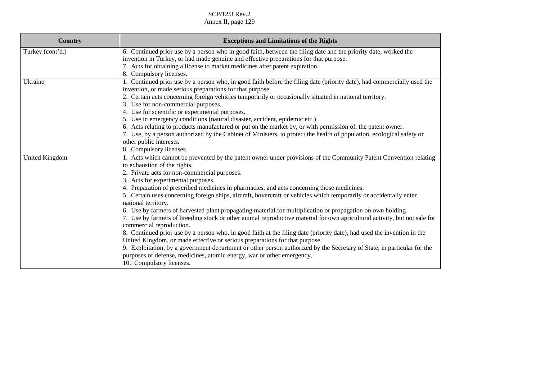| <b>Country</b>        | <b>Exceptions and Limitations of the Rights</b>                                                                                                                                                                  |
|-----------------------|------------------------------------------------------------------------------------------------------------------------------------------------------------------------------------------------------------------|
| Turkey (cont'd.)      | 6. Continued prior use by a person who in good faith, between the filing date and the priority date, worked the<br>invention in Turkey, or had made genuine and effective preparations for that purpose.         |
|                       | 7. Acts for obtaining a license to market medicines after patent expiration.<br>8. Compulsory licenses.                                                                                                          |
| Ukraine               | 1. Continued prior use by a person who, in good faith before the filing date (priority date), had commercially used the<br>invention, or made serious preparations for that purpose.                             |
|                       | 2. Certain acts concerning foreign vehicles temporarily or occasionally situated in national territory.<br>3. Use for non-commercial purposes.                                                                   |
|                       | 4. Use for scientific or experimental purposes.                                                                                                                                                                  |
|                       | 5. Use in emergency conditions (natural disaster, accident, epidemic etc.)<br>6. Acts relating to products manufactured or put on the market by, or with permission of, the patent owner.                        |
|                       | 7. Use, by a person authorized by the Cabinet of Ministers, to protect the health of population, ecological safety or                                                                                            |
|                       | other public interests.                                                                                                                                                                                          |
|                       | 8. Compulsory licenses.                                                                                                                                                                                          |
| <b>United Kingdom</b> | 1. Acts which cannot be prevented by the patent owner under provisions of the Community Patent Convention relating                                                                                               |
|                       | to exhaustion of the rights.                                                                                                                                                                                     |
|                       | 2. Private acts for non-commercial purposes.                                                                                                                                                                     |
|                       | 3. Acts for experimental purposes.                                                                                                                                                                               |
|                       | 4. Preparation of prescribed medicines in pharmacies, and acts concerning those medicines.<br>5. Certain uses concerning foreign ships, aircraft, hovercraft or vehicles which temporarily or accidentally enter |
|                       | national territory.                                                                                                                                                                                              |
|                       | 6. Use by farmers of harvested plant propagating material for multiplication or propagation on own holding.                                                                                                      |
|                       | 7. Use by farmers of breeding stock or other animal reproductive material for own agricultural activity, but not sale for<br>commercial reproduction.                                                            |
|                       | 8. Continued prior use by a person who, in good faith at the filing date (priority date), had used the invention in the<br>United Kingdom, or made effective or serious preparations for that purpose.           |
|                       | 9. Exploitation, by a government department or other person authorized by the Secretary of State, in particular for the<br>purposes of defense, medicines, atomic energy, war or other emergency.                |
|                       | 10. Compulsory licenses.                                                                                                                                                                                         |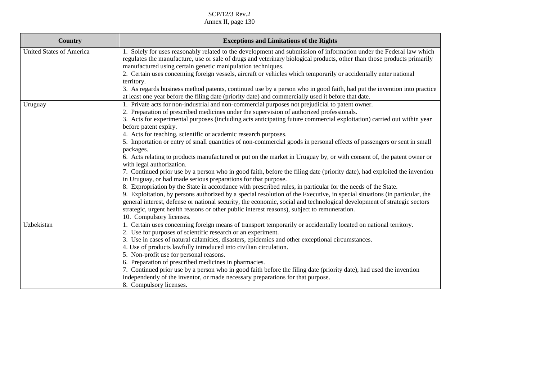| <b>Country</b>                  | <b>Exceptions and Limitations of the Rights</b>                                                                                                                                                                                                                                                                                                                                                                                   |
|---------------------------------|-----------------------------------------------------------------------------------------------------------------------------------------------------------------------------------------------------------------------------------------------------------------------------------------------------------------------------------------------------------------------------------------------------------------------------------|
| <b>United States of America</b> | 1. Solely for uses reasonably related to the development and submission of information under the Federal law which<br>regulates the manufacture, use or sale of drugs and veterinary biological products, other than those products primarily<br>manufactured using certain genetic manipulation techniques.<br>2. Certain uses concerning foreign vessels, aircraft or vehicles which temporarily or accidentally enter national |
|                                 | territory.                                                                                                                                                                                                                                                                                                                                                                                                                        |
|                                 | 3. As regards business method patents, continued use by a person who in good faith, had put the invention into practice<br>at least one year before the filing date (priority date) and commercially used it before that date.                                                                                                                                                                                                    |
| Uruguay                         | 1. Private acts for non-industrial and non-commercial purposes not prejudicial to patent owner.<br>2. Preparation of prescribed medicines under the supervision of authorized professionals.                                                                                                                                                                                                                                      |
|                                 | 3. Acts for experimental purposes (including acts anticipating future commercial exploitation) carried out within year<br>before patent expiry.                                                                                                                                                                                                                                                                                   |
|                                 | 4. Acts for teaching, scientific or academic research purposes.                                                                                                                                                                                                                                                                                                                                                                   |
|                                 | 5. Importation or entry of small quantities of non-commercial goods in personal effects of passengers or sent in small<br>packages.                                                                                                                                                                                                                                                                                               |
|                                 | 6. Acts relating to products manufactured or put on the market in Uruguay by, or with consent of, the patent owner or<br>with legal authorization.                                                                                                                                                                                                                                                                                |
|                                 | 7. Continued prior use by a person who in good faith, before the filing date (priority date), had exploited the invention<br>in Uruguay, or had made serious preparations for that purpose.                                                                                                                                                                                                                                       |
|                                 | 8. Expropriation by the State in accordance with prescribed rules, in particular for the needs of the State.                                                                                                                                                                                                                                                                                                                      |
|                                 | 9. Exploitation, by persons authorized by a special resolution of the Executive, in special situations (in particular, the<br>general interest, defense or national security, the economic, social and technological development of strategic sectors<br>strategic, urgent health reasons or other public interest reasons), subject to remuneration.                                                                             |
|                                 | 10. Compulsory licenses.                                                                                                                                                                                                                                                                                                                                                                                                          |
| Uzbekistan                      | 1. Certain uses concerning foreign means of transport temporarily or accidentally located on national territory.                                                                                                                                                                                                                                                                                                                  |
|                                 | 2. Use for purposes of scientific research or an experiment.                                                                                                                                                                                                                                                                                                                                                                      |
|                                 | 3. Use in cases of natural calamities, disasters, epidemics and other exceptional circumstances.                                                                                                                                                                                                                                                                                                                                  |
|                                 | 4. Use of products lawfully introduced into civilian circulation.                                                                                                                                                                                                                                                                                                                                                                 |
|                                 | 5. Non-profit use for personal reasons.                                                                                                                                                                                                                                                                                                                                                                                           |
|                                 | 6. Preparation of prescribed medicines in pharmacies.                                                                                                                                                                                                                                                                                                                                                                             |
|                                 | 7. Continued prior use by a person who in good faith before the filing date (priority date), had used the invention<br>independently of the inventor, or made necessary preparations for that purpose.                                                                                                                                                                                                                            |
|                                 | 8. Compulsory licenses.                                                                                                                                                                                                                                                                                                                                                                                                           |